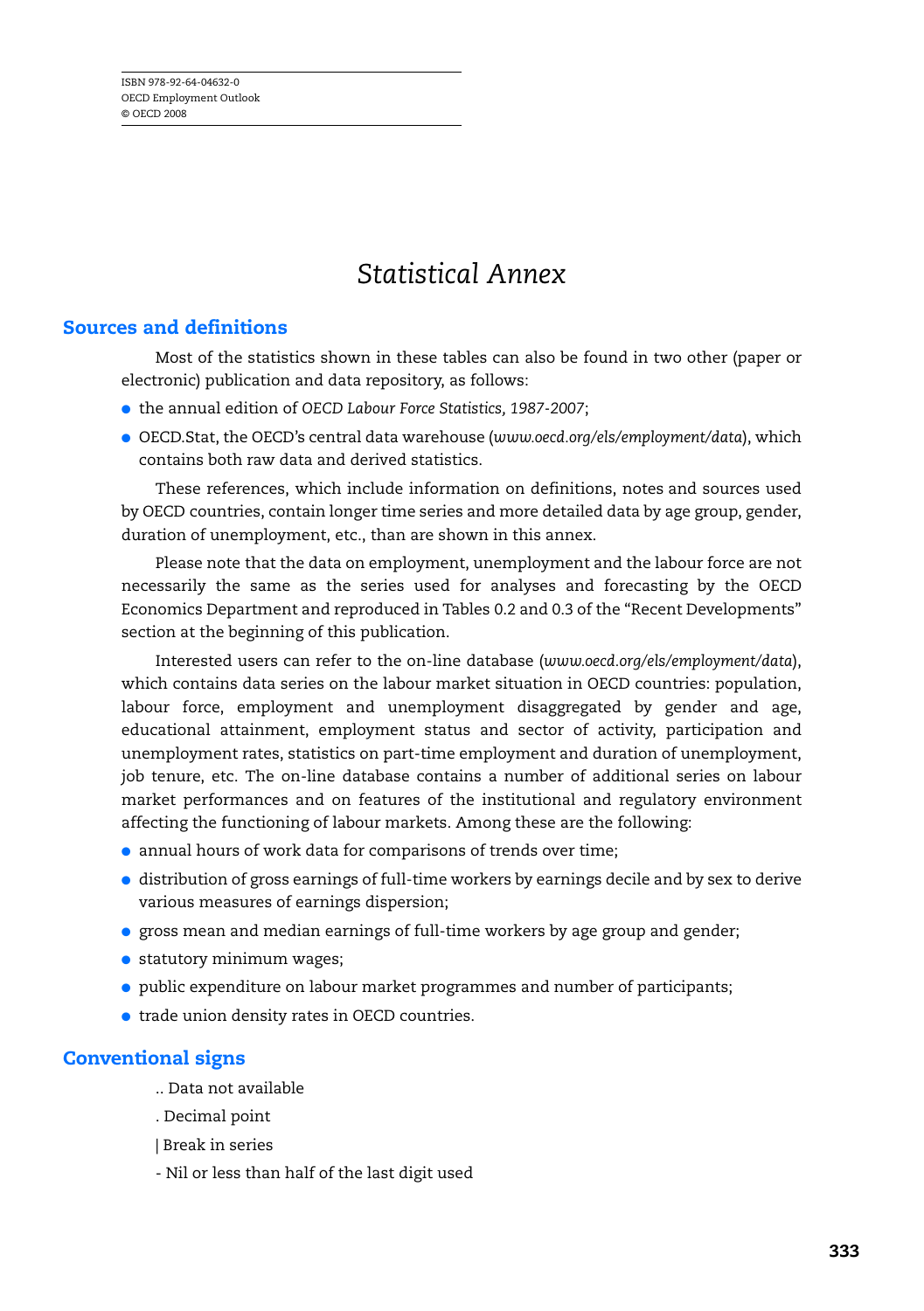## ANNEX A *Statistical Annex*

## **Sources and definitions**

Most of the statistics shown in these tables can also be found in two other (paper or electronic) publication and data repository, as follows:

- the annual edition of *OECD Labour Force Statistics, 1987-2007*;
- OECD.Stat, the OECD's central data warehouse (*www.oecd.org/els/employment/data*), which contains both raw data and derived statistics.

These references, which include information on definitions, notes and sources used by OECD countries, contain longer time series and more detailed data by age group, gender, duration of unemployment, etc., than are shown in this annex.

Please note that the data on employment, unemployment and the labour force are not necessarily the same as the series used for analyses and forecasting by the OECD Economics Department and reproduced in Tables 0.2 and 0.3 of the "Recent Developments" section at the beginning of this publication.

Interested users can refer to the on-line database (*www.oecd.org/els/employment/data*), which contains data series on the labour market situation in OECD countries: population, labour force, employment and unemployment disaggregated by gender and age, educational attainment, employment status and sector of activity, participation and unemployment rates, statistics on part-time employment and duration of unemployment, job tenure, etc. The on-line database contains a number of additional series on labour market performances and on features of the institutional and regulatory environment affecting the functioning of labour markets. Among these are the following:

- annual hours of work data for comparisons of trends over time;
- distribution of gross earnings of full-time workers by earnings decile and by sex to derive various measures of earnings dispersion;
- gross mean and median earnings of full-time workers by age group and gender;
- statutory minimum wages;
- public expenditure on labour market programmes and number of participants;
- trade union density rates in OECD countries.

## **Conventional signs**

- .. Data not available
- . Decimal point
- | Break in series
- Nil or less than half of the last digit used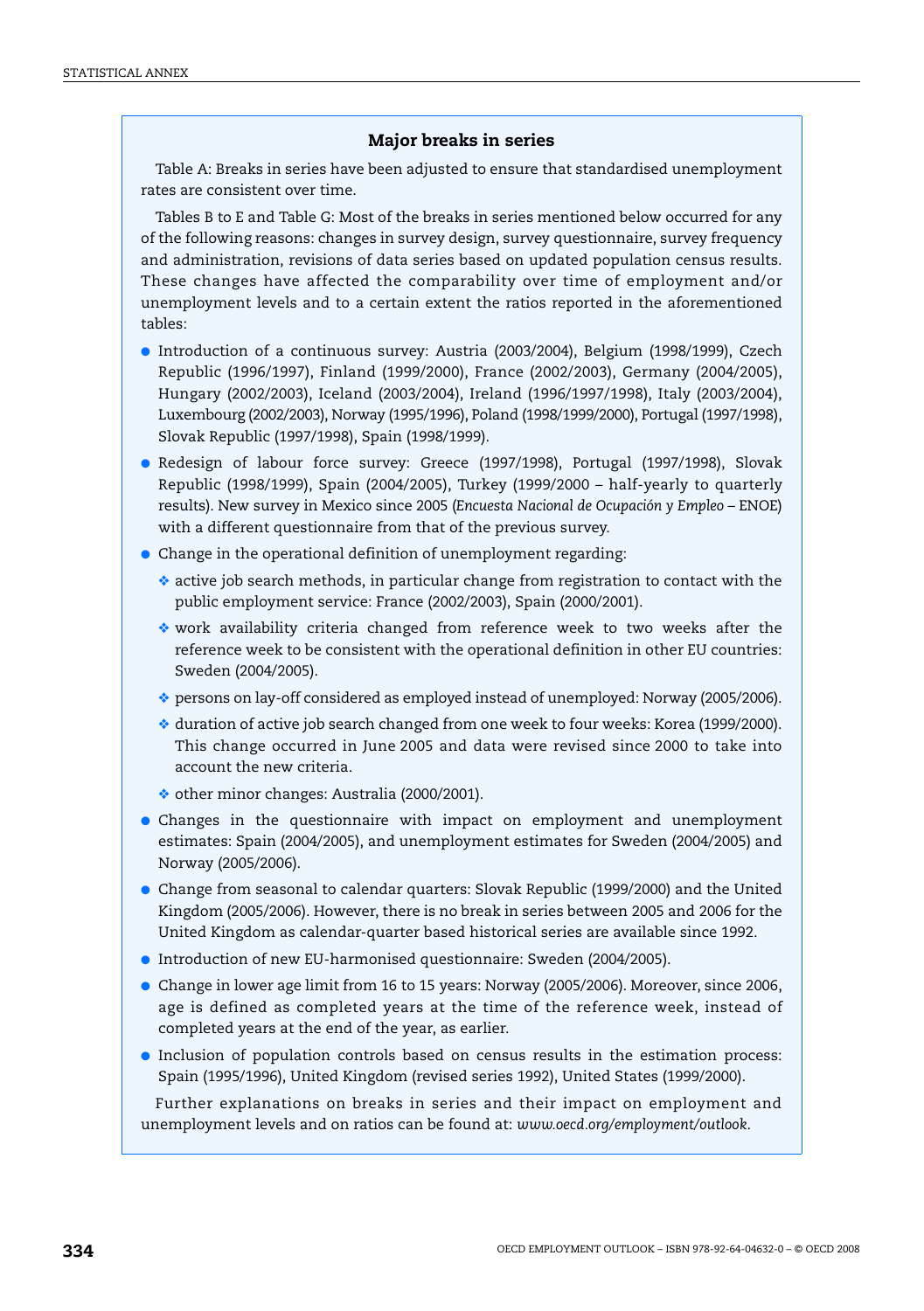#### **Major breaks in series**

Table A: Breaks in series have been adjusted to ensure that standardised unemployment rates are consistent over time.

Tables B to E and Table G: Most of the breaks in series mentioned below occurred for any of the following reasons: changes in survey design, survey questionnaire, survey frequency and administration, revisions of data series based on updated population census results. These changes have affected the comparability over time of employment and/or unemployment levels and to a certain extent the ratios reported in the aforementioned tables:

- Introduction of a continuous survey: Austria (2003/2004), Belgium (1998/1999), Czech Republic (1996/1997), Finland (1999/2000), France (2002/2003), Germany (2004/2005), Hungary (2002/2003), Iceland (2003/2004), Ireland (1996/1997/1998), Italy (2003/2004), Luxembourg (2002/2003), Norway (1995/1996), Poland (1998/1999/2000), Portugal (1997/1998), Slovak Republic (1997/1998), Spain (1998/1999).
- Redesign of labour force survey: Greece (1997/1998), Portugal (1997/1998), Slovak Republic (1998/1999), Spain (2004/2005), Turkey (1999/2000 – half-yearly to quarterly results). New survey in Mexico since 2005 (*Encuesta Nacional de Ocupación y Empleo* – ENOE) with a different questionnaire from that of the previous survey.
- Change in the operational definition of unemployment regarding:
	- ❖ active job search methods, in particular change from registration to contact with the public employment service: France (2002/2003), Spain (2000/2001).
	- ❖ work availability criteria changed from reference week to two weeks after the reference week to be consistent with the operational definition in other EU countries: Sweden (2004/2005).
	- ❖ persons on lay-off considered as employed instead of unemployed: Norway (2005/2006).
	- ❖ duration of active job search changed from one week to four weeks: Korea (1999/2000). This change occurred in June 2005 and data were revised since 2000 to take into account the new criteria.
	- ❖ other minor changes: Australia (2000/2001).
- Changes in the questionnaire with impact on employment and unemployment estimates: Spain (2004/2005), and unemployment estimates for Sweden (2004/2005) and Norway (2005/2006).
- Change from seasonal to calendar quarters: Slovak Republic (1999/2000) and the United Kingdom (2005/2006). However, there is no break in series between 2005 and 2006 for the United Kingdom as calendar-quarter based historical series are available since 1992.
- Introduction of new EU-harmonised questionnaire: Sweden (2004/2005).
- Change in lower age limit from 16 to 15 years: Norway (2005/2006). Moreover, since 2006, age is defined as completed years at the time of the reference week, instead of completed years at the end of the year, as earlier.
- Inclusion of population controls based on census results in the estimation process: Spain (1995/1996), United Kingdom (revised series 1992), United States (1999/2000).

Further explanations on breaks in series and their impact on employment and unemployment levels and on ratios can be found at: *www.oecd.org/employment/outlook*.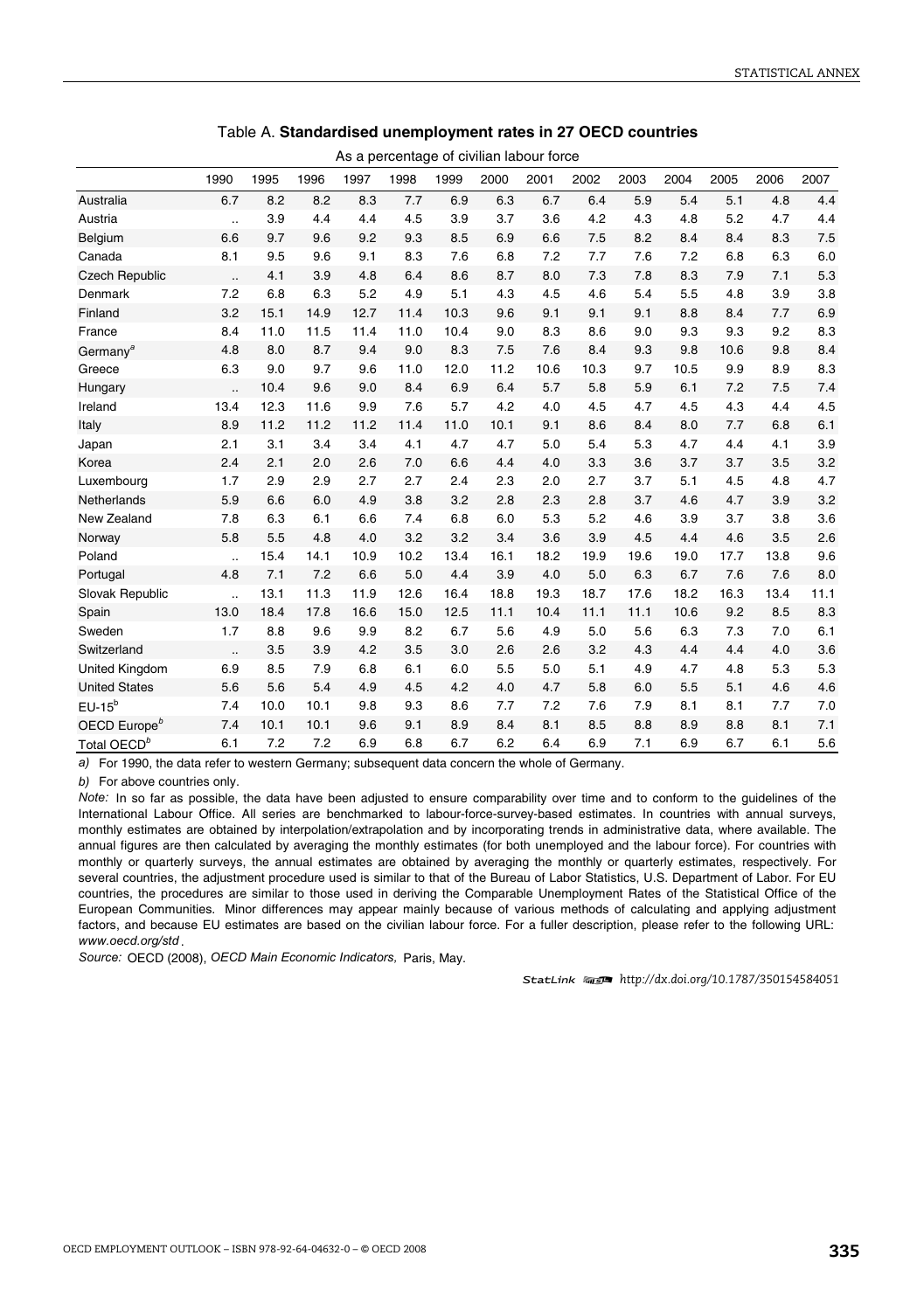|                          |                      |      |      |      | As a percentage of civilian labour force |      |      |      |      |      |      |      |      |      |
|--------------------------|----------------------|------|------|------|------------------------------------------|------|------|------|------|------|------|------|------|------|
|                          | 1990                 | 1995 | 1996 | 1997 | 1998                                     | 1999 | 2000 | 2001 | 2002 | 2003 | 2004 | 2005 | 2006 | 2007 |
| Australia                | 6.7                  | 8.2  | 8.2  | 8.3  | 7.7                                      | 6.9  | 6.3  | 6.7  | 6.4  | 5.9  | 5.4  | 5.1  | 4.8  | 4.4  |
| Austria                  | $\ddotsc$            | 3.9  | 4.4  | 4.4  | 4.5                                      | 3.9  | 3.7  | 3.6  | 4.2  | 4.3  | 4.8  | 5.2  | 4.7  | 4.4  |
| Belgium                  | 6.6                  | 9.7  | 9.6  | 9.2  | 9.3                                      | 8.5  | 6.9  | 6.6  | 7.5  | 8.2  | 8.4  | 8.4  | 8.3  | 7.5  |
| Canada                   | 8.1                  | 9.5  | 9.6  | 9.1  | 8.3                                      | 7.6  | 6.8  | 7.2  | 7.7  | 7.6  | 7.2  | 6.8  | 6.3  | 6.0  |
| <b>Czech Republic</b>    | $\ddotsc$            | 4.1  | 3.9  | 4.8  | 6.4                                      | 8.6  | 8.7  | 8.0  | 7.3  | 7.8  | 8.3  | 7.9  | 7.1  | 5.3  |
| Denmark                  | 7.2                  | 6.8  | 6.3  | 5.2  | 4.9                                      | 5.1  | 4.3  | 4.5  | 4.6  | 5.4  | 5.5  | 4.8  | 3.9  | 3.8  |
| Finland                  | 3.2                  | 15.1 | 14.9 | 12.7 | 11.4                                     | 10.3 | 9.6  | 9.1  | 9.1  | 9.1  | 8.8  | 8.4  | 7.7  | 6.9  |
| France                   | 8.4                  | 11.0 | 11.5 | 11.4 | 11.0                                     | 10.4 | 9.0  | 8.3  | 8.6  | 9.0  | 9.3  | 9.3  | 9.2  | 8.3  |
| Germany <sup>a</sup>     | 4.8                  | 8.0  | 8.7  | 9.4  | 9.0                                      | 8.3  | 7.5  | 7.6  | 8.4  | 9.3  | 9.8  | 10.6 | 9.8  | 8.4  |
| Greece                   | 6.3                  | 9.0  | 9.7  | 9.6  | 11.0                                     | 12.0 | 11.2 | 10.6 | 10.3 | 9.7  | 10.5 | 9.9  | 8.9  | 8.3  |
| Hungary                  | ă.                   | 10.4 | 9.6  | 9.0  | 8.4                                      | 6.9  | 6.4  | 5.7  | 5.8  | 5.9  | 6.1  | 7.2  | 7.5  | 7.4  |
| Ireland                  | 13.4                 | 12.3 | 11.6 | 9.9  | 7.6                                      | 5.7  | 4.2  | 4.0  | 4.5  | 4.7  | 4.5  | 4.3  | 4.4  | 4.5  |
| Italy                    | 8.9                  | 11.2 | 11.2 | 11.2 | 11.4                                     | 11.0 | 10.1 | 9.1  | 8.6  | 8.4  | 8.0  | 7.7  | 6.8  | 6.1  |
| Japan                    | 2.1                  | 3.1  | 3.4  | 3.4  | 4.1                                      | 4.7  | 4.7  | 5.0  | 5.4  | 5.3  | 4.7  | 4.4  | 4.1  | 3.9  |
| Korea                    | 2.4                  | 2.1  | 2.0  | 2.6  | 7.0                                      | 6.6  | 4.4  | 4.0  | 3.3  | 3.6  | 3.7  | 3.7  | 3.5  | 3.2  |
| Luxembourg               | 1.7                  | 2.9  | 2.9  | 2.7  | 2.7                                      | 2.4  | 2.3  | 2.0  | 2.7  | 3.7  | 5.1  | 4.5  | 4.8  | 4.7  |
| Netherlands              | 5.9                  | 6.6  | 6.0  | 4.9  | 3.8                                      | 3.2  | 2.8  | 2.3  | 2.8  | 3.7  | 4.6  | 4.7  | 3.9  | 3.2  |
| New Zealand              | 7.8                  | 6.3  | 6.1  | 6.6  | 7.4                                      | 6.8  | 6.0  | 5.3  | 5.2  | 4.6  | 3.9  | 3.7  | 3.8  | 3.6  |
| Norway                   | 5.8                  | 5.5  | 4.8  | 4.0  | 3.2                                      | 3.2  | 3.4  | 3.6  | 3.9  | 4.5  | 4.4  | 4.6  | 3.5  | 2.6  |
| Poland                   | $\ddot{\phantom{a}}$ | 15.4 | 14.1 | 10.9 | 10.2                                     | 13.4 | 16.1 | 18.2 | 19.9 | 19.6 | 19.0 | 17.7 | 13.8 | 9.6  |
| Portugal                 | 4.8                  | 7.1  | 7.2  | 6.6  | 5.0                                      | 4.4  | 3.9  | 4.0  | 5.0  | 6.3  | 6.7  | 7.6  | 7.6  | 8.0  |
| Slovak Republic          | u.                   | 13.1 | 11.3 | 11.9 | 12.6                                     | 16.4 | 18.8 | 19.3 | 18.7 | 17.6 | 18.2 | 16.3 | 13.4 | 11.1 |
| Spain                    | 13.0                 | 18.4 | 17.8 | 16.6 | 15.0                                     | 12.5 | 11.1 | 10.4 | 11.1 | 11.1 | 10.6 | 9.2  | 8.5  | 8.3  |
| Sweden                   | 1.7                  | 8.8  | 9.6  | 9.9  | 8.2                                      | 6.7  | 5.6  | 4.9  | 5.0  | 5.6  | 6.3  | 7.3  | 7.0  | 6.1  |
| Switzerland              | $\ddot{\phantom{a}}$ | 3.5  | 3.9  | 4.2  | 3.5                                      | 3.0  | 2.6  | 2.6  | 3.2  | 4.3  | 4.4  | 4.4  | 4.0  | 3.6  |
| <b>United Kingdom</b>    | 6.9                  | 8.5  | 7.9  | 6.8  | 6.1                                      | 6.0  | 5.5  | 5.0  | 5.1  | 4.9  | 4.7  | 4.8  | 5.3  | 5.3  |
| <b>United States</b>     | 5.6                  | 5.6  | 5.4  | 4.9  | 4.5                                      | 4.2  | 4.0  | 4.7  | 5.8  | 6.0  | 5.5  | 5.1  | 4.6  | 4.6  |
| $EU-15^b$                | 7.4                  | 10.0 | 10.1 | 9.8  | 9.3                                      | 8.6  | 7.7  | 7.2  | 7.6  | 7.9  | 8.1  | 8.1  | 7.7  | 7.0  |
| OECD Europe <sup>b</sup> | 7.4                  | 10.1 | 10.1 | 9.6  | 9.1                                      | 8.9  | 8.4  | 8.1  | 8.5  | 8.8  | 8.9  | 8.8  | 8.1  | 7.1  |
| Total OECD <sup>b</sup>  | 6.1                  | 7.2  | 7.2  | 6.9  | 6.8                                      | 6.7  | 6.2  | 6.4  | 6.9  | 7.1  | 6.9  | 6.7  | 6.1  | 5.6  |

#### Table A. **Standardised unemployment rates in 27 OECD countries**

*a)* For 1990, the data refer to western Germany; subsequent data concern the whole of Germany.

*b)* For above countries only.

*Note:* In so far as possible, the data have been adjusted to ensure comparability over time and to conform to the guidelines of the International Labour Office. All series are benchmarked to labour-force-survey-based estimates. In countries with annual surveys, monthly estimates are obtained by interpolation/extrapolation and by incorporating trends in administrative data, where available. The annual figures are then calculated by averaging the monthly estimates (for both unemployed and the labour force). For countries with monthly or quarterly surveys, the annual estimates are obtained by averaging the monthly or quarterly estimates, respectively. For several countries, the adjustment procedure used is similar to that of the Bureau of Labor Statistics, U.S. Department of Labor. For EU countries, the procedures are similar to those used in deriving the Comparable Unemployment Rates of the Statistical Office of the European Communities. Minor differences may appear mainly because of various methods of calculating and applying adjustment factors, and because EU estimates are based on the civilian labour force. For a fuller description, please refer to the following URL: *www.oecd.org/std* .

*Source:* OECD (2008), *OECD Main Economic Indicators,* Paris, May.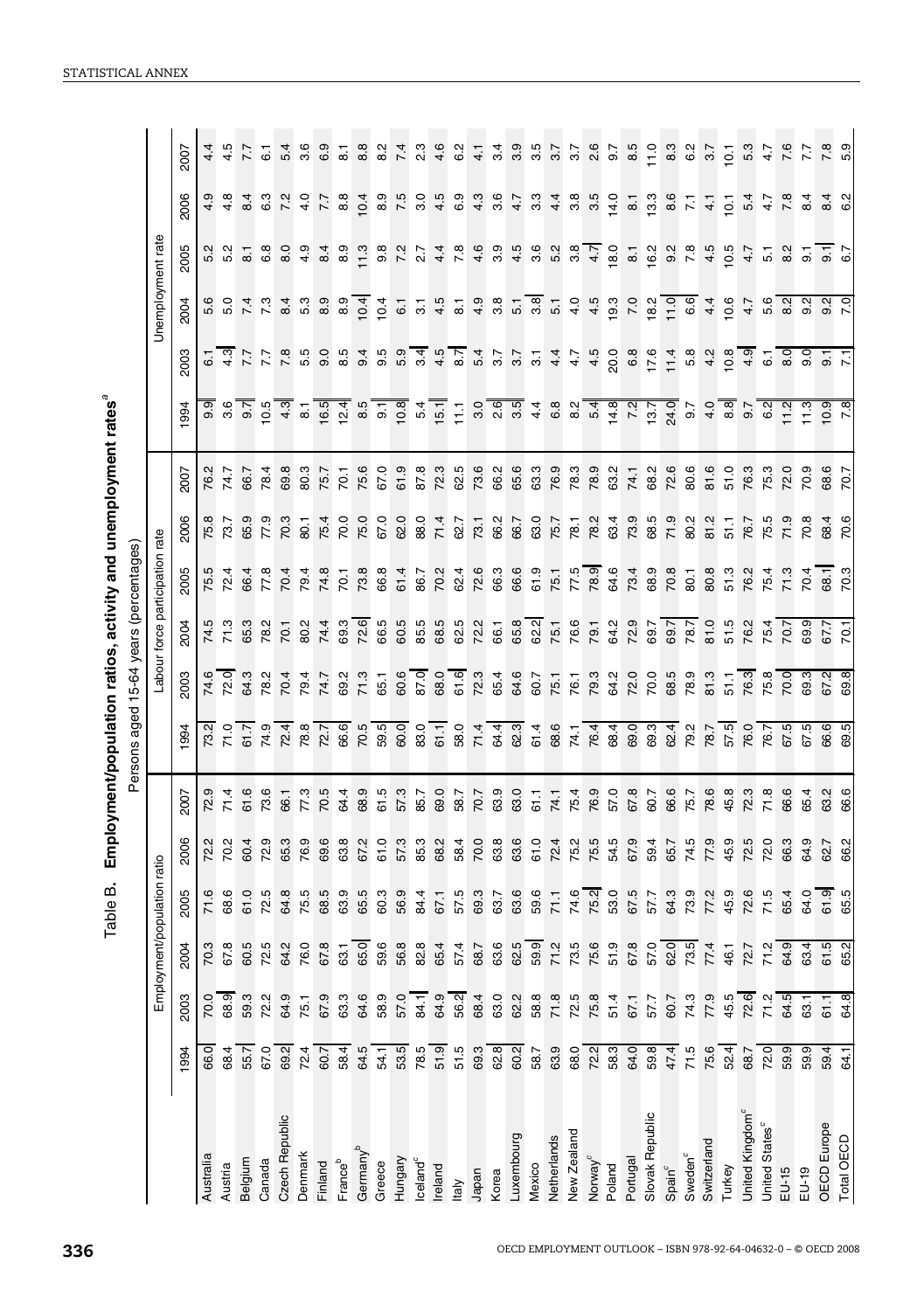| ۰.<br>I<br>v<br>×<br>×<br>v | ×<br>۰. |
|-----------------------------|---------|

|                             |      |      |                     |                                                                               |           |      | Persons aged 15-64 years (percentages) |      |                                 |      |      |      |                    |                                                          |                    |                         |                    |                |
|-----------------------------|------|------|---------------------|-------------------------------------------------------------------------------|-----------|------|----------------------------------------|------|---------------------------------|------|------|------|--------------------|----------------------------------------------------------|--------------------|-------------------------|--------------------|----------------|
|                             |      |      | Employment/populati |                                                                               | ion ratio |      |                                        |      | Labour force participation rate |      |      |      |                    |                                                          | Unemployment rate  |                         |                    |                |
|                             | 1994 | 2003 | 2004                | $\omega$<br>200                                                               | 2006      | 2007 | 1994                                   | 2003 | 2004                            | 2005 | 2006 | 2007 | 1994               | 2003                                                     | 2004               | 2005                    | 2006               | 2007           |
| Australia                   | 66.0 | 70.0 | 70.3                |                                                                               | 72.2      | 72.9 | 73.2                                   | 74.6 | 74.5                            | 75.5 | 75.8 | 76.2 | 9.9                | $\overline{6}$                                           | 5.6                | 5.2                     | 4.9                | $4\frac{4}{1}$ |
| Austria                     | 68.4 | 68.9 | 67.8                |                                                                               | 70.2      | 71.4 | 71.0                                   | 72.0 | 71.3                            | 72.4 | 73.7 | 74.7 |                    |                                                          | 5.0                | 5.2                     | 4.8                |                |
| Belgium                     | 55.7 | 59.3 | 60.5                |                                                                               | 60.4      | 61.6 | 61.7                                   | 64.3 | 65.3                            | 66.4 | 65.9 | 66.7 | $\frac{3.6}{9.7}$  | 7.7                                                      | 7.4                | $\overline{8}$          | 8.4                | 7.7            |
| Canada                      | 67.0 | 72.2 | 72.5                |                                                                               | 72.9      | 73.6 | 74.9                                   | 78.2 | 78.2                            | 77.8 | 77.9 | 78.4 | 0.5                | 7.7                                                      | 73                 | 6.8                     | 6.3                | $\overline{6}$ |
| Czech Republic              | 69.2 | 64.9 | 64.2                |                                                                               | 65.3      | 66.1 | 72.4                                   | 70.4 | 70.1                            | 70.4 | 70.3 | 69.8 | 4.3                | 7.8                                                      | 8.4                | 8.0                     | 7.2                | 5.4            |
| Denmark                     | 72.4 | 75.1 | 76.0                |                                                                               | 76.9      | 77.3 | 78.8                                   | 79.4 | 80.2                            | 79.4 | 80.1 | 80.3 | $\overline{\circ}$ | 5.5                                                      | 5.3                | 4.9                     | 4.0                | 3.6            |
| Finland                     | 60.7 | 67.9 | 67.8                |                                                                               | 69.6      | 70.5 | 72.7                                   | 74.7 | 74.4                            | 74.8 | 75.4 | 75.7 | 16.5               | 9.0                                                      | 8.9                | 8.4                     | 7.7                | 6.9            |
| France <sup>b</sup>         | 58.4 | 63.3 | 63.1                |                                                                               | 63.8      | 64.4 | 66.6                                   | 69.2 | 69.3                            | 70.1 | 70.0 | 70.1 | 12.4               | 8.5                                                      | 8.9                | $8.\overline{9}$        | 8.8                | $\overline{8}$ |
| Germany                     | 64.5 | 64.6 | 65.0                |                                                                               | 67.2      | 68.9 | 70.5                                   | 71.3 | 72.6                            | 73.8 | 75.0 | 75.6 | 8.5                | 9.4                                                      | 10.4               | 11.3                    | 10.4               | 8.8            |
| Greece                      | 54.1 | 58.9 | 59.6                |                                                                               | 61.0      | 61.5 | 59.5                                   | 65.1 | 66.5                            | 66.8 | 67.0 | 67.0 | $\overline{5}$     | 9.5                                                      | 10.4               | $9.\overline{8}$        | 8.9                | $\frac{2}{8}$  |
| Hungary                     | 53.5 | 57.0 | 56.8                |                                                                               | 57.3      | 57.3 | 60.0                                   | 60.6 | 60.5                            | 61.4 | 62.0 | 61.9 | 10.8               | 5.9                                                      | $\overline{6}$     | 7.2                     | 7.5                | 7.4            |
| Iceland <sup>c</sup>        | 78.5 | 84.1 | 82.8                |                                                                               | 85.3      | 85.7 | 83.0                                   | 87.0 | 85.5                            | 86.7 | 88.0 | 87.8 | 5.4                |                                                          | $\overline{5}$     | $\overline{2.7}$        | 3.0                | 2.3            |
| Ireland                     | 51.9 | 64.9 | 65.4                |                                                                               | 68.2      | 69.0 | 61.1                                   | 68.0 | 68.5                            | 70.2 | 71.4 | 72.3 | 15.1               | $3.\overline{4}$<br>$4.\overline{5}$<br>$8.\overline{7}$ | 4.5                | 4.4                     | 4.5                | 4.6            |
| Italy                       | 51.5 | 56.2 | 57.4                |                                                                               | 58.4      | 58.7 | 58.0                                   | 61.6 | 62.5                            | 62.4 | 62.7 | 62.5 | 11.1               |                                                          | $\overline{\circ}$ | 7.8                     | 6.9                | 6.2            |
| Japan                       | 69.3 | 68.4 | 68.7                |                                                                               | 70.0      | 70.7 | 71.4                                   | 72.3 | 72.2                            | 72.6 | 73.1 | 73.6 | 3.0                | 5.4                                                      | 4.9                | 4.6                     | 4.3                | $\frac{1}{4}$  |
| Korea                       | 62.8 | 63.0 | 63.6                |                                                                               | 63.8      | 63.9 | 64.4                                   | 65.4 | 66.1                            | 66.3 | 66.2 | 66.2 | 2.6                | 5.7                                                      | 3.8                | 3.9                     | 3.6                | 34             |
| Luxembourg                  | 60.2 | 62.2 | 62.5                |                                                                               | 63.6      | 63.0 | 62.3                                   | 64.6 | 65.8                            | 66.6 | 66.7 | 65.6 | 3.5                | 5.7                                                      | 5                  | 4.5                     | 4.7                | 3.9            |
| Mexico                      | 58.7 | 58.8 | 59.9                | 8<br>8 8 7 7 8 8 9 8 9 8 9 8 9 8 9 8 9 8<br>8 8 9 7 8 9 9 9 9 9 9 9 9 9 9 9 9 | 61.0      | 61.1 | 61.4                                   | 60.7 | 62.2                            | 61.9 | 63.0 | 63.3 | 4.4                | $\overline{\omega}$                                      | $3.\overline{8}$   | 3.6                     | 33                 | 3.5            |
| Netherlands                 | 63.9 | 71.8 | 71.2                |                                                                               | 72.4      | 74.1 | 68.6                                   | 75.1 | 75.1                            | 75.1 | 75.7 | 76.9 | 6.8                | 4.4                                                      | $\overline{5}$     | 5.2                     | 4.4                | 3.7            |
| New Zealand                 | 68.0 | 72.5 | 73.5                |                                                                               | 75.2      | 75.4 | 74.1                                   | 76.1 | 76.6                            | 77.5 | 78.1 | 78.3 | 8.2                | 4.7                                                      | 4.0                | $3.8\,$                 | 3.8                | 57             |
| Norway <sup>c</sup>         | 72.2 | 75.8 | 75.6                |                                                                               | 75.5      | 76.9 | 76.4                                   | 79.3 | 79.1                            | 78.9 | 78.2 | 78.9 | 5.4                | 4.5                                                      | 4.5                | 4.7                     | 3.5                | 2.6            |
| Poland                      | 58.3 | 51.4 | 51.9                |                                                                               | 54.5      | 57.0 | 68.4                                   | 64.2 | 64.2                            | 64.6 | 63.4 | 63.2 | 14.8               | 20.0                                                     | 19.3               | 18.0                    | 14.0               | $-6.7$         |
| Portugal                    | 64.0 | 67.1 | 67.8                |                                                                               | 67.9      | 67.8 | 69.0                                   | 72.0 | 72.9                            | 73.4 | 73.9 | 74.1 | 7.2                | $6.8\,$                                                  | 7.0                | $\overline{\textbf{8}}$ | $\overline{\circ}$ | 8.5            |
| Slovak Republic             | 59.8 | 57.7 | 57.0                |                                                                               | 59.4      | 60.7 | 69.3                                   | 70.0 | 69.7                            | 68.9 | 68.5 | 68.2 | 13.7               | 17.6                                                     | 18.2               | 16.2                    | 13.3               | 11.0           |
| Spain <sup>c</sup>          | 47.4 | 60.7 | 62.0                |                                                                               | 65.7      | 66.6 | 62.4                                   | 68.5 | 69.7                            | 70.8 | 71.9 | 72.6 | 24.0               | 11.4                                                     | 11.0               | 9.2                     | 8.6                | 8.3            |
| Sweden <sup>c</sup>         | 71.5 | 74.3 | 73.5                |                                                                               | 74.5      | 75.7 | 79.2                                   | 78.9 | 78.7                            | 80.1 | 80.2 | 80.6 | 9.7                | 5.8                                                      | 6.6                | 7.8                     | $\overline{z}$     | 6.2            |
| Switzerland                 | 75.6 | 77.9 | 77.4                |                                                                               | 77.9      | 78.6 | 78.7                                   | 81.3 | 81.0                            | 80.8 | 81.2 | 81.6 | 4.0                | 4.2                                                      | 4.4                | 4.5                     | $\frac{1}{4}$      | 3.7            |
| Turkey                      | 52.4 | 45.5 | 46.1                |                                                                               | 45.9      | 45.8 | 57.5                                   | 51.1 | 51.5                            | 51.3 | 51.1 | 51.0 | 8.8                | 10.8                                                     | 10.6               | 10.5                    | $\overline{6}$     | 10.1           |
| United Kingdom <sup>c</sup> | 68.7 | 72.6 | 72.7                |                                                                               | 72.5      | 72.3 | 76.0                                   | 76.3 | 76.2                            | 76.2 | 76.7 | 76.3 | 6.7                | 4.9                                                      | 4.7                | 4.7                     | 5.4                | 5.3            |
| United States               | 72.0 | 71.2 | 71.2                |                                                                               | 72.0      | 71.8 | 76.7                                   | 75.8 | 75.4                            | 75.4 | 75.5 | 75.3 | 6.2                | $\overline{6}$                                           | 5.6                | $\overline{5}$          | 4.7                | 4.7            |
| EU-15                       | 59.9 | 64.5 | 64.9                |                                                                               | 66.3      | 66.6 | 67.5                                   | 70.0 | 70.7                            | 71.3 | 71.9 | 72.0 | 11.2               | 8.0                                                      | 8.2                | 8.2                     | 7.8                | 7.6            |
| EU-19                       | 59.9 | 63.1 | 63.4                |                                                                               | 64.9      | 65.4 | 67.5                                   | 69.3 | 69.9                            | 70.4 | 70.8 | 70.9 | 11.3               | 9.0                                                      | 9.2                | $\overline{5}$          | 84                 | 7.7            |
| <b>OECD</b> Europe          | 59.4 | 61.1 | 61.5                | 64.0<br>61.9<br>65.5                                                          | 62.7      | 63.2 | 66.6                                   | 67.2 | 67.7                            | 68.1 | 68.4 | 68.6 | 10.9               | $\overline{5}$                                           | 9.2                | $\overline{5}$          | 8.4                |                |
| Total OECD                  | 64.1 | 64.8 | 65.2                |                                                                               | 66.2      |      |                                        |      |                                 |      |      |      |                    |                                                          |                    |                         |                    | 7.8            |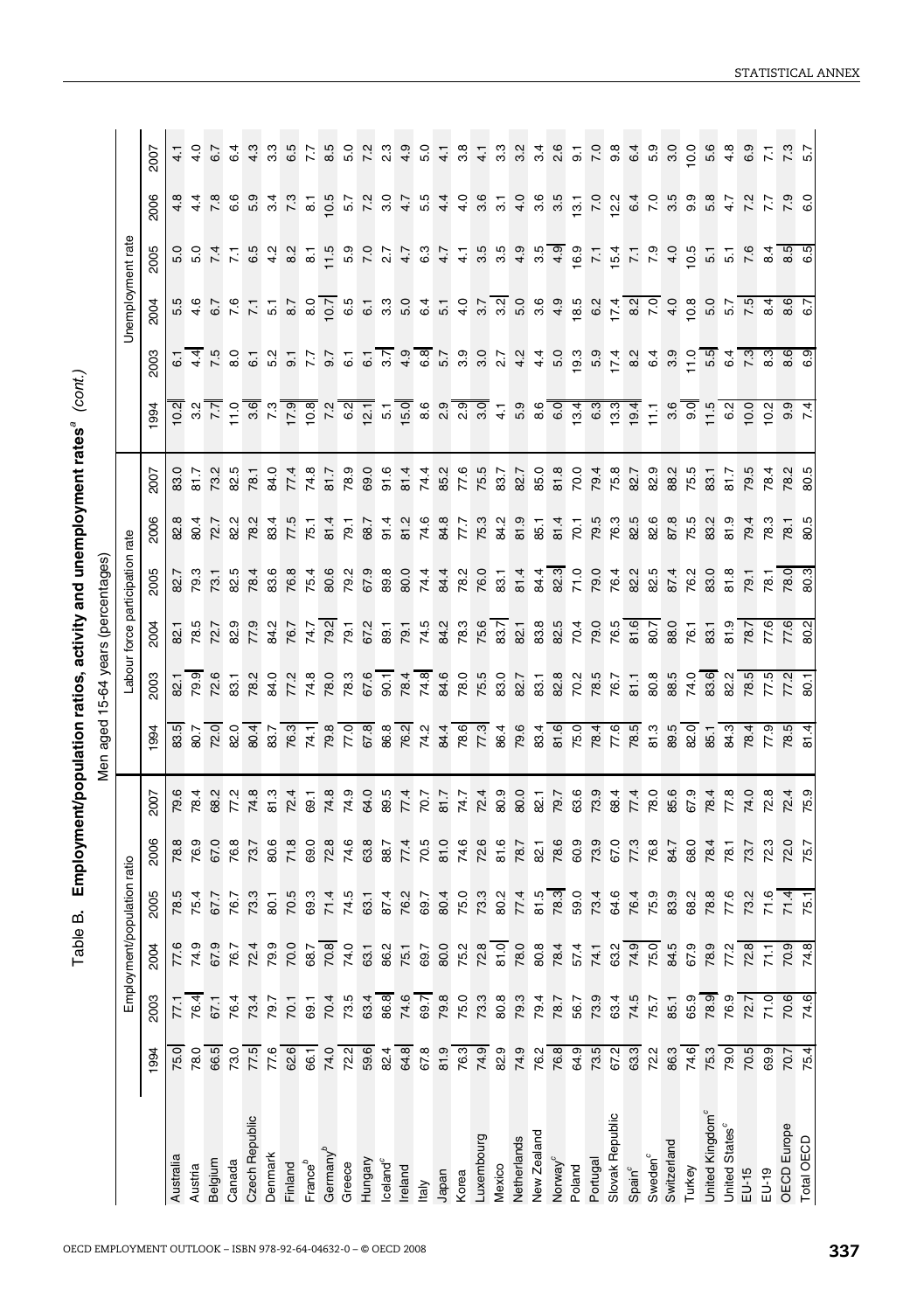| ì                                                            |  |
|--------------------------------------------------------------|--|
|                                                              |  |
|                                                              |  |
|                                                              |  |
|                                                              |  |
|                                                              |  |
|                                                              |  |
|                                                              |  |
|                                                              |  |
|                                                              |  |
|                                                              |  |
|                                                              |  |
|                                                              |  |
|                                                              |  |
|                                                              |  |
|                                                              |  |
|                                                              |  |
|                                                              |  |
|                                                              |  |
|                                                              |  |
|                                                              |  |
|                                                              |  |
|                                                              |  |
|                                                              |  |
|                                                              |  |
|                                                              |  |
|                                                              |  |
|                                                              |  |
|                                                              |  |
|                                                              |  |
|                                                              |  |
|                                                              |  |
|                                                              |  |
|                                                              |  |
|                                                              |  |
|                                                              |  |
|                                                              |  |
|                                                              |  |
|                                                              |  |
|                                                              |  |
|                                                              |  |
|                                                              |  |
| nployment/population ratios, activity and unemployment rates |  |
|                                                              |  |
|                                                              |  |
|                                                              |  |
|                                                              |  |
|                                                              |  |
|                                                              |  |
|                                                              |  |
|                                                              |  |
|                                                              |  |

|                             |      |      | Employment/populati |                                                                          | on ratio |      |                 |      | Labour force participation rate |      |      |                           |                                                                                                                                                                       |                                                                                                                             | Unemployment rate                                         |                                        |                    |
|-----------------------------|------|------|---------------------|--------------------------------------------------------------------------|----------|------|-----------------|------|---------------------------------|------|------|---------------------------|-----------------------------------------------------------------------------------------------------------------------------------------------------------------------|-----------------------------------------------------------------------------------------------------------------------------|-----------------------------------------------------------|----------------------------------------|--------------------|
|                             | 1994 | 2003 | 2004                | $\omega$<br>200                                                          | 2006     | 2007 | 1994            | 2003 | 2004                            | 2005 | 2006 | 2007                      | 1994                                                                                                                                                                  | 2003                                                                                                                        | 2004                                                      | 2005                                   | 2006               |
| Australia                   | 75.0 | 77.1 | 77.6                |                                                                          | 78.8     | 29.  | 83.5<br>80.7    | 82.1 | 82.1                            | 82.7 | 82.  | Q                         | 10.2                                                                                                                                                                  |                                                                                                                             |                                                           |                                        | 4.8                |
| Austria                     | 78.0 | 76.4 | 74.9                |                                                                          | 76.9     | 78.4 |                 | 79.9 | 78.5                            | 79.3 | 80.4 | 81.7                      |                                                                                                                                                                       | $6\frac{1}{4}$                                                                                                              | 5.5<br>4.6                                                | 5 0 0 4<br>5 0 4<br>5 0 4 7            | 4.4                |
| Belgium                     | 66.5 | 67.1 | 67.9                |                                                                          | 67.0     | 68.2 | 72.0            | 72.6 | 72.7                            | 73.1 | 72.7 | 73.2                      | $\frac{3.2}{7.7}$                                                                                                                                                     | 7.5                                                                                                                         |                                                           |                                        | 7.8                |
| Canada                      | 73.0 | 76.4 | 76.7                |                                                                          | 76.8     | 77.2 | 82.0            | 83.1 | 82.9                            | 82.5 | 82.2 | 82.5                      | 11.0                                                                                                                                                                  | 8.0                                                                                                                         | 6.7<br>7.6                                                |                                        | 6.6                |
| Czech Republic              | 77.5 | 73.4 | 72.4                |                                                                          | 73.7     | 74.8 | 80.4            | 78.2 | 77.9                            | 78.4 | 78.2 | 78.1                      | 3.6                                                                                                                                                                   | $6.1$                                                                                                                       | $\overline{\mathbf{r}}$                                   | 6.5                                    |                    |
| Denmark                     | 77.6 | 79.7 | 79.9                |                                                                          | 80.6     | 81.3 | 83.7            | 84.0 | 84.2                            | 83.6 | 83.4 | 84.0                      | 7.3                                                                                                                                                                   | 5.2                                                                                                                         | $\overline{5}$                                            | 4.2                                    | 5.34<br>5.4        |
| Finland                     | 62.6 | 70.1 | 70.0                |                                                                          | 71.8     | 72.4 | 76.3            | 77.2 | 76.7                            | 76.8 | 77.5 | 77.4                      | 17.9                                                                                                                                                                  | $\overline{9}$ .                                                                                                            | 8.7                                                       | $\frac{2}{8}$ . 1                      | 7.3                |
| France <sup>b</sup>         | 66.1 | 69.1 | 68.7                |                                                                          | 69.0     | 69.1 | 74.1            | 74.8 | 74.7                            | 75.4 | 75.1 | 74.8                      | 10.8                                                                                                                                                                  | 7.7                                                                                                                         | $\frac{0}{8}$                                             |                                        | $\overline{\circ}$ |
| Germany                     | 74.0 | 70.4 | 70.8                |                                                                          | 72.8     | 74.8 |                 | 78.0 | 79.2                            | 80.6 | 81.4 | 81.7                      |                                                                                                                                                                       | 9.7                                                                                                                         | $10.7$<br>6.5                                             | 11.5                                   | 10.5               |
| Greece                      | 72.2 | 73.5 | 74.0                |                                                                          | 74.6     | 74.9 | $\frac{10}{86}$ | 78.3 | 79.1                            | 79.2 | 79.1 | 78.9                      | $7.2$ 6.2                                                                                                                                                             | $\rm\overline{\acute{o}}$                                                                                                   |                                                           | 5.9                                    | 5.7                |
| Hungary                     | 59.6 | 63.4 | 63.1                |                                                                          | 63.8     | 64.0 | 67.8            | 67.6 | 67.2                            | 67.9 | 68.7 | 69.0                      | $\overline{12.1}$                                                                                                                                                     |                                                                                                                             |                                                           | $7.0$<br>2.7                           | 7.2                |
| lceland <sup>c</sup>        | 82.4 | 86.8 | 86.2                |                                                                          | 88.7     | 89.5 |                 | 90.1 | 89.1                            | 89.8 | 91.4 | 91.6                      | $\overline{5}$                                                                                                                                                        |                                                                                                                             | $6\frac{1}{3}$                                            |                                        | 3.0                |
| Ireland                     | 64.8 | 74.6 | 75.1                |                                                                          | 77.4     | 77.4 | 86.8<br>76.2    | 78.4 | 79.1                            | 80.0 | 81.2 | 81.4                      |                                                                                                                                                                       |                                                                                                                             |                                                           |                                        | 4.7                |
| <b>Italy</b>                | 67.8 | 69.7 | 69.7                |                                                                          | 70.5     | 70.7 | 74.2            | 74.8 | 74.5                            | 74.4 | 74.6 | 74.4                      |                                                                                                                                                                       |                                                                                                                             |                                                           |                                        | 5.5                |
| Japan                       | 81.9 | 79.8 | 80.0                |                                                                          | 81.0     | 81.7 |                 | 84.6 | 84.2                            | 84.4 | 84.8 | 85.2                      |                                                                                                                                                                       |                                                                                                                             |                                                           |                                        |                    |
| Korea                       | 76.3 | 75.0 | 75.2                |                                                                          | 74.6     | 74.7 | 84.4<br>78.6    | 78.0 | 78.3                            | 78.2 | 77.7 | 77.6                      | $\overline{16}$ $\overline{9}$ $\overline{9}$ $\overline{9}$ $\overline{9}$ $\overline{9}$ $\overline{1}$ $\overline{2}$ $\overline{3}$ $\overline{4}$ $\overline{5}$ | $\begin{array}{c} -\overline{K} & 0 & \overline{\omega} & K & 0 & O & K \\ \hline 0 & 0 & 4 & 0 & 0 & 0 & 0 \\ \end{array}$ |                                                           |                                        | $40$<br>$40$       |
| Luxembourg                  | 74.9 | 73.3 | 72.8                |                                                                          | 72.6     | 72.4 | 77.3            | 75.5 | 75.6<br>83.7                    | 76.0 | 75.3 | 75.5                      |                                                                                                                                                                       |                                                                                                                             |                                                           |                                        | 3.6                |
| Mexico                      | 82.9 | 80.8 | 81.0                |                                                                          | 81.6     | 80.9 | 86.4            | 83.0 |                                 | 83.1 | 84.2 | 83.7                      |                                                                                                                                                                       |                                                                                                                             |                                                           |                                        | $\overline{\circ}$ |
| Netherlands                 | 74.9 | 79.3 | 78.0                |                                                                          | 78.7     | 80.0 | 79.6            | 82.7 | 82.1                            | 81.4 | 81.9 | 82.7                      |                                                                                                                                                                       | 4.2                                                                                                                         |                                                           |                                        | 4.0                |
| New Zealand                 | 76.2 | 79.4 | 80.8                |                                                                          | 82.1     | 82.1 | 83.4            | 83.1 | 83.8                            | 84.4 | 85.1 | 85.0                      |                                                                                                                                                                       |                                                                                                                             |                                                           |                                        | 3.6                |
| Norway <sup>c</sup>         | 76.8 | 78.7 | 78.4                | おたのでなめののカスはの所でのの方はあるのではあるのであるかかけてある。4. ファットさんはあるのであるのであるのはあるのであるのではカバカカー | 78.6     | 79.7 | 81.6            | 82.8 | 82.5                            | 82.3 | 81.4 | 81.8                      | $\begin{array}{c} 0 \\ 0 \\ 0 \\ 0 \\ \end{array} \begin{array}{c} 0 \\ 0 \\ 0 \\ 0 \\ 0 \\ \end{array} \begin{array}{c} 0 \\ 0 \\ 0 \\ 0 \\ 0 \\ \end{array}$        | $40000$<br>$40000$                                                                                                          | $4.\overline{9}$<br>$16.\overline{2}$<br>$6.\overline{2}$ | 4 6 4 4 9 9 4 9 4<br>7 9 7 4 9 9 9 9 9 | 3.5                |
| Poland                      | 64.9 | 56.7 | 57.4                |                                                                          | 60.9     | 63.6 | 75.0            | 70.2 | 70.4                            | 71.0 | 70.1 | 70.0                      |                                                                                                                                                                       |                                                                                                                             |                                                           | 16.9                                   | 13.1               |
| Portugal                    | 73.5 | 73.9 | 74.1                |                                                                          | 73.9     | 73.9 | 78.4            | 78.5 | 79.0                            | 79.0 | 79.5 | 79.4                      |                                                                                                                                                                       |                                                                                                                             |                                                           | $\overline{\zeta}$                     | $\overline{7.0}$   |
| Slovak Republic             | 67.2 | 63.4 | 63.2                |                                                                          | 67.0     | 68.4 | 77.6            | 76.7 | 76.5<br>81.6                    | 76.4 | 76.3 | 75.8                      | 13.3                                                                                                                                                                  | 17.4                                                                                                                        |                                                           | 15.4                                   | 12.2               |
| Spain <sup>c</sup>          | 63.3 | 74.5 | 74.9                |                                                                          | 77.3     | 77.4 | 78.5            | 81.1 |                                 | 82.2 | 82.5 | 82.7                      | 19.4                                                                                                                                                                  | $8.\overline{2}$<br>6.4                                                                                                     | $\frac{17.4}{8.2}$                                        | $7.1$<br>7.9                           | 6.4                |
| Sweden <sup>c</sup>         | 72.2 | 75.7 | 75.0                |                                                                          | 76.8     | 78.0 | 81.3            | 80.8 | 80.7                            | 82.5 | 82.6 | 82.9                      | 11.7                                                                                                                                                                  |                                                                                                                             |                                                           |                                        | 7.0                |
| Switzerland                 | 86.3 | 85.1 | 84.5                |                                                                          | 84.7     | 85.6 | 89.5            | 88.5 | 88.0                            | 87.4 | 87.8 | 88.2                      | 3.6                                                                                                                                                                   | 3.9                                                                                                                         | 4.0                                                       | 4.0                                    | 3.5                |
| Turkey                      | 74.6 | 65.9 | 67.9                |                                                                          | 68.0     | 67.9 | 82.0            | 74.0 | 76.1                            | 76.2 | 75.5 | 75.5                      | $\overline{5}$                                                                                                                                                        | 11.0                                                                                                                        | 10.8                                                      | 10.5                                   | 9.9                |
| United Kingdom <sup>c</sup> | 75.3 | 78.9 | 78.9                |                                                                          | 78.4     | 78.4 | 85.1            | 83.6 | 83.1                            | 83.0 | 83.2 | 83.1                      | 11.5                                                                                                                                                                  |                                                                                                                             | 5.0                                                       | $\overline{5}$                         | 5.8                |
| United States <sup>c</sup>  | 79.0 | 76.9 | 77.2                |                                                                          | 78.1     | 77.8 | 84.3            | 82.2 | 81.9                            | 81.8 | 81.9 | 81.7                      | 6.2                                                                                                                                                                   |                                                                                                                             | 5.7                                                       | $\overline{5}$                         | 4.7                |
| EU-15                       | 70.5 | 72.7 | 72.8                |                                                                          | 73.7     | 74.0 | 78.4            | 78.5 | 78.7                            | 79.1 | 79.4 | 79.5                      | 10.0                                                                                                                                                                  | 5.5<br>6.4<br>5.3                                                                                                           | $7.5$<br>8.4                                              | $7.\overline{6}$<br>8.4                | 7.2                |
| EU-19                       | 69.9 | 71.0 | 71,1                |                                                                          | 72.3     | 72.8 | 77.9            | 77.5 | 77.6                            | 78.1 | 78.3 | 78.4                      | 10.2                                                                                                                                                                  | 8.3                                                                                                                         |                                                           |                                        | 7.7                |
| <b>OECD</b> Europe          | 70.7 | 70.6 | 70.9                |                                                                          | 72.0     | 72.4 | 78.5            | 77.2 | 77.6                            | 78.0 | 78.1 | 78.2                      | $9.9$<br>$7.4$                                                                                                                                                        | 8.6                                                                                                                         | 8.6<br>6.7                                                | $8.\overline{5}$<br>$6.\overline{5}$   | 7.9                |
| Total OECD                  | 75.4 | 74.6 | 74.8                |                                                                          | 75.7     | 75.9 | 81.4            | 60.1 | 80.2                            | 80.3 | 80.5 | πÚ<br>$\ddot{\mathrm{8}}$ |                                                                                                                                                                       | 6.9                                                                                                                         |                                                           |                                        | 6.0                |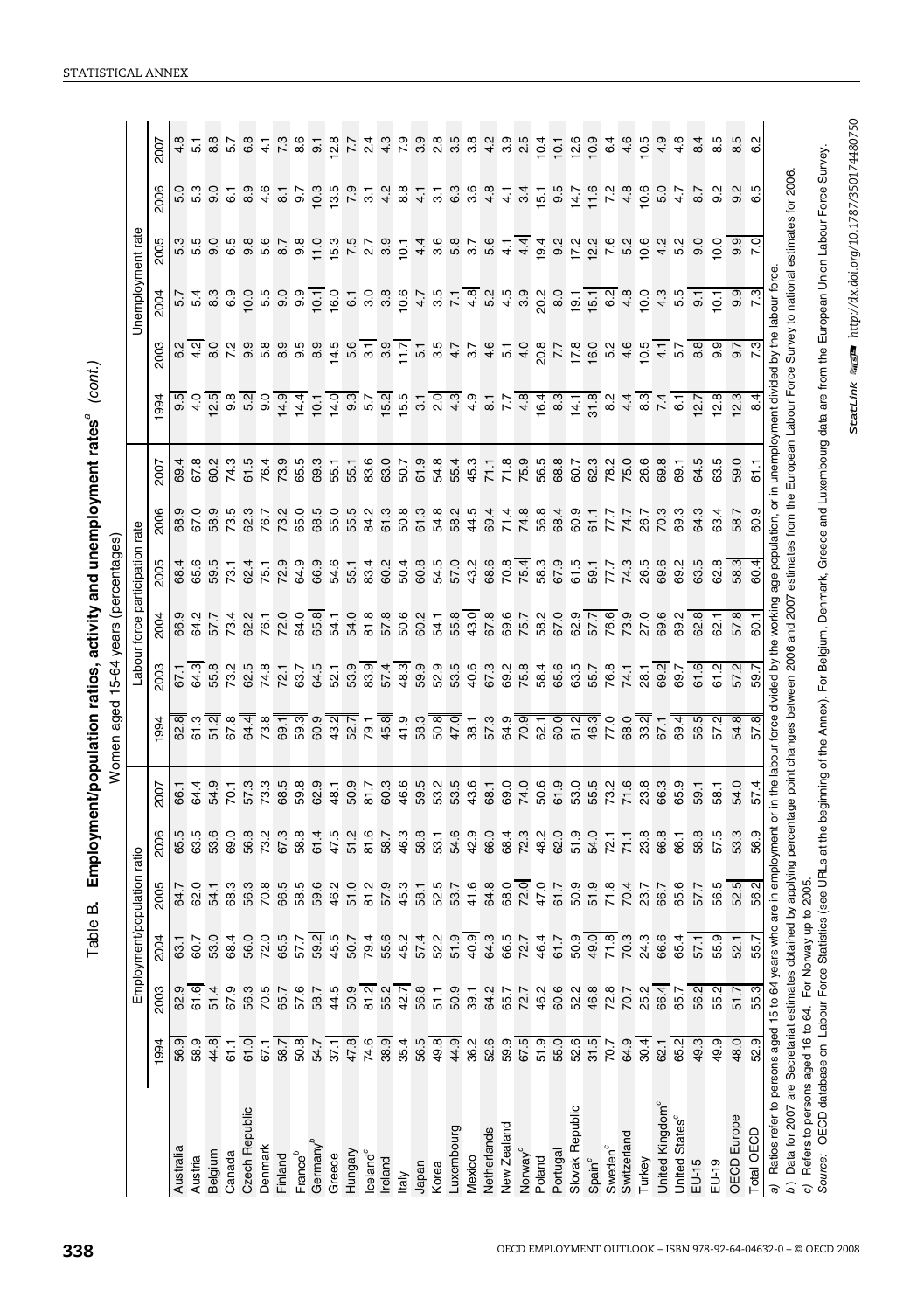| 63.5<br>53.6<br>56.8<br>73.2<br>67.3<br>58.8<br>81.6<br>46.3<br>58.8<br>54.6<br>2006<br>69.0<br>61.4<br>47.5<br>51.2<br>53.1<br>58.7<br>65<br>2005<br>64.7<br>62.0<br>54.1<br>68.3<br>56.3<br>70.8<br>66.5<br>58.5<br>59.6<br>46.2<br>51.0<br>81.2<br>57.9<br>45.3<br>58.1<br>52.5<br>53.7<br>57.4<br>52.2<br>51.9<br>68.4<br>56.0<br>72.0<br>65.5<br>59.2<br>45.5<br>79.4<br>55.6<br>45.2<br>2004<br>53.0<br>57.7<br>50.7<br>60.7<br>63.1<br>61.6<br>67.9<br>70.5<br>57.6<br>58.7<br>44.5<br>81.2<br>50.9<br>2003<br>62.9<br>51.4<br>56.3<br>50.9<br>42.7<br>56.8<br>51.1<br>65.7<br>55.2<br>49.8<br>38.9<br>44.9<br>36.2<br>44.8<br>61.0<br>58.7<br>50.8<br>47.8<br>74.6<br>35.4<br>56.5<br>56.9<br>58.9<br>37.1<br>61.1<br>54.7<br>994<br>67.1<br>Czech Republic<br>Luxembourg<br>Denmark<br>Germany<br>Australia<br>Hungary<br>Belgium<br>Canada<br>France $^b$<br>lceland <sup>c</sup><br>Greece<br>Finland<br>Austria<br>Ireland<br>Japan<br>Korea<br><b>taly</b> | $41.9$<br>$58.3$<br>$50.8$<br>62.8<br>61.3<br>51.2<br>67.8<br>64.4<br>73.8<br>59.3<br>60.9<br>43.2<br>45.8<br>47.0<br>69.1<br>52.7<br>994<br>79.1<br>59.8<br>59.5<br>53.2<br>53.5<br>54.9<br>57.3<br>73.3<br>68.5<br>62.9<br>48.1<br>50.9<br>60.3<br>46.6<br>43.6<br>64.4<br>70.1<br>81.7<br>2007<br>66. | 64.3<br>62.5<br>74.8<br>64.5<br>52.1<br>53.9<br>83.9<br>57.4<br>48.3<br>59.9<br>52.9<br>2003<br>55.8<br>73.2<br>63.7<br>72.1<br>67.1 | 65.8<br>2004<br>66.9<br>73.4<br>62.2<br>72.0<br>64.0<br>54.0<br>81.8<br>57.8<br>50.6<br>60.2<br>64.2<br>57.7<br>76.1<br>54.1<br>54.1 | 2005<br>68.4<br>65.6<br>72.9<br>64.9<br>66.9<br>54.6<br>83.4<br>50.4<br>60.8<br>59.5<br>62.4<br>60.2<br>73.1<br>55.1<br>75.1 | 67.8<br>60.2<br>74.3<br>61.5<br>76.4<br>73.9<br>65.5<br>69.3<br>83.6<br>63.0<br>61.9<br>69.4<br>2007<br>55.1<br>50.7<br>55.1<br>58.9<br>73.5<br>65.0<br>68.5<br>55.5<br>2006<br>တ္<br>67.0<br>62.3<br>73.2<br>55.0<br>84.2<br>61.3<br>50.8<br>61.3<br>76.7<br>88 | 5<br> 2.5 <br>$\frac{8}{5}$ $\frac{8}{5}$<br>9.0<br>14.9<br>14.4<br>14.0<br>$\frac{3}{5.7}$<br>4.0<br>10.1<br>994<br>တ | 0<br>0<br>4<br>0<br>8.0<br>72<br>9.9<br>5.8<br>8.9<br>9.5<br>8.9<br>4.5<br>5.6<br>$\overline{\mathfrak{S}}$<br>3.9<br>2003<br>ဖ | တ္<br>$\overline{0}$<br>co o<br>co o<br>2004<br>4<br>က္<br>$\overline{c}$<br>0.9<br>5.7<br>$\overline{6}$<br>ம<br>$\infty$<br>ဖ | cia cia<br>cia cia<br>9.6<br>5.6<br>3.9<br>2005<br>$9.\overline{8}$<br>11.0<br>$15.3$<br>7.5<br>L.<br>2.7<br>$\infty$ | 2007<br>$\circ$<br>2006<br>ດ<br>ທ່ີ<br>တ<br>ဖ<br>9.7<br>10.3<br>3.5<br>7.9<br>⊤.<br>$\overline{\text{a}}$<br>$\overline{\mathfrak{S}}$<br>ທ່<br>တ<br>4.<br>ဖ<br>$\infty$ |
|-------------------------------------------------------------------------------------------------------------------------------------------------------------------------------------------------------------------------------------------------------------------------------------------------------------------------------------------------------------------------------------------------------------------------------------------------------------------------------------------------------------------------------------------------------------------------------------------------------------------------------------------------------------------------------------------------------------------------------------------------------------------------------------------------------------------------------------------------------------------------------------------------------------------------------------------------------------------------|----------------------------------------------------------------------------------------------------------------------------------------------------------------------------------------------------------------------------------------------------------------------------------------------------------|--------------------------------------------------------------------------------------------------------------------------------------|--------------------------------------------------------------------------------------------------------------------------------------|------------------------------------------------------------------------------------------------------------------------------|------------------------------------------------------------------------------------------------------------------------------------------------------------------------------------------------------------------------------------------------------------------|------------------------------------------------------------------------------------------------------------------------|---------------------------------------------------------------------------------------------------------------------------------|---------------------------------------------------------------------------------------------------------------------------------|-----------------------------------------------------------------------------------------------------------------------|--------------------------------------------------------------------------------------------------------------------------------------------------------------------------|
|                                                                                                                                                                                                                                                                                                                                                                                                                                                                                                                                                                                                                                                                                                                                                                                                                                                                                                                                                                         |                                                                                                                                                                                                                                                                                                          |                                                                                                                                      |                                                                                                                                      |                                                                                                                              |                                                                                                                                                                                                                                                                  |                                                                                                                        |                                                                                                                                 |                                                                                                                                 |                                                                                                                       |                                                                                                                                                                          |
|                                                                                                                                                                                                                                                                                                                                                                                                                                                                                                                                                                                                                                                                                                                                                                                                                                                                                                                                                                         |                                                                                                                                                                                                                                                                                                          |                                                                                                                                      |                                                                                                                                      |                                                                                                                              |                                                                                                                                                                                                                                                                  |                                                                                                                        |                                                                                                                                 |                                                                                                                                 |                                                                                                                       |                                                                                                                                                                          |
|                                                                                                                                                                                                                                                                                                                                                                                                                                                                                                                                                                                                                                                                                                                                                                                                                                                                                                                                                                         |                                                                                                                                                                                                                                                                                                          |                                                                                                                                      |                                                                                                                                      |                                                                                                                              |                                                                                                                                                                                                                                                                  |                                                                                                                        |                                                                                                                                 |                                                                                                                                 |                                                                                                                       |                                                                                                                                                                          |
|                                                                                                                                                                                                                                                                                                                                                                                                                                                                                                                                                                                                                                                                                                                                                                                                                                                                                                                                                                         |                                                                                                                                                                                                                                                                                                          |                                                                                                                                      |                                                                                                                                      |                                                                                                                              |                                                                                                                                                                                                                                                                  |                                                                                                                        |                                                                                                                                 |                                                                                                                                 |                                                                                                                       |                                                                                                                                                                          |
|                                                                                                                                                                                                                                                                                                                                                                                                                                                                                                                                                                                                                                                                                                                                                                                                                                                                                                                                                                         |                                                                                                                                                                                                                                                                                                          |                                                                                                                                      |                                                                                                                                      |                                                                                                                              |                                                                                                                                                                                                                                                                  |                                                                                                                        |                                                                                                                                 |                                                                                                                                 |                                                                                                                       |                                                                                                                                                                          |
|                                                                                                                                                                                                                                                                                                                                                                                                                                                                                                                                                                                                                                                                                                                                                                                                                                                                                                                                                                         |                                                                                                                                                                                                                                                                                                          |                                                                                                                                      |                                                                                                                                      |                                                                                                                              |                                                                                                                                                                                                                                                                  |                                                                                                                        |                                                                                                                                 |                                                                                                                                 |                                                                                                                       |                                                                                                                                                                          |
|                                                                                                                                                                                                                                                                                                                                                                                                                                                                                                                                                                                                                                                                                                                                                                                                                                                                                                                                                                         |                                                                                                                                                                                                                                                                                                          |                                                                                                                                      |                                                                                                                                      |                                                                                                                              |                                                                                                                                                                                                                                                                  |                                                                                                                        |                                                                                                                                 |                                                                                                                                 |                                                                                                                       |                                                                                                                                                                          |
|                                                                                                                                                                                                                                                                                                                                                                                                                                                                                                                                                                                                                                                                                                                                                                                                                                                                                                                                                                         |                                                                                                                                                                                                                                                                                                          |                                                                                                                                      |                                                                                                                                      |                                                                                                                              |                                                                                                                                                                                                                                                                  |                                                                                                                        |                                                                                                                                 |                                                                                                                                 |                                                                                                                       |                                                                                                                                                                          |
|                                                                                                                                                                                                                                                                                                                                                                                                                                                                                                                                                                                                                                                                                                                                                                                                                                                                                                                                                                         |                                                                                                                                                                                                                                                                                                          |                                                                                                                                      |                                                                                                                                      |                                                                                                                              |                                                                                                                                                                                                                                                                  |                                                                                                                        |                                                                                                                                 |                                                                                                                                 |                                                                                                                       |                                                                                                                                                                          |
|                                                                                                                                                                                                                                                                                                                                                                                                                                                                                                                                                                                                                                                                                                                                                                                                                                                                                                                                                                         |                                                                                                                                                                                                                                                                                                          |                                                                                                                                      |                                                                                                                                      |                                                                                                                              |                                                                                                                                                                                                                                                                  |                                                                                                                        |                                                                                                                                 |                                                                                                                                 |                                                                                                                       |                                                                                                                                                                          |
|                                                                                                                                                                                                                                                                                                                                                                                                                                                                                                                                                                                                                                                                                                                                                                                                                                                                                                                                                                         |                                                                                                                                                                                                                                                                                                          |                                                                                                                                      |                                                                                                                                      |                                                                                                                              |                                                                                                                                                                                                                                                                  |                                                                                                                        |                                                                                                                                 |                                                                                                                                 |                                                                                                                       |                                                                                                                                                                          |
|                                                                                                                                                                                                                                                                                                                                                                                                                                                                                                                                                                                                                                                                                                                                                                                                                                                                                                                                                                         |                                                                                                                                                                                                                                                                                                          |                                                                                                                                      |                                                                                                                                      |                                                                                                                              |                                                                                                                                                                                                                                                                  |                                                                                                                        |                                                                                                                                 |                                                                                                                                 |                                                                                                                       |                                                                                                                                                                          |
|                                                                                                                                                                                                                                                                                                                                                                                                                                                                                                                                                                                                                                                                                                                                                                                                                                                                                                                                                                         |                                                                                                                                                                                                                                                                                                          |                                                                                                                                      |                                                                                                                                      |                                                                                                                              |                                                                                                                                                                                                                                                                  |                                                                                                                        |                                                                                                                                 | 3.0                                                                                                                             |                                                                                                                       |                                                                                                                                                                          |
|                                                                                                                                                                                                                                                                                                                                                                                                                                                                                                                                                                                                                                                                                                                                                                                                                                                                                                                                                                         |                                                                                                                                                                                                                                                                                                          |                                                                                                                                      |                                                                                                                                      |                                                                                                                              |                                                                                                                                                                                                                                                                  |                                                                                                                        |                                                                                                                                 | $3.\overline{8}$                                                                                                                |                                                                                                                       |                                                                                                                                                                          |
|                                                                                                                                                                                                                                                                                                                                                                                                                                                                                                                                                                                                                                                                                                                                                                                                                                                                                                                                                                         |                                                                                                                                                                                                                                                                                                          |                                                                                                                                      |                                                                                                                                      |                                                                                                                              |                                                                                                                                                                                                                                                                  | $15.5$<br>$15.5$<br>$2.0$                                                                                              | 11.7                                                                                                                            | 10.6                                                                                                                            | $\overline{5}$                                                                                                        | $4.\overline{8}$                                                                                                                                                         |
|                                                                                                                                                                                                                                                                                                                                                                                                                                                                                                                                                                                                                                                                                                                                                                                                                                                                                                                                                                         |                                                                                                                                                                                                                                                                                                          |                                                                                                                                      |                                                                                                                                      |                                                                                                                              |                                                                                                                                                                                                                                                                  |                                                                                                                        | $\overline{5}$                                                                                                                  | $4.7$<br>3.5                                                                                                                    | $4.\overline{6}$                                                                                                      | $\frac{1}{4}$                                                                                                                                                            |
|                                                                                                                                                                                                                                                                                                                                                                                                                                                                                                                                                                                                                                                                                                                                                                                                                                                                                                                                                                         |                                                                                                                                                                                                                                                                                                          |                                                                                                                                      |                                                                                                                                      | 54.5                                                                                                                         | 54.8<br>54.8                                                                                                                                                                                                                                                     |                                                                                                                        | 3.5                                                                                                                             |                                                                                                                                 |                                                                                                                       | $\overline{3}$                                                                                                                                                           |
|                                                                                                                                                                                                                                                                                                                                                                                                                                                                                                                                                                                                                                                                                                                                                                                                                                                                                                                                                                         |                                                                                                                                                                                                                                                                                                          | 53.5<br>40.6                                                                                                                         | 55.8                                                                                                                                 | 57.0<br>43.2                                                                                                                 | 55.4<br>58.2                                                                                                                                                                                                                                                     | 4.3                                                                                                                    | 4.7                                                                                                                             | $\overline{\zeta}$                                                                                                              | 5.8<br>3.7                                                                                                            | ო<br>ဖ က                                                                                                                                                                 |
| 42.9<br>41.6<br>40.9<br>39.1<br>Mexico                                                                                                                                                                                                                                                                                                                                                                                                                                                                                                                                                                                                                                                                                                                                                                                                                                                                                                                                  | 38.1                                                                                                                                                                                                                                                                                                     |                                                                                                                                      | 43.0                                                                                                                                 |                                                                                                                              | 45.3<br>44.5                                                                                                                                                                                                                                                     | 4.9                                                                                                                    | 3.7                                                                                                                             | 4.8                                                                                                                             |                                                                                                                       | ဖ                                                                                                                                                                        |
| 66.0<br>64.8<br>64.3<br>64.2<br>52.6<br>Netherlands                                                                                                                                                                                                                                                                                                                                                                                                                                                                                                                                                                                                                                                                                                                                                                                                                                                                                                                     | 57.3<br>68.1                                                                                                                                                                                                                                                                                             | 67.3                                                                                                                                 | 67.8                                                                                                                                 | 68.6                                                                                                                         | 71.1<br>69.4                                                                                                                                                                                                                                                     | $\overline{\text{8}}$                                                                                                  | 4.6                                                                                                                             | 5.2                                                                                                                             | 5.6                                                                                                                   | 4.8                                                                                                                                                                      |
| 68.4<br>68.0<br>66.5<br>65.7<br>59.9<br>New Zealand                                                                                                                                                                                                                                                                                                                                                                                                                                                                                                                                                                                                                                                                                                                                                                                                                                                                                                                     | 64.9<br>69.0                                                                                                                                                                                                                                                                                             | 69.2                                                                                                                                 | 69.6                                                                                                                                 | 70.8                                                                                                                         | 71.8<br>71.4                                                                                                                                                                                                                                                     | 7.7                                                                                                                    | $\overline{5}$                                                                                                                  | 4.5                                                                                                                             | $\frac{1}{4}$                                                                                                         | $\frac{1}{4}$                                                                                                                                                            |
| 72.3<br>72.0<br>72.7<br>72.7<br>67.5<br>Norway <sup>c</sup>                                                                                                                                                                                                                                                                                                                                                                                                                                                                                                                                                                                                                                                                                                                                                                                                                                                                                                             | 70.9<br>74.0                                                                                                                                                                                                                                                                                             | 75.8                                                                                                                                 | 75.7                                                                                                                                 | 75.4                                                                                                                         | 75.9<br>74.8                                                                                                                                                                                                                                                     | 4.8                                                                                                                    | 4.0                                                                                                                             | 3.9                                                                                                                             | 4.4                                                                                                                   | 4<br>က                                                                                                                                                                   |
| 48.2<br>47.0<br>46.4<br>46.2<br>51.9<br>Poland                                                                                                                                                                                                                                                                                                                                                                                                                                                                                                                                                                                                                                                                                                                                                                                                                                                                                                                          | 62.1<br>50.6                                                                                                                                                                                                                                                                                             | 58.4                                                                                                                                 | 58.2                                                                                                                                 | 58.3                                                                                                                         | 56.5<br>56.8                                                                                                                                                                                                                                                     | 16.4                                                                                                                   | 20.8                                                                                                                            | 20.2                                                                                                                            | 19.4                                                                                                                  | 51                                                                                                                                                                       |
| 62.0<br>61.7<br>61.7<br>60.6<br>55.0<br>Portugal                                                                                                                                                                                                                                                                                                                                                                                                                                                                                                                                                                                                                                                                                                                                                                                                                                                                                                                        | 60.0<br>61.9                                                                                                                                                                                                                                                                                             | 65.5<br>63.5                                                                                                                         | 67.0                                                                                                                                 | 67.9                                                                                                                         | 68.8<br>60.7<br>68.4                                                                                                                                                                                                                                             | 8.3                                                                                                                    | 7.7                                                                                                                             | 8.0                                                                                                                             | 9.2                                                                                                                   | 9.5                                                                                                                                                                      |
| 51.9<br>50.9<br>50.9<br>52.2<br>52.6<br>Slovak Republic                                                                                                                                                                                                                                                                                                                                                                                                                                                                                                                                                                                                                                                                                                                                                                                                                                                                                                                 | 61.2<br>53.0                                                                                                                                                                                                                                                                                             |                                                                                                                                      | 62.9                                                                                                                                 | 61.5                                                                                                                         | 60.9                                                                                                                                                                                                                                                             | 14.1                                                                                                                   | 17.8                                                                                                                            | 9.1                                                                                                                             | 17.2                                                                                                                  | 14.7                                                                                                                                                                     |
| 54.0<br>51.9<br>49.0<br>46.8<br>31.5<br>Spain <sup>c</sup>                                                                                                                                                                                                                                                                                                                                                                                                                                                                                                                                                                                                                                                                                                                                                                                                                                                                                                              | 46.3<br>55.5<br>73.2                                                                                                                                                                                                                                                                                     | 55.7                                                                                                                                 | 57.7                                                                                                                                 | 59.1                                                                                                                         | 62.3<br>78.2<br>61.1                                                                                                                                                                                                                                             | 31.8                                                                                                                   | 16.0                                                                                                                            | $\overline{5}$                                                                                                                  | $12.2$<br>7.6                                                                                                         | 11.6                                                                                                                                                                     |
| 72.1<br>71.8<br>71.8<br>72.8<br>70.7<br>Sweden <sup>c</sup>                                                                                                                                                                                                                                                                                                                                                                                                                                                                                                                                                                                                                                                                                                                                                                                                                                                                                                             |                                                                                                                                                                                                                                                                                                          | 76.8                                                                                                                                 | 76.6                                                                                                                                 | $\overline{7.7}$                                                                                                             | 77.7                                                                                                                                                                                                                                                             | 8.2                                                                                                                    | 5.2                                                                                                                             | Ņ<br>ဖ                                                                                                                          |                                                                                                                       | 7.2                                                                                                                                                                      |
| 71.1<br>70.4<br>70.3<br>70.7<br>64.9<br>Switzerland                                                                                                                                                                                                                                                                                                                                                                                                                                                                                                                                                                                                                                                                                                                                                                                                                                                                                                                     | 68.0<br>71.6                                                                                                                                                                                                                                                                                             | 74.1                                                                                                                                 | 73.9                                                                                                                                 | 74.3                                                                                                                         | 75.0<br>74.7                                                                                                                                                                                                                                                     | 4.4                                                                                                                    | 4.6                                                                                                                             | 4.8                                                                                                                             | 5.2                                                                                                                   | 4.8                                                                                                                                                                      |
| 23.8<br>23.7<br>24.3<br>25.2<br>30.4<br>Turkey                                                                                                                                                                                                                                                                                                                                                                                                                                                                                                                                                                                                                                                                                                                                                                                                                                                                                                                          | 33.2<br>23.8                                                                                                                                                                                                                                                                                             | 28.1                                                                                                                                 | 27.0                                                                                                                                 | 26.5                                                                                                                         | 26.6<br>26.7                                                                                                                                                                                                                                                     | $\overline{8.3}$                                                                                                       | 0.5                                                                                                                             | 0.0                                                                                                                             | 10.6                                                                                                                  | 10.6                                                                                                                                                                     |
| 66.8<br>66.7<br>66.6<br>66.4<br>62.1<br>United Kingdom <sup>c</sup>                                                                                                                                                                                                                                                                                                                                                                                                                                                                                                                                                                                                                                                                                                                                                                                                                                                                                                     | 67.1<br>66.3                                                                                                                                                                                                                                                                                             | 69.2                                                                                                                                 | 69.6                                                                                                                                 | 69.6                                                                                                                         | 69.8<br>70.3                                                                                                                                                                                                                                                     | 7.4                                                                                                                    | 4.1                                                                                                                             | 4.3                                                                                                                             | 4.2                                                                                                                   | 5.0                                                                                                                                                                      |
| 66.1<br>65.6<br>65.4<br>65.7<br>65.2<br>United States <sup>c</sup>                                                                                                                                                                                                                                                                                                                                                                                                                                                                                                                                                                                                                                                                                                                                                                                                                                                                                                      | 69.4<br>65.9                                                                                                                                                                                                                                                                                             | 69.7                                                                                                                                 | 69.2                                                                                                                                 | 69.2                                                                                                                         | 69.1<br>69.3                                                                                                                                                                                                                                                     | $\overline{6}$                                                                                                         | 5.7                                                                                                                             | 5.5                                                                                                                             | 5.2                                                                                                                   | Ľ<br>4.                                                                                                                                                                  |
| 58.8<br>57.7<br>57.1<br>56.2<br>49.3<br>EU-15                                                                                                                                                                                                                                                                                                                                                                                                                                                                                                                                                                                                                                                                                                                                                                                                                                                                                                                           | 56.5<br>59.1                                                                                                                                                                                                                                                                                             | 61.6                                                                                                                                 | 62.8                                                                                                                                 | 63.5                                                                                                                         | 64.5<br>64.3                                                                                                                                                                                                                                                     | 12.7                                                                                                                   | 8.8                                                                                                                             | $\overline{9}$                                                                                                                  | 9.0                                                                                                                   | ∞                                                                                                                                                                        |
| 57.5<br>56.5<br>55.9<br>55.2<br>49.9<br>EU-19                                                                                                                                                                                                                                                                                                                                                                                                                                                                                                                                                                                                                                                                                                                                                                                                                                                                                                                           | 57.2<br>58.1                                                                                                                                                                                                                                                                                             | 61.2                                                                                                                                 | 62.1                                                                                                                                 | 62.8                                                                                                                         | 63.5<br>63.4                                                                                                                                                                                                                                                     | 12.8                                                                                                                   | 9.9                                                                                                                             | $\overline{c}$                                                                                                                  | 0.0                                                                                                                   | N<br>တ                                                                                                                                                                   |
| 53.3<br>52.5<br>52.1<br>51.7<br>48.0<br>OECD Europe                                                                                                                                                                                                                                                                                                                                                                                                                                                                                                                                                                                                                                                                                                                                                                                                                                                                                                                     | 54.8<br>54.0                                                                                                                                                                                                                                                                                             | 57.2                                                                                                                                 | 57.8                                                                                                                                 | 58.3                                                                                                                         | 59.0<br>58.7                                                                                                                                                                                                                                                     | 12.3                                                                                                                   | 9.7                                                                                                                             | တ္<br>$\infty$                                                                                                                  | တ္<br>$\infty$                                                                                                        | $\sim$                                                                                                                                                                   |
| 56.9<br>56.2<br>55.7<br>55.3<br>52.9<br>Total OECD                                                                                                                                                                                                                                                                                                                                                                                                                                                                                                                                                                                                                                                                                                                                                                                                                                                                                                                      | œ<br>57<br>57                                                                                                                                                                                                                                                                                            | 59.7                                                                                                                                 | 50.1                                                                                                                                 | 60.4                                                                                                                         | 7ء<br>چ<br>بە<br>8                                                                                                                                                                                                                                               | ∞                                                                                                                      | ო                                                                                                                               |                                                                                                                                 | Q                                                                                                                     | ဖ                                                                                                                                                                        |
| Ratios refer to persons aged 15 to 64 years who are in employment or<br>କ                                                                                                                                                                                                                                                                                                                                                                                                                                                                                                                                                                                                                                                                                                                                                                                                                                                                                               | in the labour force divided by the working                                                                                                                                                                                                                                                               |                                                                                                                                      |                                                                                                                                      |                                                                                                                              |                                                                                                                                                                                                                                                                  | age population, or in unemployment divided by the labour force                                                         |                                                                                                                                 |                                                                                                                                 |                                                                                                                       |                                                                                                                                                                          |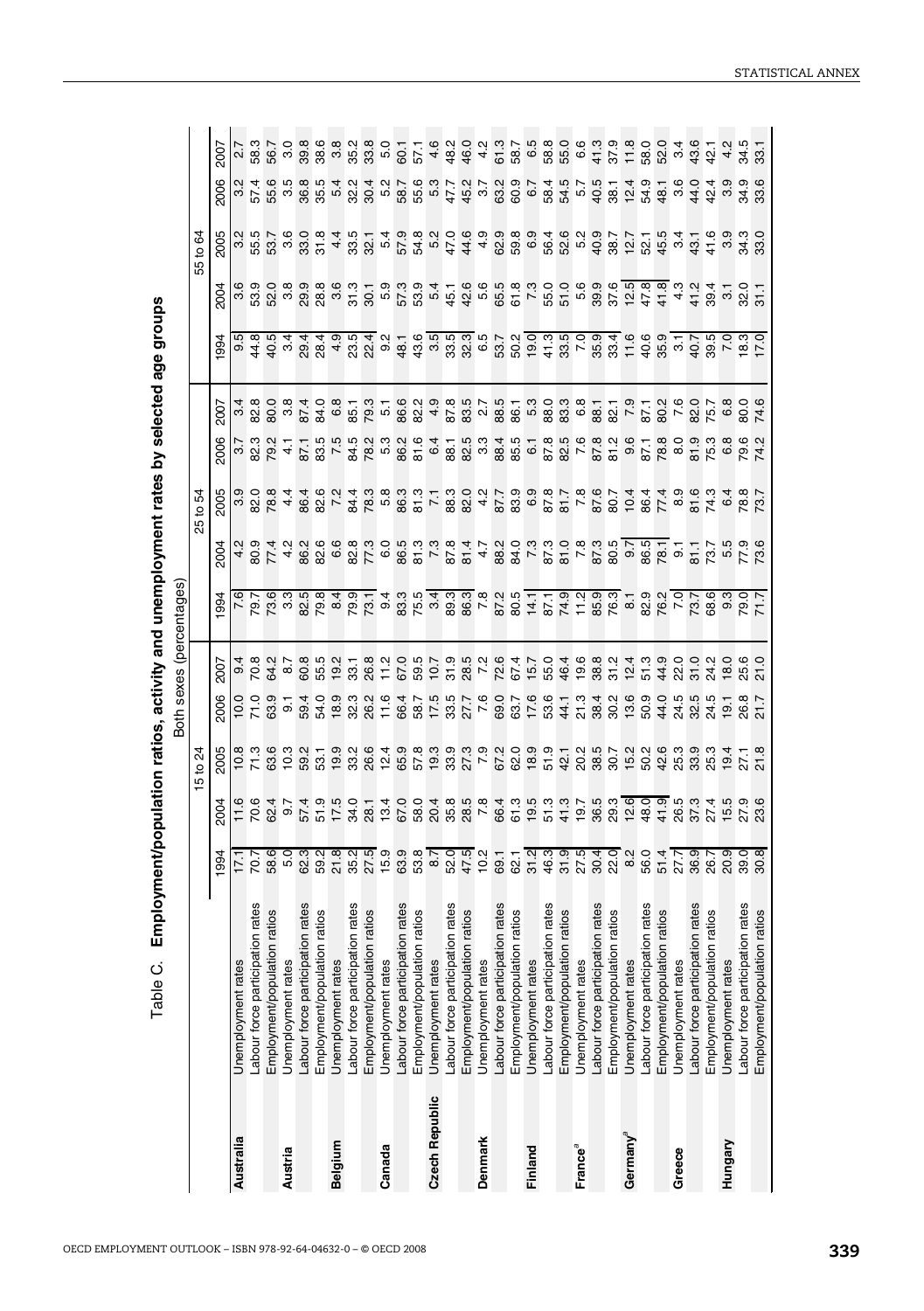| ent rates by selected ~                                 |
|---------------------------------------------------------|
|                                                         |
|                                                         |
| Employment/population ratios, activity and unemployment |
|                                                         |
|                                                         |
|                                                         |
|                                                         |
|                                                         |
| ز<br>$\mathsf{C}$                                       |

|                       |                                  |                      |                                  |              | Both sexes                        |                         | (percentages)                                                                                        |                     |                                                                                                                                                                                                                                |                     |                            |                            |                           |                                |                                                  |
|-----------------------|----------------------------------|----------------------|----------------------------------|--------------|-----------------------------------|-------------------------|------------------------------------------------------------------------------------------------------|---------------------|--------------------------------------------------------------------------------------------------------------------------------------------------------------------------------------------------------------------------------|---------------------|----------------------------|----------------------------|---------------------------|--------------------------------|--------------------------------------------------|
|                       | J                                |                      |                                  | to 24<br>Ю   |                                   |                         |                                                                                                      |                     | 25 to 54                                                                                                                                                                                                                       |                     |                            |                            |                           | 55 to 64                       |                                                  |
|                       |                                  | 994                  | 2004                             | 2005         | 2006                              | 2007                    | 994                                                                                                  | 2004                | 2005                                                                                                                                                                                                                           | 2006                | 2007                       | 994                        | 2004                      | 2005                           | 2006                                             |
| Australia             | Unemployment rates               | $\frac{20.85}{1.71}$ |                                  |              | $\frac{0.0}{71.0}$                | 9.4                     | ての方ものでは、そのこれをはっていかいかいです。その下のは、それは、それは、それは、それは、それは、そのようなので、そのようなので、そのようなのでは、それは、それは、それは、それは、それは、それは、そ | $4.804$<br>80.4     | 82.0<br>82.0<br>78.1                                                                                                                                                                                                           | 2.3<br>2014<br>2014 |                            | $\frac{4}{4}$              |                           |                                | 3.2                                              |
|                       | Labour force participation rates |                      |                                  |              |                                   | 70.8                    |                                                                                                      |                     |                                                                                                                                                                                                                                |                     |                            |                            |                           |                                | 57.4                                             |
|                       | Employment/population ratios     |                      |                                  |              |                                   | 64.2                    |                                                                                                      |                     |                                                                                                                                                                                                                                |                     |                            |                            |                           |                                | 55.6                                             |
| Austria               | Unemployment rates               |                      | 1.6<br>10.8<br>10.97             |              | $\overline{5}$                    | 8.7                     |                                                                                                      |                     |                                                                                                                                                                                                                                |                     | ာ အိမ္မိ ထိ<br>4 ဆို မိ ထိ |                            |                           |                                | 3.5                                              |
|                       | Labour force participation rates |                      | $5.55324$<br>$5.55324$           | 59.1<br>53.1 | 59.4                              | 60.8                    |                                                                                                      |                     |                                                                                                                                                                                                                                |                     | 87.4<br>84.0               |                            |                           | 2 5 5 6 9 9 9<br>2 5 9 9 9 9 9 | 8 8 9 9 9 9 9 9 9 9 7<br>8 9 9 9 9 9 9 9 9 9 9 7 |
|                       | Employment/population ratios     |                      |                                  |              | 54.0                              | 55.5                    |                                                                                                      |                     |                                                                                                                                                                                                                                |                     |                            |                            |                           |                                |                                                  |
| Belgium               | Unemployment rates               |                      |                                  |              | 18.9                              | 19.2                    |                                                                                                      |                     |                                                                                                                                                                                                                                |                     | 85.1<br>85.1<br>87.1       |                            |                           |                                |                                                  |
|                       | Labour force participation rates |                      |                                  |              |                                   | 33.1                    |                                                                                                      |                     |                                                                                                                                                                                                                                |                     |                            |                            |                           |                                |                                                  |
|                       | Employment/population ratios     |                      |                                  |              | 32.3<br>26.2<br>11.6              | 26.8<br>11.2            |                                                                                                      |                     |                                                                                                                                                                                                                                |                     |                            |                            |                           |                                |                                                  |
| Canada                | Unemployment rates               |                      |                                  |              |                                   |                         |                                                                                                      |                     |                                                                                                                                                                                                                                |                     |                            |                            |                           |                                |                                                  |
|                       | Labour force participation rates |                      |                                  |              | 66.4<br>58.7                      | 67.5<br>59.5            |                                                                                                      |                     |                                                                                                                                                                                                                                |                     |                            |                            |                           |                                |                                                  |
|                       | Employment/population ratios     |                      |                                  |              |                                   |                         |                                                                                                      |                     |                                                                                                                                                                                                                                |                     |                            |                            |                           |                                |                                                  |
| Czech Republic        | Unemployment rates               |                      |                                  |              |                                   | 10.7                    |                                                                                                      |                     |                                                                                                                                                                                                                                |                     |                            |                            |                           |                                |                                                  |
|                       | abour force participation rates  |                      |                                  |              | $7.5$<br>$27.7$<br>$7.6$<br>$7.6$ | 31.9                    |                                                                                                      |                     |                                                                                                                                                                                                                                |                     |                            |                            |                           |                                |                                                  |
|                       | Employment/population ratios     |                      |                                  |              |                                   |                         |                                                                                                      |                     |                                                                                                                                                                                                                                |                     |                            |                            |                           |                                |                                                  |
| Denmark               | Unemployment rates               |                      |                                  |              |                                   | 8<br>8 7 8 9<br>8 7 8 9 |                                                                                                      |                     | 7. 89 8 4 7. 89 8 7. 80 8 7. 80 7. 80 7. 80 7. 80 7. 80 7. 80 7. 80 7. 80 7. 80 7. 80 7. 80 7. 80 7. 80 7. 80<br>7. 80 8 7. 80 80 7. 80 7. 80 7. 80 7. 80 7. 80 7. 80 7. 80 7. 80 7. 80 7. 80 7. 80 7. 80 7. 80 7. 80 7. 80 7. |                     |                            |                            |                           |                                |                                                  |
|                       | Labour force participation rates |                      |                                  |              |                                   |                         |                                                                                                      |                     |                                                                                                                                                                                                                                |                     |                            |                            |                           |                                |                                                  |
|                       | Employment/population ratios     |                      |                                  |              | 89.7<br>63.7<br>53.6              |                         |                                                                                                      |                     |                                                                                                                                                                                                                                |                     |                            |                            |                           |                                |                                                  |
| Finland               | Unemployment rates               |                      |                                  |              |                                   | 15.7                    |                                                                                                      |                     |                                                                                                                                                                                                                                |                     |                            |                            |                           |                                |                                                  |
|                       | Labour force participation rates |                      |                                  |              |                                   | 55.0                    |                                                                                                      |                     |                                                                                                                                                                                                                                |                     |                            |                            |                           |                                |                                                  |
|                       | Employment/population ratios     |                      |                                  |              | 44.1                              | 46.4                    |                                                                                                      |                     |                                                                                                                                                                                                                                |                     |                            |                            |                           |                                |                                                  |
| France <sup>a</sup>   | Unemployment rates               |                      |                                  |              | 21.3                              | 19.6                    |                                                                                                      |                     |                                                                                                                                                                                                                                |                     |                            |                            |                           |                                |                                                  |
|                       | Labour force participation rates |                      |                                  |              | 38.4<br>30.2                      | 38.8                    |                                                                                                      |                     |                                                                                                                                                                                                                                |                     |                            |                            |                           |                                |                                                  |
|                       | Employment/population ratios     |                      |                                  |              |                                   | 31.2                    |                                                                                                      |                     |                                                                                                                                                                                                                                |                     |                            |                            |                           |                                |                                                  |
| Germany $\mathrm{^a}$ | Unemployment rates               |                      |                                  |              | 13.6                              | 12.4                    |                                                                                                      |                     |                                                                                                                                                                                                                                |                     |                            |                            |                           |                                |                                                  |
|                       | Labour force participation rates | 56.0<br>51.7<br>27.7 |                                  |              | 50.9                              | 51.3                    |                                                                                                      |                     |                                                                                                                                                                                                                                |                     |                            | $40.6$<br>$35.3$<br>$40.7$ |                           |                                |                                                  |
|                       | Employment/population ratios     |                      |                                  |              | 44.0                              | 44.9                    |                                                                                                      |                     |                                                                                                                                                                                                                                |                     |                            |                            |                           |                                |                                                  |
| Greece                | Unemployment rates               |                      | 26.5<br>37.3                     |              | 24.5<br>32.5                      | 22.0                    |                                                                                                      |                     |                                                                                                                                                                                                                                |                     |                            |                            |                           |                                |                                                  |
|                       | Labour force participation rates | 36.9                 |                                  |              |                                   | 31.0                    |                                                                                                      | $\overline{5}$      |                                                                                                                                                                                                                                |                     | 82.0                       |                            |                           |                                | 44.0                                             |
|                       | Employment/population ratios     |                      |                                  | 33.9<br>25.3 | $\overline{a}$                    | 24.2                    |                                                                                                      |                     |                                                                                                                                                                                                                                |                     | 75.7                       | 39.5                       |                           | $\frac{6}{41}$                 |                                                  |
| Hungary               | Unemployment rates               | 7<br>80000<br>80000  | 21<br>21<br>20<br>20<br>20<br>20 | 19.4         | $\frac{78}{28}$                   | 18.0                    | 0.90                                                                                                 | 73.5<br>55<br>773.6 |                                                                                                                                                                                                                                | 813<br>8138<br>9138 | $\mathbf{\dot{c}}$         | $7.80$<br>$7.80$           | $\overline{\mathfrak{s}}$ | ್ಲ ಸ್ಟ್ರೆ                      | 42.4                                             |
|                       | Labour force participation rates |                      |                                  | ನ ಸ          |                                   | 25.                     |                                                                                                      |                     |                                                                                                                                                                                                                                |                     | 80.0<br>74.6               |                            |                           |                                | 34.9<br>33.6                                     |
|                       | Employment/population ratios     |                      |                                  |              |                                   |                         |                                                                                                      |                     |                                                                                                                                                                                                                                |                     |                            |                            |                           |                                |                                                  |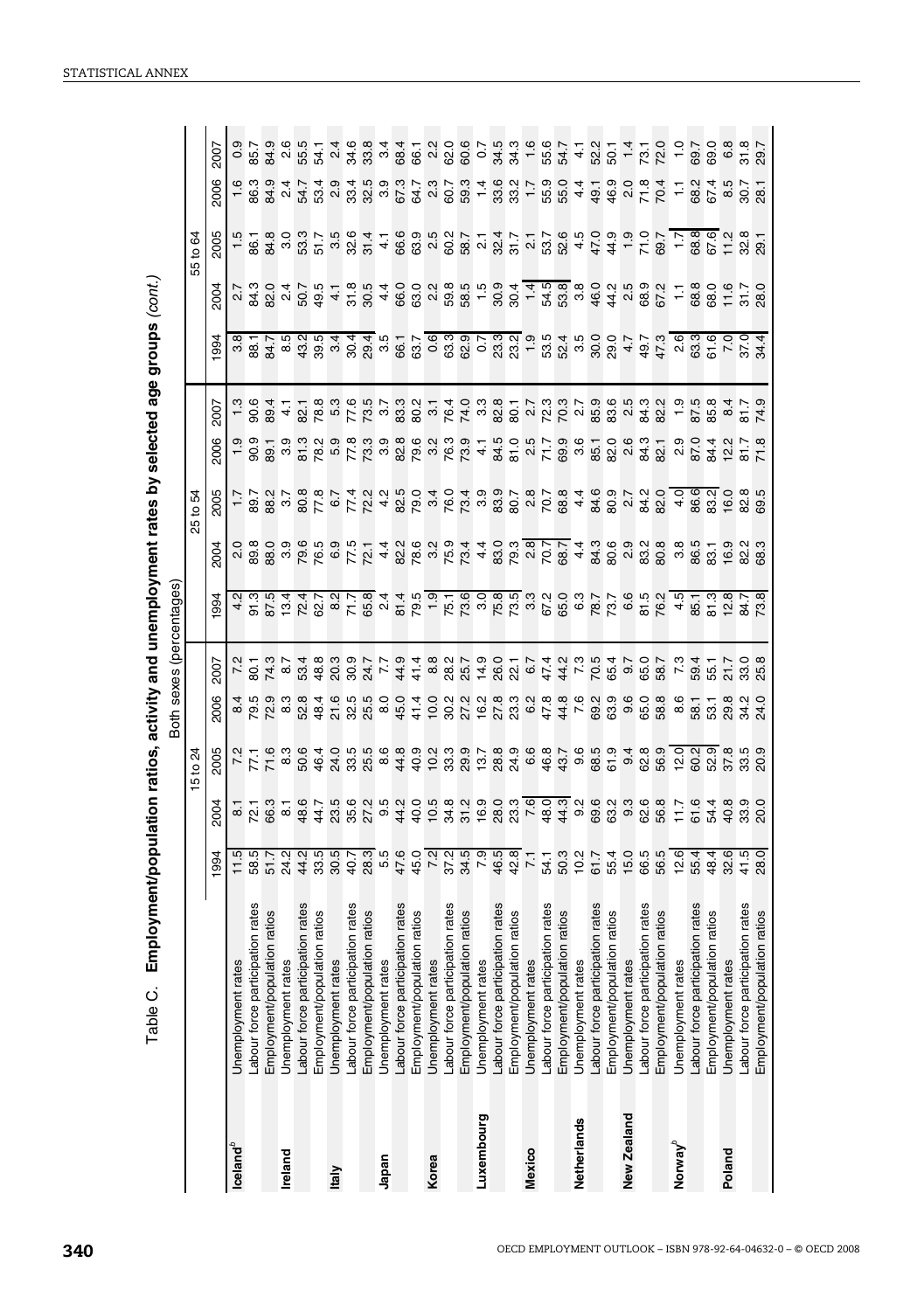|                     |                                  |                                                                                                                                                                                                                               |      |            |                                       | Both sexes (percentages)                                                                                                                                                                                                                                                                                                                                                             |              |      |          |      |                                                                                                               |                           |      |             |                                           |
|---------------------|----------------------------------|-------------------------------------------------------------------------------------------------------------------------------------------------------------------------------------------------------------------------------|------|------------|---------------------------------------|--------------------------------------------------------------------------------------------------------------------------------------------------------------------------------------------------------------------------------------------------------------------------------------------------------------------------------------------------------------------------------------|--------------|------|----------|------|---------------------------------------------------------------------------------------------------------------|---------------------------|------|-------------|-------------------------------------------|
|                     | Π                                |                                                                                                                                                                                                                               |      | to 24<br>Ю |                                       |                                                                                                                                                                                                                                                                                                                                                                                      |              |      | 25 to 54 |      |                                                                                                               |                           |      | 55 to 64    |                                           |
|                     |                                  | 994                                                                                                                                                                                                                           | 2004 | 2005       | 2006                                  | 2007                                                                                                                                                                                                                                                                                                                                                                                 | 994          | 2004 | 2005     | 2006 | 2007                                                                                                          | ஜ்                        | 2004 | 2005        | 2006                                      |
| lceland $^{\circ}$  | Unemployment rates               | け 弱 げ 公 社 役 犯 化 经 5 0 2 2 2 2 2 2 2 1 1 3 2 7 4 0 5 5 1 8 5 1 8 5 1 8 5 1 1 8 5 1 1 8 5 1 1 8 5 1 1 8 5 1 1 8 5 1 1 8 5 1 1 8 5 1 1 8 5 1 1 8 5 1 1 8 5 1 1 8 5 1 1 8 5 1 1 8 5 1 1 8 5 1 1 8 5 1 1 8 5 1 1 8 5 1 1 8 5 1 1 8 |      |            |                                       | $\begin{array}{c} \n\cdot\; 8\, \times \; \alpha \; \text{is} \; 4 \; \text{is} \; 2 \; \text{is} \; 4 \; \text{is} \; 4 \; \text{is} \; 2 \; \text{is} \; 2 \; \text{is} \; 2 \; \text{is} \; 2 \; \text{is} \; 2 \; \text{is} \; 2 \; \text{is} \; 2 \; \text{is} \; 2 \; \text{is} \; 2 \; \text{is} \; 2 \; \text{is} \; 2 \; \text{is} \; 2 \; \text{is} \; 2 \; \text{is} \; $ |              |      |          |      |                                                                                                               |                           |      |             |                                           |
|                     | Labour force participation rates |                                                                                                                                                                                                                               |      |            |                                       |                                                                                                                                                                                                                                                                                                                                                                                      |              |      |          |      |                                                                                                               |                           |      |             |                                           |
|                     | Employment/population ratios     |                                                                                                                                                                                                                               |      |            | 8<br>8 9 9 9 9 9 4<br>8 9 9 9 9 4     |                                                                                                                                                                                                                                                                                                                                                                                      |              |      |          |      | $-884$ +                                                                                                      |                           |      |             | e g g q r t<br>- g d d d g<br>- g d d d g |
| Ireland             | Unemployment rates               |                                                                                                                                                                                                                               |      |            |                                       |                                                                                                                                                                                                                                                                                                                                                                                      |              |      |          |      |                                                                                                               |                           |      |             |                                           |
|                     | Labour force participation rates |                                                                                                                                                                                                                               |      |            |                                       |                                                                                                                                                                                                                                                                                                                                                                                      |              |      |          |      |                                                                                                               |                           |      |             |                                           |
|                     | Employment/population ratios     |                                                                                                                                                                                                                               |      |            |                                       |                                                                                                                                                                                                                                                                                                                                                                                      |              |      |          |      |                                                                                                               |                           |      |             |                                           |
| <b>Italy</b>        | Unemployment rates               |                                                                                                                                                                                                                               |      |            | 21.5<br>32.5<br>25.9                  |                                                                                                                                                                                                                                                                                                                                                                                      |              |      |          |      |                                                                                                               |                           |      |             | 2.9                                       |
|                     | Labour force participation rates |                                                                                                                                                                                                                               |      |            |                                       |                                                                                                                                                                                                                                                                                                                                                                                      |              |      |          |      |                                                                                                               |                           |      |             |                                           |
|                     | Employment/population ratios     |                                                                                                                                                                                                                               |      |            |                                       |                                                                                                                                                                                                                                                                                                                                                                                      |              |      |          |      |                                                                                                               |                           |      |             |                                           |
| Japan               | Unemployment rates               |                                                                                                                                                                                                                               |      |            | 8.0                                   |                                                                                                                                                                                                                                                                                                                                                                                      |              |      |          |      |                                                                                                               |                           |      |             |                                           |
|                     | Labour force participation rates |                                                                                                                                                                                                                               |      |            | 45.0<br>41.4                          |                                                                                                                                                                                                                                                                                                                                                                                      |              |      |          |      |                                                                                                               |                           |      |             |                                           |
|                     | Employment/population ratios     |                                                                                                                                                                                                                               |      |            |                                       |                                                                                                                                                                                                                                                                                                                                                                                      |              |      |          |      |                                                                                                               |                           |      |             |                                           |
| Korea               | Unemployment rates               |                                                                                                                                                                                                                               |      |            | 10.0                                  |                                                                                                                                                                                                                                                                                                                                                                                      |              |      |          |      |                                                                                                               |                           |      |             |                                           |
|                     | Labour force participation rates |                                                                                                                                                                                                                               |      |            | 30.2                                  |                                                                                                                                                                                                                                                                                                                                                                                      |              |      |          |      |                                                                                                               |                           |      |             |                                           |
|                     | Employment/population ratios     |                                                                                                                                                                                                                               |      |            | 27.2                                  |                                                                                                                                                                                                                                                                                                                                                                                      |              |      |          |      |                                                                                                               |                           |      |             |                                           |
| Luxembourg          | Unemployment rates               |                                                                                                                                                                                                                               |      |            | 16.2                                  | 8<br>8 8 8 4 8 9 9 7 4 7 6 8<br>8 9 7 9 9 7 7 4 9 9 9 9                                                                                                                                                                                                                                                                                                                              |              |      |          |      | 8 8 8 9 6 9 6 9 6 9 6 7 8 9 6 7 6 9 70 8 70 8 9 70 8 9 70 8 9 70 8 9 70 8 9 70 8 9 70 9 9 9 9 9 9 9 9 9 9 9 9 |                           |      |             |                                           |
|                     | Labour force participation rates |                                                                                                                                                                                                                               |      |            |                                       |                                                                                                                                                                                                                                                                                                                                                                                      |              |      |          |      |                                                                                                               |                           |      |             |                                           |
|                     | Employment/population ratios     |                                                                                                                                                                                                                               |      |            |                                       |                                                                                                                                                                                                                                                                                                                                                                                      |              |      |          |      |                                                                                                               |                           |      |             |                                           |
| <b>Mexico</b>       | Unemployment rates               |                                                                                                                                                                                                                               |      |            |                                       |                                                                                                                                                                                                                                                                                                                                                                                      |              |      |          |      |                                                                                                               |                           |      |             |                                           |
|                     | Labour force participation rates |                                                                                                                                                                                                                               |      |            | 213<br>223<br>234<br>247 26           |                                                                                                                                                                                                                                                                                                                                                                                      |              |      |          |      |                                                                                                               |                           |      |             |                                           |
|                     | Employment/population ratios     |                                                                                                                                                                                                                               |      |            |                                       |                                                                                                                                                                                                                                                                                                                                                                                      |              |      |          |      |                                                                                                               |                           |      |             |                                           |
| Netherlands         | Unemployment rates               |                                                                                                                                                                                                                               |      |            |                                       |                                                                                                                                                                                                                                                                                                                                                                                      |              |      |          |      |                                                                                                               |                           |      |             |                                           |
|                     | Labour force participation rates |                                                                                                                                                                                                                               |      |            | 69.9<br>63.9                          |                                                                                                                                                                                                                                                                                                                                                                                      |              |      |          |      |                                                                                                               |                           |      |             |                                           |
|                     | Employment/population ratios     |                                                                                                                                                                                                                               |      |            |                                       |                                                                                                                                                                                                                                                                                                                                                                                      |              |      |          |      |                                                                                                               |                           |      |             |                                           |
| New Zealand         | Unemployment rates               |                                                                                                                                                                                                                               |      |            | 9.6                                   | 9.7                                                                                                                                                                                                                                                                                                                                                                                  |              |      |          |      |                                                                                                               |                           |      |             |                                           |
|                     | Labour force participation rates |                                                                                                                                                                                                                               |      |            | 65.0<br>58.8                          |                                                                                                                                                                                                                                                                                                                                                                                      |              |      |          |      |                                                                                                               |                           |      |             |                                           |
|                     | Employment/population ratios     |                                                                                                                                                                                                                               |      |            |                                       |                                                                                                                                                                                                                                                                                                                                                                                      |              |      |          |      |                                                                                                               |                           |      |             |                                           |
| Norway <sup>b</sup> | Unemployment rates               |                                                                                                                                                                                                                               |      |            | 8.6                                   |                                                                                                                                                                                                                                                                                                                                                                                      |              |      |          |      |                                                                                                               |                           |      |             |                                           |
|                     | Labour force participation rates |                                                                                                                                                                                                                               |      |            |                                       |                                                                                                                                                                                                                                                                                                                                                                                      |              |      |          |      |                                                                                                               |                           |      |             |                                           |
|                     | Employment/population ratios     |                                                                                                                                                                                                                               |      |            | 7 7 8 9 9 9<br>8 9 9 4 9<br>5 9 9 9 9 |                                                                                                                                                                                                                                                                                                                                                                                      |              |      |          |      |                                                                                                               |                           |      |             |                                           |
| Poland              | Unemployment rates               |                                                                                                                                                                                                                               |      |            |                                       |                                                                                                                                                                                                                                                                                                                                                                                      |              |      |          |      | $\frac{4}{6}$                                                                                                 |                           |      |             |                                           |
|                     | Labour force participation rates |                                                                                                                                                                                                                               |      |            |                                       | 33.8<br>25.8                                                                                                                                                                                                                                                                                                                                                                         | 84.7<br>73.8 |      |          |      | 81.7                                                                                                          | 5 5 4<br>5 7 5<br>5 9 4 4 |      | .<br>그 89 중 | 30.7                                      |
|                     | Employment/population ratios     |                                                                                                                                                                                                                               |      |            |                                       |                                                                                                                                                                                                                                                                                                                                                                                      |              |      |          |      | 74.                                                                                                           |                           |      |             |                                           |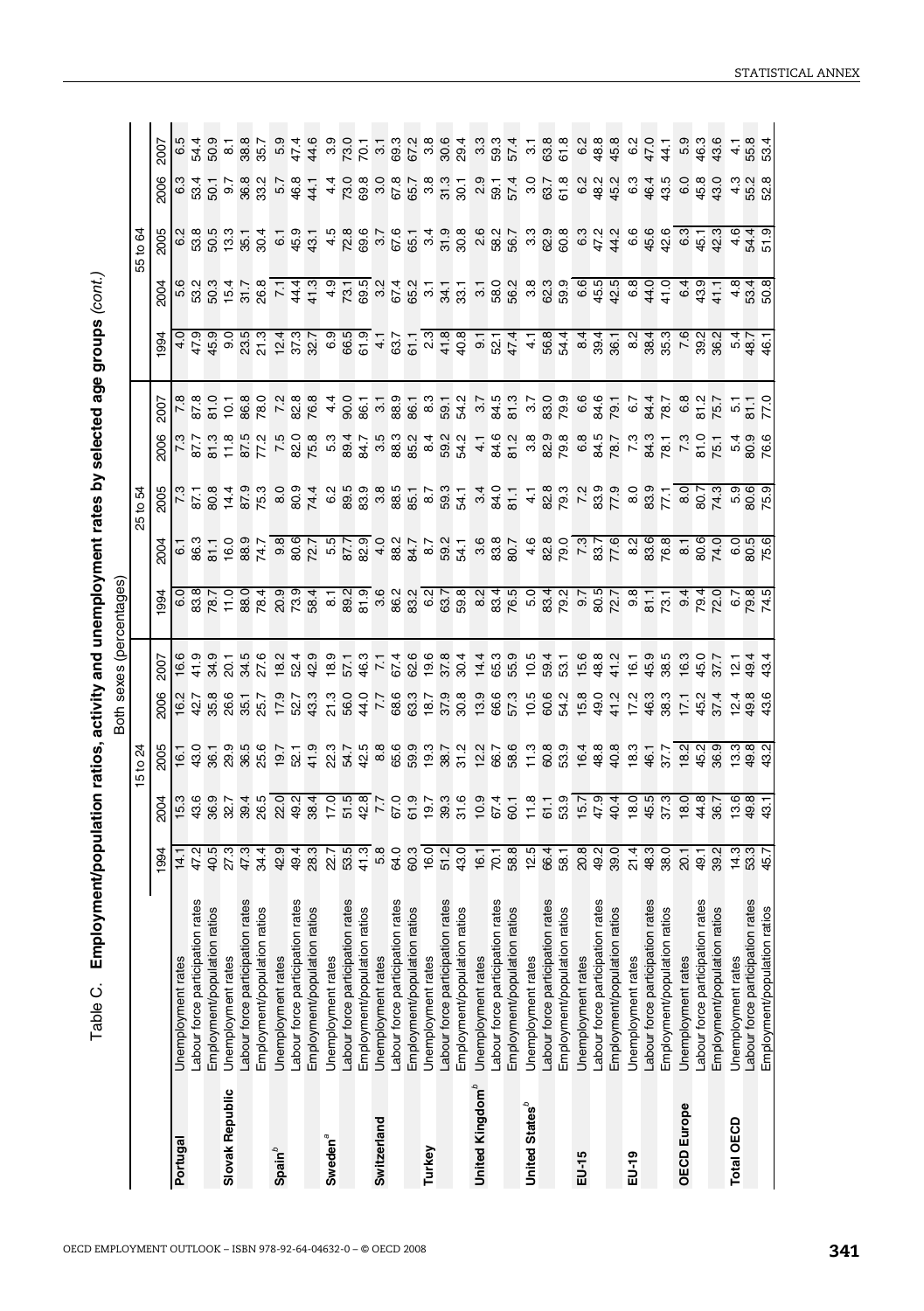|                             |                                  |     |      | মূ<br>$\overline{c}$<br><b>40</b> |      |                                    |     |           | 54<br>$\overline{a}$<br>25 |      |     | 55                                                                                                                                       | \$<br>$\mathbf{Q}$ |      |
|-----------------------------|----------------------------------|-----|------|-----------------------------------|------|------------------------------------|-----|-----------|----------------------------|------|-----|------------------------------------------------------------------------------------------------------------------------------------------|--------------------|------|
|                             |                                  |     |      |                                   |      |                                    |     |           |                            |      |     |                                                                                                                                          |                    |      |
|                             |                                  | 994 | 2004 | 2005                              | 2006 | 2007                               | 994 | $\rm{SO}$ |                            | 2006 | 994 | 2004                                                                                                                                     | 2005               | 2006 |
| Portugal                    | Unemployment rates               |     |      |                                   |      |                                    |     |           |                            |      |     |                                                                                                                                          |                    |      |
|                             | Labour force participation rates |     |      |                                   |      |                                    |     |           |                            |      |     |                                                                                                                                          |                    |      |
|                             | Employment/population ratios     |     |      |                                   |      |                                    |     |           |                            |      |     |                                                                                                                                          |                    |      |
| Slovak Republic             | Unemployment rates               |     |      |                                   |      |                                    |     |           |                            |      |     |                                                                                                                                          |                    |      |
|                             | Labour force participation rates |     |      |                                   |      |                                    |     |           |                            |      |     |                                                                                                                                          |                    |      |
|                             | Employment/population ratios     |     |      |                                   |      |                                    |     |           |                            |      |     |                                                                                                                                          |                    |      |
| Spain $^b$                  | Unemployment rates               |     |      |                                   |      |                                    |     |           |                            |      |     |                                                                                                                                          |                    |      |
|                             | Labour force participation rates |     |      |                                   |      |                                    |     |           |                            |      |     |                                                                                                                                          |                    |      |
|                             | Employment/population ratios     |     |      |                                   |      |                                    |     |           |                            |      |     |                                                                                                                                          |                    |      |
| Sweden <sup>a</sup>         | Unemployment rates               |     |      |                                   |      |                                    |     |           |                            |      |     |                                                                                                                                          |                    |      |
|                             | Labour force participation rates |     |      |                                   |      |                                    |     |           |                            |      |     |                                                                                                                                          |                    |      |
|                             | Employment/population ratios     |     |      |                                   |      |                                    |     |           |                            |      |     |                                                                                                                                          |                    |      |
| Switzerland                 | Unemployment rates               |     |      |                                   |      |                                    |     |           |                            |      |     |                                                                                                                                          |                    |      |
|                             | Labour force participation rates |     |      |                                   |      |                                    |     |           |                            |      |     |                                                                                                                                          |                    |      |
|                             | Employment/population ratios     |     |      |                                   |      |                                    |     |           |                            |      |     |                                                                                                                                          |                    |      |
| Turkey                      | Unemployment rates               |     |      |                                   |      |                                    |     |           |                            |      |     |                                                                                                                                          |                    |      |
|                             | Labour force participation rates |     |      |                                   |      |                                    |     |           |                            |      |     |                                                                                                                                          |                    |      |
|                             | Employment/population ratios     |     |      |                                   |      |                                    |     |           |                            |      |     |                                                                                                                                          |                    |      |
| United Kingdom <sup>b</sup> | Unemployment rates               |     |      |                                   |      |                                    |     |           |                            |      |     |                                                                                                                                          |                    |      |
|                             | Labour force participation rates |     |      |                                   |      |                                    |     |           |                            |      |     |                                                                                                                                          |                    |      |
|                             | Employment/population ratios     |     |      |                                   |      |                                    |     |           |                            |      |     |                                                                                                                                          |                    |      |
| United States <sup>b</sup>  | Unemployment rates               |     |      |                                   |      |                                    |     |           |                            |      |     |                                                                                                                                          |                    |      |
|                             | Labour force participation rates |     |      |                                   |      |                                    |     |           |                            |      |     |                                                                                                                                          |                    |      |
|                             | Employment/population ratios     |     |      |                                   |      |                                    |     |           |                            |      |     |                                                                                                                                          |                    |      |
| EU-15                       | Unemployment rates               |     |      |                                   |      |                                    |     |           |                            |      |     |                                                                                                                                          |                    |      |
|                             | Labour force participation rates |     |      |                                   |      |                                    |     |           |                            |      |     |                                                                                                                                          |                    |      |
|                             | Employment/population ratios     |     |      |                                   |      |                                    |     |           |                            |      |     |                                                                                                                                          |                    |      |
| EU-19                       | Unemployment rates               |     |      |                                   |      | $16.1$<br>$45.9$<br>$38.5$         |     |           |                            |      |     |                                                                                                                                          |                    |      |
|                             | Labour force participation rates |     |      |                                   |      |                                    |     |           |                            |      |     |                                                                                                                                          |                    |      |
|                             | Employment/population ratios     |     |      |                                   |      |                                    |     |           |                            |      |     |                                                                                                                                          |                    |      |
| OECD Europe                 | Unemployment rates               |     |      |                                   |      |                                    |     |           |                            |      |     |                                                                                                                                          |                    |      |
|                             | Labour force participation rates |     |      |                                   |      |                                    |     |           |                            |      |     |                                                                                                                                          |                    |      |
|                             | Employment/population ratios     |     |      |                                   |      |                                    |     |           |                            |      |     |                                                                                                                                          |                    |      |
| <b>Total OECD</b>           | Unemployment rates               |     |      |                                   |      | $1607744$<br>$1607744$<br>$160744$ |     |           |                            |      |     | ι<br>၂၀၀၀ – ၂၀၀၀ – ၁၉၀၀ – ၁၉၀၀ – ၁၉၀၀ – ၁၉၀၀ – ၁၉၀၀ – ၁၉၀၀ – ၁၉၀၀ – ၁၉၀၀<br>၂၀၀၀ – ၁၉၀၀ – ၁၉၀၀ – ၁၉၀၀ – ၁၉၀၀ – ၁၉၀၀ – ၁၉၀၀ – ၁၉၀၀ – ၁၉၀၀ |                    |      |
|                             | Labour force participation rates |     |      |                                   |      |                                    |     |           |                            |      |     |                                                                                                                                          |                    |      |
|                             | Employment/population ratios     |     |      |                                   |      |                                    |     |           |                            |      |     |                                                                                                                                          |                    |      |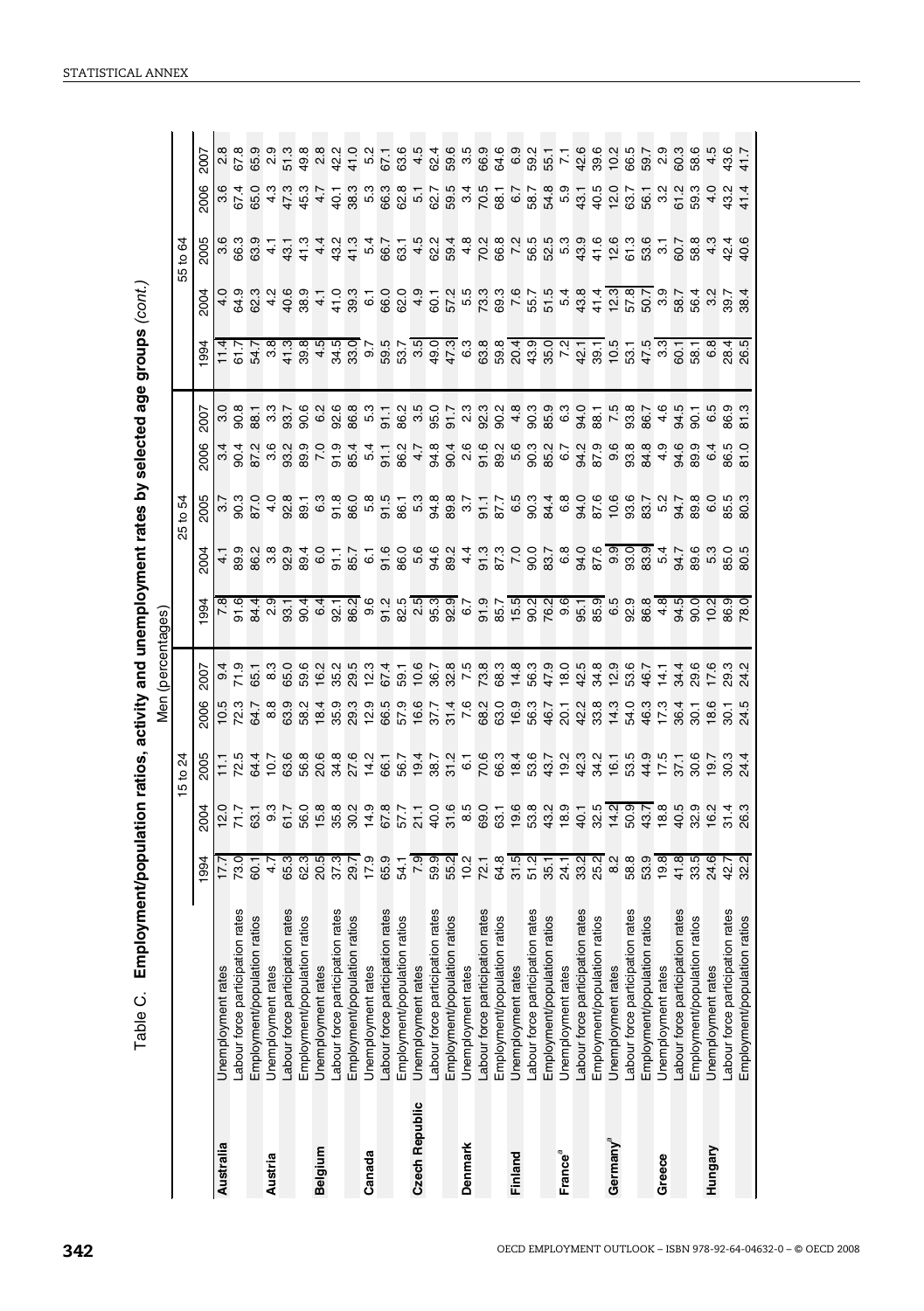|                     |                                  |     |      |                        |                  | Men (percentages)    |     |      |                      |      |                                                                                                                                                                                          |    |      |                   |      |
|---------------------|----------------------------------|-----|------|------------------------|------------------|----------------------|-----|------|----------------------|------|------------------------------------------------------------------------------------------------------------------------------------------------------------------------------------------|----|------|-------------------|------|
|                     | $\mathbf I$                      |     |      | ম<br>$\mathbf{Q}$<br>Б |                  |                      |     | 55   | 54<br>$\overline{c}$ |      |                                                                                                                                                                                          |    | 55   | 2<br>$\mathsf{D}$ |      |
|                     |                                  | 994 | 2004 | 2005                   | 2006             | 2007                 | 994 | 2004 | 2005                 | 2006 | 2007                                                                                                                                                                                     | 99 | 2004 | 2005              | 2006 |
| Australia           | Unemployment rates               |     |      |                        | $72.3$<br>$72.3$ |                      |     |      |                      |      |                                                                                                                                                                                          |    |      | ၆ က တ<br>က မွ က   |      |
|                     | abour force participation rates  |     |      |                        |                  |                      |     |      |                      |      |                                                                                                                                                                                          |    |      |                   |      |
|                     | Employment/population ratios     |     |      |                        |                  |                      |     |      |                      |      |                                                                                                                                                                                          |    |      |                   |      |
| Austria             | Jnemployment rates               |     |      |                        |                  |                      |     |      |                      |      |                                                                                                                                                                                          |    |      |                   |      |
|                     | Labour force participation rates |     |      |                        |                  |                      |     |      |                      |      |                                                                                                                                                                                          |    |      |                   |      |
|                     | Employment/population ratios     |     |      |                        |                  |                      |     |      |                      |      |                                                                                                                                                                                          |    |      |                   |      |
| Belgium             | Unemployment rates               |     |      |                        |                  |                      |     |      |                      |      |                                                                                                                                                                                          |    |      |                   |      |
|                     | Labour force participation rates |     |      |                        |                  |                      |     |      |                      |      |                                                                                                                                                                                          |    |      |                   |      |
|                     | Employment/population ratios     |     |      |                        |                  |                      |     |      |                      |      |                                                                                                                                                                                          |    |      |                   |      |
| Canada              | Unemployment rates               |     |      |                        |                  |                      |     |      |                      |      |                                                                                                                                                                                          |    |      |                   |      |
|                     | abour force participation rates  |     |      |                        |                  |                      |     |      |                      |      |                                                                                                                                                                                          |    |      |                   |      |
|                     | Employment/population ratios     |     |      |                        |                  |                      |     |      |                      |      |                                                                                                                                                                                          |    |      |                   |      |
| Czech Republic      | Unemployment rates               |     |      |                        |                  |                      |     |      |                      |      |                                                                                                                                                                                          |    |      |                   |      |
|                     | Labour force participation rates |     |      |                        |                  |                      |     |      |                      |      |                                                                                                                                                                                          |    |      |                   |      |
|                     | Employment/population ratios     |     |      |                        |                  |                      |     |      |                      |      |                                                                                                                                                                                          |    |      |                   |      |
| Denmark             | Unemployment rates               |     |      |                        |                  |                      |     |      |                      |      | © α ד מ ד ִם מ α α מ ה ד מ מ ס ד ִמ מ מ מ מ מ ס ד ו מ מ ד ו מ מ ד ו מ ה<br>מ ج ه מ מ چ פ ש م ا ه ه ا ه ه ا ه ه ا ه م ا ه ه ا ه ه ا ه ه ا ه ه ا ه ه ا ه ه ا ه ه ا ه ه ا ه ه ا ه ه ا ه ه ا |    |      |                   |      |
|                     | Labour force participation rates |     |      |                        |                  |                      |     |      |                      |      |                                                                                                                                                                                          |    |      |                   |      |
|                     | Employment/population ratios     |     |      |                        |                  |                      |     |      |                      |      |                                                                                                                                                                                          |    |      |                   |      |
| Finland             | Unemployment rates               |     |      |                        |                  |                      |     |      |                      |      |                                                                                                                                                                                          |    |      |                   |      |
|                     | Labour force participation rates |     |      |                        |                  |                      |     |      |                      |      |                                                                                                                                                                                          |    |      |                   |      |
|                     | Employment/population ratios     |     |      |                        |                  |                      |     |      |                      |      |                                                                                                                                                                                          |    |      |                   |      |
| France <sup>a</sup> | Unemployment rates               |     |      |                        |                  |                      |     |      |                      |      |                                                                                                                                                                                          |    |      |                   |      |
|                     | Labour force participation rates |     |      |                        |                  |                      |     |      |                      |      |                                                                                                                                                                                          |    |      |                   |      |
|                     | Employment/population ratios     |     |      |                        |                  |                      |     |      |                      |      |                                                                                                                                                                                          |    |      |                   |      |
| Germany $^\theta$   | Unemployment rates               |     |      |                        |                  |                      |     |      |                      |      |                                                                                                                                                                                          |    |      |                   |      |
|                     | abour force participation rates  |     |      |                        |                  |                      |     |      |                      |      |                                                                                                                                                                                          |    |      |                   |      |
|                     | Employment/population ratios     |     |      |                        |                  | 46.7<br>14.1         |     |      |                      |      |                                                                                                                                                                                          |    |      |                   |      |
| Greece              | Unemployment rates               |     |      |                        |                  |                      |     |      |                      |      |                                                                                                                                                                                          |    |      |                   |      |
|                     | -abour force participation rates |     |      |                        |                  | 34.4<br>29.6<br>17.6 |     |      |                      |      |                                                                                                                                                                                          |    |      |                   |      |
|                     | Employment/population ratios     |     |      |                        |                  |                      |     |      |                      |      |                                                                                                                                                                                          |    |      |                   |      |
| Hungary             | Unemployment rates               |     |      |                        |                  |                      |     |      |                      |      |                                                                                                                                                                                          |    |      |                   |      |
|                     | Labour force participation rates |     |      |                        |                  | ၛၟ                   |     |      |                      |      |                                                                                                                                                                                          |    |      |                   |      |
|                     | Employment/population ratios     |     |      |                        |                  | $\overline{z}$       |     |      |                      |      |                                                                                                                                                                                          |    |      |                   |      |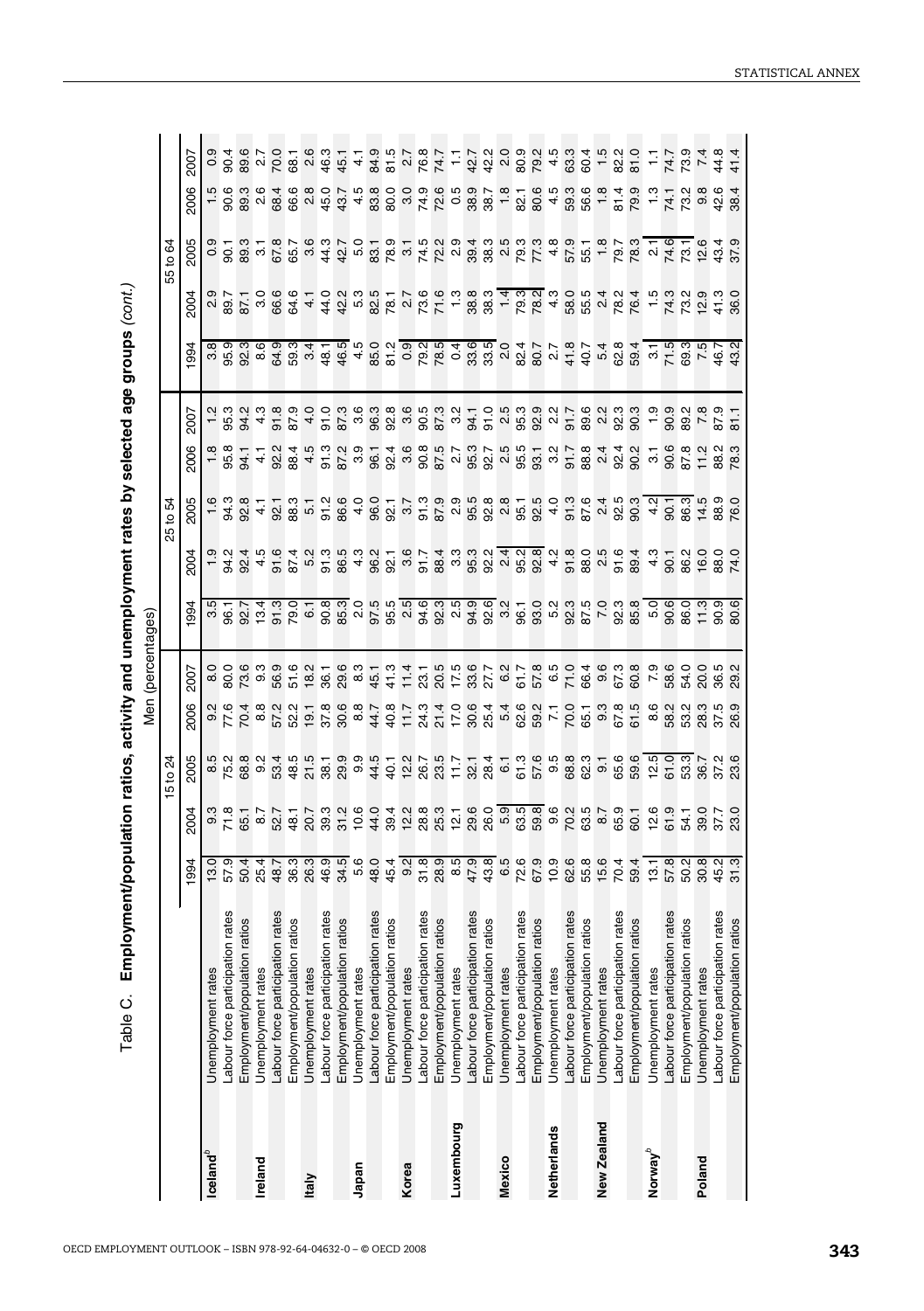OECD EMPLOYMENT OUTLOOK – ISBN 978-92-64-04632-0 – © OECD 2008 **343** 1994 2004 2005 2006 2007 1994 2004 2005 2006 2007 1994 2004 2005 2006 2007 **Iceland***b* Unemployment rates 13.0 9.3 8.5 9.2 8.0 3.5 1.9 1.6 1.8 1.2 3.8 2.9 0.9 1.5 0.9 Labour force participation rates 57.9 71.8 75.2 77.6 80.0 96.1 94.2 94.3 95.8 95.3 95.9 89.7 90.1 90.6 90.4 Employment/population ratios 50.4 65.1 68.8 70.4 73.6 92.7 92.4 92.8 94.1 94.2 92.3 87.1 89.3 89.3 89.6 **Ireland** Unemployment rates 25.4 8.7 9.2 8.8 9.3 13.4 4.5 4.1 4.1 4.3 8.6 3.0 3.1 2.6 2.7 Labour force participation rates 48.7 52.7 53.4 57.2 56.9 91.3 91.6 92.1 92.2 91.8 64.9 66.6 67.8 68.4 70.0 Employment/population ratios 36.3 48.1 48.5 52.2 51.6 79.0 87.4 88.3 88.4 87.9 59.3 64.6 65.7 66.6 68.1 **Italy** Unemployment rates 26.3 20.7 21.5 19.1 18.2 6.1 5.2 5.1 4.5 4.0 3.4 4.1 3.6 2.8 2.6 Labour force participation rates 46.9 39.3 38.1 37.8 36.1 90.8 91.3 91.2 91.3 91.0 48.1 44.0 44.3 45.0 46.3 Employment/population ratios 34.5 31.2 29.9 30.6 29.6 85.3 86.5 86.6 87.2 87.3 46.5 42.2 42.7 43.7 45.1 **Japan** Unemployment rates 5.6 10.6 9.9 8.8 8.3 2.0 4.3 4.0 3.9 3.6 4.5 5.3 5.0 4.5 4.1 Labour force participation rates 48.0 44.0 44.5 44.7 45.1 97.5 96.2 96.0 96.1 96.3 85.0 82.5 83.1 83.8 84.9 Employment/population ratios 45.4 39.4 40.1 40.8 41.3 95.5 92.1 92.1 92.4 92.8 81.2 78.1 78.9 80.0 81.5 **Korea** Unemployment rates 9.2 12.2 12.2 11.7 11.4 2.5 3.6 3.7 3.6 3.6 0.9 2.7 3.1 3.0 2.7 Labour force participation rates 31.8 28.8 26.7 24.3 23.1 94.6 91.7 91.3 90.8 90.5 79.2 73.6 74.5 74.9 76.8 Employment/population ratios 28.9 25.3 23.5 21.4 20.5 92.3 88.4 87.9 87.5 87.3 78.5 71.6 72.2 72.6 74.7 **Luxembourg** Unemployment rates 8.5 12.1 11.7 17.0 17.5 2.5 3.3 2.9 2.7 3.2 0.4 1.3 2.9 0.5 1.1 Labour force participation rates 47.9 29.6 32.1 30.6 33.6 94.9 95.3 95.5 95.3 94.1 33.6 38.8 39.4 38.9 42.7 Employment/population ratios 43.8 26.0 28.4 25.4 27.7 92.6 92.2 92.8 92.7 91.0 33.5 38.3 38.3 38.7 42.2 **Mexico** Unemployment rates 6.5 5.9 6.1 5.4 6.2 3.2 2.4 2.8 2.5 2.5 2.0 1.4 2.5 1.8 2.0 Labour force participation rates 72.6 63.5 61.3 62.6 61.7 96.1 95.2 95.1 95.5 95.3 82.4 79.3 79.3 82.1 80.9 Employment/population ratios 67.9 59.8 57.6 59.2 57.8 93.0 92.8 92.5 93.1 92.9 80.7 78.2 77.3 80.6 79.2 **Netherlands** Unemployment rates 10.9 9.6 9.5 7.1 6.5 5.2 4.2 4.0 3.2 2.2 2.7 4.3 4.8 4.5 4.5 Labour force participation rates 62.6 70.2 68.8 70.0 71.0 92.3 91.8 91.3 91.7 91.7 41.8 58.0 57.9 59.3 63.3 Employment/population ratios 55.8 63.5 62.3 65.1 66.4 87.5 88.0 87.6 88.8 89.6 40.7 55.5 55.1 56.6 60.4 **New Zealand** Unemployment rates 15.6 8.7 9.1 9.3 9.6 7.0 2.5 2.4 2.4 2.2 5.4 2.4 1.8 1.8 1.5 Labour force participation rates 70.4 65.9 65.6 67.8 67.3 92.3 91.6 92.5 92.4 92.3 62.8 78.2 79.7 81.4 82.2 Employment/population ratios 59.4 60.1 59.6 61.5 60.8 85.8 89.4 90.3 90.2 90.3 59.4 76.4 78.3 79.9 81.0 **Norway***b* Unemployment rates 13.1 12.6 12.5 8.6 7.9 5.0 4.3 4.2 3.1 1.9 3.1 1.5 2.1 1.3 1.1 Labour force participation rates 57.8 61.9 61.0 58.2 58.6 90.6 90.1 90.1 90.6 90.9 71.5 74.3 74.6 74.1 74.7 Employment/population ratios 50.2 54.1 53.3 53.2 54.0 86.0 86.2 86.3 87.8 89.2 69.3 73.2 73.1 73.2 73.9 **Poland** Unemployment rates 30.8 39.0 36.7 28.3 20.0 11.3 16.0 14.5 11.2 7.8 7.5 12.9 12.6 9.8 7.4 Labour force participation rates 45.2 37.7 37.2 37.5 36.5 90.9 88.0 88.9 88.2 87.9 46.7 41.3 43.4 42.6 44.8 Employment/population ratios 31.3 23.0 23.6 26.9 29.2 80.6 74.0 76.0 78.3 81.1 43.2 36.0 37.9 38.4 41.4 Table C. **Employment/population ratios, activity and unemployment rates by selected age groups** *(cont.)* Men (percentages) 55 to 64 25 to 54 15 to 24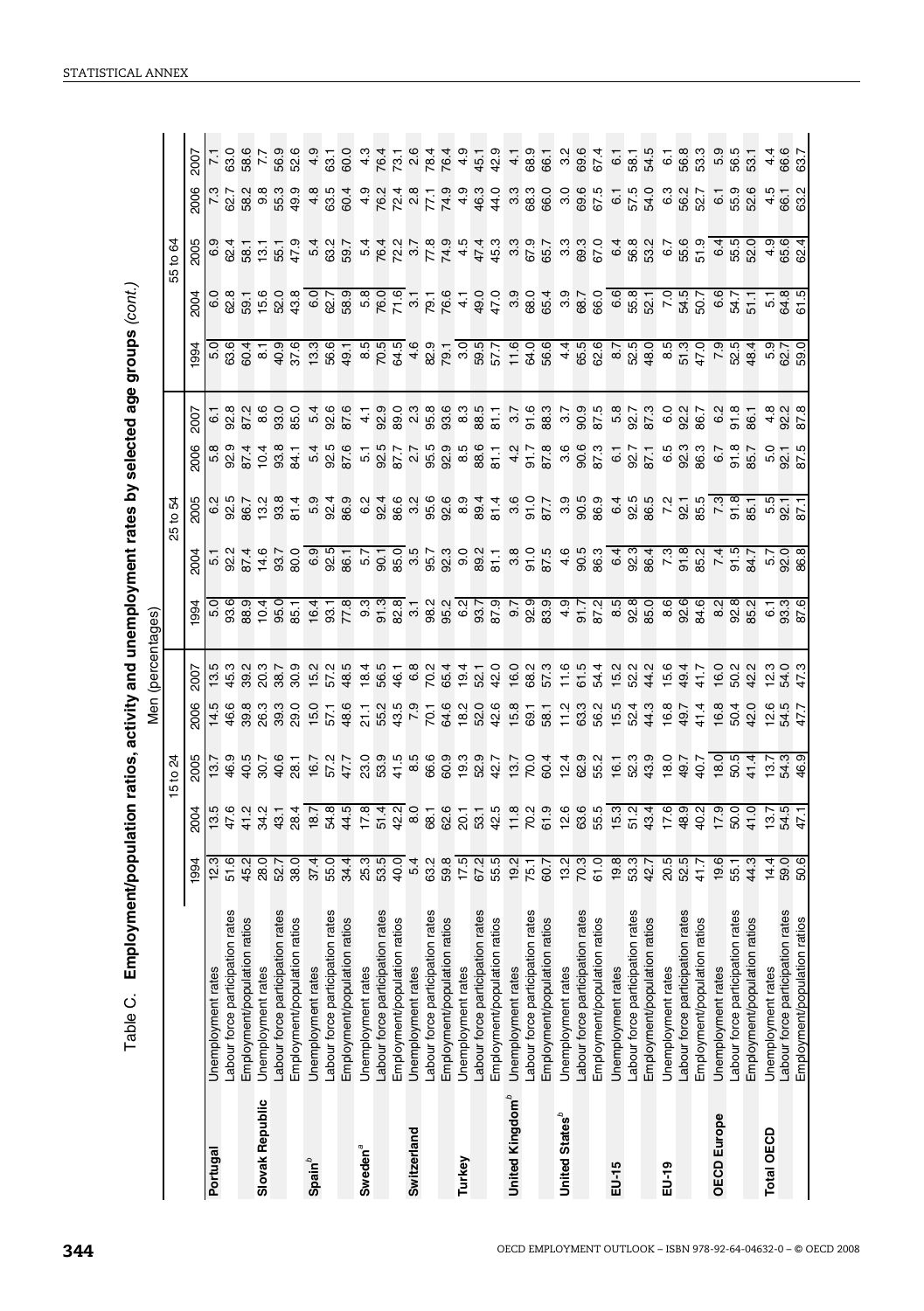|                             |                                  |                                                                                       |                                                                          |                                                 |                            | Men (percentages)                                         |                           |                                                         |                                                                                                                                                                                                                                                                           |                                                                                                               |                               |                       |                                                     |                                                                                      |                                     |
|-----------------------------|----------------------------------|---------------------------------------------------------------------------------------|--------------------------------------------------------------------------|-------------------------------------------------|----------------------------|-----------------------------------------------------------|---------------------------|---------------------------------------------------------|---------------------------------------------------------------------------------------------------------------------------------------------------------------------------------------------------------------------------------------------------------------------------|---------------------------------------------------------------------------------------------------------------|-------------------------------|-----------------------|-----------------------------------------------------|--------------------------------------------------------------------------------------|-------------------------------------|
|                             | J.                               |                                                                                       |                                                                          | 5 to 24                                         |                            |                                                           |                           |                                                         | 25 to 54                                                                                                                                                                                                                                                                  |                                                                                                               |                               |                       |                                                     | 55 to 64                                                                             |                                     |
|                             |                                  | 994                                                                                   | <b>2004</b>                                                              | 2005                                            | 2006                       | 2007                                                      | ĝģ                        | 2004                                                    | 2005                                                                                                                                                                                                                                                                      | 2006                                                                                                          | 2007                          |                       | 2004                                                | 2005                                                                                 | 2006                                |
| Portugal                    | Unemployment rates               |                                                                                       | $13.5$<br>47.6                                                           |                                                 |                            | $\frac{3}{4}$                                             |                           |                                                         |                                                                                                                                                                                                                                                                           |                                                                                                               |                               |                       |                                                     |                                                                                      |                                     |
|                             | Labour force participation rates |                                                                                       |                                                                          | $13.7$<br>$46.9$<br>$40.5$<br>$30.7$            | 5<br>19888<br>1988         |                                                           |                           | 5.2<br>92.4<br>92.4                                     | 2<br>2 3 3 3 3 4<br>2 3 3 5 7 8 9                                                                                                                                                                                                                                         | 5.8<br>92.4<br>92.4                                                                                           | 6.1<br>92.2<br>87.2           |                       |                                                     |                                                                                      | 7. 3<br>7. 32. 9. 9.<br>7. 9. 9. 9. |
|                             | Employment/population ratios     |                                                                                       | 41.2                                                                     |                                                 |                            | 39.2                                                      |                           |                                                         |                                                                                                                                                                                                                                                                           |                                                                                                               |                               |                       |                                                     |                                                                                      |                                     |
| Slovak Republic             | Unemployment rates               |                                                                                       | 34.2                                                                     |                                                 |                            | 20.3                                                      |                           |                                                         |                                                                                                                                                                                                                                                                           | 10.4                                                                                                          | 8.6                           |                       |                                                     |                                                                                      |                                     |
|                             | Labour force participation rates |                                                                                       | 43.1                                                                     | 40.6                                            |                            | 38.7                                                      |                           |                                                         |                                                                                                                                                                                                                                                                           |                                                                                                               |                               |                       |                                                     |                                                                                      | 55.3                                |
|                             | Employment/population ratios     |                                                                                       | 28.4                                                                     | 28.1                                            | 29.0                       | 30.9                                                      |                           |                                                         |                                                                                                                                                                                                                                                                           | ೫.ಕ<br>೧೧                                                                                                     | 93.0<br>85.0                  |                       | 0<br>0 2 3 4 5 6 9 9<br>0 9 9 9 9 9 9               | ិ ។<br>២ នី កូ កូ កូ កូ កូ<br>សូ កូ កូ កូ កូ                                         | 49.9                                |
| Spain $^b$                  | Unemployment rates               |                                                                                       | $\begin{array}{c} 18.7 \\ 54.8 \\ 44.5 \\ 17.8 \end{array}$              | $\frac{16.7}{57.2}$                             |                            |                                                           |                           |                                                         |                                                                                                                                                                                                                                                                           |                                                                                                               |                               |                       | $0.598999779797970$                                 |                                                                                      |                                     |
|                             | Labour force participation rates |                                                                                       |                                                                          |                                                 | 15.0<br>57.1               | $15.2$<br>57.2                                            |                           |                                                         |                                                                                                                                                                                                                                                                           | 5 2 5<br>9 2 6<br>9 7 6                                                                                       |                               |                       |                                                     |                                                                                      |                                     |
|                             | Employment/population ratios     |                                                                                       |                                                                          |                                                 | 48.6                       | 48.5                                                      |                           |                                                         |                                                                                                                                                                                                                                                                           |                                                                                                               | 5 2 3 2<br>5 2 3 4<br>5 4 6 9 |                       |                                                     |                                                                                      | $4.89$<br>$6.94$                    |
| Sweden <sup>a</sup>         | Unemployment rates               |                                                                                       |                                                                          | 2<br>2 3 3 4 8 8 9 9 9 9 9<br>2 9 9 9 9 9 9 9 9 |                            | 18.4                                                      |                           |                                                         | 5 4 5 6 7 4 6 7 6 6 6 7 4<br>மல் 8 6 6 8 6 7 8 9 8 9 8 7                                                                                                                                                                                                                  |                                                                                                               |                               |                       |                                                     | n 8 8 n 6 6 4 4 5 4 4 5 4<br>4 6 7 4 4 6 7 8 9 6 4 5 6                               | 4.9                                 |
|                             | Labour force participation rates |                                                                                       |                                                                          |                                                 |                            |                                                           |                           |                                                         |                                                                                                                                                                                                                                                                           |                                                                                                               |                               |                       |                                                     |                                                                                      |                                     |
|                             | Employment/population ratios     |                                                                                       |                                                                          |                                                 |                            |                                                           |                           |                                                         |                                                                                                                                                                                                                                                                           |                                                                                                               |                               |                       |                                                     |                                                                                      |                                     |
| Switzerland                 | Unemployment rates               |                                                                                       |                                                                          |                                                 |                            |                                                           |                           |                                                         |                                                                                                                                                                                                                                                                           |                                                                                                               |                               |                       |                                                     |                                                                                      |                                     |
|                             | Labour force participation rates |                                                                                       |                                                                          |                                                 |                            |                                                           |                           |                                                         |                                                                                                                                                                                                                                                                           |                                                                                                               |                               |                       |                                                     |                                                                                      |                                     |
|                             | Employment/population ratios     |                                                                                       |                                                                          |                                                 |                            |                                                           |                           |                                                         |                                                                                                                                                                                                                                                                           |                                                                                                               |                               |                       |                                                     |                                                                                      |                                     |
| Turkey                      | Unemployment rates               |                                                                                       |                                                                          |                                                 |                            |                                                           |                           |                                                         |                                                                                                                                                                                                                                                                           |                                                                                                               |                               |                       |                                                     |                                                                                      |                                     |
|                             | Labour force participation rates |                                                                                       |                                                                          |                                                 | 52.6<br>42.6               |                                                           |                           |                                                         |                                                                                                                                                                                                                                                                           |                                                                                                               |                               |                       |                                                     |                                                                                      |                                     |
|                             | Employment/population ratios     |                                                                                       |                                                                          |                                                 |                            |                                                           |                           |                                                         |                                                                                                                                                                                                                                                                           |                                                                                                               |                               |                       |                                                     |                                                                                      |                                     |
| United Kingdom <sup>b</sup> | Unemployment rates               |                                                                                       | $1800 + 61100$ $1900 + 61100$ $19000 + 61100$ $190000 + 61100$           | $70.04$<br>$70.04$<br>$12.4$                    | $15.8$<br>$69.1$<br>$58.1$ | 5<br>6 5 6 7 6 7 7 7 0 0 0 10 11<br>6 7 8 9 7 8 7 9 8 9 7 | ) လို တို့<br>(၁) လိုက္တိ | 8<br>8 9 9 8 9 8 9 8 9 8 7 9 8<br>8 9 8 9 8 9 8 0 7 9 8 |                                                                                                                                                                                                                                                                           | 1 5 6 7 6 9 7 8 9 8 7 8 9 9 9 0 1 8 9 8 9 8 8 9 8 9 8 9 8 8 9 8 8 9 8 8 9 8 8 8 9 8 8 9 8 8 9 8 8 9 8 9 8 9 8 |                               |                       |                                                     | က် တိုင်း မိုင်းတို့ တိုင်း မိုင်းတို့<br>ယူ အိမ် မိုင်း မိုင်း မိုင်း မိုင်း မိုင်း |                                     |
|                             | Labour force participation rates |                                                                                       |                                                                          |                                                 |                            |                                                           |                           |                                                         |                                                                                                                                                                                                                                                                           |                                                                                                               |                               |                       |                                                     |                                                                                      |                                     |
|                             | Employment/population ratios     |                                                                                       |                                                                          |                                                 |                            |                                                           |                           |                                                         |                                                                                                                                                                                                                                                                           |                                                                                                               |                               |                       |                                                     |                                                                                      |                                     |
| United States <sup>b</sup>  | Unemployment rates               |                                                                                       | 12.6<br>12.6<br>12.5                                                     |                                                 | 11.2                       | 11.6                                                      | $4.9$<br>$-1.7$<br>$-0.2$ |                                                         | စ္ပ္က ေ<br>၁ ၁ ၁ ၁<br>၁ ၁ ၁ ၁                                                                                                                                                                                                                                             |                                                                                                               |                               |                       |                                                     |                                                                                      |                                     |
|                             | Labour force participation rates |                                                                                       |                                                                          | 62.9<br>55.2                                    | 63.3<br>56.2               | 61.5<br>54.4                                              |                           |                                                         |                                                                                                                                                                                                                                                                           |                                                                                                               |                               |                       |                                                     |                                                                                      |                                     |
|                             | Employment/population ratios     |                                                                                       |                                                                          |                                                 |                            |                                                           |                           |                                                         |                                                                                                                                                                                                                                                                           |                                                                                                               |                               |                       |                                                     |                                                                                      |                                     |
| EU-15                       | Unemployment rates               |                                                                                       |                                                                          | $16.7$<br>$5.3$<br>$43.9$                       | $15.5$<br>52.4             | 15.2<br>52.2                                              | ပ် အစ်<br>ပေးကို အစ       |                                                         | 8<br>8 9 9 9 9<br>8 9 9 9                                                                                                                                                                                                                                                 |                                                                                                               | 5.8<br>92.7                   |                       |                                                     |                                                                                      | 6.1<br>57.5<br>54.0                 |
|                             | Labour force participation rates |                                                                                       |                                                                          |                                                 |                            |                                                           |                           |                                                         |                                                                                                                                                                                                                                                                           |                                                                                                               |                               |                       |                                                     |                                                                                      |                                     |
|                             | Employment/population ratios     |                                                                                       |                                                                          |                                                 | 44.3                       | 44.2                                                      |                           |                                                         |                                                                                                                                                                                                                                                                           |                                                                                                               | 87.3                          |                       |                                                     |                                                                                      |                                     |
| EU-19                       | Unemployment rates               | 20.5<br>52.5<br>41.7                                                                  | $\begin{array}{cccc}\n15.3 \\ 51.2 \\ 43.4 \\ 60.2 \\ 80.2\n\end{array}$ | 18.0                                            | 6.8                        | 15.6                                                      |                           |                                                         |                                                                                                                                                                                                                                                                           | 6.5                                                                                                           | 6.0                           |                       |                                                     |                                                                                      | 6.3                                 |
|                             | Labour force participation rates |                                                                                       |                                                                          | 49.7<br>40.7                                    | 49.7                       | 49.7<br>41.7                                              | 92.6<br>84.6              |                                                         |                                                                                                                                                                                                                                                                           | 92.3<br>86.3                                                                                                  | 92.2<br>86.7                  |                       |                                                     | 55.6<br>51.9                                                                         | 56.2<br>52.7                        |
|                             | Employment/population ratios     |                                                                                       |                                                                          |                                                 | 41.4                       |                                                           |                           |                                                         |                                                                                                                                                                                                                                                                           |                                                                                                               |                               |                       |                                                     |                                                                                      |                                     |
| <b>OECD Europe</b>          | Unemployment rates               | $\begin{array}{cccc}\n9.6 \\ 9.7 \\ 0 & 4 & 0 \\ 0 & 0 & 0 \\ 0 & 0 & 0\n\end{array}$ | $17.9$<br>50.0<br>50.0<br>47.1<br>47.1                                   | 18.0                                            | 16.8                       | 16.0                                                      | 8.2                       | $7.58$<br>51.5<br>4.5<br>5<br>4.5                       | $\begin{array}{cccc}\n7.5 & 0.08 & 0.000 & 0.000 & 0.000 & 0.000 & 0.000 & 0.000 & 0.000 & 0.000 & 0.000 & 0.000 & 0.000 & 0.000 & 0.000 & 0.000 & 0.000 & 0.000 & 0.000 & 0.000 & 0.000 & 0.000 & 0.000 & 0.000 & 0.000 & 0.000 & 0.000 & 0.000 & 0.000 & 0.000 & 0.000$ | 6.7                                                                                                           | 6.2                           | $7.9$<br>52.5<br>48.4 | $67 - 780$<br>$67 - 780$<br>$67 - 780$<br>$67 - 80$ | 6.4<br>55.9<br>52.0                                                                  | $\overline{6}$                      |
|                             | Labour force participation rates |                                                                                       |                                                                          | 50.5                                            | 50.4                       | 50.2                                                      | 92.8<br>85.2              |                                                         |                                                                                                                                                                                                                                                                           | 91.8<br>85.7                                                                                                  |                               |                       |                                                     |                                                                                      | 55.9<br>52.6                        |
|                             | Employment/population ratios     |                                                                                       |                                                                          | $47.799$<br>$47.799$<br>$47.799$                | $42.0$<br>$42.5$<br>$47.7$ | 42.2                                                      |                           |                                                         |                                                                                                                                                                                                                                                                           |                                                                                                               | 91.8<br>86.1                  |                       |                                                     |                                                                                      |                                     |
| Total OECD                  | Unemployment rates               |                                                                                       |                                                                          |                                                 |                            | $12.3$<br>54.3<br>47.3                                    | <u>ဖ် ဗွံ ဇွဲ</u>         | 52<br>92.0<br>86.1                                      |                                                                                                                                                                                                                                                                           | 5 8 8 7                                                                                                       | $4828$<br>92.8                |                       |                                                     |                                                                                      | $4.5$<br>66.1<br>63.7               |
|                             | Labour force participation rates |                                                                                       |                                                                          |                                                 |                            |                                                           |                           |                                                         |                                                                                                                                                                                                                                                                           |                                                                                                               |                               | ອ N<br>ອິລິ<br>ອິ     |                                                     | 4.18.89                                                                              |                                     |
|                             | Employment/population ratios     |                                                                                       |                                                                          |                                                 |                            |                                                           |                           |                                                         |                                                                                                                                                                                                                                                                           |                                                                                                               |                               |                       |                                                     |                                                                                      |                                     |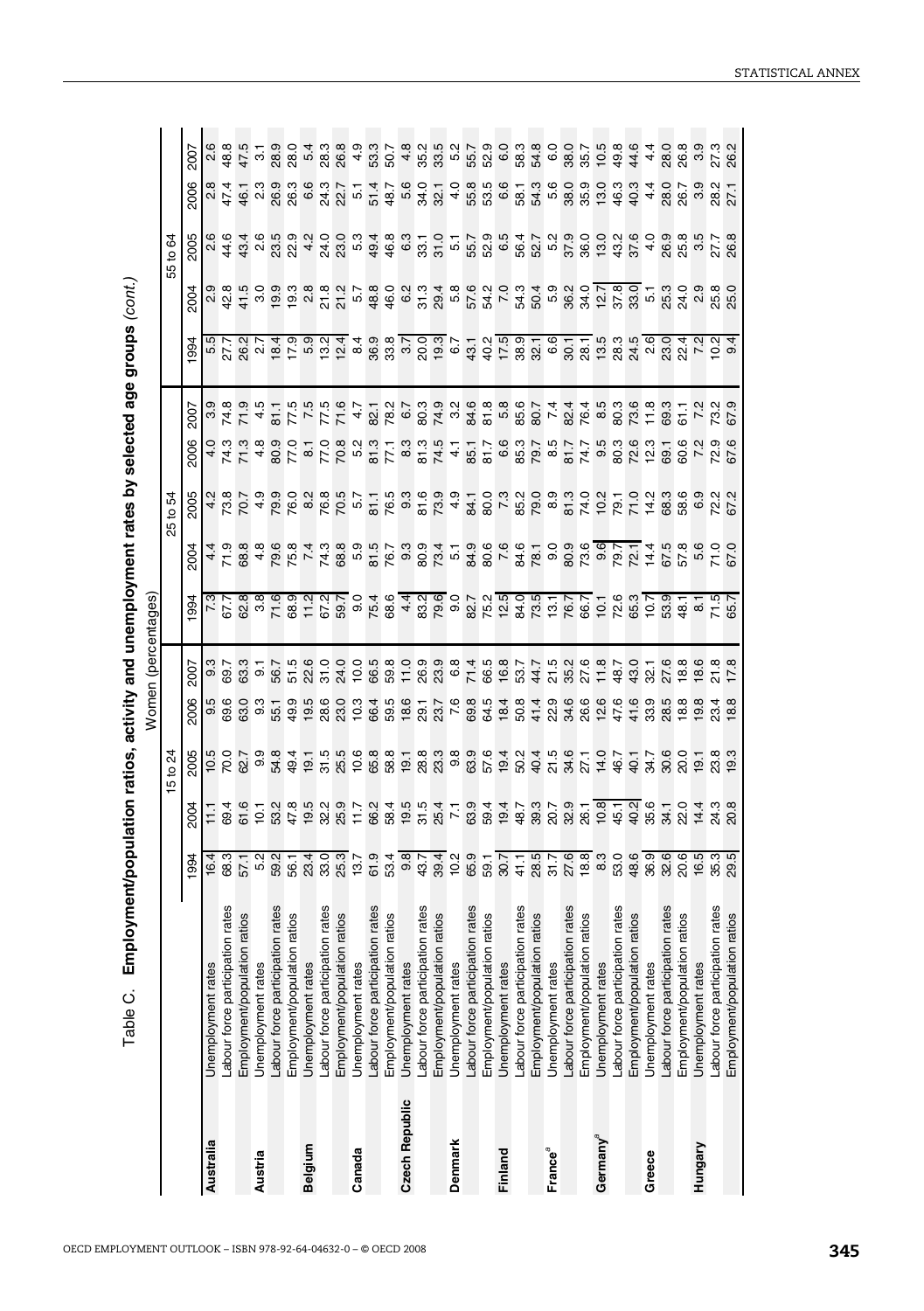| נְ                                           |
|----------------------------------------------|
| alaataal                                     |
|                                              |
|                                              |
| ו דפי הא פט<br>-<br>-<br>-<br>-<br>-         |
|                                              |
|                                              |
|                                              |
| y and unemploymen                            |
|                                              |
|                                              |
| $\cdots$ $\cdots$ ratios, activity anu under |
|                                              |
|                                              |
|                                              |
| <b>CALIFORNIA CONTINUE</b>                   |
|                                              |
| i<br>r                                       |

|                      |                                  |     |                         | 1024<br>ъ            |                | Women (percentages)                                   |                                                                  | 25                                                                                                                                    | 54<br>$\mathsf{D}$ |      |                                                             |      | 55 to 64             |               |
|----------------------|----------------------------------|-----|-------------------------|----------------------|----------------|-------------------------------------------------------|------------------------------------------------------------------|---------------------------------------------------------------------------------------------------------------------------------------|--------------------|------|-------------------------------------------------------------|------|----------------------|---------------|
|                      |                                  | 994 | Š                       |                      | 2006           | 2007                                                  | 894                                                              | 2004                                                                                                                                  | 2005               | 2006 | ള്                                                          | 2004 |                      | 2006          |
| Australia            | Unemployment rates               |     | 11.1                    | $\frac{10.5}{5.01}$  | 9.6<br>09.6    | 9.3<br>69.7                                           | ていの。ためけののであれのです。空からはなけれるのでありのはまたあることが、これは、これは、これは、これはないであると思います。 |                                                                                                                                       |                    |      | 57274992449870871259161153560457274992449870871259161153504 |      | 2.6                  | $2.4$<br>47.4 |
|                      | abour force participation rates  |     | 69.4                    |                      |                |                                                       |                                                                  |                                                                                                                                       |                    |      |                                                             |      | 44.6                 |               |
|                      | Employment/population ratios     |     | 61.6                    |                      | 63.3<br>9.3    |                                                       |                                                                  |                                                                                                                                       |                    |      |                                                             |      |                      |               |
| Austria              | Unemployment rates               |     | $\overline{10}$         |                      |                |                                                       |                                                                  |                                                                                                                                       |                    |      |                                                             |      |                      |               |
|                      | Labour force participation rates |     | 53.2<br>47.8            |                      |                | ិ 5 5 5 5 6 6 6 6 6 6 6 6<br>ក្តី 5 6 5 6 7 6 7 6 6 7 |                                                                  | 4 F 8 4 b F L 4 8 n 2 6 2 6 9 6 7 1 8 9 L 8 6 0 8 6 0 7 1 7 9<br>4 D 8 9 6 6 7 1 8 9 1 9 10 1 2 9 2 4 4 9 6 7 8 9 0 8 9 0 9 1 0 1 1 2 |                    |      |                                                             |      |                      |               |
|                      | Employment/population ratios     |     |                         |                      |                |                                                       |                                                                  |                                                                                                                                       |                    |      |                                                             |      |                      |               |
| Belgium              | Unemployment rates               |     |                         |                      |                |                                                       |                                                                  |                                                                                                                                       |                    |      |                                                             |      |                      |               |
|                      | Labour force participation rates |     |                         |                      |                |                                                       |                                                                  |                                                                                                                                       |                    |      |                                                             |      |                      |               |
|                      | Employment/population ratios     |     |                         |                      |                |                                                       |                                                                  |                                                                                                                                       |                    |      |                                                             |      |                      |               |
| Canada               | Unemployment rates               |     |                         |                      |                |                                                       |                                                                  |                                                                                                                                       |                    |      |                                                             |      |                      |               |
|                      | Labour force participation rates |     |                         |                      |                |                                                       |                                                                  |                                                                                                                                       |                    |      |                                                             |      |                      |               |
|                      | Employment/population ratios     |     |                         |                      |                |                                                       |                                                                  |                                                                                                                                       |                    |      |                                                             |      |                      |               |
| Czech Republic       | Unemployment rates               |     |                         |                      |                |                                                       |                                                                  |                                                                                                                                       |                    |      |                                                             |      |                      |               |
|                      | Labour force participation rates |     |                         |                      |                |                                                       |                                                                  |                                                                                                                                       |                    |      |                                                             |      |                      |               |
|                      | Employment/population ratios     |     |                         |                      |                |                                                       |                                                                  |                                                                                                                                       |                    |      |                                                             |      |                      |               |
| Denmark              | Unemployment rates               |     |                         |                      |                |                                                       |                                                                  |                                                                                                                                       |                    |      |                                                             |      |                      |               |
|                      | Labour force participation rates |     |                         |                      |                |                                                       |                                                                  |                                                                                                                                       |                    |      |                                                             |      |                      |               |
|                      | Employment/population ratios     |     |                         |                      |                |                                                       |                                                                  |                                                                                                                                       |                    |      |                                                             |      |                      |               |
| Finland              | Unemployment rates               |     |                         |                      |                |                                                       |                                                                  |                                                                                                                                       |                    |      |                                                             |      |                      |               |
|                      | Labour force participation rates |     |                         |                      |                |                                                       |                                                                  |                                                                                                                                       |                    |      |                                                             |      |                      |               |
|                      | Employment/population ratios     |     |                         |                      |                |                                                       |                                                                  |                                                                                                                                       |                    |      |                                                             |      |                      |               |
| France <sup>a</sup>  | Unemployment rates               |     |                         |                      |                |                                                       |                                                                  |                                                                                                                                       |                    |      |                                                             |      |                      |               |
|                      | Labour force participation rates |     |                         |                      |                |                                                       |                                                                  |                                                                                                                                       |                    |      |                                                             |      |                      |               |
|                      | Employment/population ratios     |     |                         |                      |                |                                                       |                                                                  |                                                                                                                                       |                    |      |                                                             |      |                      |               |
| Germany <sup>a</sup> | Unemployment rates               |     |                         |                      |                |                                                       |                                                                  |                                                                                                                                       |                    |      |                                                             |      |                      |               |
|                      | Labour force participation rates |     |                         |                      |                |                                                       |                                                                  |                                                                                                                                       |                    |      |                                                             |      |                      |               |
|                      | Employment/population ratios     |     |                         | 40.1                 | 41.6           | 43.0                                                  |                                                                  |                                                                                                                                       |                    |      |                                                             |      |                      |               |
| Greece               | Unemployment rates               |     |                         |                      | 33.5<br>28.5   | $\overline{32.1}$                                     |                                                                  |                                                                                                                                       |                    |      |                                                             |      |                      |               |
|                      | Labour force participation rates |     |                         | 34.7<br>30.6<br>20.0 |                | 27.6                                                  |                                                                  |                                                                                                                                       |                    |      |                                                             |      |                      |               |
|                      | Employment/population ratios     |     |                         |                      | 18.8           | 18.8                                                  |                                                                  | œ<br>57.                                                                                                                              |                    |      |                                                             |      |                      |               |
| Hungary              | Unemployment rates               |     | 14.03<br>14.03<br>14.03 | 19.3<br>23.93        | 19.8           | 18.6                                                  |                                                                  | $\frac{10}{2}$ $\frac{10}{2}$                                                                                                         | 6.9                |      | $\frac{1}{2}$ or                                            |      | 37.8<br>27.9<br>28.9 | $94889827$    |
|                      | Labour force participation rates |     |                         |                      | 23.4           | 21.8                                                  |                                                                  |                                                                                                                                       | 72.2<br>67.2       |      |                                                             |      |                      |               |
|                      | Employment/population ratios     |     |                         |                      | $\overline{8}$ | $\overline{\phantom{0}}$                              |                                                                  |                                                                                                                                       |                    |      |                                                             |      |                      |               |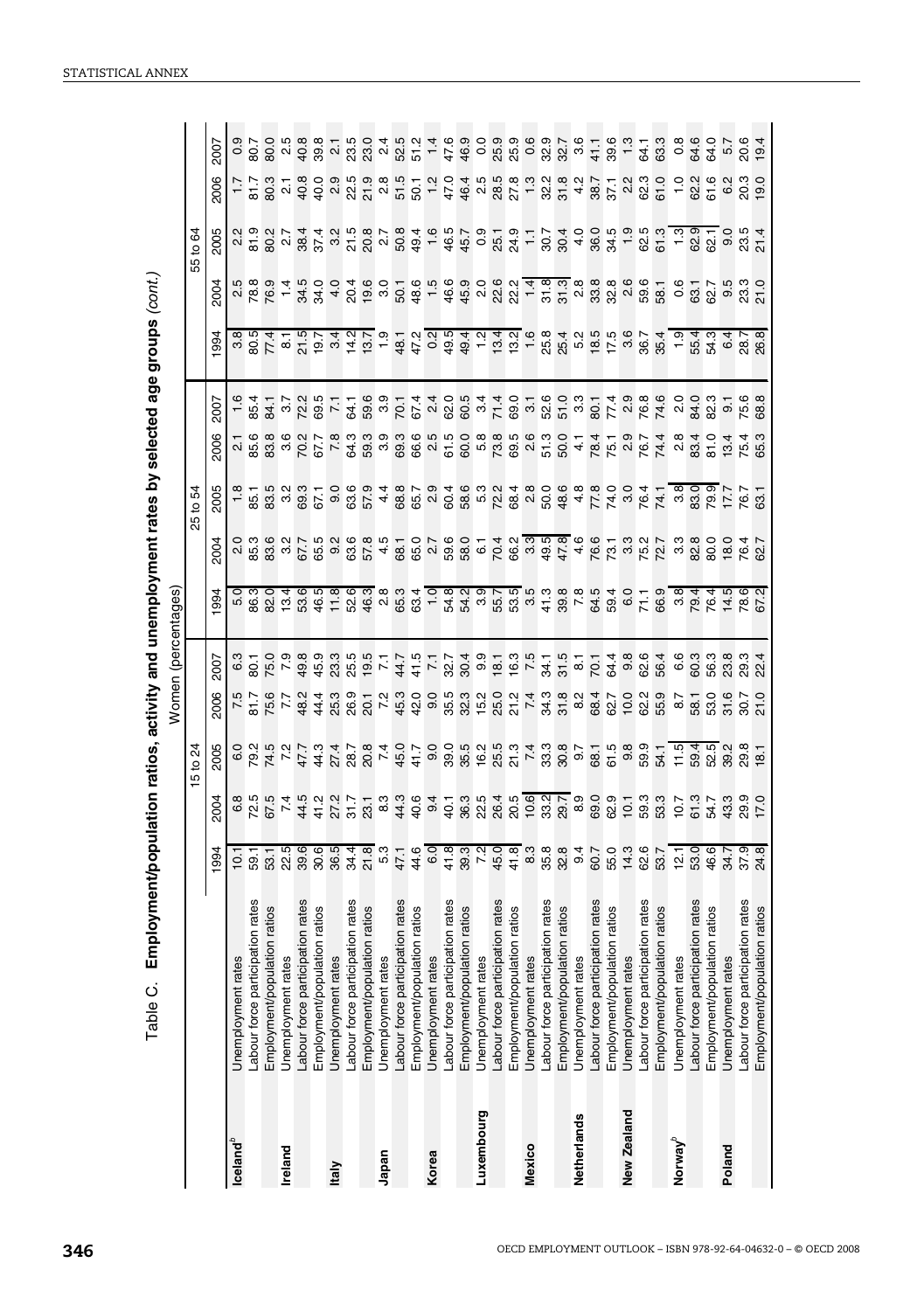|                       |                                  |     |                               |                                                                                   | Women (percentages) |                                                                                                         |     |      |                                                                                                                 |                                                                                                                              |               |                |      |                             |                                   |
|-----------------------|----------------------------------|-----|-------------------------------|-----------------------------------------------------------------------------------|---------------------|---------------------------------------------------------------------------------------------------------|-----|------|-----------------------------------------------------------------------------------------------------------------|------------------------------------------------------------------------------------------------------------------------------|---------------|----------------|------|-----------------------------|-----------------------------------|
|                       |                                  |     |                               | to 24<br>Ю                                                                        |                     |                                                                                                         |     |      | 25 to 54                                                                                                        |                                                                                                                              |               |                |      | 55 to 64                    |                                   |
|                       |                                  | 994 | 2004                          | 2005                                                                              | 2006                | 2007                                                                                                    | 994 | 2004 | 2005                                                                                                            | 2006                                                                                                                         | 2007          | 994            | 2004 | 2005                        | 2006                              |
| $leel$ and $^{\circ}$ | Unemployment rates               |     |                               |                                                                                   |                     | $6.3$<br>80.1                                                                                           |     |      |                                                                                                                 | $2.1$<br>85. $6$                                                                                                             |               |                |      |                             |                                   |
|                       | Labour force participation rates |     |                               |                                                                                   |                     |                                                                                                         |     |      |                                                                                                                 |                                                                                                                              | 85.4          |                |      |                             |                                   |
|                       | Employment/population ratios     |     |                               |                                                                                   | 75.7<br>7.7<br>48.2 |                                                                                                         |     |      | 8 1 5 9 9 9 9 1<br>8 9 9 9 9 0 1                                                                                |                                                                                                                              |               |                |      |                             |                                   |
| Ireland               | Unemployment rates               |     |                               |                                                                                   |                     |                                                                                                         |     |      |                                                                                                                 |                                                                                                                              |               |                |      |                             |                                   |
|                       | Labour force participation rates |     |                               |                                                                                   |                     |                                                                                                         |     |      |                                                                                                                 |                                                                                                                              |               |                |      |                             |                                   |
|                       | Employment/population ratios     |     |                               |                                                                                   |                     |                                                                                                         |     |      |                                                                                                                 |                                                                                                                              |               |                |      |                             |                                   |
| Italy                 | Unemployment rates               |     |                               |                                                                                   |                     |                                                                                                         |     |      |                                                                                                                 |                                                                                                                              |               |                |      |                             |                                   |
|                       | Labour force participation rates |     |                               |                                                                                   |                     |                                                                                                         |     |      |                                                                                                                 |                                                                                                                              |               |                |      |                             |                                   |
|                       | Employment/population ratios     |     |                               |                                                                                   |                     |                                                                                                         |     |      |                                                                                                                 |                                                                                                                              |               |                |      |                             |                                   |
| Japan                 | Unemployment rates               |     |                               |                                                                                   |                     |                                                                                                         |     |      |                                                                                                                 |                                                                                                                              |               |                |      |                             |                                   |
|                       | Labour force participation rates |     |                               |                                                                                   |                     |                                                                                                         |     |      |                                                                                                                 |                                                                                                                              |               |                |      |                             |                                   |
|                       | Employment/population ratios     |     |                               |                                                                                   |                     |                                                                                                         |     |      |                                                                                                                 |                                                                                                                              |               |                |      |                             |                                   |
| Korea                 | Unemployment rates               |     |                               |                                                                                   |                     |                                                                                                         |     |      |                                                                                                                 |                                                                                                                              |               |                |      |                             |                                   |
|                       | Labour force participation rates |     |                               |                                                                                   |                     |                                                                                                         |     |      |                                                                                                                 |                                                                                                                              |               |                |      |                             |                                   |
|                       | Employment/population ratios     |     |                               |                                                                                   |                     |                                                                                                         |     |      |                                                                                                                 |                                                                                                                              |               |                |      |                             |                                   |
| Luxembourg            | Unemployment rates               |     |                               |                                                                                   |                     |                                                                                                         |     |      |                                                                                                                 |                                                                                                                              |               |                |      |                             |                                   |
|                       | Labour force participation rates |     |                               |                                                                                   |                     |                                                                                                         |     |      |                                                                                                                 |                                                                                                                              |               |                |      |                             |                                   |
|                       | Employment/population ratios     |     |                               |                                                                                   |                     |                                                                                                         |     |      |                                                                                                                 |                                                                                                                              |               |                |      |                             |                                   |
| Mexico                | Unemployment rates               |     |                               |                                                                                   |                     |                                                                                                         |     |      |                                                                                                                 |                                                                                                                              |               |                |      |                             |                                   |
|                       | Labour force participation rates |     |                               |                                                                                   |                     | co a a a a a r i r r r r r d e a a a c a<br>c d a a a a d a r d e r d e a a a a c a c a c a c a c a c a |     |      | o w w 4 w 6 w 9 w 6 w 6 w 6 w 6 w 6 k 6 w 6 k 6 w 6 k 6 w 6 k 6 w 6 k 6 w 6 k 6 w 6 k 6 w 6 k 6 w 6 k 6 w 6 k 6 | 8 αρσικαρία αδαρισαριστική αποστηρία<br>8 αρσικαρία αδαριστική αποστηρία αποστηρία<br>8 αρσικαρισμού αρσισμού στη τυνταριστή |               |                |      |                             | $450989999977$<br>$4598799999977$ |
|                       | Employment/population ratios     |     |                               |                                                                                   |                     |                                                                                                         |     |      |                                                                                                                 |                                                                                                                              |               |                |      |                             |                                   |
| Netherlands           | Unemployment rates               |     |                               |                                                                                   |                     |                                                                                                         |     |      |                                                                                                                 |                                                                                                                              |               |                |      |                             |                                   |
|                       | Labour force participation rates |     |                               |                                                                                   |                     |                                                                                                         |     |      |                                                                                                                 |                                                                                                                              |               |                |      |                             |                                   |
|                       | Employment/population ratios     |     |                               |                                                                                   |                     |                                                                                                         |     |      |                                                                                                                 |                                                                                                                              |               |                |      |                             |                                   |
| New Zealand           | Unemployment rates               |     |                               |                                                                                   |                     |                                                                                                         |     |      |                                                                                                                 |                                                                                                                              |               |                |      |                             | 2.3<br>22.3                       |
|                       | Labour force participation rates |     |                               |                                                                                   |                     | စ် (၀<br>၁ (၁ (၁ (၀ )<br>၁ (၁ (၀ )                                                                      |     |      |                                                                                                                 |                                                                                                                              |               |                |      |                             |                                   |
|                       | Employment/population ratios     |     |                               |                                                                                   |                     |                                                                                                         |     |      |                                                                                                                 |                                                                                                                              |               |                |      |                             | 61.0                              |
| Norway $^b$           | Unemployment rates               |     |                               | $=$ $\mathbb{R}$ $\mathbb{R}$ $\mathbb{R}$ $\mathbb{R}$ $\mathbb{R}$ $\mathbb{R}$ | $\overline{8}$ .7   |                                                                                                         |     |      |                                                                                                                 |                                                                                                                              |               |                |      |                             | $\frac{10}{10}$                   |
|                       | Labour force participation rates |     |                               |                                                                                   | $-58.1$             |                                                                                                         |     |      |                                                                                                                 |                                                                                                                              |               |                |      |                             | 62.2<br>61.6                      |
|                       | Employment/population ratios     |     | 5<br>12 5 6 9 0<br>12 5 6 9 0 |                                                                                   | 53.0                |                                                                                                         |     |      |                                                                                                                 |                                                                                                                              |               |                |      |                             |                                   |
| Poland                | Unemployment rates               |     |                               |                                                                                   | 31.6                |                                                                                                         |     |      |                                                                                                                 |                                                                                                                              |               |                |      |                             |                                   |
|                       | Labour force participation rates |     |                               |                                                                                   | $30.7$<br>21.0      |                                                                                                         |     |      |                                                                                                                 |                                                                                                                              | $9.1$<br>75.6 | <u>ေ ဗွ ဗွ</u> |      | $\frac{3}{2}$ $\frac{3}{2}$ | 0<br>0<br>0<br>0<br>2<br>2        |
|                       | Employment/population ratios     |     |                               |                                                                                   |                     |                                                                                                         |     |      |                                                                                                                 |                                                                                                                              |               |                |      |                             |                                   |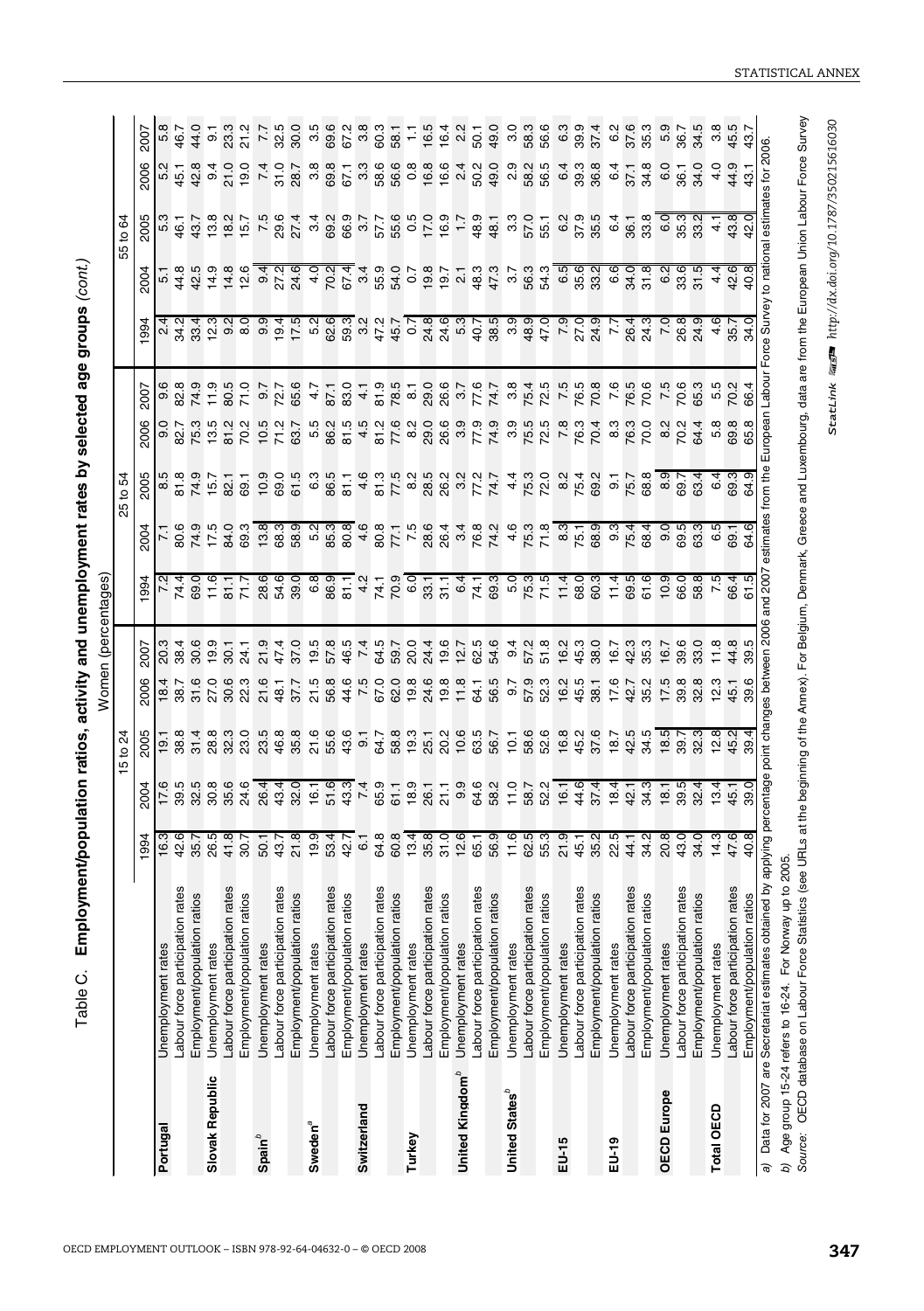| i<br>Amat                                                  |
|------------------------------------------------------------|
|                                                            |
|                                                            |
| a ratios activity and unamolowant rates by selected and in |
|                                                            |
|                                                            |
|                                                            |
| =<br>=<br>=<br>=<br>=<br>=                                 |

|                                    |                                                               |                     |                          | Ñ<br>$\overline{5}$<br><b>LO</b>     |                                                                                                                                                                                                                                                                                                                                                                                                                                                                 |                                                                                           |                                                                   |                          | 모<br>$\mathbf{Q}$<br>25 |               |                            |                                                                                       |                     | to 64<br>55         |                                                                |
|------------------------------------|---------------------------------------------------------------|---------------------|--------------------------|--------------------------------------|-----------------------------------------------------------------------------------------------------------------------------------------------------------------------------------------------------------------------------------------------------------------------------------------------------------------------------------------------------------------------------------------------------------------------------------------------------------------|-------------------------------------------------------------------------------------------|-------------------------------------------------------------------|--------------------------|-------------------------|---------------|----------------------------|---------------------------------------------------------------------------------------|---------------------|---------------------|----------------------------------------------------------------|
|                                    |                                                               | 99                  | 2004                     |                                      | 2006                                                                                                                                                                                                                                                                                                                                                                                                                                                            | 2007                                                                                      | 98                                                                | 2004                     |                         | 2006          | 2007                       | 994                                                                                   | 200 <sup>2</sup>    | 2005                | 200E                                                           |
| Portugal                           | Unemployment rates                                            |                     |                          | $\overline{9}$                       |                                                                                                                                                                                                                                                                                                                                                                                                                                                                 | 0 3 4 6 9 5 5 5<br>0 8 9 9 9 5 4                                                          |                                                                   |                          | 8.8<br>8.8<br>8.7 12 8  |               |                            |                                                                                       |                     | 5.3<br>49.7<br>43.7 |                                                                |
|                                    | Labour force participation rates                              |                     |                          |                                      |                                                                                                                                                                                                                                                                                                                                                                                                                                                                 |                                                                                           |                                                                   |                          |                         |               | 6 8 9 9<br>0 8 7 9         |                                                                                       |                     |                     | 5 1 1 2<br>5 1 2 1<br>5 1 2 1                                  |
|                                    | Employment/population ratios                                  |                     |                          |                                      |                                                                                                                                                                                                                                                                                                                                                                                                                                                                 |                                                                                           |                                                                   |                          |                         |               |                            |                                                                                       |                     |                     |                                                                |
| Slovak Republic                    | Unemployment rates                                            |                     |                          | 83 4 8 6 9 9<br>8 5 8 8 9 0          |                                                                                                                                                                                                                                                                                                                                                                                                                                                                 |                                                                                           |                                                                   |                          |                         |               | 11.9                       |                                                                                       | 14.9                |                     |                                                                |
|                                    | Labour force participation rates                              |                     |                          |                                      |                                                                                                                                                                                                                                                                                                                                                                                                                                                                 |                                                                                           |                                                                   |                          |                         |               | 80.5<br>71.0               |                                                                                       |                     |                     |                                                                |
|                                    | Employment/population ratios                                  |                     |                          |                                      |                                                                                                                                                                                                                                                                                                                                                                                                                                                                 |                                                                                           |                                                                   |                          | 69.1                    |               |                            |                                                                                       | $14.8$<br>$12.6$    |                     |                                                                |
| Spain $^b$                         | Unemployment rates                                            |                     |                          |                                      | 8<br>8 8 7 8 9 8 9 7 8<br>8 8 7 8 9 8 7 9                                                                                                                                                                                                                                                                                                                                                                                                                       |                                                                                           |                                                                   |                          |                         | 10.5          |                            |                                                                                       |                     |                     |                                                                |
|                                    | Labour force participation rates                              |                     |                          | 23.5<br>46.8                         |                                                                                                                                                                                                                                                                                                                                                                                                                                                                 | 21.9<br>47.4                                                                              |                                                                   |                          |                         |               | 72.7                       |                                                                                       |                     |                     |                                                                |
|                                    | Employment/population ratios                                  |                     |                          | 35.8                                 |                                                                                                                                                                                                                                                                                                                                                                                                                                                                 | 37.0                                                                                      | 7 4 6 5 7 7 8 7 8 9<br>7 4 9 5 7 7 8 7 9 9<br>7 4 9 9 7 7 9 9 9 9 |                          |                         | 71.2<br>63.7  | 65.6                       |                                                                                       |                     |                     |                                                                |
| Sweden <sup>a</sup>                | Unemployment rates                                            |                     |                          |                                      | $\begin{array}{l} \mathcal{L} \ \mathcal{L} \ \mathcal{L} \ \mathcal{L} \ \mathcal{L} \ \mathcal{L} \ \mathcal{L} \ \mathcal{L} \ \mathcal{L} \ \mathcal{L} \ \mathcal{L} \ \mathcal{L} \ \mathcal{L} \ \mathcal{L} \ \mathcal{L} \ \mathcal{L} \ \mathcal{L} \ \mathcal{L} \ \mathcal{L} \ \mathcal{L} \ \mathcal{L} \ \mathcal{L} \ \mathcal{L} \ \mathcal{L} \ \mathcal{L} \ \mathcal{L} \ \mathcal{L} \ \mathcal{L} \ \mathcal{L} \ \mathcal{L} \ \mathcal$ | 19.5                                                                                      |                                                                   |                          |                         | 5.5           | 4.7                        | 2 3 8 2 9 8 9 9 2 5 6 8 6 7 4 9 4 5 4 5 6 8 6 8 7 6 7 6 7 6 7 6 7 6 7 7 8 7 6 7 7 8 7 |                     |                     |                                                                |
|                                    | Labour force participation rates                              |                     |                          | 21.6<br>55.6<br>43.6                 |                                                                                                                                                                                                                                                                                                                                                                                                                                                                 |                                                                                           |                                                                   |                          |                         |               | 87.1<br>83.0               |                                                                                       |                     |                     |                                                                |
|                                    | Employment/population ratios                                  |                     |                          |                                      |                                                                                                                                                                                                                                                                                                                                                                                                                                                                 |                                                                                           |                                                                   |                          |                         |               |                            |                                                                                       |                     |                     |                                                                |
| <b>Switzerland</b>                 | Unemployment rates                                            |                     |                          | $\overline{9}$                       |                                                                                                                                                                                                                                                                                                                                                                                                                                                                 |                                                                                           |                                                                   |                          |                         |               |                            |                                                                                       |                     |                     |                                                                |
|                                    | Labour force participation rates                              |                     |                          | 84.7<br>68.9<br>68.7<br>69.7<br>69.9 |                                                                                                                                                                                                                                                                                                                                                                                                                                                                 | 5757657<br>547557<br>54757                                                                |                                                                   |                          |                         |               | $4.99570800$<br>$4.580000$ |                                                                                       |                     |                     |                                                                |
|                                    | Employment/population ratios                                  |                     |                          |                                      |                                                                                                                                                                                                                                                                                                                                                                                                                                                                 |                                                                                           |                                                                   |                          |                         |               |                            |                                                                                       |                     |                     |                                                                |
| Turkey                             | Unemployment rates                                            |                     |                          |                                      |                                                                                                                                                                                                                                                                                                                                                                                                                                                                 |                                                                                           |                                                                   |                          |                         |               |                            |                                                                                       |                     |                     |                                                                |
|                                    | Labour force participation rates                              |                     |                          |                                      |                                                                                                                                                                                                                                                                                                                                                                                                                                                                 |                                                                                           |                                                                   |                          |                         |               |                            |                                                                                       |                     |                     |                                                                |
|                                    | Employment/population ratios                                  |                     |                          |                                      |                                                                                                                                                                                                                                                                                                                                                                                                                                                                 | 2010<br>2010<br>2020<br>2020                                                              |                                                                   |                          |                         |               |                            |                                                                                       |                     |                     |                                                                |
| <b>United Kingdom</b> <sup>b</sup> | Unemployment rates                                            |                     |                          |                                      |                                                                                                                                                                                                                                                                                                                                                                                                                                                                 |                                                                                           |                                                                   |                          |                         |               | 77.6<br>77.6<br>74.7       |                                                                                       |                     |                     |                                                                |
|                                    | Labour force participation rates                              |                     |                          |                                      |                                                                                                                                                                                                                                                                                                                                                                                                                                                                 |                                                                                           |                                                                   |                          |                         |               |                            |                                                                                       |                     |                     |                                                                |
|                                    | Employment/population ratios                                  |                     |                          | 63.5<br>56.7<br>10.1                 |                                                                                                                                                                                                                                                                                                                                                                                                                                                                 |                                                                                           |                                                                   |                          |                         |               |                            |                                                                                       |                     |                     |                                                                |
| <b>United States</b> <sup>b</sup>  | Unemployment rates                                            |                     |                          |                                      | 6.7                                                                                                                                                                                                                                                                                                                                                                                                                                                             | 9.4                                                                                       |                                                                   |                          |                         |               | 3.4<br>75.5<br>72.5        |                                                                                       |                     |                     | 0. 0. 10. 4. 0. 0.<br>0. 0. 10. 4. 0. 0.<br>0. 0. 10. 4. 0. 0. |
|                                    | Labour force participation rates                              |                     |                          | 58.6<br>52.6                         |                                                                                                                                                                                                                                                                                                                                                                                                                                                                 | 57.8<br>51.8                                                                              |                                                                   |                          |                         |               |                            |                                                                                       |                     |                     |                                                                |
|                                    | Employment/population ratios                                  |                     |                          |                                      | 57.9<br>52.3                                                                                                                                                                                                                                                                                                                                                                                                                                                    |                                                                                           |                                                                   |                          |                         |               |                            |                                                                                       |                     |                     |                                                                |
| EU-15                              | Unemployment rates                                            |                     |                          | $16.8$<br>$45.2$<br>$37.6$           | $16.2$<br>45.5                                                                                                                                                                                                                                                                                                                                                                                                                                                  |                                                                                           |                                                                   |                          |                         |               | 76.5<br>76.5<br>70.8       |                                                                                       |                     |                     |                                                                |
|                                    | Labour force participation rates                              |                     |                          |                                      |                                                                                                                                                                                                                                                                                                                                                                                                                                                                 |                                                                                           |                                                                   |                          |                         |               |                            |                                                                                       |                     |                     |                                                                |
|                                    | Employment/population ratios                                  |                     |                          |                                      | 38.1                                                                                                                                                                                                                                                                                                                                                                                                                                                            |                                                                                           |                                                                   |                          |                         |               |                            |                                                                                       |                     |                     |                                                                |
| e<br>FJ-19                         | Unemployment rates                                            |                     |                          | 18.7                                 | 17.6<br>42.7<br>35.2                                                                                                                                                                                                                                                                                                                                                                                                                                            |                                                                                           |                                                                   |                          | 9.7<br>75.7<br>68.8     |               | 7.6                        |                                                                                       | 6.6<br>34.0<br>31.8 | 6.4                 |                                                                |
|                                    | Labour force participation rates                              |                     |                          |                                      |                                                                                                                                                                                                                                                                                                                                                                                                                                                                 |                                                                                           |                                                                   |                          |                         |               | 76.5<br>70.6               |                                                                                       |                     | 36.1<br>33.8        |                                                                |
|                                    | Employment/population ratios                                  |                     |                          |                                      |                                                                                                                                                                                                                                                                                                                                                                                                                                                                 |                                                                                           |                                                                   |                          |                         |               |                            |                                                                                       |                     |                     |                                                                |
| OECD Europe                        | Unemployment rates                                            |                     |                          | $43.5932$<br>$43.5932$               | 17.5                                                                                                                                                                                                                                                                                                                                                                                                                                                            | 16.7<br>39.6                                                                              |                                                                   |                          | 8.9<br>69.7<br>63.4     | $\frac{2}{8}$ | 7.5                        |                                                                                       | 6.2<br>33.6<br>31.5 | 6.0<br>35.3<br>33.2 | $67.7807.9$<br>$67.807.9$                                      |
|                                    | Labour force participation rates                              |                     |                          |                                      | 39.8<br>32.8                                                                                                                                                                                                                                                                                                                                                                                                                                                    |                                                                                           |                                                                   |                          |                         | 70.2<br>64.4  | 70.6                       |                                                                                       |                     |                     |                                                                |
|                                    | Employment/population ratios                                  | 34.0                |                          |                                      |                                                                                                                                                                                                                                                                                                                                                                                                                                                                 | 33.0                                                                                      |                                                                   |                          |                         |               | 65.3                       |                                                                                       |                     |                     |                                                                |
| <b>Total OECD</b>                  | Unemployment rates                                            | 14.3<br>47.6        | $13.4$<br>$45.0$<br>39.0 | $72.8$<br>45.3                       | 12.3                                                                                                                                                                                                                                                                                                                                                                                                                                                            | $\frac{148}{148}$                                                                         | $\overline{7.5}$                                                  | $6.\overline{5}$<br>69.1 | 6.4                     | 5.8<br>69.8   | 5.5                        | $4.6$<br>35.7<br>34.0                                                                 | $4908$<br>$4908$    | $49.0$<br>$49.0$    |                                                                |
|                                    | Labour force participation rates                              |                     |                          |                                      | 45.1<br>39.6                                                                                                                                                                                                                                                                                                                                                                                                                                                    |                                                                                           | 66.4<br>61.5                                                      |                          | 69.3                    |               | 70.2<br>66.4               |                                                                                       |                     |                     |                                                                |
|                                    | Employment/population ratios                                  |                     |                          |                                      |                                                                                                                                                                                                                                                                                                                                                                                                                                                                 |                                                                                           |                                                                   |                          |                         | 65.8          |                            |                                                                                       |                     |                     |                                                                |
| a)                                 | Data for 2007 are Secretariat estimates obtained by           | applying percentage |                          | point changes betw                   |                                                                                                                                                                                                                                                                                                                                                                                                                                                                 | een 2006                                                                                  | and 200                                                           | estimates                | from the                | European      | Labou                      | Sur<br>Force                                                                          | to national         |                     | estimates for                                                  |
|                                    | 2005.<br>b) Age group 15-24 refers to 16-24. For Norway up to |                     |                          |                                      |                                                                                                                                                                                                                                                                                                                                                                                                                                                                 |                                                                                           |                                                                   |                          |                         |               |                            |                                                                                       |                     |                     |                                                                |
|                                    | Source: OECD database on Labour Force Statistics (s           |                     |                          |                                      |                                                                                                                                                                                                                                                                                                                                                                                                                                                                 | ee URLs at the beginning of the Annex). For Belgium, Denmark, Greece and Luxembourg, data |                                                                   |                          |                         |               |                            | are from the European Union Labour Force Survey                                       |                     |                     |                                                                |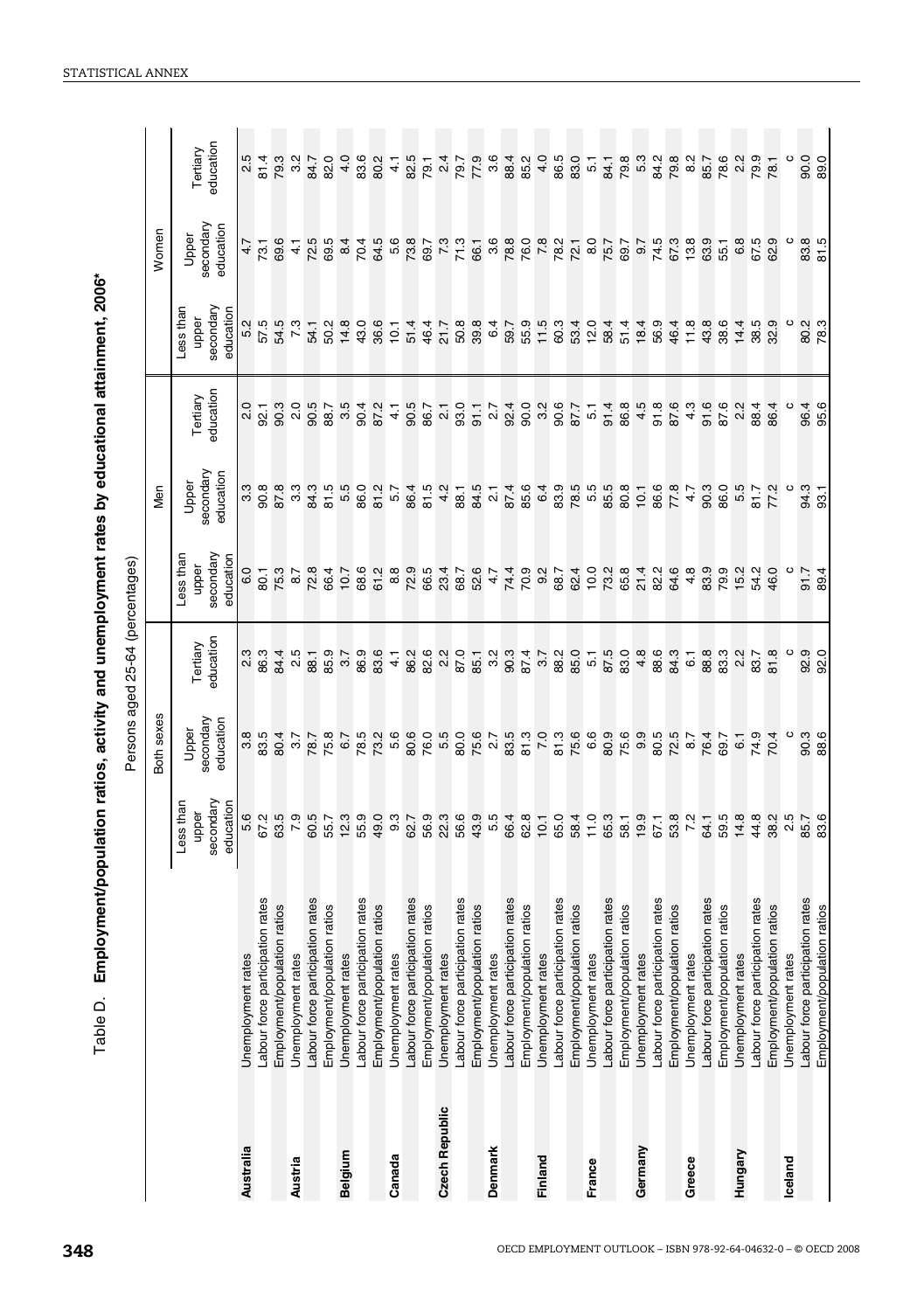|                       |                                  |                                              |                                           | Persons aged 25-64 (percentages)                                                                                                                                                                                                                                                                                                                                                                                                               |                                                                                                                        |                                     |                                                                                                                                                                                                                                                                                                                     |                                                |                                              |                                            |
|-----------------------|----------------------------------|----------------------------------------------|-------------------------------------------|------------------------------------------------------------------------------------------------------------------------------------------------------------------------------------------------------------------------------------------------------------------------------------------------------------------------------------------------------------------------------------------------------------------------------------------------|------------------------------------------------------------------------------------------------------------------------|-------------------------------------|---------------------------------------------------------------------------------------------------------------------------------------------------------------------------------------------------------------------------------------------------------------------------------------------------------------------|------------------------------------------------|----------------------------------------------|--------------------------------------------|
|                       |                                  |                                              | Both sexes                                |                                                                                                                                                                                                                                                                                                                                                                                                                                                |                                                                                                                        | Men                                 |                                                                                                                                                                                                                                                                                                                     |                                                | Women                                        |                                            |
|                       |                                  | secondary<br>Less than<br>education<br>upper | secondary<br>education<br>Upper           | education<br>Tertiary                                                                                                                                                                                                                                                                                                                                                                                                                          | secondary<br>Less than<br>education<br>upper                                                                           | secondary<br>education<br>Upper     | education<br>Tertiary                                                                                                                                                                                                                                                                                               | secondary<br>Less than<br>education<br>upper   | secondary<br>education<br>Upper              | education<br>Tertiary                      |
| Australia             | Unemployment rates               |                                              |                                           |                                                                                                                                                                                                                                                                                                                                                                                                                                                |                                                                                                                        | ຕ່                                  |                                                                                                                                                                                                                                                                                                                     | v.                                             |                                              | N                                          |
|                       | Labour force participation rates | 5.2<br>67.5<br>60.5<br>60.5                  | 3<br>3 3 3 3 7<br>3 9 3 7                 | 0<br>0<br>8 3 3 0<br>0<br>8 3 0                                                                                                                                                                                                                                                                                                                                                                                                                | 6.0<br>80.1                                                                                                            | က ထုထုက္ပ<br>က ထုထုတ္ပ              | 2.0<br>02.1                                                                                                                                                                                                                                                                                                         |                                                |                                              |                                            |
|                       | Employment/population ratios     |                                              |                                           |                                                                                                                                                                                                                                                                                                                                                                                                                                                | 75.3                                                                                                                   |                                     | 90.3                                                                                                                                                                                                                                                                                                                | 57.5<br>54.5<br>57.3                           | 69.6                                         | $\frac{1}{8}$ $\frac{1}{8}$ $\frac{1}{9}$  |
| Austria               | Unemployment rates               |                                              |                                           |                                                                                                                                                                                                                                                                                                                                                                                                                                                | 8.7                                                                                                                    |                                     | $\circ$<br>N                                                                                                                                                                                                                                                                                                        |                                                | $\frac{1}{4}$                                |                                            |
|                       | Labour force participation rates |                                              |                                           | 88.1                                                                                                                                                                                                                                                                                                                                                                                                                                           | 28<br>28 27 28 29 30 30 31 2 32 33<br>28 30 30 30 30 30 30 31 32 33 34 35 36 37 38 39 30 31 32 32 32 33 34 35 36 37 38 | 84.5<br>85 5 6 9 5 7<br>8 5 6 9 6 7 | 90.5                                                                                                                                                                                                                                                                                                                |                                                | 72.5                                         | 84.7                                       |
|                       | Employment/population ratios     |                                              |                                           | 85.9                                                                                                                                                                                                                                                                                                                                                                                                                                           |                                                                                                                        |                                     |                                                                                                                                                                                                                                                                                                                     |                                                | 69.5                                         | 82.0                                       |
| Belgium               | Unemployment rates               | 55.7<br>50.90.92.7<br>50.90.92.7             |                                           | 3.7                                                                                                                                                                                                                                                                                                                                                                                                                                            |                                                                                                                        |                                     | 88.7<br>3 3.5<br>90.4                                                                                                                                                                                                                                                                                               | $54.28000$<br>$504.3800$<br>$504.380$          | 8.4                                          |                                            |
|                       | Labour force participation rates |                                              |                                           |                                                                                                                                                                                                                                                                                                                                                                                                                                                |                                                                                                                        |                                     |                                                                                                                                                                                                                                                                                                                     |                                                |                                              | $48884$<br>$4884$                          |
|                       | Employment/population ratios     |                                              |                                           |                                                                                                                                                                                                                                                                                                                                                                                                                                                |                                                                                                                        |                                     | 87.2                                                                                                                                                                                                                                                                                                                |                                                |                                              |                                            |
| Canada                | Unemployment rates               |                                              |                                           |                                                                                                                                                                                                                                                                                                                                                                                                                                                |                                                                                                                        |                                     | $\frac{1}{4}$                                                                                                                                                                                                                                                                                                       |                                                |                                              |                                            |
|                       | Labour force participation rates |                                              |                                           |                                                                                                                                                                                                                                                                                                                                                                                                                                                |                                                                                                                        |                                     | 90.5<br>86.7                                                                                                                                                                                                                                                                                                        | 51.4                                           |                                              |                                            |
|                       | Employment/population ratios     | 56.9                                         |                                           | 8 8 9 4 8 9 9 9 9<br>8 9 4 8 9 9 9 9                                                                                                                                                                                                                                                                                                                                                                                                           |                                                                                                                        | 86.4<br>81.5<br>88.1                |                                                                                                                                                                                                                                                                                                                     | 46.4                                           |                                              |                                            |
| <b>Czech Republic</b> | Unemployment rates               | 22.3<br>56.6                                 |                                           |                                                                                                                                                                                                                                                                                                                                                                                                                                                |                                                                                                                        |                                     | $2.1$<br>93.0                                                                                                                                                                                                                                                                                                       | 21.7                                           |                                              |                                            |
|                       | Labour force participation rates |                                              |                                           |                                                                                                                                                                                                                                                                                                                                                                                                                                                |                                                                                                                        |                                     |                                                                                                                                                                                                                                                                                                                     | 50.8                                           |                                              |                                            |
|                       | Employment/population ratios     | 43.5                                         |                                           | $\begin{array}{l} \pi\hskip 2pt\alpha\hskip 2pt\alpha\hskip 2pt\alpha\hskip 2pt\tau\hskip 2pt\alpha\hskip 2pt\alpha\hskip 2pt\alpha\hskip 2pt\tau\hskip 2pt\alpha\hskip 2pt\alpha\hskip 2pt\alpha\hskip 2pt\alpha\hskip 2pt\alpha\hskip 2pt\tau\hskip 2pt\alpha\hskip 2pt\alpha\hskip 2pt\alpha\hskip 2pt\alpha\hskip 2pt\tau\hskip 2pt\alpha\hskip 2pt\alpha\hskip 2pt\tau\hskip 2pt\alpha\hskip 2pt\tau\hskip 2pt\alpha\hskip 2pt\tau\hskip$ |                                                                                                                        | 84.5<br>85.4<br>85.6                | $\frac{1}{2}$ $\frac{1}{2}$ $\frac{1}{4}$ $\frac{3}{8}$ $\frac{3}{8}$ $\frac{3}{8}$ $\frac{3}{8}$ $\frac{3}{8}$ $\frac{3}{8}$ $\frac{3}{8}$ $\frac{3}{8}$ $\frac{3}{8}$ $\frac{3}{8}$ $\frac{3}{8}$ $\frac{3}{8}$ $\frac{3}{8}$ $\frac{3}{8}$ $\frac{3}{8}$ $\frac{3}{8}$ $\frac{3}{8}$ $\frac{3}{8}$ $\frac{3}{8}$ | 39.8                                           |                                              | 82 7 4 7 9 9<br>8 7 4 7 9 9<br>8 7 4 7 9 9 |
| Denmark               | Unemployment rates               |                                              |                                           |                                                                                                                                                                                                                                                                                                                                                                                                                                                | 4.7                                                                                                                    |                                     |                                                                                                                                                                                                                                                                                                                     |                                                |                                              |                                            |
|                       | Labour force participation rates | 66.4                                         |                                           |                                                                                                                                                                                                                                                                                                                                                                                                                                                | 74.4<br>70.9                                                                                                           |                                     |                                                                                                                                                                                                                                                                                                                     | $60.7$<br>$50.7$<br>$50.7$<br>$50.3$<br>$50.3$ |                                              |                                            |
|                       | Employment/population ratios     | 62.8                                         |                                           |                                                                                                                                                                                                                                                                                                                                                                                                                                                |                                                                                                                        |                                     |                                                                                                                                                                                                                                                                                                                     |                                                |                                              |                                            |
| Finland               | Unemployment rates               | 10.1                                         |                                           |                                                                                                                                                                                                                                                                                                                                                                                                                                                | $9.2$<br>68.7                                                                                                          |                                     |                                                                                                                                                                                                                                                                                                                     |                                                |                                              |                                            |
|                       | Labour force participation rates | 65.0                                         |                                           |                                                                                                                                                                                                                                                                                                                                                                                                                                                |                                                                                                                        | $6305050000$<br>$6305000000$        |                                                                                                                                                                                                                                                                                                                     |                                                |                                              | 88 5 4 8 5 5 7<br>8 5 4 8 5 5 7            |
|                       | Employment/population ratios     | 58.4                                         |                                           |                                                                                                                                                                                                                                                                                                                                                                                                                                                |                                                                                                                        |                                     |                                                                                                                                                                                                                                                                                                                     | 53.4<br>12.0                                   |                                              |                                            |
| France                | Unemployment rates               | 11.0                                         |                                           |                                                                                                                                                                                                                                                                                                                                                                                                                                                | 62.4<br>10.0<br>65.8                                                                                                   |                                     | 5.1                                                                                                                                                                                                                                                                                                                 |                                                |                                              |                                            |
|                       | Labour force participation rates | 65.3<br>58.1                                 |                                           |                                                                                                                                                                                                                                                                                                                                                                                                                                                |                                                                                                                        |                                     | 91.4<br>86.8                                                                                                                                                                                                                                                                                                        | 58.4                                           |                                              |                                            |
|                       | Employment/population ratios     |                                              |                                           |                                                                                                                                                                                                                                                                                                                                                                                                                                                |                                                                                                                        |                                     |                                                                                                                                                                                                                                                                                                                     | 51.4                                           |                                              |                                            |
| Germany               | Unemployment rates               |                                              |                                           |                                                                                                                                                                                                                                                                                                                                                                                                                                                |                                                                                                                        |                                     |                                                                                                                                                                                                                                                                                                                     | $18.4$<br>56.9                                 |                                              |                                            |
|                       | Labour force participation rates |                                              |                                           |                                                                                                                                                                                                                                                                                                                                                                                                                                                |                                                                                                                        |                                     |                                                                                                                                                                                                                                                                                                                     |                                                |                                              |                                            |
|                       | Employment/population ratios     | $19.9$<br>$67.1$<br>$53.2$<br>$7.2$          | 8<br>8 5 9 8 5 8 6 8 9<br>8 7 9 8 5 9 8 9 |                                                                                                                                                                                                                                                                                                                                                                                                                                                |                                                                                                                        | $\frac{10.1}{77.8}$                 | $4.5$<br>$9.6$<br>$6.3$<br>$4.5$                                                                                                                                                                                                                                                                                    | 46.4<br>11.8                                   | 75.7<br>69.7<br>75.7<br>75.7<br>75.7<br>75.7 | 3<br>20 5 9 9 9 9 9 9<br>20 9 9 9 9 9 9    |
| Greece                | Unemployment rates               |                                              |                                           |                                                                                                                                                                                                                                                                                                                                                                                                                                                |                                                                                                                        |                                     |                                                                                                                                                                                                                                                                                                                     |                                                |                                              |                                            |
|                       | Labour force participation rates |                                              |                                           |                                                                                                                                                                                                                                                                                                                                                                                                                                                |                                                                                                                        | 90.3                                | 91.6                                                                                                                                                                                                                                                                                                                | 43.8                                           | 63.9                                         |                                            |
|                       | Employment/population ratios     | 64.1<br>59.5<br>14.8                         |                                           | 88.3<br>83.3                                                                                                                                                                                                                                                                                                                                                                                                                                   |                                                                                                                        | 86.0                                | 87.6                                                                                                                                                                                                                                                                                                                | 38.6                                           | 55.1                                         | 78.6                                       |
| Hungary               | Unemployment rates               |                                              | 6.                                        |                                                                                                                                                                                                                                                                                                                                                                                                                                                |                                                                                                                        | 5.5                                 | Ņ<br>ςi                                                                                                                                                                                                                                                                                                             | 14.4                                           | 6.8                                          | $\mathbf{N}$                               |
|                       | Labour force participation rates | 44.8                                         | 74.9<br>70.4                              |                                                                                                                                                                                                                                                                                                                                                                                                                                                |                                                                                                                        | 81.7                                | 88.4                                                                                                                                                                                                                                                                                                                | 38.5                                           | 67.5                                         | Ŗ.                                         |
|                       | Employment/population ratios     | 38.2                                         |                                           |                                                                                                                                                                                                                                                                                                                                                                                                                                                |                                                                                                                        | 77.2                                | 86.4                                                                                                                                                                                                                                                                                                                | ၜ<br>್ಲ                                        | စ<br>ଟ୍ର                                     | 78.1                                       |
| <b>Iceland</b>        | Unemployment rates               | πů<br>N                                      |                                           | ం                                                                                                                                                                                                                                                                                                                                                                                                                                              |                                                                                                                        |                                     |                                                                                                                                                                                                                                                                                                                     |                                                |                                              |                                            |
|                       | Labour force participation rates | 85.7<br>83.6                                 | 88                                        | $\sigma$ $\sigma$<br>ഒ് ജ്                                                                                                                                                                                                                                                                                                                                                                                                                     | $91.7$<br>89.4                                                                                                         | $\omega$ $-$<br>ತೆ ಜಿ               | 86 g                                                                                                                                                                                                                                                                                                                | പ ധ<br>80.                                     | $\infty$ ro<br>83.                           | 8 8                                        |
|                       | Employment/population ratios     |                                              |                                           |                                                                                                                                                                                                                                                                                                                                                                                                                                                |                                                                                                                        |                                     |                                                                                                                                                                                                                                                                                                                     | 78.                                            | $\overline{5}$                               |                                            |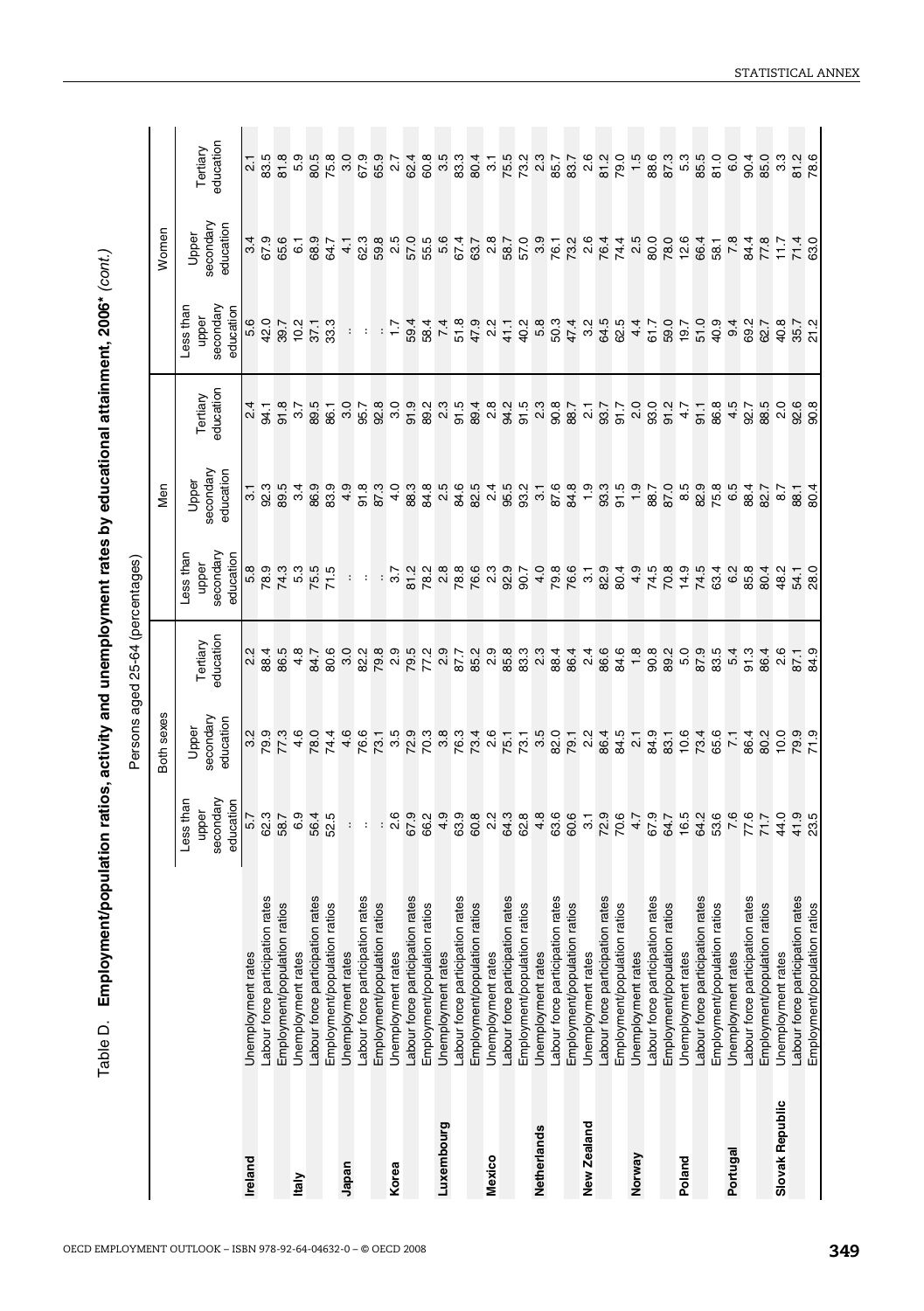|                 |                                  |                                       | Persons                     | aged 25-64 (percentages) |                                                                                                                                                                                                                                                                                                                                                                                                 |                        |                      |                                                       |                        |               |
|-----------------|----------------------------------|---------------------------------------|-----------------------------|--------------------------|-------------------------------------------------------------------------------------------------------------------------------------------------------------------------------------------------------------------------------------------------------------------------------------------------------------------------------------------------------------------------------------------------|------------------------|----------------------|-------------------------------------------------------|------------------------|---------------|
|                 |                                  |                                       | Both sexes                  |                          |                                                                                                                                                                                                                                                                                                                                                                                                 | Men                    |                      |                                                       | Women                  |               |
|                 |                                  | Less thar                             | Upper                       | Tertiary                 | Less than                                                                                                                                                                                                                                                                                                                                                                                       | Upper                  | Tertiary             | Less than                                             | Upper                  | Tertiary      |
|                 |                                  | secondary<br>education<br>upper       | secondary<br>education      | education                | secondary<br>education<br>upper                                                                                                                                                                                                                                                                                                                                                                 | secondary<br>aducation | education            | secondary<br>educatior<br>upper                       | secondary<br>noitsoube | education     |
| Ireland         | Unemployment rates               |                                       |                             |                          |                                                                                                                                                                                                                                                                                                                                                                                                 |                        |                      |                                                       |                        |               |
|                 | Labour force participation rates |                                       |                             |                          |                                                                                                                                                                                                                                                                                                                                                                                                 |                        |                      |                                                       |                        |               |
|                 | Employment/population ratios     |                                       |                             |                          |                                                                                                                                                                                                                                                                                                                                                                                                 |                        |                      |                                                       | 67.9<br>65.6           | 83.5<br>81.8  |
| taly            | Unemployment rates               |                                       |                             |                          |                                                                                                                                                                                                                                                                                                                                                                                                 |                        |                      |                                                       |                        |               |
|                 | Labour force participation rates | 3 5 9 4 5<br>3 8 9 9 9 9<br>3 9 9 9 9 |                             |                          |                                                                                                                                                                                                                                                                                                                                                                                                 |                        |                      | 6 0 1 2 3 4 9 0 1 2 3<br>6 9 9 0 1 3 9<br>6 9 0 1 3 9 | 68.9<br>64.7           |               |
|                 | Employment/population ratios     |                                       |                             |                          |                                                                                                                                                                                                                                                                                                                                                                                                 |                        |                      |                                                       |                        |               |
| Japan           | Unemployment rates               |                                       |                             |                          |                                                                                                                                                                                                                                                                                                                                                                                                 |                        |                      |                                                       |                        |               |
|                 | Labour force participation rates |                                       |                             |                          |                                                                                                                                                                                                                                                                                                                                                                                                 |                        |                      |                                                       |                        |               |
|                 | Employment/population ratios     |                                       |                             |                          | $\alpha$ $\beta$ $\beta$ $\alpha$ $\beta$ $\beta$ $\beta$ $\beta$ $\beta$ $\gamma$ $\beta$ $\beta$ $\gamma$ $\beta$ $\beta$ $\gamma$ $\gamma$ $\beta$ $\gamma$ $\gamma$ $\gamma$ $\gamma$ $\gamma$ $\gamma$ $\delta$ $\gamma$ $\delta$ $\delta$ $\delta$ $\gamma$ $\delta$ $\gamma$ $\delta$ $\gamma$ $\delta$ $\gamma$ $\delta$ $\delta$ $\delta$ $\delta$ $\delta$ $\delta$ $\delta$ $\gamma$ |                        |                      |                                                       |                        |               |
| Korea           | Unemployment rates               |                                       |                             |                          |                                                                                                                                                                                                                                                                                                                                                                                                 |                        |                      |                                                       |                        |               |
|                 | Labour force participation rates |                                       |                             |                          |                                                                                                                                                                                                                                                                                                                                                                                                 |                        |                      |                                                       |                        |               |
|                 | Employment/population ratios     |                                       |                             |                          |                                                                                                                                                                                                                                                                                                                                                                                                 |                        |                      |                                                       |                        |               |
| Luxembourg      | Unemployment rates               |                                       |                             |                          |                                                                                                                                                                                                                                                                                                                                                                                                 |                        |                      |                                                       |                        |               |
|                 | Labour force participation rates |                                       |                             |                          |                                                                                                                                                                                                                                                                                                                                                                                                 |                        |                      |                                                       |                        |               |
|                 | Employment/population ratios     |                                       |                             |                          |                                                                                                                                                                                                                                                                                                                                                                                                 |                        |                      |                                                       |                        |               |
| <b>Mexico</b>   | Unemployment rates               |                                       |                             |                          |                                                                                                                                                                                                                                                                                                                                                                                                 |                        |                      |                                                       |                        |               |
|                 | Labour force participation rates |                                       |                             |                          |                                                                                                                                                                                                                                                                                                                                                                                                 |                        |                      |                                                       |                        |               |
|                 | Employment/population ratios     |                                       |                             |                          |                                                                                                                                                                                                                                                                                                                                                                                                 |                        |                      |                                                       |                        |               |
| Netherlands     | Unemployment rates               |                                       |                             |                          |                                                                                                                                                                                                                                                                                                                                                                                                 |                        |                      |                                                       |                        |               |
|                 | Labour force participation rates |                                       |                             |                          |                                                                                                                                                                                                                                                                                                                                                                                                 |                        |                      |                                                       |                        |               |
|                 | Employment/population ratios     |                                       |                             |                          |                                                                                                                                                                                                                                                                                                                                                                                                 |                        |                      |                                                       |                        |               |
| New Zealand     | Unemployment rates               |                                       |                             |                          |                                                                                                                                                                                                                                                                                                                                                                                                 |                        |                      |                                                       |                        |               |
|                 | Labour force participation rates |                                       |                             |                          |                                                                                                                                                                                                                                                                                                                                                                                                 |                        |                      |                                                       |                        |               |
|                 | Employment/population ratios     |                                       |                             |                          |                                                                                                                                                                                                                                                                                                                                                                                                 |                        |                      |                                                       |                        |               |
| Norway          | Unemployment rates               |                                       |                             |                          |                                                                                                                                                                                                                                                                                                                                                                                                 |                        |                      |                                                       |                        |               |
|                 | Labour force participation rates |                                       |                             |                          |                                                                                                                                                                                                                                                                                                                                                                                                 |                        |                      |                                                       |                        |               |
|                 | Employment/population ratios     |                                       |                             |                          |                                                                                                                                                                                                                                                                                                                                                                                                 |                        |                      |                                                       | 78.0<br>12.6           |               |
| Poland          | Unemployment rates               |                                       |                             |                          |                                                                                                                                                                                                                                                                                                                                                                                                 |                        |                      |                                                       |                        |               |
|                 | Labour force participation rates |                                       |                             |                          |                                                                                                                                                                                                                                                                                                                                                                                                 |                        |                      |                                                       |                        |               |
|                 | Employment/population ratios     |                                       | 73.6<br>65.6                |                          |                                                                                                                                                                                                                                                                                                                                                                                                 |                        |                      |                                                       | $887487778$ $87487778$ |               |
| Portugal        | Unemployment rates               |                                       |                             |                          |                                                                                                                                                                                                                                                                                                                                                                                                 |                        |                      |                                                       |                        | $6.0$<br>90.4 |
|                 | Labour force participation rates |                                       |                             |                          |                                                                                                                                                                                                                                                                                                                                                                                                 |                        |                      |                                                       |                        |               |
|                 | Employment/population ratios     |                                       |                             |                          |                                                                                                                                                                                                                                                                                                                                                                                                 | 82.7                   | rù                   |                                                       |                        | 85.0<br>3.3   |
| Slovak Republic | Unemployment rates               |                                       | 8<br>8 8 9 9 9<br>8 9 9 9 9 |                          | 80.4<br>48.2                                                                                                                                                                                                                                                                                                                                                                                    | $\overline{8}$         | $\circ$<br>88 N 81 8 |                                                       |                        |               |
|                 | Labour force participation rates | 41.9<br>23.5                          |                             |                          | 54.1<br>28.0                                                                                                                                                                                                                                                                                                                                                                                    | 88.1<br>80.4           |                      | ಹೆ ಸ                                                  |                        | $\frac{1}{2}$ |
|                 | Employment/population ratios     |                                       |                             |                          |                                                                                                                                                                                                                                                                                                                                                                                                 |                        |                      |                                                       |                        |               |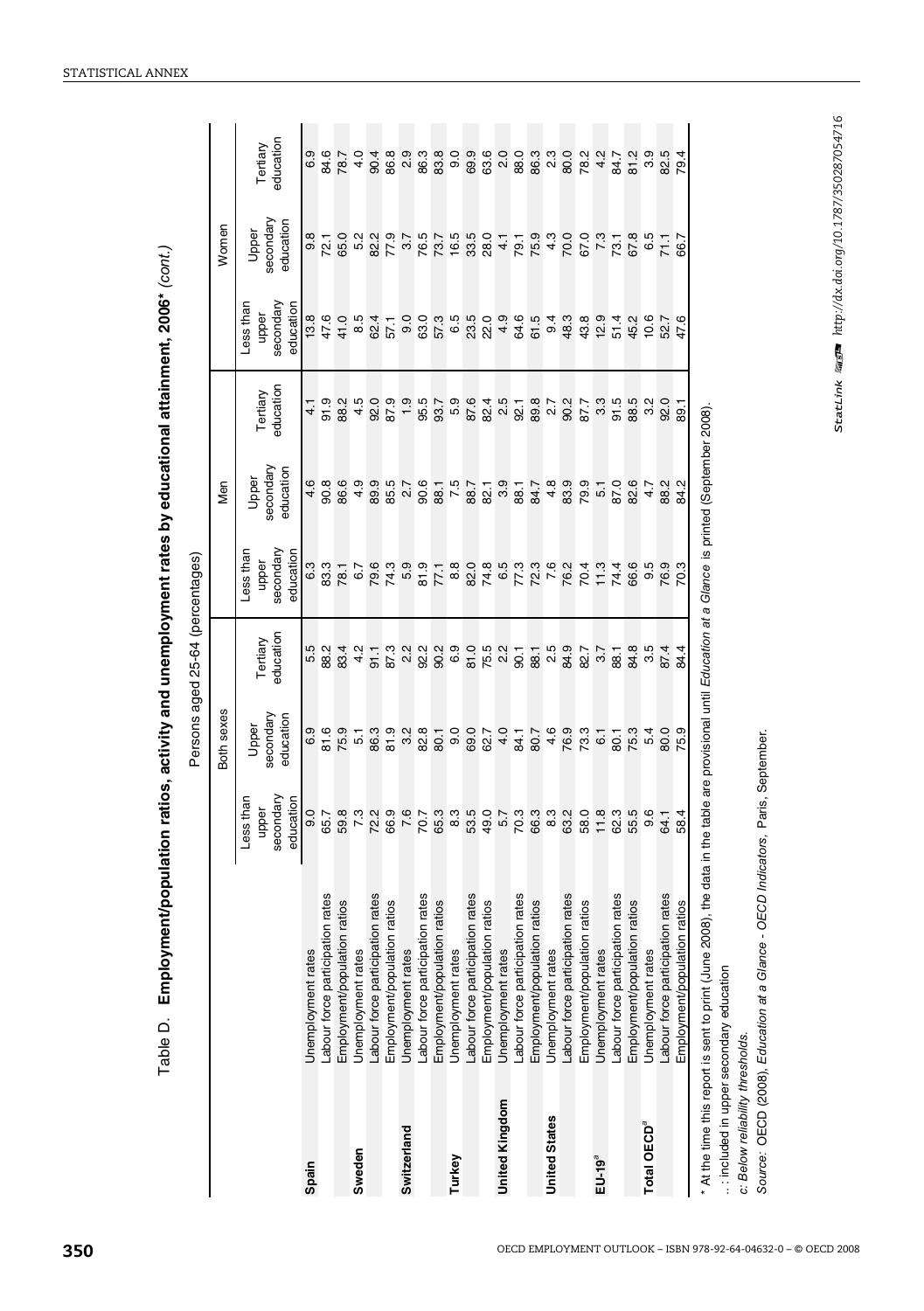|                         |                                                        |                                              |                                 | Persons aged 25-64    | (percentages)                                |                                 |                       |                                              |                                 |                       |
|-------------------------|--------------------------------------------------------|----------------------------------------------|---------------------------------|-----------------------|----------------------------------------------|---------------------------------|-----------------------|----------------------------------------------|---------------------------------|-----------------------|
|                         |                                                        |                                              | Both sexes                      |                       |                                              | Men                             |                       |                                              | Women                           |                       |
|                         |                                                        | secondary<br>Less than<br>education<br>upper | secondary<br>education<br>Upper | education<br>Tertiary | secondary<br>Less than<br>education<br>upper | secondary<br>education<br>Upper | education<br>Tertiary | secondary<br>education<br>Less than<br>upper | secondary<br>education<br>Upper | education<br>Tertiary |
| Spain                   | Unemployment rates                                     | 9.0                                          | 6.9                             |                       | 6.3                                          | 4.6                             | $\frac{1}{4}$         | 13.8                                         | 9.8                             |                       |
|                         | Labour force participation rates                       | 65.7                                         | 81.6                            | 5.5<br>88             | 83.3                                         | 90.8                            | 91.9                  | 47.6                                         | 72.1                            |                       |
|                         | Employment/population ratios                           | 59.8                                         | 75.9                            | 83.4                  | 78.1                                         | 86.6                            | 88.2                  | 41.0                                         | 65.0                            |                       |
| Sweden                  | Unemployment rates                                     | 7.3                                          | 5.1                             | 4.2                   | 6.7                                          | 4.9                             | 4.5                   | 8.5                                          | 5.2                             |                       |
|                         | Labour force participation rates                       | 72.2                                         | 86.3                            | $\overline{5}$        | 79.6                                         | 89.9                            | 92.0                  | 62.4                                         | 82.2                            |                       |
|                         | Employment/population ratios                           | 66.9                                         | 81.9                            | 87.3                  |                                              | 85.5                            | 87.9                  | 57,1                                         | 77.9                            |                       |
| Switzerland             | Unemployment rates                                     | 7.6                                          | 3.2<br>82.8                     |                       | $74.3$<br>5 5 9<br>5 1 9                     | 2.7                             | 1.9                   | 9.0                                          | 5.7                             |                       |
|                         | Labour force participation rates                       | 70.7                                         |                                 |                       |                                              | 90.6                            | 95.5                  | 63.0                                         | 76.5                            |                       |
|                         | Employment/population ratios                           | 65.3                                         | 80.1                            | ္<br>လူလူလူ ဇာ        | 77.1                                         | 88.1                            | 93.7                  | 57.3                                         | 73.7                            |                       |
| Turkey                  | Unemployment rates                                     | 8.3                                          | 9.0                             |                       | 8.8                                          | 7.5                             | 5.9                   | 6.5<br>23.0<br>22                            | 16.5                            |                       |
|                         | Labour force participation rates                       | 53.5                                         | 69.0<br>62.7                    | 81.0                  |                                              | 88.7                            | 87.6                  |                                              | 33.5<br>28.0                    |                       |
|                         | Employment/population ratios                           | 49.0                                         |                                 | 75.5<br>2.2           |                                              | 82.1                            | 82.4                  |                                              |                                 |                       |
| <b>United Kingdom</b>   | Labour force participation rates<br>Unemployment rates | 70.3<br>5.7                                  | 4.0<br>84.1                     | 90.1                  | 82.8<br>84.6.3<br>87.3                       | 3.9<br>88.1                     | 2.5<br>92.1           | 4.9<br>64.6                                  | $\overline{4}$ .<br>79.1        |                       |
|                         |                                                        | 66.3                                         | 80.7                            | 88.1                  | 72.3                                         | 84.7                            | 89.8                  | 61.5                                         |                                 |                       |
| <b>United States</b>    | Employment/population ratios<br>Unemployment rates     | 8.3                                          | 4.6                             | 2.5                   | 7.6                                          | 4.8                             | 2.7                   | 9.4                                          | 75.9<br>4.3                     |                       |
|                         | Labour force participation rates                       | 63.2                                         | 76.9                            | 84.9                  | 76.2                                         | 83.9                            | 90.2                  | 48.3                                         | 70.0                            |                       |
|                         | Employment/population ratios                           | 58.0                                         | 73.3                            | 82.7                  | 70.4                                         | 79.9                            | 87.7                  | 43.8                                         | 67.0                            |                       |
| $EU-19a$                | Unemployment rates                                     | 11.8                                         | $\overline{6}$                  | 3.7                   | 11.3                                         | 5.1                             | 3.3                   | 12.9                                         | 7.3                             |                       |
|                         | Labour force participation rates                       | 62.3                                         | 80.1                            | 88.1                  | 74.4                                         | 87.0                            | 91.5                  | 51.4                                         | 73.1                            |                       |
|                         | Employment/population ratios                           | 55.5                                         | 75.3                            | 84.8                  | 66.6                                         | 82.6                            | 88.5                  | 45.2                                         | 67.8                            |                       |
| Total OECD <sup>®</sup> | Unemployment rates                                     | 9.6                                          | 5.4                             | 3.5                   | 9.5                                          | 4.7                             | 3.2                   | 10.6                                         | 6.5                             |                       |
|                         | Labour force participation rates                       | 64.1                                         | 80.0                            | 87.4                  |                                              |                                 | 92.0                  | 52.7                                         | 71.1                            |                       |
|                         | Employment/population ratios                           | 58.4                                         | 75.9                            | 84.4                  | 76.9<br>70.3                                 | 88.2<br>84.2                    | 89.1                  | 47.6                                         | 66.7                            |                       |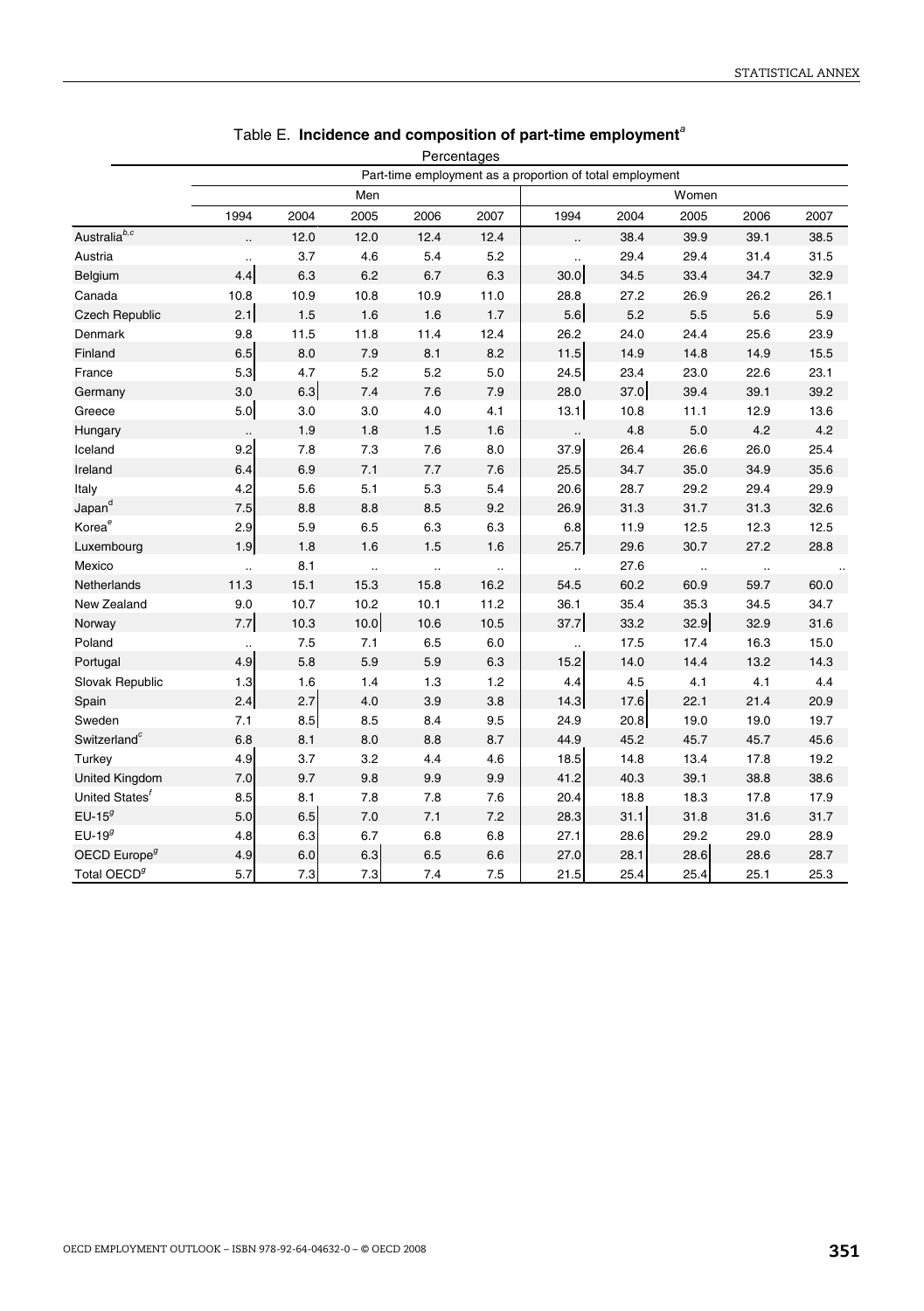|                            |           |       |                      |                      | Percentages          |                                                          |      |                      |           |      |
|----------------------------|-----------|-------|----------------------|----------------------|----------------------|----------------------------------------------------------|------|----------------------|-----------|------|
|                            |           |       |                      |                      |                      | Part-time employment as a proportion of total employment |      |                      |           |      |
|                            |           |       | Men                  |                      |                      |                                                          |      | Women                |           |      |
|                            | 1994      | 2004  | 2005                 | 2006                 | 2007                 | 1994                                                     | 2004 | 2005                 | 2006      | 2007 |
| Australia <sup>b,c</sup>   |           | 12.0  | 12.0                 | 12.4                 | 12.4                 |                                                          | 38.4 | 39.9                 | 39.1      | 38.5 |
| Austria                    |           | 3.7   | 4.6                  | 5.4                  | 5.2                  |                                                          | 29.4 | 29.4                 | 31.4      | 31.5 |
| Belgium                    | 4.4       | 6.3   | 6.2                  | 6.7                  | 6.3                  | 30.0                                                     | 34.5 | 33.4                 | 34.7      | 32.9 |
| Canada                     | 10.8      | 10.9  | 10.8                 | 10.9                 | 11.0                 | 28.8                                                     | 27.2 | 26.9                 | 26.2      | 26.1 |
| <b>Czech Republic</b>      | 2.1       | 1.5   | 1.6                  | 1.6                  | 1.7                  | 5.6                                                      | 5.2  | 5.5                  | 5.6       | 5.9  |
| Denmark                    | 9.8       | 11.5  | 11.8                 | 11.4                 | 12.4                 | 26.2                                                     | 24.0 | 24.4                 | 25.6      | 23.9 |
| Finland                    | 6.5       | 8.0   | 7.9                  | 8.1                  | 8.2                  | 11.5                                                     | 14.9 | 14.8                 | 14.9      | 15.5 |
| France                     | 5.3       | 4.7   | 5.2                  | 5.2                  | 5.0                  | 24.5                                                     | 23.4 | 23.0                 | 22.6      | 23.1 |
| Germany                    | 3.0       | 6.3   | 7.4                  | 7.6                  | 7.9                  | 28.0                                                     | 37.0 | 39.4                 | 39.1      | 39.2 |
| Greece                     | 5.0       | 3.0   | 3.0                  | 4.0                  | 4.1                  | 13.1                                                     | 10.8 | 11.1                 | 12.9      | 13.6 |
| Hungary                    |           | 1.9   | 1.8                  | 1.5                  | 1.6                  |                                                          | 4.8  | 5.0                  | 4.2       | 4.2  |
| Iceland                    | 9.2       | $7.8$ | 7.3                  | 7.6                  | 8.0                  | 37.9                                                     | 26.4 | 26.6                 | 26.0      | 25.4 |
| Ireland                    | 6.4       | 6.9   | 7.1                  | 7.7                  | 7.6                  | 25.5                                                     | 34.7 | 35.0                 | 34.9      | 35.6 |
| Italy                      | 4.2       | 5.6   | 5.1                  | 5.3                  | 5.4                  | 20.6                                                     | 28.7 | 29.2                 | 29.4      | 29.9 |
| Japan <sup>d</sup>         | 7.5       | 8.8   | 8.8                  | 8.5                  | 9.2                  | 26.9                                                     | 31.3 | 31.7                 | 31.3      | 32.6 |
| Korea <sup>e</sup>         | 2.9       | 5.9   | 6.5                  | 6.3                  | 6.3                  | 6.8                                                      | 11.9 | 12.5                 | 12.3      | 12.5 |
| Luxembourg                 | 1.9       | 1.8   | 1.6                  | 1.5                  | 1.6                  | 25.7                                                     | 29.6 | 30.7                 | 27.2      | 28.8 |
| Mexico                     | $\ddotsc$ | 8.1   | $\ddot{\phantom{1}}$ | $\ddot{\phantom{1}}$ | $\ddot{\phantom{1}}$ | $\ddot{\phantom{1}}$                                     | 27.6 | $\ddot{\phantom{1}}$ | $\cdot$ . |      |
| Netherlands                | 11.3      | 15.1  | 15.3                 | 15.8                 | 16.2                 | 54.5                                                     | 60.2 | 60.9                 | 59.7      | 60.0 |
| New Zealand                | 9.0       | 10.7  | 10.2                 | 10.1                 | 11.2                 | 36.1                                                     | 35.4 | 35.3                 | 34.5      | 34.7 |
| Norway                     | 7.7       | 10.3  | 10.0                 | 10.6                 | 10.5                 | 37.7                                                     | 33.2 | 32.9                 | 32.9      | 31.6 |
| Poland                     |           | 7.5   | 7.1                  | 6.5                  | 6.0                  |                                                          | 17.5 | 17.4                 | 16.3      | 15.0 |
| Portugal                   | 4.9       | 5.8   | 5.9                  | 5.9                  | 6.3                  | 15.2                                                     | 14.0 | 14.4                 | 13.2      | 14.3 |
| Slovak Republic            | 1.3       | 1.6   | 1.4                  | 1.3                  | 1.2                  | 4.4                                                      | 4.5  | 4.1                  | 4.1       | 4.4  |
| Spain                      | 2.4       | 2.7   | 4.0                  | 3.9                  | 3.8                  | 14.3                                                     | 17.6 | 22.1                 | 21.4      | 20.9 |
| Sweden                     | 7.1       | 8.5   | 8.5                  | 8.4                  | 9.5                  | 24.9                                                     | 20.8 | 19.0                 | 19.0      | 19.7 |
| Switzerland <sup>c</sup>   | 6.8       | 8.1   | 8.0                  | 8.8                  | 8.7                  | 44.9                                                     | 45.2 | 45.7                 | 45.7      | 45.6 |
| Turkey                     | 4.9       | 3.7   | 3.2                  | 4.4                  | 4.6                  | 18.5                                                     | 14.8 | 13.4                 | 17.8      | 19.2 |
| <b>United Kingdom</b>      | 7.0       | 9.7   | 9.8                  | 9.9                  | 9.9                  | 41.2                                                     | 40.3 | 39.1                 | 38.8      | 38.6 |
| United States <sup>f</sup> | 8.5       | 8.1   | 7.8                  | 7.8                  | 7.6                  | 20.4                                                     | 18.8 | 18.3                 | 17.8      | 17.9 |
| $EU-15g$                   | 5.0       | 6.5   | 7.0                  | 7.1                  | 7.2                  | 28.3                                                     | 31.1 | 31.8                 | 31.6      | 31.7 |
| $EU-19g$                   | 4.8       | 6.3   | 6.7                  | 6.8                  | 6.8                  | 27.1                                                     | 28.6 | 29.2                 | 29.0      | 28.9 |
| OECD Europe $g$            | 4.9       | 6.0   | 6.3                  | 6.5                  | 6.6                  | 27.0                                                     | 28.1 | 28.6                 | 28.6      | 28.7 |
| Total OECD <sup>g</sup>    | 5.7       | 7.3   | 7.3                  | 7.4                  | 7.5                  | 21.5                                                     | 25.4 | 25.4                 | 25.1      | 25.3 |

## Table E. **Incidence and composition of part-time employment***<sup>a</sup>*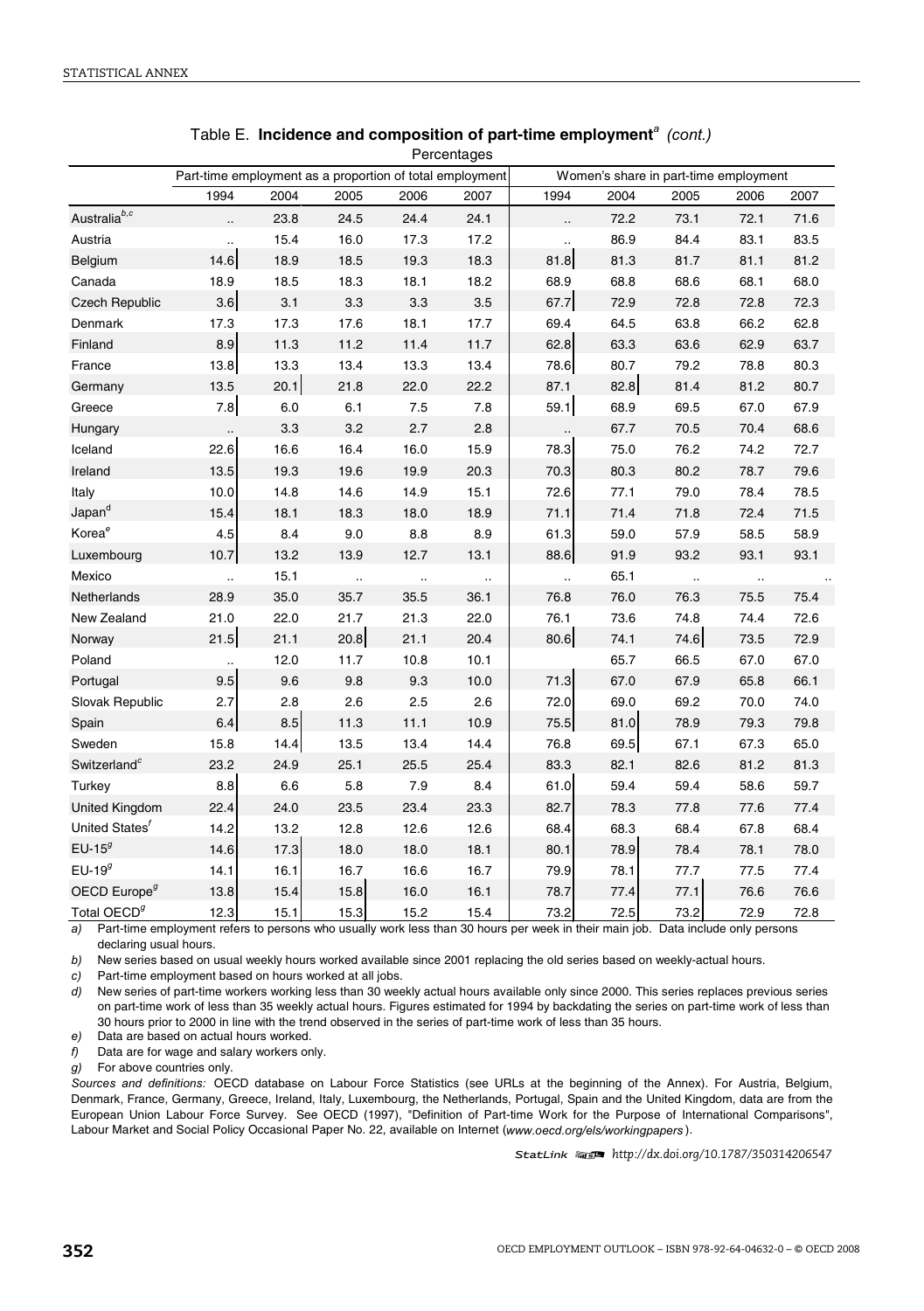|                          |           |      |          |          | <b>Felcelliages</b>                                      |                      |                                       |          |          |      |
|--------------------------|-----------|------|----------|----------|----------------------------------------------------------|----------------------|---------------------------------------|----------|----------|------|
|                          |           |      |          |          | Part-time employment as a proportion of total employment |                      | Women's share in part-time employment |          |          |      |
|                          | 1994      | 2004 | 2005     | 2006     | 2007                                                     | 1994                 | 2004                                  | 2005     | 2006     | 2007 |
| Australiab,c             |           | 23.8 | 24.5     | 24.4     | 24.1                                                     |                      | 72.2                                  | 73.1     | 72.1     | 71.6 |
| Austria                  | $\ddotsc$ | 15.4 | 16.0     | 17.3     | 17.2                                                     | $\ddot{\phantom{a}}$ | 86.9                                  | 84.4     | 83.1     | 83.5 |
| Belgium                  | 14.6      | 18.9 | 18.5     | 19.3     | 18.3                                                     | 81.8                 | 81.3                                  | 81.7     | 81.1     | 81.2 |
| Canada                   | 18.9      | 18.5 | 18.3     | 18.1     | 18.2                                                     | 68.9                 | 68.8                                  | 68.6     | 68.1     | 68.0 |
| <b>Czech Republic</b>    | 3.6       | 3.1  | 3.3      | 3.3      | 3.5                                                      | 67.7                 | 72.9                                  | 72.8     | 72.8     | 72.3 |
| Denmark                  | 17.3      | 17.3 | 17.6     | 18.1     | 17.7                                                     | 69.4                 | 64.5                                  | 63.8     | 66.2     | 62.8 |
| Finland                  | 8.9       | 11.3 | 11.2     | 11.4     | 11.7                                                     | 62.8                 | 63.3                                  | 63.6     | 62.9     | 63.7 |
| France                   | 13.8      | 13.3 | 13.4     | 13.3     | 13.4                                                     | 78.6                 | 80.7                                  | 79.2     | 78.8     | 80.3 |
| Germany                  | 13.5      | 20.1 | 21.8     | 22.0     | 22.2                                                     | 87.1                 | 82.8                                  | 81.4     | 81.2     | 80.7 |
| Greece                   | 7.8       | 6.0  | 6.1      | 7.5      | 7.8                                                      | 59.1                 | 68.9                                  | 69.5     | 67.0     | 67.9 |
| Hungary                  |           | 3.3  | 3.2      | 2.7      | 2.8                                                      |                      | 67.7                                  | 70.5     | 70.4     | 68.6 |
| Iceland                  | 22.6      | 16.6 | 16.4     | 16.0     | 15.9                                                     | 78.3                 | 75.0                                  | 76.2     | 74.2     | 72.7 |
| Ireland                  | 13.5      | 19.3 | 19.6     | 19.9     | 20.3                                                     | 70.3                 | 80.3                                  | 80.2     | 78.7     | 79.6 |
| Italy                    | 10.0      | 14.8 | 14.6     | 14.9     | 15.1                                                     | 72.6                 | 77.1                                  | 79.0     | 78.4     | 78.5 |
| Japan <sup>d</sup>       | 15.4      | 18.1 | 18.3     | 18.0     | 18.9                                                     | 71.1                 | 71.4                                  | 71.8     | 72.4     | 71.5 |
| Korea <sup>e</sup>       | 4.5       | 8.4  | 9.0      | 8.8      | 8.9                                                      | 61.3                 | 59.0                                  | 57.9     | 58.5     | 58.9 |
| Luxembourg               | 10.7      | 13.2 | 13.9     | 12.7     | 13.1                                                     | 88.6                 | 91.9                                  | 93.2     | 93.1     | 93.1 |
| Mexico                   | $\ldots$  | 15.1 | $\ldots$ | $\ldots$ | $\ldots$                                                 | $\ldots$             | 65.1                                  | $\ldots$ | $\ldots$ |      |
| Netherlands              | 28.9      | 35.0 | 35.7     | 35.5     | 36.1                                                     | 76.8                 | 76.0                                  | 76.3     | 75.5     | 75.4 |
| New Zealand              | 21.0      | 22.0 | 21.7     | 21.3     | 22.0                                                     | 76.1                 | 73.6                                  | 74.8     | 74.4     | 72.6 |
| Norway                   | 21.5      | 21.1 | 20.8     | 21.1     | 20.4                                                     | 80.6                 | 74.1                                  | 74.6     | 73.5     | 72.9 |
| Poland                   |           | 12.0 | 11.7     | 10.8     | 10.1                                                     |                      | 65.7                                  | 66.5     | 67.0     | 67.0 |
| Portugal                 | 9.5       | 9.6  | 9.8      | 9.3      | 10.0                                                     | 71.3                 | 67.0                                  | 67.9     | 65.8     | 66.1 |
| Slovak Republic          | 2.7       | 2.8  | 2.6      | 2.5      | 2.6                                                      | 72.0                 | 69.0                                  | 69.2     | 70.0     | 74.0 |
| Spain                    | 6.4       | 8.5  | 11.3     | 11.1     | 10.9                                                     | 75.5                 | 81.0                                  | 78.9     | 79.3     | 79.8 |
| Sweden                   | 15.8      | 14.4 | 13.5     | 13.4     | 14.4                                                     | 76.8                 | 69.5                                  | 67.1     | 67.3     | 65.0 |
| Switzerland <sup>c</sup> | 23.2      | 24.9 | 25.1     | 25.5     | 25.4                                                     | 83.3                 | 82.1                                  | 82.6     | 81.2     | 81.3 |
| Turkey                   | 8.8       | 6.6  | 5.8      | 7.9      | 8.4                                                      | 61.0                 | 59.4                                  | 59.4     | 58.6     | 59.7 |
| <b>United Kingdom</b>    | 22.4      | 24.0 | 23.5     | 23.4     | 23.3                                                     | 82.7                 | 78.3                                  | 77.8     | 77.6     | 77.4 |
| United States'           | 14.2      | 13.2 | 12.8     | 12.6     | 12.6                                                     | 68.4                 | 68.3                                  | 68.4     | 67.8     | 68.4 |
| $EU-15g$                 | 14.6      | 17.3 | 18.0     | 18.0     | 18.1                                                     | 80.1                 | 78.9                                  | 78.4     | 78.1     | 78.0 |
| $EU-19g$                 | 14.1      | 16.1 | 16.7     | 16.6     | 16.7                                                     | 79.9                 | 78.1                                  | 77.7     | 77.5     | 77.4 |
| OECD Europe $g$          | 13.8      | 15.4 | 15.8     | 16.0     | 16.1                                                     | 78.7                 | 77.4                                  | 77.1     | 76.6     | 76.6 |
| Total OECD <sup>g</sup>  | 12.3      | 15.1 | 15.3     | 15.2     | 15.4                                                     | 73.2                 | 72.5                                  | 73.2     | 72.9     | 72.8 |

#### Table E. **Incidence and composition of part-time employment***a (cont.)* **Percentages**

*a)* Part-time employment refers to persons who usually work less than 30 hours per week in their main job. Data include only persons declaring usual hours.

*b)* New series based on usual weekly hours worked available since 2001 replacing the old series based on weekly-actual hours.

*c)* Part-time employment based on hours worked at all jobs.

*d)* New series of part-time workers working less than 30 weekly actual hours available only since 2000. This series replaces previous series on part-time work of less than 35 weekly actual hours. Figures estimated for 1994 by backdating the series on part-time work of less than 30 hours prior to 2000 in line with the trend observed in the series of part-time work of less than 35 hours.

*e) f)* Data are based on actual hours worked. Data are for wage and salary workers only.

*g)* For above countries only.

*Sources and definitions:* OECD database on Labour Force Statistics (see URLs at the beginning of the Annex). For Austria, Belgium, Denmark, France, Germany, Greece, Ireland, Italy, Luxembourg, the Netherlands, Portugal, Spain and the United Kingdom, data are from the European Union Labour Force Survey. See OECD (1997), "Definition of Part-time Work for the Purpose of International Comparisons", Labour Market and Social Policy Occasional Paper No. 22, available on Internet (*www.oecd.org/els/workingpapers* ).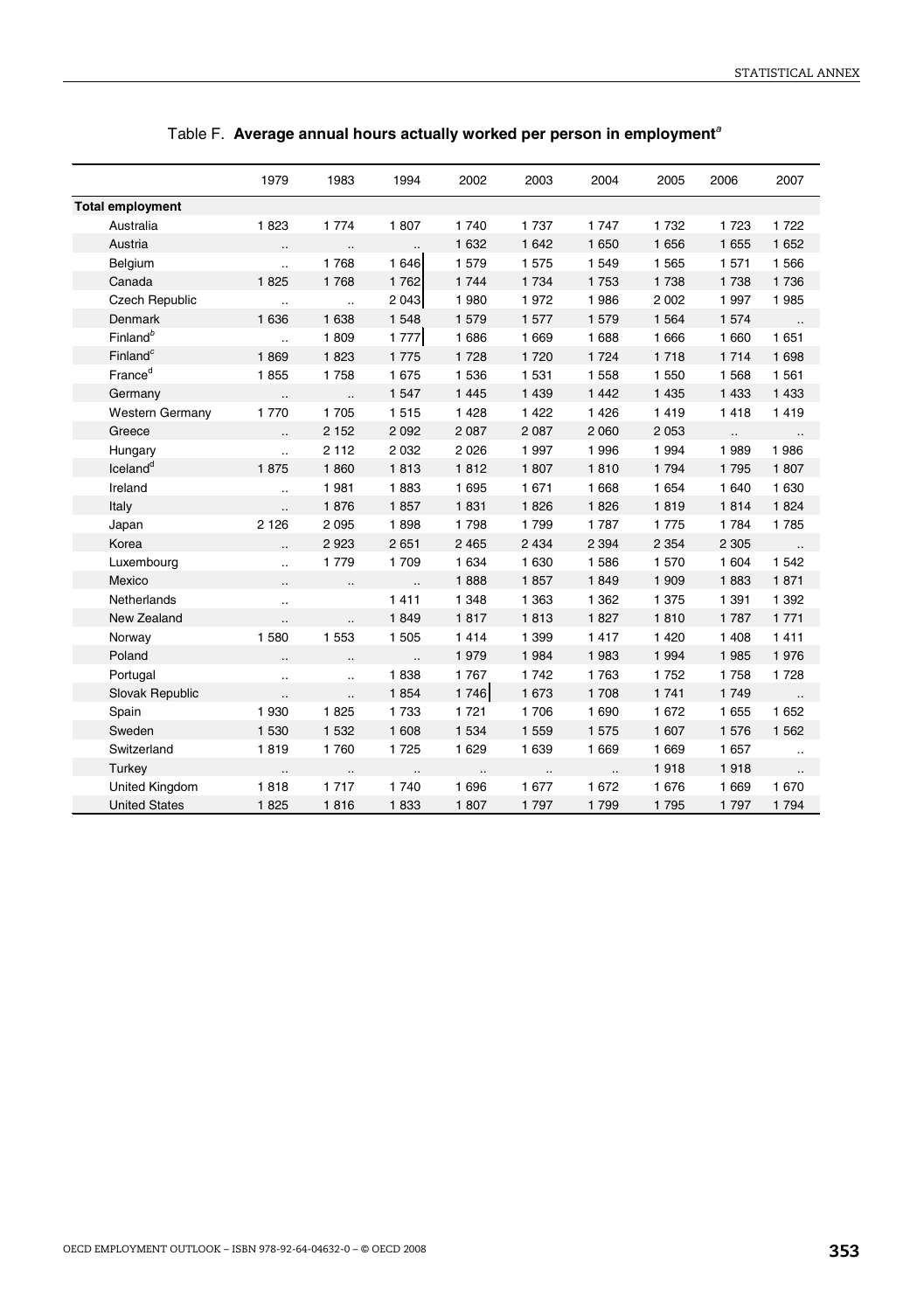|                         | 1979                        | 1983                 | 1994                 | 2002                 | 2003               | 2004                 | 2005    | 2006      | 2007      |
|-------------------------|-----------------------------|----------------------|----------------------|----------------------|--------------------|----------------------|---------|-----------|-----------|
| <b>Total employment</b> |                             |                      |                      |                      |                    |                      |         |           |           |
| Australia               | 1823                        | 1 7 7 4              | 1807                 | 1740                 | 1737               | 1747                 | 1 7 3 2 | 1723      | 1722      |
| Austria                 | $\ldots$                    | $\ddotsc$            | $\ddot{\phantom{a}}$ | 1 6 3 2              | 1 6 4 2            | 1 6 5 0              | 1656    | 1 6 5 5   | 1 6 5 2   |
| Belgium                 | $\ddot{\phantom{a}}$        | 1768                 | 1 646                | 1579                 | 1575               | 1549                 | 1 5 6 5 | 1 571     | 1566      |
| Canada                  | 1825                        | 1768                 | 1762                 | 1 7 4 4              | 1 7 3 4            | 1753                 | 1738    | 1738      | 1736      |
| Czech Republic          | $\ddot{\phantom{a}}$        | $\bar{\Omega}$       | 2 0 4 3              | 1 9 8 0              | 1972               | 1986                 | 2 0 0 2 | 1 9 9 7   | 1985      |
| <b>Denmark</b>          | 1 6 3 6                     | 1 638                | 1 5 4 8              | 1579                 | 1577               | 1579                 | 1 5 6 4 | 1 574     |           |
| Finland <sup>b</sup>    | $\mathcal{L}_{\mathcal{A}}$ | 1809                 | 1 777                | 1686                 | 1 6 6 9            | 1688                 | 1 6 6 6 | 1 660     | 1 651     |
| Finland <sup>c</sup>    | 1869                        | 1823                 | 1775                 | 1728                 | 1720               | 1724                 | 1718    | 1 7 1 4   | 1 6 9 8   |
| France <sup>d</sup>     | 1855                        | 1758                 | 1 675                | 1 5 3 6              | 1 5 3 1            | 1558                 | 1 550   | 1 5 6 8   | 1 5 6 1   |
| Germany                 | $\ldots$                    | $\ddot{\phantom{a}}$ | 1 5 4 7              | 1 4 4 5              | 1 4 3 9            | 1 4 4 2              | 1 4 3 5 | 1 4 3 3   | 1 4 3 3   |
| <b>Western Germany</b>  | 1770                        | 1705                 | 1515                 | 1428                 | 1 4 2 2            | 1426                 | 1419    | 1418      | 1419      |
| Greece                  | $\ddot{\phantom{a}}$ .      | 2 1 5 2              | 2 0 9 2              | 2 0 8 7              | 2 0 8 7            | 2060                 | 2 0 5 3 | $\ddotsc$ |           |
| Hungary                 | $\ddot{\phantom{a}}$        | 2 1 1 2              | 2 0 3 2              | 2 0 2 6              | 1997               | 1996                 | 1 9 9 4 | 1989      | 1986      |
| Iceland <sup>d</sup>    | 1875                        | 1860                 | 1813                 | 1812                 | 1807               | 1810                 | 1794    | 1795      | 1807      |
| Ireland                 | $\mathcal{L}_{\mathcal{A}}$ | 1981                 | 1883                 | 1 6 9 5              | 1671               | 1668                 | 1 6 5 4 | 1 640     | 1 6 3 0   |
| Italy                   | $\mathcal{L}_{\mathcal{A}}$ | 1876                 | 1857                 | 1831                 | 1826               | 1826                 | 1819    | 1814      | 1824      |
| Japan                   | 2 1 2 6                     | 2 0 9 5              | 1898                 | 1798                 | 1799               | 1787                 | 1775    | 1784      | 1785      |
| Korea                   | $\ddot{\phantom{a}}$        | 2923                 | 2651                 | 2 4 6 5              | 2 4 3 4            | 2 3 9 4              | 2 3 5 4 | 2 3 0 5   | $\sim$    |
| Luxembourg              | $\mathcal{L}_{\mathcal{A}}$ | 1779                 | 1709                 | 1 6 3 4              | 1 6 3 0            | 1586                 | 1570    | 1 604     | 1 5 4 2   |
| Mexico                  | $\cdot$ .                   |                      | ă.                   | 1888                 | 1857               | 1849                 | 1 909   | 1883      | 1871      |
| Netherlands             | $\ddot{\phantom{a}}$        |                      | 1411                 | 1 3 4 8              | 1 3 6 3            | 1 3 6 2              | 1 375   | 1 3 9 1   | 1 3 9 2   |
| New Zealand             | $\bar{\mathbf{r}}$          | $\bar{\Omega}$       | 1849                 | 1817                 | 1813               | 1827                 | 1810    | 1787      | 1 7 7 1   |
| Norway                  | 1 5 8 0                     | 1 5 5 3              | 1 505                | 1414                 | 1 3 9 9            | 1417                 | 1 4 2 0 | 1 4 0 8   | 1411      |
| Poland                  | $\ldots$                    |                      |                      | 1979                 | 1 9 8 4            | 1983                 | 1 9 9 4 | 1 9 8 5   | 1976      |
| Portugal                | $\sim$                      | $\ddot{\phantom{1}}$ | 1838                 | 1767                 | 1742               | 1763                 | 1752    | 1758      | 1728      |
| Slovak Republic         | $\ddotsc$                   |                      | 1854                 | 1746                 | 1 673              | 1708                 | 1741    | 1749      |           |
| Spain                   | 1 9 3 0                     | 1825                 | 1733                 | 1721                 | 1706               | 1690                 | 1 672   | 1 6 5 5   | 1 6 5 2   |
| Sweden                  | 1 530                       | 1 5 3 2              | 1 608                | 1 5 3 4              | 1 559              | 1575                 | 1 607   | 1 576     | 1 5 6 2   |
| Switzerland             | 1819                        | 1760                 | 1725                 | 1 6 2 9              | 1 6 3 9            | 1 6 6 9              | 1 6 6 9 | 1 657     | $\ddotsc$ |
| Turkey                  | $\bar{\mathbf{r}}$          | $\ddot{\phantom{a}}$ | $\ddot{\phantom{a}}$ | $\ddot{\phantom{a}}$ | $\bar{\mathbf{r}}$ | $\ddot{\phantom{1}}$ | 1918    | 1918      | $\sim$    |
| <b>United Kingdom</b>   | 1818                        | 1717                 | 1740                 | 1696                 | 1677               | 1672                 | 1676    | 1 6 6 9   | 1 670     |
| <b>United States</b>    | 1825                        | 1816                 | 1833                 | 1807                 | 1797               | 1799                 | 1795    | 1797      | 1 7 9 4   |

| Table F. Average annual hours actually worked per person in employment <sup>a</sup> |  |  |
|-------------------------------------------------------------------------------------|--|--|
|                                                                                     |  |  |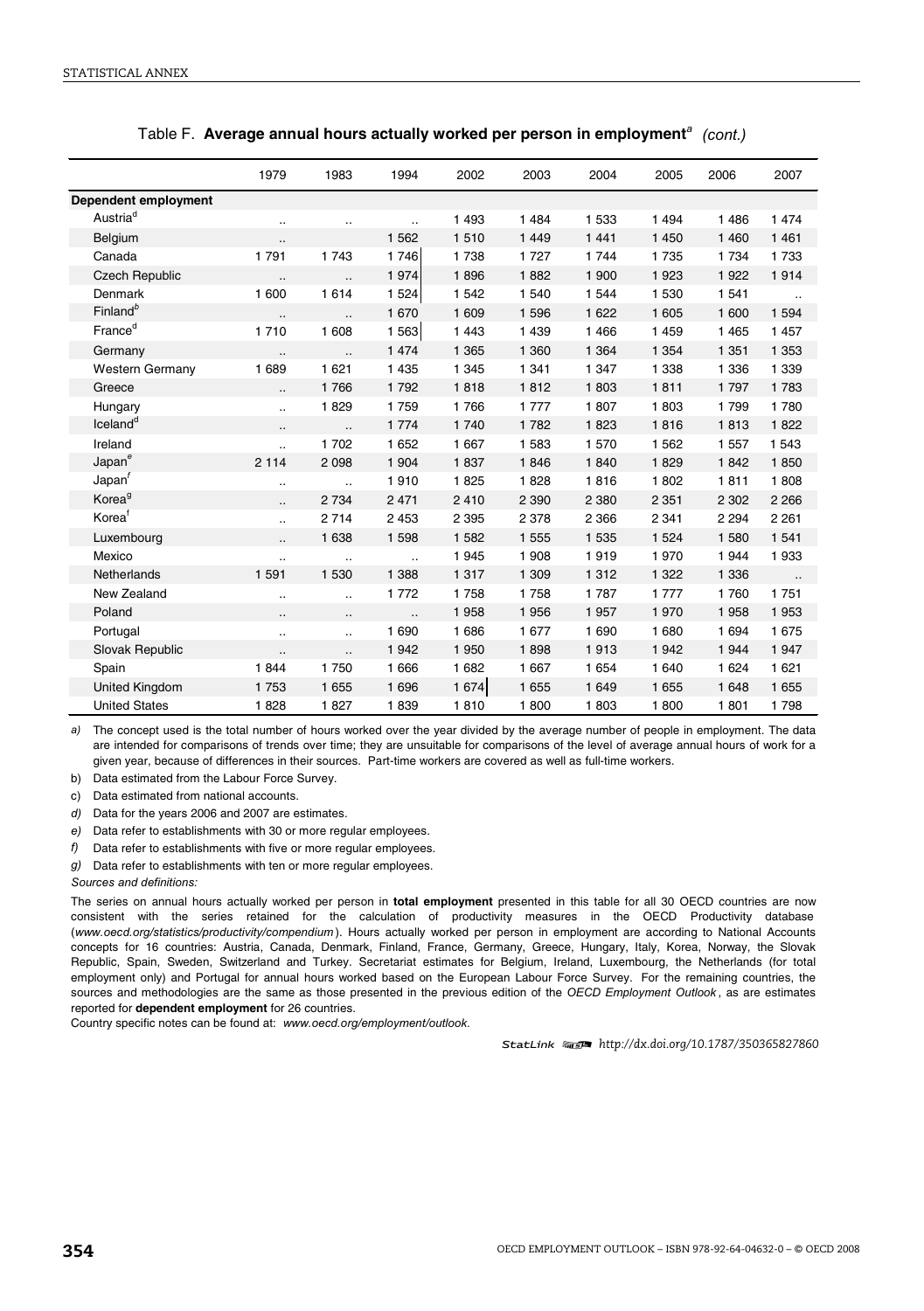|                        | 1979                        | 1983                        | 1994               | 2002    | 2003    | 2004    | 2005    | 2006    | 2007                        |
|------------------------|-----------------------------|-----------------------------|--------------------|---------|---------|---------|---------|---------|-----------------------------|
| Dependent employment   |                             |                             |                    |         |         |         |         |         |                             |
| Austria <sup>d</sup>   | $\cdot$ .                   | $\ddotsc$                   | $\mathbf{r}$       | 1493    | 1484    | 1 5 3 3 | 1494    | 1486    | 1474                        |
| Belgium                | $\ddotsc$                   |                             | 1 5 6 2            | 1510    | 1 4 4 9 | 1441    | 1 4 5 0 | 1 4 6 0 | 1 4 6 1                     |
| Canada                 | 1791                        | 1743                        | 1 746              | 1738    | 1727    | 1744    | 1735    | 1 7 3 4 | 1 7 3 3                     |
| <b>Czech Republic</b>  | $\ddot{\phantom{1}}$        |                             | 1974               | 1896    | 1882    | 1 900   | 1923    | 1922    | 1914                        |
| Denmark                | 1 600                       | 1614                        | 1 5 24             | 1 5 4 2 | 1 5 4 0 | 1 5 4 4 | 1 5 3 0 | 1 5 4 1 |                             |
| Finland <sup>b</sup>   | $\ddotsc$                   |                             | 1 670              | 1 609   | 1 5 9 6 | 1 6 2 2 | 1 605   | 1 600   | 1 5 9 4                     |
| France <sup>d</sup>    | 1710                        | 1 608                       | 1 563              | 1 4 4 3 | 1 4 3 9 | 1 4 6 6 | 1 4 5 9 | 1 4 6 5 | 1 4 5 7                     |
| Germany                | $\ddot{\phantom{1}}$        | ä.                          | 1 4 7 4            | 1 3 6 5 | 1 3 6 0 | 1 3 6 4 | 1 3 5 4 | 1 3 5 1 | 1 3 5 3                     |
| <b>Western Germany</b> | 1 6 8 9                     | 1 6 2 1                     | 1 4 3 5            | 1 3 4 5 | 1 3 4 1 | 1 3 4 7 | 1 3 3 8 | 1 3 3 6 | 1 3 3 9                     |
| Greece                 | $\ddot{\phantom{a}}$        | 1766                        | 1792               | 1818    | 1812    | 1803    | 1811    | 1797    | 1783                        |
| Hungary                | $\mathcal{L}_{\mathbf{r}}$  | 1829                        | 1759               | 1766    | 1777    | 1807    | 1803    | 1799    | 1780                        |
| Iceland <sup>d</sup>   | $\ddot{\phantom{1}}$        | ä.                          | 1 7 7 4            | 1740    | 1782    | 1823    | 1816    | 1813    | 1822                        |
| Ireland                | x.                          | 1702                        | 1 6 5 2            | 1 6 6 7 | 1583    | 1570    | 1562    | 1557    | 1543                        |
| Japan <sup>e</sup>     | 2 1 1 4                     | 2 0 9 8                     | 1 9 0 4            | 1837    | 1846    | 1840    | 1829    | 1842    | 1850                        |
| Japan <sup>t</sup>     | $\ddotsc$                   | $\ddot{\phantom{a}}$        | 1910               | 1825    | 1828    | 1816    | 1802    | 1811    | 1808                        |
| Korea <sup>9</sup>     | $\mathcal{L}_{\mathcal{A}}$ | 2 7 3 4                     | 2 4 7 1            | 2410    | 2 3 9 0 | 2 3 8 0 | 2 3 5 1 | 2 3 0 2 | 2 2 6 6                     |
| Korea <sup>f</sup>     | $\ddot{\phantom{a}}$        | 2714                        | 2 4 5 3            | 2 3 9 5 | 2 3 7 8 | 2 3 6 6 | 2 3 4 1 | 2 2 9 4 | 2 2 6 1                     |
| Luxembourg             | u.                          | 1 638                       | 1 5 9 8            | 1 5 8 2 | 1 5 5 5 | 1 5 3 5 | 1 5 2 4 | 1 580   | 1 5 4 1                     |
| Mexico                 | $\ddot{\phantom{a}}$        | $\ddotsc$                   | $\bar{\mathbf{r}}$ | 1945    | 1 9 0 8 | 1919    | 1970    | 1944    | 1933                        |
| <b>Netherlands</b>     | 1 5 9 1                     | 1 5 3 0                     | 1 3 8 8            | 1 3 1 7 | 1 309   | 1 3 1 2 | 1 3 2 2 | 1 3 3 6 | $\mathcal{L}_{\mathcal{A}}$ |
| New Zealand            | $\ddot{\phantom{a}}$        | $\ddotsc$                   | 1772               | 1758    | 1758    | 1787    | 1777    | 1760    | 1751                        |
| Poland                 | $\ddotsc$                   | ä.                          | $\ddotsc$          | 1958    | 1956    | 1957    | 1970    | 1958    | 1953                        |
| Portugal               | $\ddotsc$                   | ä.                          | 1 6 9 0            | 1686    | 1677    | 1 6 9 0 | 1680    | 1694    | 1 675                       |
| Slovak Republic        | $\bar{\mathbf{r}}$          | $\mathcal{L}_{\mathcal{A}}$ | 1 9 4 2            | 1 9 5 0 | 1898    | 1913    | 1942    | 1944    | 1947                        |
| Spain                  | 1844                        | 1750                        | 1 6 6 6            | 1682    | 1 6 6 7 | 1 6 5 4 | 1640    | 1 6 2 4 | 1 6 2 1                     |
| <b>United Kingdom</b>  | 1753                        | 1 6 5 5                     | 1 6 9 6            | 1 674   | 1 6 5 5 | 1 6 4 9 | 1 6 5 5 | 1 648   | 1 6 5 5                     |
| <b>United States</b>   | 1828                        | 1827                        | 1839               | 1810    | 1800    | 1803    | 1800    | 1801    | 1798                        |

|  | Table F. Average annual hours actually worked per person in employment <sup>a</sup> (cont.) |  |  |  |  |  |
|--|---------------------------------------------------------------------------------------------|--|--|--|--|--|
|--|---------------------------------------------------------------------------------------------|--|--|--|--|--|

*a)* The concept used is the total number of hours worked over the year divided by the average number of people in employment. The data are intended for comparisons of trends over time; they are unsuitable for comparisons of the level of average annual hours of work for a given year, because of differences in their sources. Part-time workers are covered as well as full-time workers.

- b) Data estimated from the Labour Force Survey.
- c) Data estimated from national accounts.
- *d)* Data for the years 2006 and 2007 are estimates.
- *e)* Data refer to establishments with 30 or more regular employees.
- *f)* Data refer to establishments with five or more regular employees.
- *g)* Data refer to establishments with ten or more regular employees.
- *Sources and definitions:*

The series on annual hours actually worked per person in **total employment** presented in this table for all 30 OECD countries are now consistent with the series retained for the calculation of productivity measures in the OECD Productivity database (*www.oecd.org/statistics/productivity/compendium* ). Hours actually worked per person in employment are according to National Accounts concepts for 16 countries: Austria, Canada, Denmark, Finland, France, Germany, Greece, Hungary, Italy, Korea, Norway, the Slovak Republic, Spain, Sweden, Switzerland and Turkey. Secretariat estimates for Belgium, Ireland, Luxembourg, the Netherlands (for total employment only) and Portugal for annual hours worked based on the European Labour Force Survey. For the remaining countries, the sources and methodologies are the same as those presented in the previous edition of the *OECD Employment Outlook* , as are estimates reported for **dependent employment** for 26 countries.

Country specific notes can be found at: *www.oecd.org/employment/outlook.*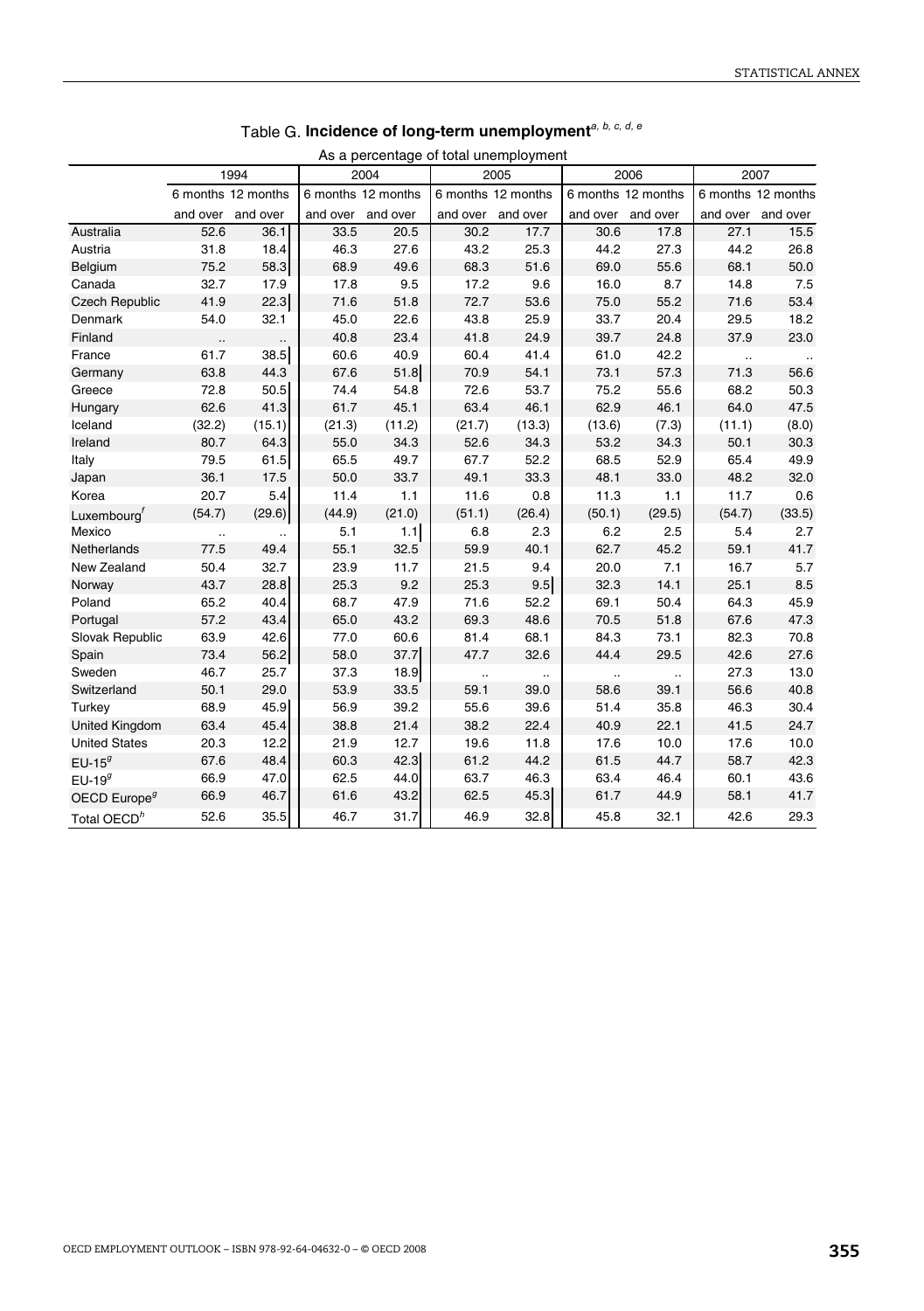|                       |                   |                      |                   |                    |                    | As a percentage of total unemployment |                   |                      |          |                    |
|-----------------------|-------------------|----------------------|-------------------|--------------------|--------------------|---------------------------------------|-------------------|----------------------|----------|--------------------|
|                       |                   | 1994                 |                   | 2004               |                    | 2005                                  |                   | 2006                 |          | 2007               |
|                       |                   | 6 months 12 months   |                   | 6 months 12 months | 6 months 12 months |                                       |                   | 6 months 12 months   |          | 6 months 12 months |
|                       | and over and over |                      | and over and over |                    | and over           | and over                              | and over and over |                      | and over | and over           |
| Australia             | 52.6              | 36.1                 | 33.5              | 20.5               | 30.2               | 17.7                                  | 30.6              | 17.8                 | 27.1     | 15.5               |
| Austria               | 31.8              | 18.4                 | 46.3              | 27.6               | 43.2               | 25.3                                  | 44.2              | 27.3                 | 44.2     | 26.8               |
| Belgium               | 75.2              | 58.3                 | 68.9              | 49.6               | 68.3               | 51.6                                  | 69.0              | 55.6                 | 68.1     | 50.0               |
| Canada                | 32.7              | 17.9                 | 17.8              | 9.5                | 17.2               | 9.6                                   | 16.0              | 8.7                  | 14.8     | $7.5\,$            |
| <b>Czech Republic</b> | 41.9              | 22.3                 | 71.6              | 51.8               | 72.7               | 53.6                                  | 75.0              | 55.2                 | 71.6     | 53.4               |
| Denmark               | 54.0              | 32.1                 | 45.0              | 22.6               | 43.8               | 25.9                                  | 33.7              | 20.4                 | 29.5     | 18.2               |
| Finland               |                   | $\ddot{\phantom{a}}$ | 40.8              | 23.4               | 41.8               | 24.9                                  | 39.7              | 24.8                 | 37.9     | 23.0               |
| France                | 61.7              | 38.5                 | 60.6              | 40.9               | 60.4               | 41.4                                  | 61.0              | 42.2                 |          |                    |
| Germany               | 63.8              | 44.3                 | 67.6              | 51.8               | 70.9               | 54.1                                  | 73.1              | 57.3                 | 71.3     | 56.6               |
| Greece                | 72.8              | 50.5                 | 74.4              | 54.8               | 72.6               | 53.7                                  | 75.2              | 55.6                 | 68.2     | 50.3               |
| Hungary               | 62.6              | 41.3                 | 61.7              | 45.1               | 63.4               | 46.1                                  | 62.9              | 46.1                 | 64.0     | 47.5               |
| Iceland               | (32.2)            | (15.1)               | (21.3)            | (11.2)             | (21.7)             | (13.3)                                | (13.6)            | (7.3)                | (11.1)   | (8.0)              |
| Ireland               | 80.7              | 64.3                 | 55.0              | 34.3               | 52.6               | 34.3                                  | 53.2              | 34.3                 | 50.1     | 30.3               |
| Italy                 | 79.5              | 61.5                 | 65.5              | 49.7               | 67.7               | 52.2                                  | 68.5              | 52.9                 | 65.4     | 49.9               |
| Japan                 | 36.1              | 17.5                 | 50.0              | 33.7               | 49.1               | 33.3                                  | 48.1              | 33.0                 | 48.2     | 32.0               |
| Korea                 | 20.7              | 5.4                  | 11.4              | 1.1                | 11.6               | 0.8                                   | 11.3              | 1.1                  | 11.7     | 0.6                |
| Luxembourg $t$        | (54.7)            | (29.6)               | (44.9)            | (21.0)             | (51.1)             | (26.4)                                | (50.1)            | (29.5)               | (54.7)   | (33.5)             |
| Mexico                | $\ddotsc$         | $\ddot{\phantom{0}}$ | 5.1               | 1.1                | 6.8                | 2.3                                   | 6.2               | 2.5                  | 5.4      | 2.7                |
| Netherlands           | 77.5              | 49.4                 | 55.1              | 32.5               | 59.9               | 40.1                                  | 62.7              | 45.2                 | 59.1     | 41.7               |
| New Zealand           | 50.4              | 32.7                 | 23.9              | 11.7               | 21.5               | 9.4                                   | 20.0              | 7.1                  | 16.7     | 5.7                |
| Norway                | 43.7              | 28.8                 | 25.3              | 9.2                | 25.3               | 9.5                                   | 32.3              | 14.1                 | 25.1     | 8.5                |
| Poland                | 65.2              | 40.4                 | 68.7              | 47.9               | 71.6               | 52.2                                  | 69.1              | 50.4                 | 64.3     | 45.9               |
| Portugal              | 57.2              | 43.4                 | 65.0              | 43.2               | 69.3               | 48.6                                  | 70.5              | 51.8                 | 67.6     | 47.3               |
| Slovak Republic       | 63.9              | 42.6                 | 77.0              | 60.6               | 81.4               | 68.1                                  | 84.3              | 73.1                 | 82.3     | 70.8               |
| Spain                 | 73.4              | 56.2                 | 58.0              | 37.7               | 47.7               | 32.6                                  | 44.4              | 29.5                 | 42.6     | 27.6               |
| Sweden                | 46.7              | 25.7                 | 37.3              | 18.9               |                    |                                       |                   | $\ddot{\phantom{a}}$ | 27.3     | 13.0               |
| Switzerland           | 50.1              | 29.0                 | 53.9              | 33.5               | 59.1               | 39.0                                  | 58.6              | 39.1                 | 56.6     | 40.8               |
| Turkey                | 68.9              | 45.9                 | 56.9              | 39.2               | 55.6               | 39.6                                  | 51.4              | 35.8                 | 46.3     | 30.4               |
| <b>United Kingdom</b> | 63.4              | 45.4                 | 38.8              | 21.4               | 38.2               | 22.4                                  | 40.9              | 22.1                 | 41.5     | 24.7               |
| <b>United States</b>  | 20.3              | 12.2                 | 21.9              | 12.7               | 19.6               | 11.8                                  | 17.6              | 10.0                 | 17.6     | 10.0               |
| $EU-15g$              | 67.6              | 48.4                 | 60.3              | 42.3               | 61.2               | 44.2                                  | 61.5              | 44.7                 | 58.7     | 42.3               |
| $EU-19g$              | 66.9              | 47.0                 | 62.5              | 44.0               | 63.7               | 46.3                                  | 63.4              | 46.4                 | 60.1     | 43.6               |
| OECD Europe $g$       | 66.9              | 46.7                 | 61.6              | 43.2               | 62.5               | 45.3                                  | 61.7              | 44.9                 | 58.1     | 41.7               |
| Total OECD $h$        | 52.6              | 35.5                 | 46.7              | 31.7               | 46.9               | 32.8                                  | 45.8              | 32.1                 | 42.6     | 29.3               |

# Table G. **Incidence of long-term unemployment***a, b, c, d, e*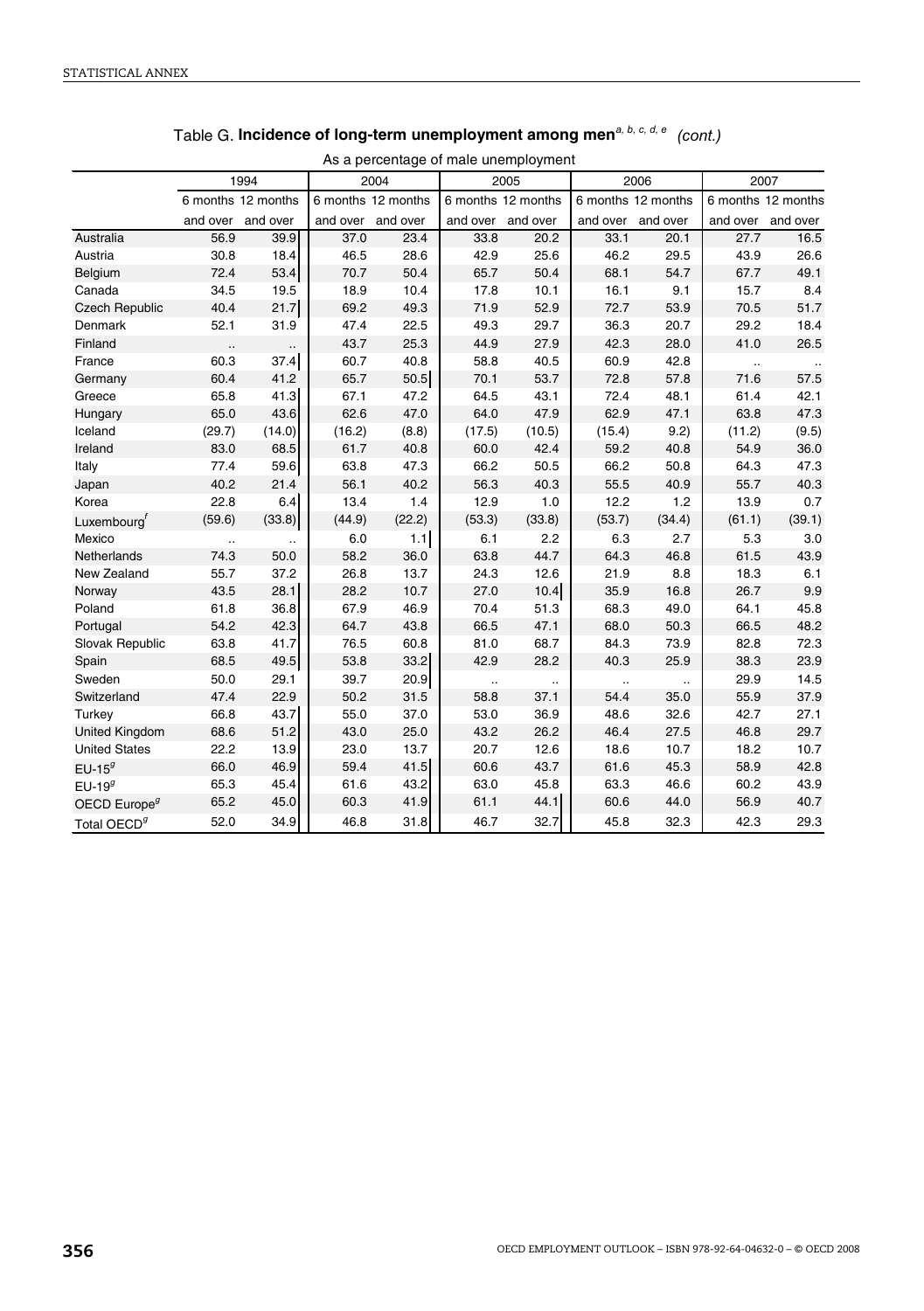|                         |                   |                    |                   | As a percentage of male unemployment |          |                    |           |                    |        |                    |
|-------------------------|-------------------|--------------------|-------------------|--------------------------------------|----------|--------------------|-----------|--------------------|--------|--------------------|
|                         |                   | 1994               |                   | 2004                                 |          | 2005               |           | 2006               |        | 2007               |
|                         |                   | 6 months 12 months |                   | 6 months 12 months                   |          | 6 months 12 months |           | 6 months 12 months |        | 6 months 12 months |
|                         | and over and over |                    | and over and over |                                      |          | and over and over  |           | and over and over  |        | and over and over  |
| Australia               | 56.9              | 39.9               | 37.0              | 23.4                                 | 33.8     | 20.2               | 33.1      | 20.1               | 27.7   | 16.5               |
| Austria                 | 30.8              | 18.4               | 46.5              | 28.6                                 | 42.9     | 25.6               | 46.2      | 29.5               | 43.9   | 26.6               |
| Belgium                 | 72.4              | 53.4               | 70.7              | 50.4                                 | 65.7     | 50.4               | 68.1      | 54.7               | 67.7   | 49.1               |
| Canada                  | 34.5              | 19.5               | 18.9              | 10.4                                 | 17.8     | 10.1               | 16.1      | 9.1                | 15.7   | 8.4                |
| <b>Czech Republic</b>   | 40.4              | 21.7               | 69.2              | 49.3                                 | 71.9     | 52.9               | 72.7      | 53.9               | 70.5   | 51.7               |
| Denmark                 | 52.1              | 31.9               | 47.4              | 22.5                                 | 49.3     | 29.7               | 36.3      | 20.7               | 29.2   | 18.4               |
| Finland                 |                   |                    | 43.7              | 25.3                                 | 44.9     | 27.9               | 42.3      | 28.0               | 41.0   | 26.5               |
| France                  | 60.3              | 37.4               | 60.7              | 40.8                                 | 58.8     | 40.5               | 60.9      | 42.8               |        |                    |
| Germany                 | 60.4              | 41.2               | 65.7              | 50.5                                 | 70.1     | 53.7               | 72.8      | 57.8               | 71.6   | 57.5               |
| Greece                  | 65.8              | 41.3               | 67.1              | 47.2                                 | 64.5     | 43.1               | 72.4      | 48.1               | 61.4   | 42.1               |
| Hungary                 | 65.0              | 43.6               | 62.6              | 47.0                                 | 64.0     | 47.9               | 62.9      | 47.1               | 63.8   | 47.3               |
| Iceland                 | (29.7)            | (14.0)             | (16.2)            | (8.8)                                | (17.5)   | (10.5)             | (15.4)    | 9.2)               | (11.2) | (9.5)              |
| Ireland                 | 83.0              | 68.5               | 61.7              | 40.8                                 | 60.0     | 42.4               | 59.2      | 40.8               | 54.9   | 36.0               |
| Italy                   | 77.4              | 59.6               | 63.8              | 47.3                                 | 66.2     | 50.5               | 66.2      | 50.8               | 64.3   | 47.3               |
| Japan                   | 40.2              | 21.4               | 56.1              | 40.2                                 | 56.3     | 40.3               | 55.5      | 40.9               | 55.7   | 40.3               |
| Korea                   | 22.8              | 6.4                | 13.4              | 1.4                                  | 12.9     | 1.0                | 12.2      | 1.2                | 13.9   | 0.7                |
| Luxembourg              | (59.6)            | (33.8)             | (44.9)            | (22.2)                               | (53.3)   | (33.8)             | (53.7)    | (34.4)             | (61.1) | (39.1)             |
| Mexico                  | $\ddotsc$         |                    | 6.0               | $1.1$                                | 6.1      | 2.2                | 6.3       | 2.7                | 5.3    | 3.0                |
| Netherlands             | 74.3              | 50.0               | 58.2              | 36.0                                 | 63.8     | 44.7               | 64.3      | 46.8               | 61.5   | 43.9               |
| New Zealand             | 55.7              | 37.2               | 26.8              | 13.7                                 | 24.3     | 12.6               | 21.9      | 8.8                | 18.3   | 6.1                |
| Norway                  | 43.5              | 28.1               | 28.2              | 10.7                                 | 27.0     | 10.4               | 35.9      | 16.8               | 26.7   | 9.9                |
| Poland                  | 61.8              | 36.8               | 67.9              | 46.9                                 | 70.4     | 51.3               | 68.3      | 49.0               | 64.1   | 45.8               |
| Portugal                | 54.2              | 42.3               | 64.7              | 43.8                                 | 66.5     | 47.1               | 68.0      | 50.3               | 66.5   | 48.2               |
| Slovak Republic         | 63.8              | 41.7               | 76.5              | 60.8                                 | 81.0     | 68.7               | 84.3      | 73.9               | 82.8   | 72.3               |
| Spain                   | 68.5              | 49.5               | 53.8              | 33.2                                 | 42.9     | 28.2               | 40.3      | 25.9               | 38.3   | 23.9               |
| Sweden                  | 50.0              | 29.1               | 39.7              | 20.9                                 | $\ldots$ | $\cdot$ .          | $\cdot$ . | $\cdot$ .          | 29.9   | 14.5               |
| Switzerland             | 47.4              | 22.9               | 50.2              | 31.5                                 | 58.8     | 37.1               | 54.4      | 35.0               | 55.9   | 37.9               |
| Turkey                  | 66.8              | 43.7               | 55.0              | 37.0                                 | 53.0     | 36.9               | 48.6      | 32.6               | 42.7   | 27.1               |
| <b>United Kingdom</b>   | 68.6              | 51.2               | 43.0              | 25.0                                 | 43.2     | 26.2               | 46.4      | 27.5               | 46.8   | 29.7               |
| <b>United States</b>    | 22.2              | 13.9               | 23.0              | 13.7                                 | 20.7     | 12.6               | 18.6      | 10.7               | 18.2   | 10.7               |
| $EU-15g$                | 66.0              | 46.9               | 59.4              | 41.5                                 | 60.6     | 43.7               | 61.6      | 45.3               | 58.9   | 42.8               |
| $EU-19g$                | 65.3              | 45.4               | 61.6              | 43.2                                 | 63.0     | 45.8               | 63.3      | 46.6               | 60.2   | 43.9               |
| OECD Europe $g$         | 65.2              | 45.0               | 60.3              | 41.9                                 | 61.1     | 44.1               | 60.6      | 44.0               | 56.9   | 40.7               |
| Total OECD <sup>9</sup> | 52.0              | 34.9               | 46.8              | 31.8                                 | 46.7     | 32.7               | 45.8      | 32.3               | 42.3   | 29.3               |

## Table G. **Incidence of long-term unemployment among men***a, b, c, d, e (cont.)*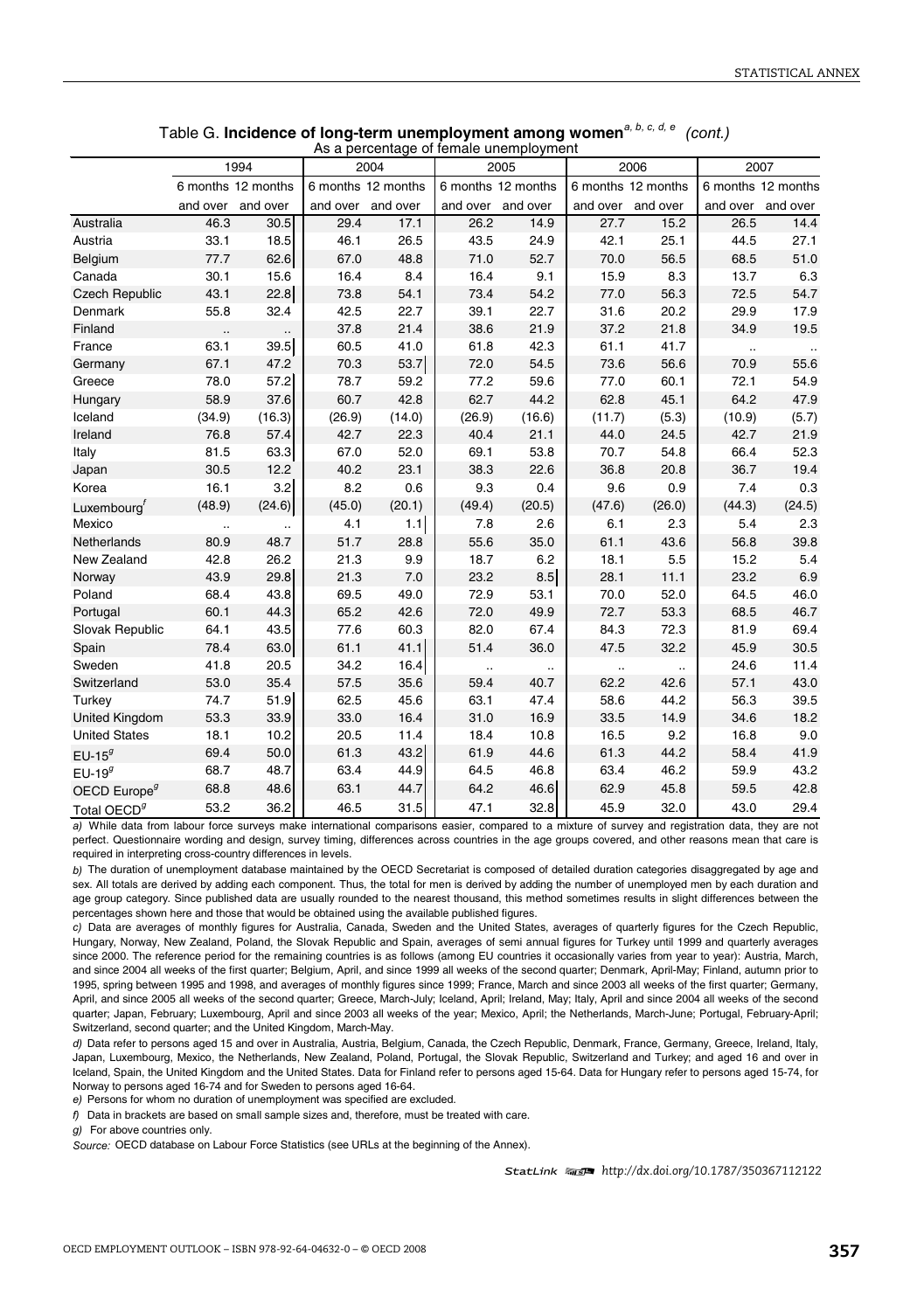|                         |                      |                    |          | As a percentage of female unemployment |           |                      |                      |                      |          |                    |
|-------------------------|----------------------|--------------------|----------|----------------------------------------|-----------|----------------------|----------------------|----------------------|----------|--------------------|
|                         |                      | 1994               |          | 2004                                   |           | 2005                 |                      | 2006                 |          | 2007               |
|                         |                      | 6 months 12 months |          | 6 months 12 months                     |           | 6 months 12 months   |                      | 6 months 12 months   |          | 6 months 12 months |
|                         | and over             | and over           | and over | and over                               | and over  | and over             |                      | and over and over    | and over | and over           |
| Australia               | 46.3                 | 30.5               | 29.4     | 17.1                                   | 26.2      | 14.9                 | 27.7                 | 15.2                 | 26.5     | 14.4               |
| Austria                 | 33.1                 | 18.5               | 46.1     | 26.5                                   | 43.5      | 24.9                 | 42.1                 | 25.1                 | 44.5     | 27.1               |
| Belgium                 | 77.7                 | 62.6               | 67.0     | 48.8                                   | 71.0      | 52.7                 | 70.0                 | 56.5                 | 68.5     | 51.0               |
| Canada                  | 30.1                 | 15.6               | 16.4     | 8.4                                    | 16.4      | 9.1                  | 15.9                 | 8.3                  | 13.7     | 6.3                |
| <b>Czech Republic</b>   | 43.1                 | 22.8               | 73.8     | 54.1                                   | 73.4      | 54.2                 | 77.0                 | 56.3                 | 72.5     | 54.7               |
| Denmark                 | 55.8                 | 32.4               | 42.5     | 22.7                                   | 39.1      | 22.7                 | 31.6                 | 20.2                 | 29.9     | 17.9               |
| Finland                 | Ω,                   | $\ddotsc$          | 37.8     | 21.4                                   | 38.6      | 21.9                 | 37.2                 | 21.8                 | 34.9     | 19.5               |
| France                  | 63.1                 | 39.5               | 60.5     | 41.0                                   | 61.8      | 42.3                 | 61.1                 | 41.7                 |          |                    |
| Germany                 | 67.1                 | 47.2               | 70.3     | 53.7                                   | 72.0      | 54.5                 | 73.6                 | 56.6                 | 70.9     | 55.6               |
| Greece                  | 78.0                 | 57.2               | 78.7     | 59.2                                   | 77.2      | 59.6                 | 77.0                 | 60.1                 | 72.1     | 54.9               |
| Hungary                 | 58.9                 | 37.6               | 60.7     | 42.8                                   | 62.7      | 44.2                 | 62.8                 | 45.1                 | 64.2     | 47.9               |
| Iceland                 | (34.9)               | (16.3)             | (26.9)   | (14.0)                                 | (26.9)    | (16.6)               | (11.7)               | (5.3)                | (10.9)   | (5.7)              |
| Ireland                 | 76.8                 | 57.4               | 42.7     | 22.3                                   | 40.4      | 21.1                 | 44.0                 | 24.5                 | 42.7     | 21.9               |
| Italy                   | 81.5                 | 63.3               | 67.0     | 52.0                                   | 69.1      | 53.8                 | 70.7                 | 54.8                 | 66.4     | 52.3               |
| Japan                   | 30.5                 | 12.2               | 40.2     | 23.1                                   | 38.3      | 22.6                 | 36.8                 | 20.8                 | 36.7     | 19.4               |
| Korea                   | 16.1                 | 3.2                | 8.2      | 0.6                                    | 9.3       | 0.4                  | 9.6                  | 0.9                  | 7.4      | 0.3                |
| Luxembourg'             | (48.9)               | (24.6)             | (45.0)   | (20.1)                                 | (49.4)    | (20.5)               | (47.6)               | (26.0)               | (44.3)   | (24.5)             |
| Mexico                  | $\ddot{\phantom{0}}$ | Ω.                 | 4.1      | 1.1                                    | 7.8       | 2.6                  | 6.1                  | 2.3                  | 5.4      | 2.3                |
| Netherlands             | 80.9                 | 48.7               | 51.7     | 28.8                                   | 55.6      | 35.0                 | 61.1                 | 43.6                 | 56.8     | 39.8               |
| New Zealand             | 42.8                 | 26.2               | 21.3     | 9.9                                    | 18.7      | 6.2                  | 18.1                 | 5.5                  | 15.2     | 5.4                |
| Norway                  | 43.9                 | 29.8               | 21.3     | 7.0                                    | 23.2      | 8.5                  | 28.1                 | 11.1                 | 23.2     | 6.9                |
| Poland                  | 68.4                 | 43.8               | 69.5     | 49.0                                   | 72.9      | 53.1                 | 70.0                 | 52.0                 | 64.5     | 46.0               |
| Portugal                | 60.1                 | 44.3               | 65.2     | 42.6                                   | 72.0      | 49.9                 | 72.7                 | 53.3                 | 68.5     | 46.7               |
| Slovak Republic         | 64.1                 | 43.5               | 77.6     | 60.3                                   | 82.0      | 67.4                 | 84.3                 | 72.3                 | 81.9     | 69.4               |
| Spain                   | 78.4                 | 63.0               | 61.1     | 41.1                                   | 51.4      | 36.0                 | 47.5                 | 32.2                 | 45.9     | 30.5               |
| Sweden                  | 41.8                 | 20.5               | 34.2     | 16.4                                   | $\ddotsc$ | $\ddot{\phantom{a}}$ | $\ddot{\phantom{a}}$ | $\ddot{\phantom{a}}$ | 24.6     | 11.4               |
| Switzerland             | 53.0                 | 35.4               | 57.5     | 35.6                                   | 59.4      | 40.7                 | 62.2                 | 42.6                 | 57.1     | 43.0               |
| Turkey                  | 74.7                 | 51.9               | 62.5     | 45.6                                   | 63.1      | 47.4                 | 58.6                 | 44.2                 | 56.3     | 39.5               |
| <b>United Kingdom</b>   | 53.3                 | 33.9               | 33.0     | 16.4                                   | 31.0      | 16.9                 | 33.5                 | 14.9                 | 34.6     | 18.2               |
| <b>United States</b>    | 18.1                 | 10.2               | 20.5     | 11.4                                   | 18.4      | 10.8                 | 16.5                 | 9.2                  | 16.8     | 9.0                |
| $EU-15g$                | 69.4                 | 50.0               | 61.3     | 43.2                                   | 61.9      | 44.6                 | 61.3                 | 44.2                 | 58.4     | 41.9               |
| $EU-19g$                | 68.7                 | 48.7               | 63.4     | 44.9                                   | 64.5      | 46.8                 | 63.4                 | 46.2                 | 59.9     | 43.2               |
| OECD Europe $g$         | 68.8                 | 48.6               | 63.1     | 44.7                                   | 64.2      | 46.6                 | 62.9                 | 45.8                 | 59.5     | 42.8               |
| Total OECD <sup>g</sup> | 53.2                 | 36.2               | 46.5     | 31.5                                   | 47.1      | 32.8                 | 45.9                 | 32.0                 | 43.0     | 29.4               |

Table G. **Incidence of long-term unemployment among women***a, b, c, d, e (cont.)*

*a)* While data from labour force surveys make international comparisons easier, compared to a mixture of survey and registration data, they are not perfect. Questionnaire wording and design, survey timing, differences across countries in the age groups covered, and other reasons mean that care is required in interpreting cross-country differences in levels.

*b)* The duration of unemployment database maintained by the OECD Secretariat is composed of detailed duration categories disaggregated by age and sex. All totals are derived by adding each component. Thus, the total for men is derived by adding the number of unemployed men by each duration and age group category. Since published data are usually rounded to the nearest thousand, this method sometimes results in slight differences between the percentages shown here and those that would be obtained using the available published figures.

*c)* Data are averages of monthly figures for Australia, Canada, Sweden and the United States, averages of quarterly figures for the Czech Republic, Hungary, Norway, New Zealand, Poland, the Slovak Republic and Spain, averages of semi annual figures for Turkey until 1999 and quarterly averages since 2000. The reference period for the remaining countries is as follows (among EU countries it occasionally varies from year to year): Austria, March, and since 2004 all weeks of the first quarter; Belgium, April, and since 1999 all weeks of the second quarter; Denmark, April-May; Finland, autumn prior to 1995, spring between 1995 and 1998, and averages of monthly figures since 1999; France, March and since 2003 all weeks of the first quarter; Germany, April, and since 2005 all weeks of the second quarter; Greece, March-July; Iceland, April; Ireland, May; Italy, April and since 2004 all weeks of the second quarter; Japan, February; Luxembourg, April and since 2003 all weeks of the year; Mexico, April; the Netherlands, March-June; Portugal, February-April; Switzerland, second quarter; and the United Kingdom, March-May.

*d)* Data refer to persons aged 15 and over in Australia, Austria, Belgium, Canada, the Czech Republic, Denmark, France, Germany, Greece, Ireland, Italy, Japan, Luxembourg, Mexico, the Netherlands, New Zealand, Poland, Portugal, the Slovak Republic, Switzerland and Turkey; and aged 16 and over in Iceland, Spain, the United Kingdom and the United States. Data for Finland refer to persons aged 15-64. Data for Hungary refer to persons aged 15-74, for Norway to persons aged 16-74 and for Sweden to persons aged 16-64.

*e)* Persons for whom no duration of unemployment was specified are excluded.

*f)* Data in brackets are based on small sample sizes and, therefore, must be treated with care.

*g)* For above countries only.

*Source:* OECD database on Labour Force Statistics (see URLs at the beginning of the Annex).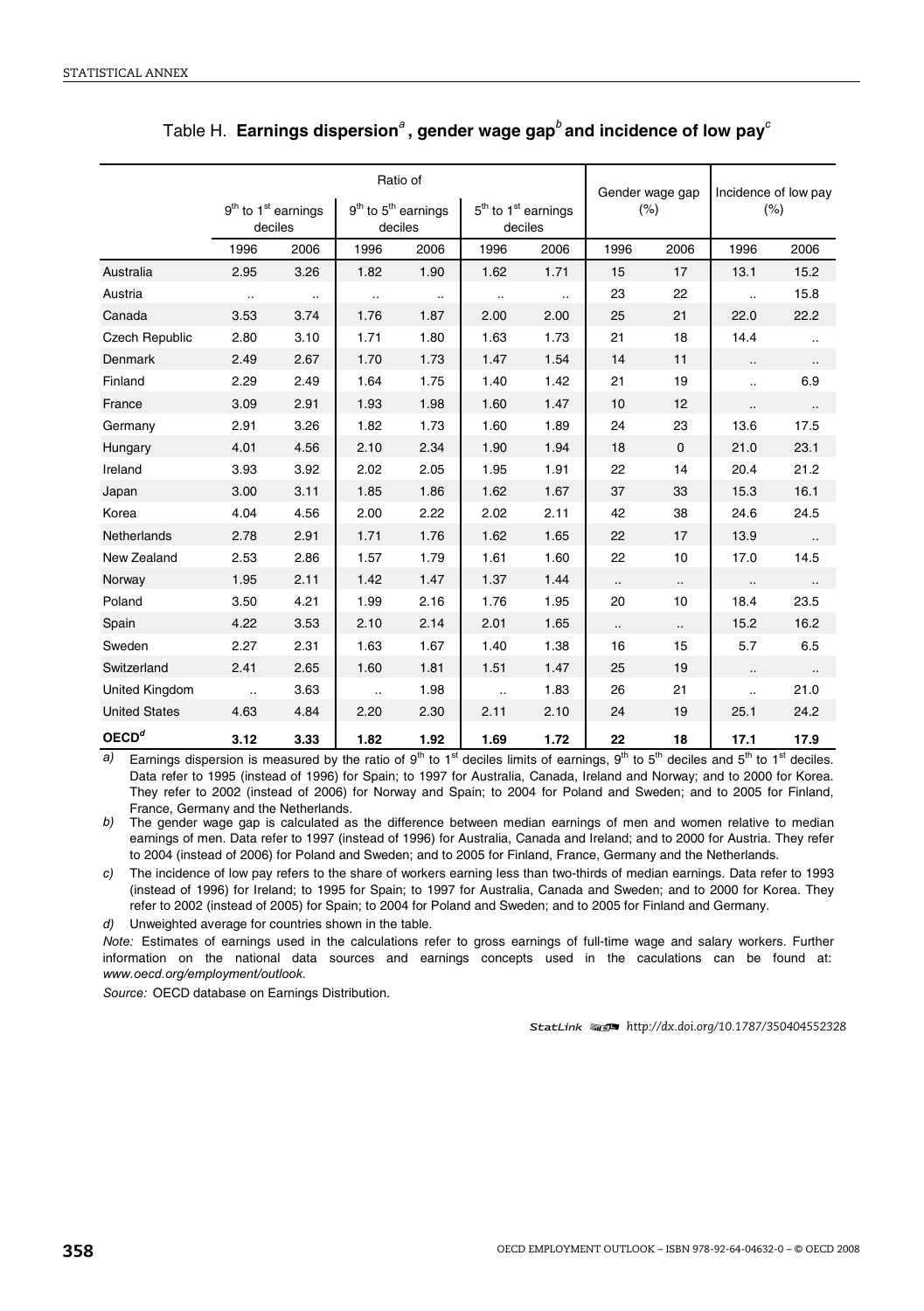|                       |                                              |           |                                    | Ratio of  |                             |                                             |                      | Gender wage gap | Incidence of low pay |          |
|-----------------------|----------------------------------------------|-----------|------------------------------------|-----------|-----------------------------|---------------------------------------------|----------------------|-----------------|----------------------|----------|
|                       | $9th$ to 1 <sup>st</sup> earnings<br>deciles |           | $9th$ to $5th$ earnings<br>deciles |           | deciles                     | 5 <sup>th</sup> to 1 <sup>st</sup> earnings |                      | (% )            | (% )                 |          |
|                       | 1996                                         | 2006      | 1996                               | 2006      | 1996                        | 2006                                        | 1996                 | 2006            | 1996                 | 2006     |
| Australia             | 2.95                                         | 3.26      | 1.82                               | 1.90      | 1.62                        | 1.71                                        | 15                   | 17              | 13.1                 | 15.2     |
| Austria               | $\cdot$ .                                    | $\cdot$ . |                                    | $\ddotsc$ | $\ddotsc$                   | $\cdot$ .                                   | 23                   | 22              | $\ddot{\phantom{a}}$ | 15.8     |
| Canada                | 3.53                                         | 3.74      | 1.76                               | 1.87      | 2.00                        | 2.00                                        | 25                   | 21              | 22.0                 | 22.2     |
| <b>Czech Republic</b> | 2.80                                         | 3.10      | 1.71                               | 1.80      | 1.63                        | 1.73                                        | 21                   | 18              | 14.4                 |          |
| Denmark               | 2.49                                         | 2.67      | 1.70                               | 1.73      | 1.47                        | 1.54                                        | 14                   | 11              | $\ddotsc$            |          |
| Finland               | 2.29                                         | 2.49      | 1.64                               | 1.75      | 1.40                        | 1.42                                        | 21                   | 19              | $\ddotsc$            | 6.9      |
| France                | 3.09                                         | 2.91      | 1.93                               | 1.98      | 1.60                        | 1.47                                        | 10                   | 12              |                      |          |
| Germany               | 2.91                                         | 3.26      | 1.82                               | 1.73      | 1.60                        | 1.89                                        | 24                   | 23              | 13.6                 | 17.5     |
| Hungary               | 4.01                                         | 4.56      | 2.10                               | 2.34      | 1.90                        | 1.94                                        | 18                   | $\mathbf 0$     | 21.0                 | 23.1     |
| Ireland               | 3.93                                         | 3.92      | 2.02                               | 2.05      | 1.95                        | 1.91                                        | 22                   | 14              | 20.4                 | 21.2     |
| Japan                 | 3.00                                         | 3.11      | 1.85                               | 1.86      | 1.62                        | 1.67                                        | 37                   | 33              | 15.3                 | 16.1     |
| Korea                 | 4.04                                         | 4.56      | 2.00                               | 2.22      | 2.02                        | 2.11                                        | 42                   | 38              | 24.6                 | 24.5     |
| Netherlands           | 2.78                                         | 2.91      | 1.71                               | 1.76      | 1.62                        | 1.65                                        | 22                   | 17              | 13.9                 |          |
| New Zealand           | 2.53                                         | 2.86      | 1.57                               | 1.79      | 1.61                        | 1.60                                        | 22                   | 10              | 17.0                 | 14.5     |
| Norway                | 1.95                                         | 2.11      | 1.42                               | 1.47      | 1.37                        | 1.44                                        | $\ddotsc$            | $\ldots$        | $\sim$               |          |
| Poland                | 3.50                                         | 4.21      | 1.99                               | 2.16      | 1.76                        | 1.95                                        | 20                   | 10              | 18.4                 | 23.5     |
| Spain                 | 4.22                                         | 3.53      | 2.10                               | 2.14      | 2.01                        | 1.65                                        | $\ddot{\phantom{1}}$ | $\ldots$        | 15.2                 | 16.2     |
| Sweden                | 2.27                                         | 2.31      | 1.63                               | 1.67      | 1.40                        | 1.38                                        | 16                   | 15              | 5.7                  | 6.5      |
| Switzerland           | 2.41                                         | 2.65      | 1.60                               | 1.81      | 1.51                        | 1.47                                        | 25                   | 19              | Ω.                   | $\ldots$ |
| United Kingdom        | $\ddotsc$                                    | 3.63      | $\cdot$ .                          | 1.98      | $\mathcal{L}_{\mathcal{A}}$ | 1.83                                        | 26                   | 21              | $\ddot{\phantom{a}}$ | 21.0     |
| <b>United States</b>  | 4.63                                         | 4.84      | 2.20                               | 2.30      | 2.11                        | 2.10                                        | 24                   | 19              | 25.1                 | 24.2     |
| OECD <sup>d</sup>     | 3.12                                         | 3.33      | 1.82                               | 1.92      | 1.69                        | 1.72                                        | 22                   | 18              | 17.1                 | 17.9     |

Table H. **Earnings dispersion***<sup>a</sup>* **, gender wage gap***<sup>b</sup>* **and incidence of low pay***<sup>c</sup>*

*a*) Earnings dispersion is measured by the ratio of 9<sup>th</sup> to 1<sup>st</sup> deciles limits of earnings, 9<sup>th</sup> to 5<sup>th</sup> deciles and 5<sup>th</sup> to 1<sup>st</sup> deciles. Data refer to 1995 (instead of 1996) for Spain; to 1997 for Australia, Canada, Ireland and Norway; and to 2000 for Korea. They refer to 2002 (instead of 2006) for Norway and Spain; to 2004 for Poland and Sweden; and to 2005 for Finland, France, Germany and the Netherlands.

*b)* The gender wage gap is calculated as the difference between median earnings of men and women relative to median earnings of men. Data refer to 1997 (instead of 1996) for Australia, Canada and Ireland; and to 2000 for Austria. They refer to 2004 (instead of 2006) for Poland and Sweden; and to 2005 for Finland, France, Germany and the Netherlands.

*c)* The incidence of low pay refers to the share of workers earning less than two-thirds of median earnings. Data refer to 1993 (instead of 1996) for Ireland; to 1995 for Spain; to 1997 for Australia, Canada and Sweden; and to 2000 for Korea. They refer to 2002 (instead of 2005) for Spain; to 2004 for Poland and Sweden; and to 2005 for Finland and Germany.

*d)* Unweighted average for countries shown in the table.

*Note:* Estimates of earnings used in the calculations refer to gross earnings of full-time wage and salary workers. Further information on the national data sources and earnings concepts used in the caculations can be found at: *www.oecd.org/employment/outlook.*

*Source:* OECD database on Earnings Distribution.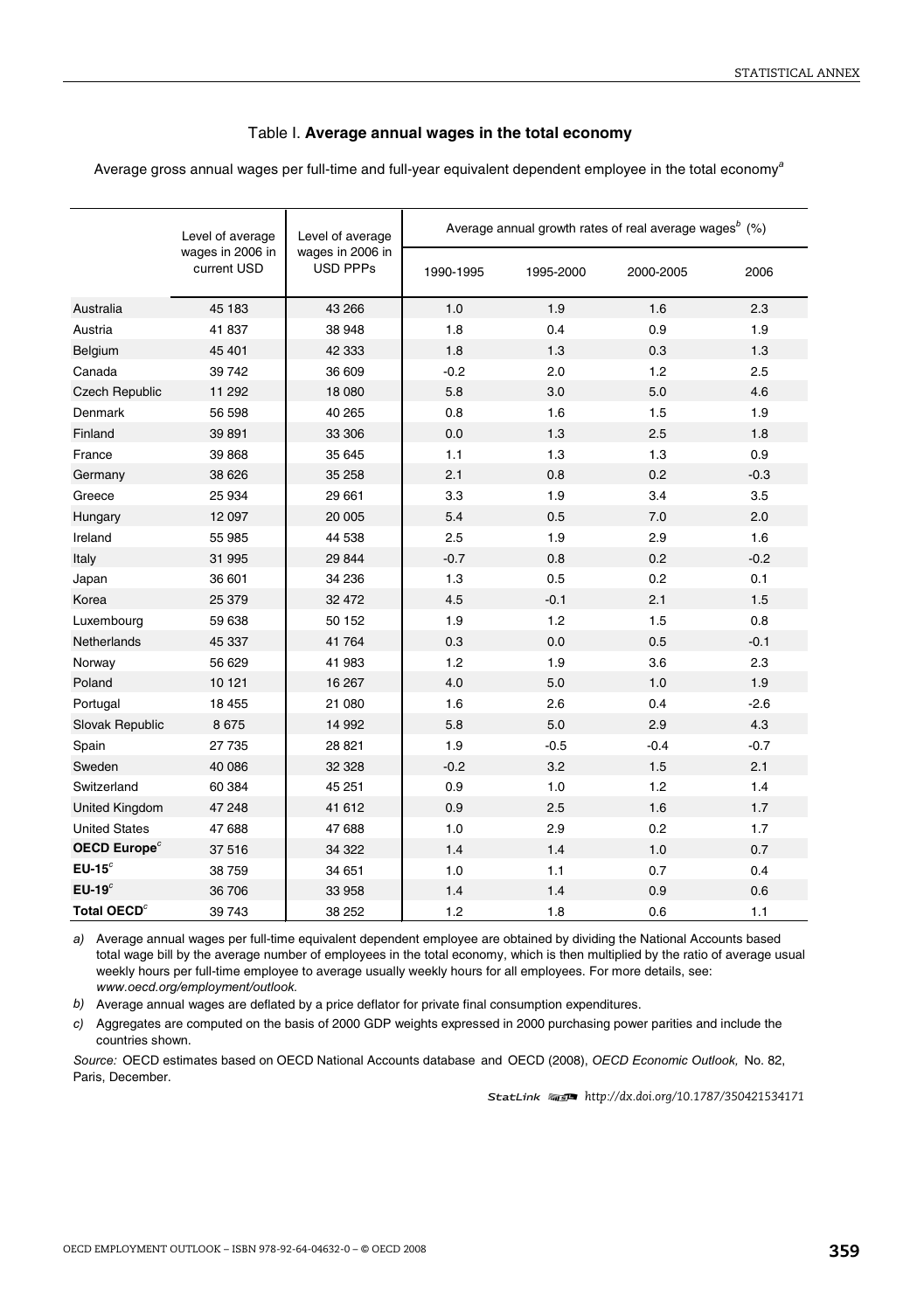#### Table I. **Average annual wages in the total economy**

Average gross annual wages per full-time and full-year equivalent dependent employee in the total economy*<sup>a</sup>*

|                          | Level of average                | Level of average                    |           |           | Average annual growth rates of real average wages <sup>b</sup> (%) |        |
|--------------------------|---------------------------------|-------------------------------------|-----------|-----------|--------------------------------------------------------------------|--------|
|                          | wages in 2006 in<br>current USD | wages in 2006 in<br><b>USD PPPs</b> | 1990-1995 | 1995-2000 | 2000-2005                                                          | 2006   |
| Australia                | 45 183                          | 43 266                              | 1.0       | 1.9       | 1.6                                                                | 2.3    |
| Austria                  | 41 837                          | 38 948                              | 1.8       | 0.4       | 0.9                                                                | 1.9    |
| Belgium                  | 45 401                          | 42 333                              | 1.8       | 1.3       | 0.3                                                                | 1.3    |
| Canada                   | 39 742                          | 36 609                              | $-0.2$    | 2.0       | 1.2                                                                | 2.5    |
| <b>Czech Republic</b>    | 11 29 2                         | 18 080                              | 5.8       | 3.0       | 5.0                                                                | 4.6    |
| Denmark                  | 56 598                          | 40 265                              | 0.8       | 1.6       | 1.5                                                                | 1.9    |
| Finland                  | 39 891                          | 33 306                              | 0.0       | 1.3       | 2.5                                                                | 1.8    |
| France                   | 39 868                          | 35 645                              | 1.1       | 1.3       | 1.3                                                                | 0.9    |
| Germany                  | 38 6 26                         | 35 258                              | 2.1       | 0.8       | 0.2                                                                | $-0.3$ |
| Greece                   | 25 934                          | 29 661                              | 3.3       | 1.9       | 3.4                                                                | 3.5    |
| Hungary                  | 12 097                          | 20 005                              | 5.4       | 0.5       | 7.0                                                                | 2.0    |
| Ireland                  | 55 985                          | 44 538                              | 2.5       | 1.9       | 2.9                                                                | 1.6    |
| Italy                    | 31 995                          | 29 844                              | $-0.7$    | 0.8       | 0.2                                                                | $-0.2$ |
| Japan                    | 36 601                          | 34 236                              | 1.3       | 0.5       | 0.2                                                                | 0.1    |
| Korea                    | 25 379                          | 32 472                              | 4.5       | $-0.1$    | 2.1                                                                | 1.5    |
| Luxembourg               | 59 638                          | 50 152                              | 1.9       | 1.2       | 1.5                                                                | 0.8    |
| Netherlands              | 45 337                          | 41 764                              | 0.3       | 0.0       | 0.5                                                                | $-0.1$ |
| Norway                   | 56 629                          | 41 983                              | 1.2       | 1.9       | 3.6                                                                | 2.3    |
| Poland                   | 10 121                          | 16 267                              | 4.0       | 5.0       | 1.0                                                                | 1.9    |
| Portugal                 | 18 455                          | 21 080                              | 1.6       | 2.6       | 0.4                                                                | $-2.6$ |
| Slovak Republic          | 8 6 7 5                         | 14 992                              | 5.8       | 5.0       | 2.9                                                                | 4.3    |
| Spain                    | 27 735                          | 28 821                              | 1.9       | $-0.5$    | $-0.4$                                                             | $-0.7$ |
| Sweden                   | 40 086                          | 32 328                              | $-0.2$    | 3.2       | 1.5                                                                | 2.1    |
| Switzerland              | 60 384                          | 45 251                              | 0.9       | 1.0       | 1.2                                                                | 1.4    |
| <b>United Kingdom</b>    | 47 248                          | 41 612                              | 0.9       | 2.5       | 1.6                                                                | 1.7    |
| <b>United States</b>     | 47 688                          | 47 688                              | 1.0       | 2.9       | 0.2                                                                | 1.7    |
| OECD Europe <sup>c</sup> | 37 516                          | 34 322                              | 1.4       | 1.4       | 1.0                                                                | 0.7    |
| $EU-15c$                 | 38 759                          | 34 651                              | 1.0       | 1.1       | 0.7                                                                | 0.4    |
| $EU-19c$                 | 36 706                          | 33 958                              | 1.4       | 1.4       | 0.9                                                                | 0.6    |
| Total OECD <sup>c</sup>  | 39 743                          | 38 25 2                             | 1.2       | 1.8       | 0.6                                                                | 1.1    |

*a)* Average annual wages per full-time equivalent dependent employee are obtained by dividing the National Accounts based total wage bill by the average number of employees in the total economy, which is then multiplied by the ratio of average usual weekly hours per full-time employee to average usually weekly hours for all employees. For more details, see: *www.oecd.org/employment/outlook.*

*b)* Average annual wages are deflated by a price deflator for private final consumption expenditures.

*c)*  Aggregates are computed on the basis of 2000 GDP weights expressed in 2000 purchasing power parities and include the countries shown.

*Source:* OECD estimates based on OECD National Accounts database and OECD (2008), *OECD Economic Outlook,* No. 82, Paris, December.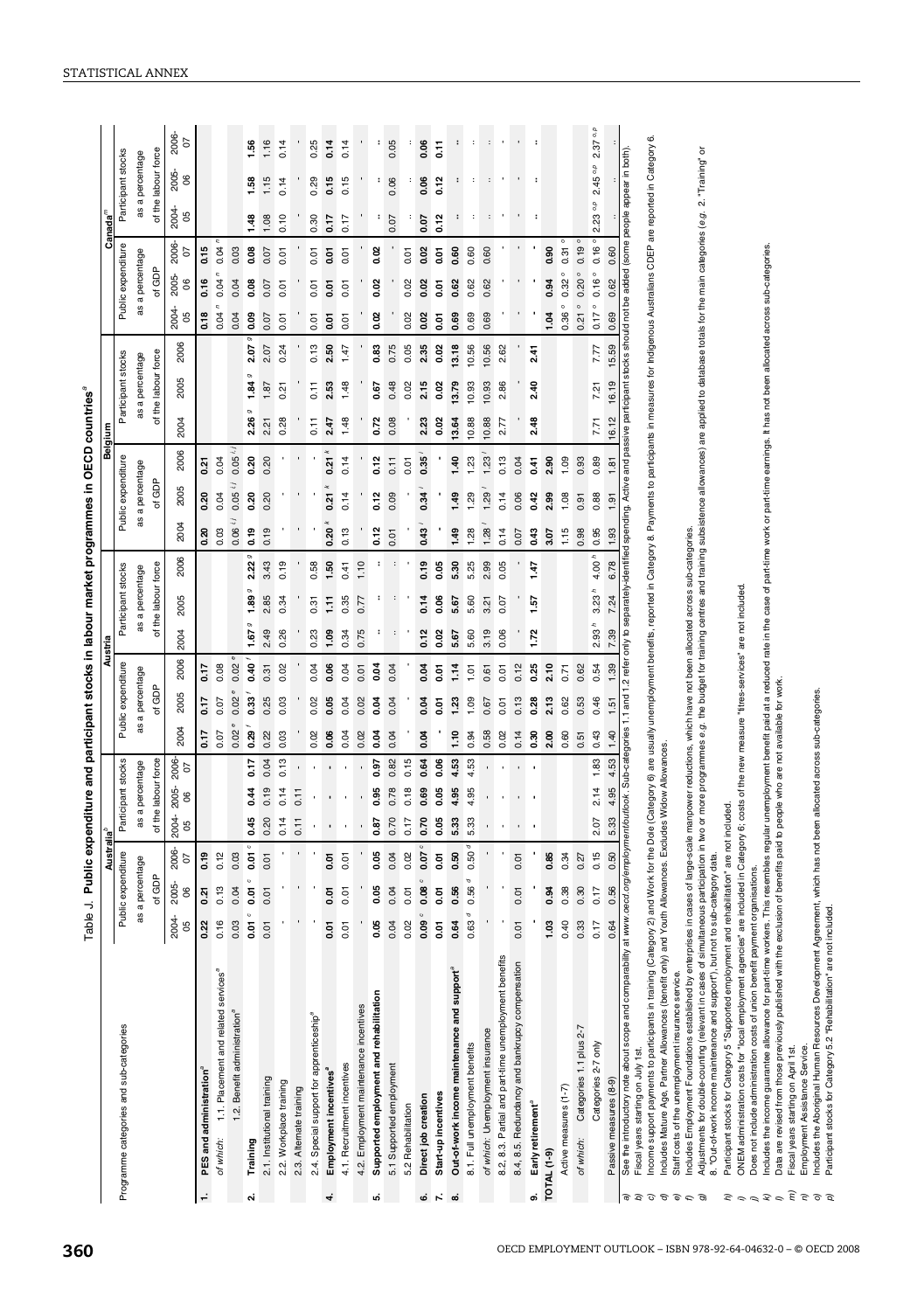|                     |                                                                                                                                                                                                                                                                     |                     |                    | Australia                |             |                                      |               |                    | Austria           |                   |                                                                                                                                           |                   |                     |                     |                   |                     |           |                     |                    | Canada <sup>rr</sup> |                       |              |
|---------------------|---------------------------------------------------------------------------------------------------------------------------------------------------------------------------------------------------------------------------------------------------------------------|---------------------|--------------------|--------------------------|-------------|--------------------------------------|---------------|--------------------|-------------------|-------------------|-------------------------------------------------------------------------------------------------------------------------------------------|-------------------|---------------------|---------------------|-------------------|---------------------|-----------|---------------------|--------------------|----------------------|-----------------------|--------------|
|                     | Programme categories and sub-categories                                                                                                                                                                                                                             |                     | Public expenditure |                          |             | Participant stocks                   |               | Public expenditure |                   |                   | Participant stocks                                                                                                                        |                   | Public expenditure  |                     |                   | Participant stocks  |           |                     | Public expenditure |                      | Participant stocks    |              |
|                     |                                                                                                                                                                                                                                                                     |                     | as a percentage    |                          |             | as a percentage                      |               | as a percentage    |                   |                   | as a percentage                                                                                                                           |                   | as a percentage     |                     |                   | as a percentage     |           |                     | as a percentage    |                      | as a percentage       |              |
|                     |                                                                                                                                                                                                                                                                     |                     | of GDP             |                          |             | of the labour force                  |               | of GDP             |                   |                   | of the labour force                                                                                                                       |                   | of GDP              |                     |                   | of the labour force |           |                     | of GDP             |                      | of the labour force   |              |
|                     |                                                                                                                                                                                                                                                                     | 2004-<br>80         | 2005-<br>$\infty$  | 2006-<br>5               | 2004-<br>පි | 2006-<br>5<br>2005-<br>8             | 2004          | 2005               | 2006              | 2004              | 2006<br>2005                                                                                                                              | 2004              | 2005                | 2006                | 2004              | 2005                | 2006      | 2004-<br>ఠ          | 2005-<br>80        | 2006-<br>5           | 2004-<br>8            | 2005-<br>8   |
|                     | PES and administration <sup>®</sup>                                                                                                                                                                                                                                 | 0.22                | 0.21               | 0.19                     |             |                                      | 0.17          | 0.17               | 0.17              |                   |                                                                                                                                           | 0.20              | 0.20                | 0.21                |                   |                     |           | 0.18                | 0.16               | 0.15                 |                       |              |
|                     | 1.1. Placement and related services <sup>®</sup><br>of which:                                                                                                                                                                                                       | 0.16                | 0.13               | 0.12                     |             |                                      | 0.07          | 0.07               | 0.08              |                   |                                                                                                                                           | 0.03              | 0.04                | 0.04                |                   |                     |           | 0.04 <sup>n</sup>   | 0.04 <sup>n</sup>  | 0.04                 |                       |              |
|                     | 1.2. Benefit administration <sup>ª</sup>                                                                                                                                                                                                                            | 0.03                | 0.04               | 0.03                     |             |                                      | 0.02          | $0.02$ $^{\circ}$  | 0.02              |                   |                                                                                                                                           | 0.06 <sup>1</sup> | 0.05 <sup>1,1</sup> | 0.05 <sup>1</sup>   |                   |                     |           | 0.04                | 0.04               | 0.03                 |                       |              |
| ۵İ                  | Training                                                                                                                                                                                                                                                            | 0.01                | 0.01               | 0.01                     | 0.45        | 517<br>0.44                          | 0.29          | 0.33               | 0.40 <sup>7</sup> | 1.67 <sup>9</sup> | $2.22$ $9$<br>$1.89$ $9$                                                                                                                  | 0.19              | 0.20                | 0.20                | 2.26              | 1.84<br>b)          | 2.07<br>5 | <b>eo:0</b><br>G)   | <b>80.0</b>        | <b>80.0</b>          | 1.48                  | 1.58         |
|                     | 2.1. Institutional training                                                                                                                                                                                                                                         | 0.01                | 0.01               | 0.01                     | 0.20        | 0.04<br>0.19                         | 0.22          | 0.25               | 0.31              | 2.49              | 3.43<br>2.85                                                                                                                              | 0.19              | 0.20                | 0.20                | 2.21              | 1.87                | 2.07      | 0.07                | 0.07               | 0.07                 | 1.08                  | 1.15         |
|                     | 2.2. Workplace training                                                                                                                                                                                                                                             |                     |                    |                          | 0.14        | 0.13<br>0.14                         | 0.03          | 0.03               | 0.02              | 0.26              | 0.19<br>0.34                                                                                                                              |                   |                     |                     | 0.28              | 0.21                | 0.24      | 0.01                | 0.01               | 0.01                 | 0.10                  | 0.14         |
|                     | 2.3. Alternate training                                                                                                                                                                                                                                             |                     |                    |                          | 0.11        | 0.11                                 |               |                    |                   |                   |                                                                                                                                           |                   |                     |                     |                   |                     |           |                     |                    |                      |                       |              |
|                     | 2.4. Special support for apprenticeship <sup>®</sup>                                                                                                                                                                                                                |                     |                    |                          |             |                                      | 0.02          | 0.02               | 0.04              | 0.23              | 0.58<br>0.31                                                                                                                              |                   |                     |                     | $\overline{0.11}$ | $\overline{0}$ .11  | 0.13      | 0.01                | 0.01               | 0.01                 | 0.29<br>0.30          |              |
| 4.                  | Employment incentives                                                                                                                                                                                                                                               | 5.01                | 0.01               | 5.01                     |             |                                      | 0.06          | 0.05               | 0.06              | 1.09              | 1.50<br>E                                                                                                                                 | $0.20$ $^{*}$     | 0.21                | $0.21$ <sup>k</sup> | 2.47              | 2.53                | 2.50      | 0.01                | 5 <sub>0.01</sub>  | 0.01                 | 0.15<br>$-17$         |              |
|                     | 4.1. Recruitment incentives                                                                                                                                                                                                                                         | 0.01                | 0.01               | 0.01                     |             |                                      | 0.04          | 0.04               | 0.04              | 0.34              | 0.41<br>0.35                                                                                                                              | 0.13              | 0.14                | 0.14                | 1.48              | 1.48                | 1.47      | 0.01                | 0.01               | 0.01                 | 0.17                  | 0.15         |
|                     | 4.2. Employment maintenance incentives                                                                                                                                                                                                                              |                     |                    |                          |             |                                      | 0.02          | 0.02               | 0.01              | 0.75              | 1.10<br>0.77                                                                                                                              |                   |                     |                     |                   |                     |           |                     |                    |                      |                       |              |
| ທ່                  | Supported employment and rehabilitation                                                                                                                                                                                                                             | 0.05                | 0.05               | 0.05                     | <b>GSO</b>  | 0.97<br>0.95                         | 0.04          | 0.04               | 0.04              |                   |                                                                                                                                           | 0.12              | 0.12                | 0.12                | 0.72              | 0.67                | 0.83      | 0.02                | 0.02               | 0.02                 |                       |              |
|                     | 5.1 Supported employment                                                                                                                                                                                                                                            | 0.04                | 0.04               | 0.04                     | 0.70        | 0.82<br>0.78                         | 0.04          | 0.04               | 0.04              | $\colon$          |                                                                                                                                           | 0.01              | 0.09                | 0.11                | 0.08              | 0.48                | 0.75      |                     |                    |                      | 0.06<br>0.07          |              |
|                     | 5.2 Rehabilitation                                                                                                                                                                                                                                                  | 0.02                | 0.01               | 0.02                     | 0.17        | 0.15<br>0.18                         |               |                    |                   |                   |                                                                                                                                           |                   |                     | 0.01                |                   | 0.02                | 0.05      | 0.02                | 0.02               | $\overline{0}$       |                       |              |
|                     | Direct job creation                                                                                                                                                                                                                                                 | 0.09                | 0.08               | 0.07<br>$\circ$          | 0.70        | 0.64<br>0.69                         | 0.04          | 0.04               | 0.04              | 0.12              | 0.19<br>0.14                                                                                                                              | 0.43              | 0.34                | 0.35                | 2.23              | 2.15                | 2.35      | 0.02                | 0.02               | 0.02                 | 0.07                  | 0.06         |
| ن<br>م              | Start-up incentives                                                                                                                                                                                                                                                 | 5.01                | $\overline{0}$ .01 | 5.01                     | 0.05        | <b>0.06</b><br>0.05                  |               | 5 <sub>o</sub>     | 0.01              | 0.02              | <b>0.05</b><br><b>80.0</b>                                                                                                                |                   |                     |                     | 0.02              | 0.02                | 0.02      | $\overline{0}$      | 5.01               | $\overline{0}$       | 0.12                  | 0.12         |
| ထံ                  | Out-of-work income maintenance and support <sup>a</sup>                                                                                                                                                                                                             | 0.64                | 0.56               | 0.50                     | 5.33        | 4.53<br>4.95                         | $\frac{1}{2}$ | 123                | 1.14              | 5.67              | 5.30<br>5.67                                                                                                                              | 1.49              | 1.49                | 1.40                | 13.64             | 13.79               | 13.18     | 0.69                | 0.62               | 0.60                 | $\ddot{\phantom{a}}$  | :            |
|                     | 8.1. Full unemployment benefits                                                                                                                                                                                                                                     | $0.63$ <sup>d</sup> | 0.56               | $0.50$ <sup>d</sup><br>ó | 5.33        | 4.53<br>4.95                         | 0.94          | 1.09               | $\frac{5}{1}$     | 5.60              | 5.25<br>5.60                                                                                                                              | 1,28              | <b>PS</b>           | 1.23                | 10.88             | 10.93               | 10.56     | 0.69                | 0.62               | 0.60                 | ÷                     |              |
|                     | of which: Unemployment insurance                                                                                                                                                                                                                                    |                     |                    |                          |             |                                      | 0.58          | 0.67               | 0.61              | 3.19              | 2.99<br>3.21                                                                                                                              | 1.28              | 1.29                | 1.23                | 10.88             | 10.93               | 10.56     | 0.69                | 0.62               | 0.60                 | ÷                     |              |
|                     | 8.2, 8.3. Partial and part-time unemployment benefits                                                                                                                                                                                                               |                     |                    |                          |             |                                      | 0.02          | 0.01               | 0.01              | 0.06              | 0.05<br>0.07                                                                                                                              | 0.14              | 0.14                | 0.13                | 2.77              | 2.86                | 2.62      |                     |                    |                      |                       |              |
|                     | 8.4, 8.5. Redundancy and bankrupcy compensation                                                                                                                                                                                                                     | 0.01                | 0.01               | 0.01                     |             |                                      | 0.14          | 0.13               | 0.12              |                   |                                                                                                                                           | 0.07              | 0.06                | 0.04                |                   |                     |           |                     |                    |                      |                       |              |
| တ                   | Early retirement <sup>a</sup>                                                                                                                                                                                                                                       |                     |                    |                          |             |                                      | 0.30          | 0.28               | 0.25              | 1.72              | 1.47<br>1.57                                                                                                                              | 0.43              | 0.42                | 0.41                | 2.48              | 2.40                | 2.41      |                     |                    |                      |                       |              |
| TOTAL (1-9)         |                                                                                                                                                                                                                                                                     | 1.03                | 0.94               | 0.85                     |             |                                      | 2.00          | 2.13               | 2.10              |                   |                                                                                                                                           | 3.07              | 2.99                | 2.90                |                   |                     |           | 1.04                | 0.94               | 0.90                 |                       |              |
|                     | Active measures (1-7)                                                                                                                                                                                                                                               | 0.40                | 0.38               | 0.34                     |             |                                      | 0.60          | 0.62               | 0.71              |                   |                                                                                                                                           | 1.15              | 1.08                | 1.09                |                   |                     |           | $0.36\degree$       | $0.32\degree$      | 0.31                 |                       |              |
|                     | Categories 1.1 plus 2-7<br>of which:                                                                                                                                                                                                                                | 0.33                | 0.30               | 0.27                     |             |                                      | 0.51          | 0.53               | 0.62              |                   |                                                                                                                                           | 0.98              | 0.91                | 0.93                |                   |                     |           | $0.21$ <sup>o</sup> | $0.20$ °           | 0.19                 |                       |              |
|                     | Categories 2-7 only                                                                                                                                                                                                                                                 | 0.17                | 0.17               | 0.15                     | 2.07        | 1.83<br>2.14                         | 0.43          | 0.46               | 0.54              | 2.93 <sup>h</sup> | 4.00 <sup>h</sup><br>3.23h                                                                                                                | 0.95              | 0.88                | 0.89                | 7.71              | 7.21                | 7.77      | $0.17^{\circ}$      | 0.16°              | 0.16°                | $2.23$ <sup>o.p</sup> | $2.45$ $0.9$ |
|                     | Passive measures (8-9)                                                                                                                                                                                                                                              | 0.64                | 0.56               | 0.50                     | 5.33        | 4.53<br>4.95                         | 1.40          | 1.51               | 1.39              | 7.39              | 6.78<br>7.24                                                                                                                              | 1.93              | 1.91                | 1.81                | 16.12             | 16.19               | 15.59     | 0.69                | 0.62               | 0.60                 |                       |              |
|                     | See the introductory note about scope and comparability at www.oecd.o                                                                                                                                                                                               |                     |                    |                          |             | g/employment/outlook. Sub-categories |               | 1.1 and            |                   |                   | 1.2 refer only to separately-identified spending. Active and passive participant stocks should not be added (some people appear in both). |                   |                     |                     |                   |                     |           |                     |                    |                      |                       |              |
| ଡି କ ଡି ଟି ଦି ବି କି | ncome support payments to particing (Category 2) and Work for the Dole (Category 6) are usually unemployment benefits, reported in Category 8. Payments to participants in measures for Indigenous Australians CDEP are report<br>Fiscal years starting on July 1st |                     |                    |                          |             |                                      |               |                    |                   |                   |                                                                                                                                           |                   |                     |                     |                   |                     |           |                     |                    |                      |                       |              |
|                     | Includes Mature Age, Partner Allowances (benefit only) and Youth Allowances. Excludes Widow Allowances                                                                                                                                                              |                     |                    |                          |             |                                      |               |                    |                   |                   |                                                                                                                                           |                   |                     |                     |                   |                     |           |                     |                    |                      |                       |              |
|                     | Staff costs of the unemployment insurance service.                                                                                                                                                                                                                  |                     |                    |                          |             |                                      |               |                    |                   |                   |                                                                                                                                           |                   |                     |                     |                   |                     |           |                     |                    |                      |                       |              |
|                     | Includes Employment Foundations established by enterprises in cases of large-scale manpower reductions, which have not been allocated across sub-categories.                                                                                                        |                     |                    |                          |             |                                      |               |                    |                   |                   |                                                                                                                                           |                   |                     |                     |                   |                     |           |                     |                    |                      |                       |              |
|                     | Adjustments for double-counting (relevant in cases of simultaneous participation in two or more programmes e.g. the budget for training centres and training subsisence allowances) are applied to database tor the main categ                                      |                     |                    |                          |             |                                      |               |                    |                   |                   |                                                                                                                                           |                   |                     |                     |                   |                     |           |                     |                    |                      |                       |              |
|                     | 8. "Out-of-work income maintenance and support"), but not to sub-category data                                                                                                                                                                                      |                     |                    |                          |             |                                      |               |                    |                   |                   |                                                                                                                                           |                   |                     |                     |                   |                     |           |                     |                    |                      |                       |              |
|                     | ONEM administration costs for "local employment agencies" are included in Category 6; costs of the new measure "tires-services" are not included<br>Participant stocks for Category 5 "Supported employment and rehabilitation" are not included                    |                     |                    |                          |             |                                      |               |                    |                   |                   |                                                                                                                                           |                   |                     |                     |                   |                     |           |                     |                    |                      |                       |              |
| code de cod         | Does not include administration costs of union benefit payment organisations                                                                                                                                                                                        |                     |                    |                          |             |                                      |               |                    |                   |                   |                                                                                                                                           |                   |                     |                     |                   |                     |           |                     |                    |                      |                       |              |
|                     | ncludes the income guarantee allowance for part-time workers. This resembles regular unemployment benefit paid at a reduced rate in the case of part-time work or part-time earnings. It has not been allocated across sub-cat                                      |                     |                    |                          |             |                                      |               |                    |                   |                   |                                                                                                                                           |                   |                     |                     |                   |                     |           |                     |                    |                      |                       |              |
|                     | Data are revised from those previously published with the exclusion of benefits paid to people who are not available for work                                                                                                                                       |                     |                    |                          |             |                                      |               |                    |                   |                   |                                                                                                                                           |                   |                     |                     |                   |                     |           |                     |                    |                      |                       |              |
|                     | Fiscal years starting on April 1st.                                                                                                                                                                                                                                 |                     |                    |                          |             |                                      |               |                    |                   |                   |                                                                                                                                           |                   |                     |                     |                   |                     |           |                     |                    |                      |                       |              |
|                     | Employment Assistance Service.                                                                                                                                                                                                                                      |                     |                    |                          |             |                                      |               |                    |                   |                   |                                                                                                                                           |                   |                     |                     |                   |                     |           |                     |                    |                      |                       |              |
|                     | Includes the Aboriginal Human Resources Development Agreement, which has not been allocated across sub-categories<br>Participant stocks for Category 5.2 "Rehabilitation" are not included.                                                                         |                     |                    |                          |             |                                      |               |                    |                   |                   |                                                                                                                                           |                   |                     |                     |                   |                     |           |                     |                    |                      |                       |              |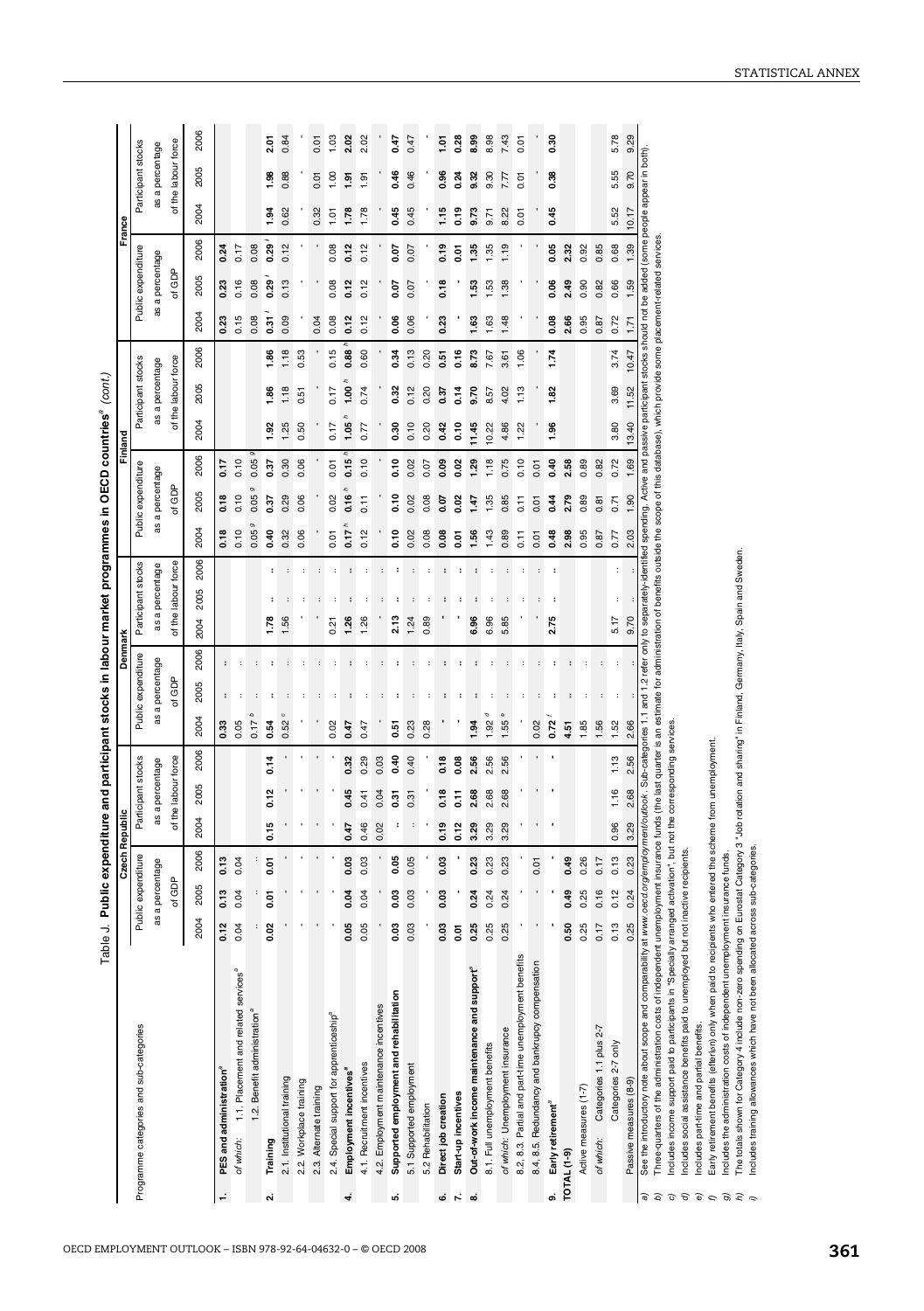| of the labour force<br>Participant stocks<br>as a percentage<br>See the introductory note about scope and comparability at www.oecd.org/employment/outlook. Subcategories 1.1 and 1.2 refer only to separately-identified spending. Active and passive participant stocks should not be added<br>2005<br>0.46<br>5.55<br>9.70<br>1.98<br>0.88<br>1,00<br>0.46<br>0.96<br>0.30<br>0.38<br>0.01<br>0.24<br>9.32<br>7.77<br>1.91<br>1.91<br>0.01<br>2004<br>0.45<br>0.45<br>1.15<br>0.19<br>9.73<br>8.22<br>0.45<br>5.52<br>0.62<br>0.32<br>1.01<br>1.78<br>1.78<br>9.71<br>10.17<br>1.94<br>0.01<br>Three-quarters of the administration costs of independent uneppendent insurance funds the last quarter is a deministration of benefits outside the scope of this database), which provide some placement-related services<br>0.29<br>2006<br>0.12<br>0.08<br>0.68<br>1.39<br>0.07<br>0.19<br>1.35<br>1.19<br>0.85<br>Public expenditure<br>0.24<br>0.08<br>0.12<br>0.12<br>1.35<br>0.05<br>2.32<br>0.92<br>0.17<br>0.07<br>5g<br>as a percentage<br>of GDP<br>0.29<br>2005<br>0.16<br>0.08<br>0.13<br>0.08<br>0.12<br>0.12<br>0.18<br>1.53<br>1.53<br>1.38<br>2.49<br>0.90<br>0.82<br>0.66<br>1.59<br>0.07<br>0.07<br><b>80.0</b><br>0.23<br>2004<br>0.15<br>$\overline{0.31}$<br>0.08<br>0.06<br>0.95<br>0.72<br>0.08<br>0.09<br>0.04<br>0.12<br>0.12<br>0.06<br>0.23<br>1.63<br>1.63<br>1.48<br>$\frac{8}{2}$<br>2.66<br>0.87<br>0.23<br>1.71<br>0.88h<br>2006<br>0.15<br>1.74<br>1.18<br>0.60<br>0.34<br>0.13<br><b>0.16</b><br>3.74<br>1.86<br>0.53<br>0.20<br>8.73<br>1.06<br>0.51<br>7.67<br>3.61<br>10.47<br>of the labour force<br>Participant stocks<br>as a percentage<br>1.00 <sup>h</sup><br>2005<br>1.18<br>0.32<br>3.69<br>0.17<br>0.74<br>0.12<br>0.20<br>0.14<br>9.70<br>4.02<br>1.13<br>1.82<br>1.86<br>0.37<br>8.57<br>11.52<br>0.51<br>1.05 <sup>h</sup><br>2004<br>13.40<br>3.80<br>0.50<br>0.30<br>0.10<br>0.20<br>$\frac{1}{2}$<br>11.45<br>1.96<br>1.25<br>0.17<br>0.42<br>10.22<br>4.86<br>1.92<br>0.77<br>1.22<br>0.05 <sup>g</sup><br>0.15 <sup>h</sup><br>2006<br>1.69<br>0.10<br>0.30<br>0.06<br>0.01<br>0.10<br>0.40<br>0.89<br>0.72<br>0.37<br>0.10<br>0.09<br>1.29<br>1.18<br>0.75<br>0.10<br>2.58<br>0.82<br>0.17<br>0.02<br>0.07<br>0.02<br>0.01<br>Public expenditure<br>as a percentage<br>of GDP<br>0.05 <sup>g</sup><br>0.16hh<br>2005<br>0.06<br>0.02<br>$\frac{1}{2}$<br>2.79<br>0.89<br>1.90<br>0.18<br>0.10<br>0.29<br>$\overline{0}$ .<br>0.85<br>0.11<br>0.37<br>0.02<br>0.08<br>0.07<br>0.02<br>1.35<br>0.01<br>0.44<br>0.81<br>0.71<br>147<br>0.05 <sup>g</sup><br>0.17h<br>2004<br>0.10<br>$\frac{8}{10}$<br>0.18<br>0.40<br>0.32<br>0.06<br>0.89<br>0.48<br>2.98<br>0.95<br>$\overline{0}$<br>0.08<br>0.08<br>1.43<br>0.11<br>0.87<br>0.77<br>2.03<br>0.12<br>0.02<br>1.56<br>0.01<br>5 <sub>0.01</sub><br>The totals shown for Category 4 include non-zero spending on Eurostat Category 3 "Job rotation and sharing" in Finland, Germany, Italy, Spain and Sweden.<br>2006<br>of the labour force<br>Participant stocks<br>as a percentage<br>2005<br>1.56<br>1.26<br>1.26<br>2.13<br>0.89<br>6.96<br>6.96<br>5.85<br>2.75<br>9.70<br>1.78<br>0.21<br>1.24<br>5.17<br>2004<br>2006<br>Public expenditure<br>as a percentage<br>of GDP<br>2005<br>Ф<br>$0.17^{b}$<br>$0.52\degree$<br>2004<br>1.92<br>0.72<br>1.55<br>0.02<br>1.85<br>1.56<br>1.52<br>Includes income support paid to participants in "Specially arranged activation", but not the corresponding services.<br>0.05<br>0.54<br>0.02<br>51<br>0.23<br>0.28<br>34<br>4.51<br>0.33<br>2.66<br><b>170</b><br>0.47<br>Early retirement benefits (efterløn) only when paid to recipients who entered the scheme from unemployment.<br>2006<br>$\blacksquare$<br>0.40<br>0.40<br>2.56<br>2.56<br>0.29<br>0.03<br>0.18<br>2.56<br>2.56<br>1.13<br>Participant stocks<br>of the labour force<br>0.32<br>0.08<br>0.14<br>as a percentage<br>2005<br>0.18<br>0.12<br>0.45<br>$\overline{5}$<br>2.68<br>2.68<br>2.68<br>1.16<br>2.68<br>0.41<br>0.04<br>0.31<br>0.31<br>2004<br>0.46<br>0.19<br>0.12<br>3.29<br>3.29<br>$\blacksquare$<br>0.96<br>0.15<br>0.02<br>÷<br>$\cdot$<br>3.29<br>3.29<br>0.47<br>-categories.<br>recipients.<br>2006<br>Includes the administration costs of independent unemployment insurance funds<br>Public expenditure<br>0.23<br>0.03<br>0.49<br>0.13<br>0.03<br>0.05<br>0.05<br>0.03<br>0.23<br>0.23<br>0.23<br>0.26<br>0.13<br>0.04<br>$\overline{0}$<br>0.01<br>0.17<br>as a percentage<br>å<br>ம<br>of G<br>200<br>0.13<br>0.04<br>0.04<br>0.04<br>ទី<br>0.03<br><b>C.OS</b><br>0.24<br>0.24<br>0.24<br>0.49<br>0.25<br>0.16<br>0.12<br>0.24<br>includes social assistance benefits paid to unemployed but not inactive<br>Includes training allowances which have not been allocated across sub<br>្ងួ<br>2004<br>0.25<br>0.03<br>0.50<br>0.13<br>0.05<br>0.05<br>0.03<br>0.25<br>0.25<br>0.25<br>0.25<br>0.17<br>0.12<br>0.04<br>0.02<br>0.03<br>$\overline{0}$<br>8.2, 8.3. Partial and part-time unemployment benefits<br>8.4, 8.5. Redundancy and bankrupcy compensation<br>Out-of-work income maintenance and support®<br>1.1. Placement and related services <sup>®</sup><br>Supported employment and rehabilitation<br>4.2. Employment maintenance incentives<br>1.2. Benefit administration <sup>ª</sup><br>2.4. Special support for apprenticeship <sup>4</sup><br>Includes part-time and partial benefits.<br>Programme categories and sub-categories<br>Categories 1.1 plus 2-7<br>of which: Unemployment insurance<br>Categories 2-7 only<br>8.1. Full unemployment benefits<br>5.1 Supported employment<br>4.1. Recruitment incentives<br>PES and administration <sup>ª</sup><br>Employment incentives <sup>®</sup><br>2.1. Institutional training<br>Passive measures (8-9)<br>2.2. Workplace training<br>Active measures (1-7)<br>2.3. Alternate training<br>Start-up incentives<br>Direct job creation<br>Early retirement <sup>®</sup><br>5.2 Rehabilitation<br>of which:<br>of which:<br>Training<br>TOTAL (1-9)<br>r.<br>LÓ.<br>တ<br>cacacaca<br>۵i<br>4.<br>ق<br>ထံ<br>e) |  |  | <b>Czech Republic</b> |  | <b>Denmark</b> |  |  | Finland |  |  | France |      |
|----------------------------------------------------------------------------------------------------------------------------------------------------------------------------------------------------------------------------------------------------------------------------------------------------------------------------------------------------------------------------------------------------------------------------------------------------------------------------------------------------------------------------------------------------------------------------------------------------------------------------------------------------------------------------------------------------------------------------------------------------------------------------------------------------------------------------------------------------------------------------------------------------------------------------------------------------------------------------------------------------------------------------------------------------------------------------------------------------------------------------------------------------------------------------------------------------------------------------------------------------------------------------------------------------------------------------------------------------------------------------------------------------------------------------------------------------------------------------------------------------------------------------------------------------------------------------------------------------------------------------------------------------------------------------------------------------------------------------------------------------------------------------------------------------------------------------------------------------------------------------------------------------------------------------------------------------------------------------------------------------------------------------------------------------------------------------------------------------------------------------------------------------------------------------------------------------------------------------------------------------------------------------------------------------------------------------------------------------------------------------------------------------------------------------------------------------------------------------------------------------------------------------------------------------------------------------------------------------------------------------------------------------------------------------------------------------------------------------------------------------------------------------------------------------------------------------------------------------------------------------------------------------------------------------------------------------------------------------------------------------------------------------------------------------------------------------------------------------------------------------------------------------------------------------------------------------------------------------------------------------------------------------------------------------------------------------------------------------------------------------------------------------------------------------------------------------------------------------------------------------------------------------------------------------------------------------------------------------------------------------------------------------------------------------------------------------------------------------------------------------------------------------------------------------------------------------------------------------------------------------------------------------------------------------------------------------------------------------------------------------------------------------------------------------------------------------------------------------------------------------------------------------------------------------------------------------------------------------------------------------------------------------------------------------------------------------------------------------------------------------------------------------------------------------------------------------------------------------------------------------------------------------------------------------------------------------------------------------------------------------------------------------------------------------------------------------------------------------------------------------------------------------------------------------------------------------------------------------------------------------------------------------------------------------------------------------------------------------------------------------------------------------------------------------------------------------------------------------------------------------------------------------------------------------------------------------------------------------------------------------------------------------------------------------------------------------------------------------------------------------------------------------------------------------------------------------------------------------------------------------------------------------------------------------------------------------------------------------------------------------------------------------------------------------------------------------------------------------------------------------------------------------------------------------------------------------------------------------------------------------------------------------------------------------------------------------------------------------------------------------------------------------------------------------------------------------------------------------------------------------------------|--|--|-----------------------|--|----------------|--|--|---------|--|--|--------|------|
|                                                                                                                                                                                                                                                                                                                                                                                                                                                                                                                                                                                                                                                                                                                                                                                                                                                                                                                                                                                                                                                                                                                                                                                                                                                                                                                                                                                                                                                                                                                                                                                                                                                                                                                                                                                                                                                                                                                                                                                                                                                                                                                                                                                                                                                                                                                                                                                                                                                                                                                                                                                                                                                                                                                                                                                                                                                                                                                                                                                                                                                                                                                                                                                                                                                                                                                                                                                                                                                                                                                                                                                                                                                                                                                                                                                                                                                                                                                                                                                                                                                                                                                                                                                                                                                                                                                                                                                                                                                                                                                                                                                                                                                                                                                                                                                                                                                                                                                                                                                                                                                                                                                                                                                                                                                                                                                                                                                                                                                                                                                                                                                                                                                                                                                                                                                                                                                                                                                                                                                                                                                                                                                                        |  |  |                       |  |                |  |  |         |  |  |        |      |
|                                                                                                                                                                                                                                                                                                                                                                                                                                                                                                                                                                                                                                                                                                                                                                                                                                                                                                                                                                                                                                                                                                                                                                                                                                                                                                                                                                                                                                                                                                                                                                                                                                                                                                                                                                                                                                                                                                                                                                                                                                                                                                                                                                                                                                                                                                                                                                                                                                                                                                                                                                                                                                                                                                                                                                                                                                                                                                                                                                                                                                                                                                                                                                                                                                                                                                                                                                                                                                                                                                                                                                                                                                                                                                                                                                                                                                                                                                                                                                                                                                                                                                                                                                                                                                                                                                                                                                                                                                                                                                                                                                                                                                                                                                                                                                                                                                                                                                                                                                                                                                                                                                                                                                                                                                                                                                                                                                                                                                                                                                                                                                                                                                                                                                                                                                                                                                                                                                                                                                                                                                                                                                                                        |  |  |                       |  |                |  |  |         |  |  |        |      |
|                                                                                                                                                                                                                                                                                                                                                                                                                                                                                                                                                                                                                                                                                                                                                                                                                                                                                                                                                                                                                                                                                                                                                                                                                                                                                                                                                                                                                                                                                                                                                                                                                                                                                                                                                                                                                                                                                                                                                                                                                                                                                                                                                                                                                                                                                                                                                                                                                                                                                                                                                                                                                                                                                                                                                                                                                                                                                                                                                                                                                                                                                                                                                                                                                                                                                                                                                                                                                                                                                                                                                                                                                                                                                                                                                                                                                                                                                                                                                                                                                                                                                                                                                                                                                                                                                                                                                                                                                                                                                                                                                                                                                                                                                                                                                                                                                                                                                                                                                                                                                                                                                                                                                                                                                                                                                                                                                                                                                                                                                                                                                                                                                                                                                                                                                                                                                                                                                                                                                                                                                                                                                                                                        |  |  |                       |  |                |  |  |         |  |  |        |      |
|                                                                                                                                                                                                                                                                                                                                                                                                                                                                                                                                                                                                                                                                                                                                                                                                                                                                                                                                                                                                                                                                                                                                                                                                                                                                                                                                                                                                                                                                                                                                                                                                                                                                                                                                                                                                                                                                                                                                                                                                                                                                                                                                                                                                                                                                                                                                                                                                                                                                                                                                                                                                                                                                                                                                                                                                                                                                                                                                                                                                                                                                                                                                                                                                                                                                                                                                                                                                                                                                                                                                                                                                                                                                                                                                                                                                                                                                                                                                                                                                                                                                                                                                                                                                                                                                                                                                                                                                                                                                                                                                                                                                                                                                                                                                                                                                                                                                                                                                                                                                                                                                                                                                                                                                                                                                                                                                                                                                                                                                                                                                                                                                                                                                                                                                                                                                                                                                                                                                                                                                                                                                                                                                        |  |  |                       |  |                |  |  |         |  |  |        | 2006 |
|                                                                                                                                                                                                                                                                                                                                                                                                                                                                                                                                                                                                                                                                                                                                                                                                                                                                                                                                                                                                                                                                                                                                                                                                                                                                                                                                                                                                                                                                                                                                                                                                                                                                                                                                                                                                                                                                                                                                                                                                                                                                                                                                                                                                                                                                                                                                                                                                                                                                                                                                                                                                                                                                                                                                                                                                                                                                                                                                                                                                                                                                                                                                                                                                                                                                                                                                                                                                                                                                                                                                                                                                                                                                                                                                                                                                                                                                                                                                                                                                                                                                                                                                                                                                                                                                                                                                                                                                                                                                                                                                                                                                                                                                                                                                                                                                                                                                                                                                                                                                                                                                                                                                                                                                                                                                                                                                                                                                                                                                                                                                                                                                                                                                                                                                                                                                                                                                                                                                                                                                                                                                                                                                        |  |  |                       |  |                |  |  |         |  |  |        |      |
|                                                                                                                                                                                                                                                                                                                                                                                                                                                                                                                                                                                                                                                                                                                                                                                                                                                                                                                                                                                                                                                                                                                                                                                                                                                                                                                                                                                                                                                                                                                                                                                                                                                                                                                                                                                                                                                                                                                                                                                                                                                                                                                                                                                                                                                                                                                                                                                                                                                                                                                                                                                                                                                                                                                                                                                                                                                                                                                                                                                                                                                                                                                                                                                                                                                                                                                                                                                                                                                                                                                                                                                                                                                                                                                                                                                                                                                                                                                                                                                                                                                                                                                                                                                                                                                                                                                                                                                                                                                                                                                                                                                                                                                                                                                                                                                                                                                                                                                                                                                                                                                                                                                                                                                                                                                                                                                                                                                                                                                                                                                                                                                                                                                                                                                                                                                                                                                                                                                                                                                                                                                                                                                                        |  |  |                       |  |                |  |  |         |  |  |        |      |
|                                                                                                                                                                                                                                                                                                                                                                                                                                                                                                                                                                                                                                                                                                                                                                                                                                                                                                                                                                                                                                                                                                                                                                                                                                                                                                                                                                                                                                                                                                                                                                                                                                                                                                                                                                                                                                                                                                                                                                                                                                                                                                                                                                                                                                                                                                                                                                                                                                                                                                                                                                                                                                                                                                                                                                                                                                                                                                                                                                                                                                                                                                                                                                                                                                                                                                                                                                                                                                                                                                                                                                                                                                                                                                                                                                                                                                                                                                                                                                                                                                                                                                                                                                                                                                                                                                                                                                                                                                                                                                                                                                                                                                                                                                                                                                                                                                                                                                                                                                                                                                                                                                                                                                                                                                                                                                                                                                                                                                                                                                                                                                                                                                                                                                                                                                                                                                                                                                                                                                                                                                                                                                                                        |  |  |                       |  |                |  |  |         |  |  |        |      |
|                                                                                                                                                                                                                                                                                                                                                                                                                                                                                                                                                                                                                                                                                                                                                                                                                                                                                                                                                                                                                                                                                                                                                                                                                                                                                                                                                                                                                                                                                                                                                                                                                                                                                                                                                                                                                                                                                                                                                                                                                                                                                                                                                                                                                                                                                                                                                                                                                                                                                                                                                                                                                                                                                                                                                                                                                                                                                                                                                                                                                                                                                                                                                                                                                                                                                                                                                                                                                                                                                                                                                                                                                                                                                                                                                                                                                                                                                                                                                                                                                                                                                                                                                                                                                                                                                                                                                                                                                                                                                                                                                                                                                                                                                                                                                                                                                                                                                                                                                                                                                                                                                                                                                                                                                                                                                                                                                                                                                                                                                                                                                                                                                                                                                                                                                                                                                                                                                                                                                                                                                                                                                                                                        |  |  |                       |  |                |  |  |         |  |  |        | 2.01 |
|                                                                                                                                                                                                                                                                                                                                                                                                                                                                                                                                                                                                                                                                                                                                                                                                                                                                                                                                                                                                                                                                                                                                                                                                                                                                                                                                                                                                                                                                                                                                                                                                                                                                                                                                                                                                                                                                                                                                                                                                                                                                                                                                                                                                                                                                                                                                                                                                                                                                                                                                                                                                                                                                                                                                                                                                                                                                                                                                                                                                                                                                                                                                                                                                                                                                                                                                                                                                                                                                                                                                                                                                                                                                                                                                                                                                                                                                                                                                                                                                                                                                                                                                                                                                                                                                                                                                                                                                                                                                                                                                                                                                                                                                                                                                                                                                                                                                                                                                                                                                                                                                                                                                                                                                                                                                                                                                                                                                                                                                                                                                                                                                                                                                                                                                                                                                                                                                                                                                                                                                                                                                                                                                        |  |  |                       |  |                |  |  |         |  |  |        | 0.84 |
|                                                                                                                                                                                                                                                                                                                                                                                                                                                                                                                                                                                                                                                                                                                                                                                                                                                                                                                                                                                                                                                                                                                                                                                                                                                                                                                                                                                                                                                                                                                                                                                                                                                                                                                                                                                                                                                                                                                                                                                                                                                                                                                                                                                                                                                                                                                                                                                                                                                                                                                                                                                                                                                                                                                                                                                                                                                                                                                                                                                                                                                                                                                                                                                                                                                                                                                                                                                                                                                                                                                                                                                                                                                                                                                                                                                                                                                                                                                                                                                                                                                                                                                                                                                                                                                                                                                                                                                                                                                                                                                                                                                                                                                                                                                                                                                                                                                                                                                                                                                                                                                                                                                                                                                                                                                                                                                                                                                                                                                                                                                                                                                                                                                                                                                                                                                                                                                                                                                                                                                                                                                                                                                                        |  |  |                       |  |                |  |  |         |  |  |        |      |
|                                                                                                                                                                                                                                                                                                                                                                                                                                                                                                                                                                                                                                                                                                                                                                                                                                                                                                                                                                                                                                                                                                                                                                                                                                                                                                                                                                                                                                                                                                                                                                                                                                                                                                                                                                                                                                                                                                                                                                                                                                                                                                                                                                                                                                                                                                                                                                                                                                                                                                                                                                                                                                                                                                                                                                                                                                                                                                                                                                                                                                                                                                                                                                                                                                                                                                                                                                                                                                                                                                                                                                                                                                                                                                                                                                                                                                                                                                                                                                                                                                                                                                                                                                                                                                                                                                                                                                                                                                                                                                                                                                                                                                                                                                                                                                                                                                                                                                                                                                                                                                                                                                                                                                                                                                                                                                                                                                                                                                                                                                                                                                                                                                                                                                                                                                                                                                                                                                                                                                                                                                                                                                                                        |  |  |                       |  |                |  |  |         |  |  |        | 0.01 |
|                                                                                                                                                                                                                                                                                                                                                                                                                                                                                                                                                                                                                                                                                                                                                                                                                                                                                                                                                                                                                                                                                                                                                                                                                                                                                                                                                                                                                                                                                                                                                                                                                                                                                                                                                                                                                                                                                                                                                                                                                                                                                                                                                                                                                                                                                                                                                                                                                                                                                                                                                                                                                                                                                                                                                                                                                                                                                                                                                                                                                                                                                                                                                                                                                                                                                                                                                                                                                                                                                                                                                                                                                                                                                                                                                                                                                                                                                                                                                                                                                                                                                                                                                                                                                                                                                                                                                                                                                                                                                                                                                                                                                                                                                                                                                                                                                                                                                                                                                                                                                                                                                                                                                                                                                                                                                                                                                                                                                                                                                                                                                                                                                                                                                                                                                                                                                                                                                                                                                                                                                                                                                                                                        |  |  |                       |  |                |  |  |         |  |  |        | 1.03 |
|                                                                                                                                                                                                                                                                                                                                                                                                                                                                                                                                                                                                                                                                                                                                                                                                                                                                                                                                                                                                                                                                                                                                                                                                                                                                                                                                                                                                                                                                                                                                                                                                                                                                                                                                                                                                                                                                                                                                                                                                                                                                                                                                                                                                                                                                                                                                                                                                                                                                                                                                                                                                                                                                                                                                                                                                                                                                                                                                                                                                                                                                                                                                                                                                                                                                                                                                                                                                                                                                                                                                                                                                                                                                                                                                                                                                                                                                                                                                                                                                                                                                                                                                                                                                                                                                                                                                                                                                                                                                                                                                                                                                                                                                                                                                                                                                                                                                                                                                                                                                                                                                                                                                                                                                                                                                                                                                                                                                                                                                                                                                                                                                                                                                                                                                                                                                                                                                                                                                                                                                                                                                                                                                        |  |  |                       |  |                |  |  |         |  |  |        | 2.02 |
|                                                                                                                                                                                                                                                                                                                                                                                                                                                                                                                                                                                                                                                                                                                                                                                                                                                                                                                                                                                                                                                                                                                                                                                                                                                                                                                                                                                                                                                                                                                                                                                                                                                                                                                                                                                                                                                                                                                                                                                                                                                                                                                                                                                                                                                                                                                                                                                                                                                                                                                                                                                                                                                                                                                                                                                                                                                                                                                                                                                                                                                                                                                                                                                                                                                                                                                                                                                                                                                                                                                                                                                                                                                                                                                                                                                                                                                                                                                                                                                                                                                                                                                                                                                                                                                                                                                                                                                                                                                                                                                                                                                                                                                                                                                                                                                                                                                                                                                                                                                                                                                                                                                                                                                                                                                                                                                                                                                                                                                                                                                                                                                                                                                                                                                                                                                                                                                                                                                                                                                                                                                                                                                                        |  |  |                       |  |                |  |  |         |  |  |        | 2.02 |
|                                                                                                                                                                                                                                                                                                                                                                                                                                                                                                                                                                                                                                                                                                                                                                                                                                                                                                                                                                                                                                                                                                                                                                                                                                                                                                                                                                                                                                                                                                                                                                                                                                                                                                                                                                                                                                                                                                                                                                                                                                                                                                                                                                                                                                                                                                                                                                                                                                                                                                                                                                                                                                                                                                                                                                                                                                                                                                                                                                                                                                                                                                                                                                                                                                                                                                                                                                                                                                                                                                                                                                                                                                                                                                                                                                                                                                                                                                                                                                                                                                                                                                                                                                                                                                                                                                                                                                                                                                                                                                                                                                                                                                                                                                                                                                                                                                                                                                                                                                                                                                                                                                                                                                                                                                                                                                                                                                                                                                                                                                                                                                                                                                                                                                                                                                                                                                                                                                                                                                                                                                                                                                                                        |  |  |                       |  |                |  |  |         |  |  |        |      |
|                                                                                                                                                                                                                                                                                                                                                                                                                                                                                                                                                                                                                                                                                                                                                                                                                                                                                                                                                                                                                                                                                                                                                                                                                                                                                                                                                                                                                                                                                                                                                                                                                                                                                                                                                                                                                                                                                                                                                                                                                                                                                                                                                                                                                                                                                                                                                                                                                                                                                                                                                                                                                                                                                                                                                                                                                                                                                                                                                                                                                                                                                                                                                                                                                                                                                                                                                                                                                                                                                                                                                                                                                                                                                                                                                                                                                                                                                                                                                                                                                                                                                                                                                                                                                                                                                                                                                                                                                                                                                                                                                                                                                                                                                                                                                                                                                                                                                                                                                                                                                                                                                                                                                                                                                                                                                                                                                                                                                                                                                                                                                                                                                                                                                                                                                                                                                                                                                                                                                                                                                                                                                                                                        |  |  |                       |  |                |  |  |         |  |  |        | 0.47 |
|                                                                                                                                                                                                                                                                                                                                                                                                                                                                                                                                                                                                                                                                                                                                                                                                                                                                                                                                                                                                                                                                                                                                                                                                                                                                                                                                                                                                                                                                                                                                                                                                                                                                                                                                                                                                                                                                                                                                                                                                                                                                                                                                                                                                                                                                                                                                                                                                                                                                                                                                                                                                                                                                                                                                                                                                                                                                                                                                                                                                                                                                                                                                                                                                                                                                                                                                                                                                                                                                                                                                                                                                                                                                                                                                                                                                                                                                                                                                                                                                                                                                                                                                                                                                                                                                                                                                                                                                                                                                                                                                                                                                                                                                                                                                                                                                                                                                                                                                                                                                                                                                                                                                                                                                                                                                                                                                                                                                                                                                                                                                                                                                                                                                                                                                                                                                                                                                                                                                                                                                                                                                                                                                        |  |  |                       |  |                |  |  |         |  |  |        | 0.47 |
|                                                                                                                                                                                                                                                                                                                                                                                                                                                                                                                                                                                                                                                                                                                                                                                                                                                                                                                                                                                                                                                                                                                                                                                                                                                                                                                                                                                                                                                                                                                                                                                                                                                                                                                                                                                                                                                                                                                                                                                                                                                                                                                                                                                                                                                                                                                                                                                                                                                                                                                                                                                                                                                                                                                                                                                                                                                                                                                                                                                                                                                                                                                                                                                                                                                                                                                                                                                                                                                                                                                                                                                                                                                                                                                                                                                                                                                                                                                                                                                                                                                                                                                                                                                                                                                                                                                                                                                                                                                                                                                                                                                                                                                                                                                                                                                                                                                                                                                                                                                                                                                                                                                                                                                                                                                                                                                                                                                                                                                                                                                                                                                                                                                                                                                                                                                                                                                                                                                                                                                                                                                                                                                                        |  |  |                       |  |                |  |  |         |  |  |        |      |
|                                                                                                                                                                                                                                                                                                                                                                                                                                                                                                                                                                                                                                                                                                                                                                                                                                                                                                                                                                                                                                                                                                                                                                                                                                                                                                                                                                                                                                                                                                                                                                                                                                                                                                                                                                                                                                                                                                                                                                                                                                                                                                                                                                                                                                                                                                                                                                                                                                                                                                                                                                                                                                                                                                                                                                                                                                                                                                                                                                                                                                                                                                                                                                                                                                                                                                                                                                                                                                                                                                                                                                                                                                                                                                                                                                                                                                                                                                                                                                                                                                                                                                                                                                                                                                                                                                                                                                                                                                                                                                                                                                                                                                                                                                                                                                                                                                                                                                                                                                                                                                                                                                                                                                                                                                                                                                                                                                                                                                                                                                                                                                                                                                                                                                                                                                                                                                                                                                                                                                                                                                                                                                                                        |  |  |                       |  |                |  |  |         |  |  |        | 1.01 |
|                                                                                                                                                                                                                                                                                                                                                                                                                                                                                                                                                                                                                                                                                                                                                                                                                                                                                                                                                                                                                                                                                                                                                                                                                                                                                                                                                                                                                                                                                                                                                                                                                                                                                                                                                                                                                                                                                                                                                                                                                                                                                                                                                                                                                                                                                                                                                                                                                                                                                                                                                                                                                                                                                                                                                                                                                                                                                                                                                                                                                                                                                                                                                                                                                                                                                                                                                                                                                                                                                                                                                                                                                                                                                                                                                                                                                                                                                                                                                                                                                                                                                                                                                                                                                                                                                                                                                                                                                                                                                                                                                                                                                                                                                                                                                                                                                                                                                                                                                                                                                                                                                                                                                                                                                                                                                                                                                                                                                                                                                                                                                                                                                                                                                                                                                                                                                                                                                                                                                                                                                                                                                                                                        |  |  |                       |  |                |  |  |         |  |  |        | 0.28 |
|                                                                                                                                                                                                                                                                                                                                                                                                                                                                                                                                                                                                                                                                                                                                                                                                                                                                                                                                                                                                                                                                                                                                                                                                                                                                                                                                                                                                                                                                                                                                                                                                                                                                                                                                                                                                                                                                                                                                                                                                                                                                                                                                                                                                                                                                                                                                                                                                                                                                                                                                                                                                                                                                                                                                                                                                                                                                                                                                                                                                                                                                                                                                                                                                                                                                                                                                                                                                                                                                                                                                                                                                                                                                                                                                                                                                                                                                                                                                                                                                                                                                                                                                                                                                                                                                                                                                                                                                                                                                                                                                                                                                                                                                                                                                                                                                                                                                                                                                                                                                                                                                                                                                                                                                                                                                                                                                                                                                                                                                                                                                                                                                                                                                                                                                                                                                                                                                                                                                                                                                                                                                                                                                        |  |  |                       |  |                |  |  |         |  |  |        | 8.99 |
|                                                                                                                                                                                                                                                                                                                                                                                                                                                                                                                                                                                                                                                                                                                                                                                                                                                                                                                                                                                                                                                                                                                                                                                                                                                                                                                                                                                                                                                                                                                                                                                                                                                                                                                                                                                                                                                                                                                                                                                                                                                                                                                                                                                                                                                                                                                                                                                                                                                                                                                                                                                                                                                                                                                                                                                                                                                                                                                                                                                                                                                                                                                                                                                                                                                                                                                                                                                                                                                                                                                                                                                                                                                                                                                                                                                                                                                                                                                                                                                                                                                                                                                                                                                                                                                                                                                                                                                                                                                                                                                                                                                                                                                                                                                                                                                                                                                                                                                                                                                                                                                                                                                                                                                                                                                                                                                                                                                                                                                                                                                                                                                                                                                                                                                                                                                                                                                                                                                                                                                                                                                                                                                                        |  |  |                       |  |                |  |  |         |  |  |        | 8.98 |
|                                                                                                                                                                                                                                                                                                                                                                                                                                                                                                                                                                                                                                                                                                                                                                                                                                                                                                                                                                                                                                                                                                                                                                                                                                                                                                                                                                                                                                                                                                                                                                                                                                                                                                                                                                                                                                                                                                                                                                                                                                                                                                                                                                                                                                                                                                                                                                                                                                                                                                                                                                                                                                                                                                                                                                                                                                                                                                                                                                                                                                                                                                                                                                                                                                                                                                                                                                                                                                                                                                                                                                                                                                                                                                                                                                                                                                                                                                                                                                                                                                                                                                                                                                                                                                                                                                                                                                                                                                                                                                                                                                                                                                                                                                                                                                                                                                                                                                                                                                                                                                                                                                                                                                                                                                                                                                                                                                                                                                                                                                                                                                                                                                                                                                                                                                                                                                                                                                                                                                                                                                                                                                                                        |  |  |                       |  |                |  |  |         |  |  |        | 7.43 |
|                                                                                                                                                                                                                                                                                                                                                                                                                                                                                                                                                                                                                                                                                                                                                                                                                                                                                                                                                                                                                                                                                                                                                                                                                                                                                                                                                                                                                                                                                                                                                                                                                                                                                                                                                                                                                                                                                                                                                                                                                                                                                                                                                                                                                                                                                                                                                                                                                                                                                                                                                                                                                                                                                                                                                                                                                                                                                                                                                                                                                                                                                                                                                                                                                                                                                                                                                                                                                                                                                                                                                                                                                                                                                                                                                                                                                                                                                                                                                                                                                                                                                                                                                                                                                                                                                                                                                                                                                                                                                                                                                                                                                                                                                                                                                                                                                                                                                                                                                                                                                                                                                                                                                                                                                                                                                                                                                                                                                                                                                                                                                                                                                                                                                                                                                                                                                                                                                                                                                                                                                                                                                                                                        |  |  |                       |  |                |  |  |         |  |  |        | 0.01 |
|                                                                                                                                                                                                                                                                                                                                                                                                                                                                                                                                                                                                                                                                                                                                                                                                                                                                                                                                                                                                                                                                                                                                                                                                                                                                                                                                                                                                                                                                                                                                                                                                                                                                                                                                                                                                                                                                                                                                                                                                                                                                                                                                                                                                                                                                                                                                                                                                                                                                                                                                                                                                                                                                                                                                                                                                                                                                                                                                                                                                                                                                                                                                                                                                                                                                                                                                                                                                                                                                                                                                                                                                                                                                                                                                                                                                                                                                                                                                                                                                                                                                                                                                                                                                                                                                                                                                                                                                                                                                                                                                                                                                                                                                                                                                                                                                                                                                                                                                                                                                                                                                                                                                                                                                                                                                                                                                                                                                                                                                                                                                                                                                                                                                                                                                                                                                                                                                                                                                                                                                                                                                                                                                        |  |  |                       |  |                |  |  |         |  |  |        |      |
|                                                                                                                                                                                                                                                                                                                                                                                                                                                                                                                                                                                                                                                                                                                                                                                                                                                                                                                                                                                                                                                                                                                                                                                                                                                                                                                                                                                                                                                                                                                                                                                                                                                                                                                                                                                                                                                                                                                                                                                                                                                                                                                                                                                                                                                                                                                                                                                                                                                                                                                                                                                                                                                                                                                                                                                                                                                                                                                                                                                                                                                                                                                                                                                                                                                                                                                                                                                                                                                                                                                                                                                                                                                                                                                                                                                                                                                                                                                                                                                                                                                                                                                                                                                                                                                                                                                                                                                                                                                                                                                                                                                                                                                                                                                                                                                                                                                                                                                                                                                                                                                                                                                                                                                                                                                                                                                                                                                                                                                                                                                                                                                                                                                                                                                                                                                                                                                                                                                                                                                                                                                                                                                                        |  |  |                       |  |                |  |  |         |  |  |        | 0.30 |
|                                                                                                                                                                                                                                                                                                                                                                                                                                                                                                                                                                                                                                                                                                                                                                                                                                                                                                                                                                                                                                                                                                                                                                                                                                                                                                                                                                                                                                                                                                                                                                                                                                                                                                                                                                                                                                                                                                                                                                                                                                                                                                                                                                                                                                                                                                                                                                                                                                                                                                                                                                                                                                                                                                                                                                                                                                                                                                                                                                                                                                                                                                                                                                                                                                                                                                                                                                                                                                                                                                                                                                                                                                                                                                                                                                                                                                                                                                                                                                                                                                                                                                                                                                                                                                                                                                                                                                                                                                                                                                                                                                                                                                                                                                                                                                                                                                                                                                                                                                                                                                                                                                                                                                                                                                                                                                                                                                                                                                                                                                                                                                                                                                                                                                                                                                                                                                                                                                                                                                                                                                                                                                                                        |  |  |                       |  |                |  |  |         |  |  |        |      |
|                                                                                                                                                                                                                                                                                                                                                                                                                                                                                                                                                                                                                                                                                                                                                                                                                                                                                                                                                                                                                                                                                                                                                                                                                                                                                                                                                                                                                                                                                                                                                                                                                                                                                                                                                                                                                                                                                                                                                                                                                                                                                                                                                                                                                                                                                                                                                                                                                                                                                                                                                                                                                                                                                                                                                                                                                                                                                                                                                                                                                                                                                                                                                                                                                                                                                                                                                                                                                                                                                                                                                                                                                                                                                                                                                                                                                                                                                                                                                                                                                                                                                                                                                                                                                                                                                                                                                                                                                                                                                                                                                                                                                                                                                                                                                                                                                                                                                                                                                                                                                                                                                                                                                                                                                                                                                                                                                                                                                                                                                                                                                                                                                                                                                                                                                                                                                                                                                                                                                                                                                                                                                                                                        |  |  |                       |  |                |  |  |         |  |  |        |      |
|                                                                                                                                                                                                                                                                                                                                                                                                                                                                                                                                                                                                                                                                                                                                                                                                                                                                                                                                                                                                                                                                                                                                                                                                                                                                                                                                                                                                                                                                                                                                                                                                                                                                                                                                                                                                                                                                                                                                                                                                                                                                                                                                                                                                                                                                                                                                                                                                                                                                                                                                                                                                                                                                                                                                                                                                                                                                                                                                                                                                                                                                                                                                                                                                                                                                                                                                                                                                                                                                                                                                                                                                                                                                                                                                                                                                                                                                                                                                                                                                                                                                                                                                                                                                                                                                                                                                                                                                                                                                                                                                                                                                                                                                                                                                                                                                                                                                                                                                                                                                                                                                                                                                                                                                                                                                                                                                                                                                                                                                                                                                                                                                                                                                                                                                                                                                                                                                                                                                                                                                                                                                                                                                        |  |  |                       |  |                |  |  |         |  |  |        |      |
|                                                                                                                                                                                                                                                                                                                                                                                                                                                                                                                                                                                                                                                                                                                                                                                                                                                                                                                                                                                                                                                                                                                                                                                                                                                                                                                                                                                                                                                                                                                                                                                                                                                                                                                                                                                                                                                                                                                                                                                                                                                                                                                                                                                                                                                                                                                                                                                                                                                                                                                                                                                                                                                                                                                                                                                                                                                                                                                                                                                                                                                                                                                                                                                                                                                                                                                                                                                                                                                                                                                                                                                                                                                                                                                                                                                                                                                                                                                                                                                                                                                                                                                                                                                                                                                                                                                                                                                                                                                                                                                                                                                                                                                                                                                                                                                                                                                                                                                                                                                                                                                                                                                                                                                                                                                                                                                                                                                                                                                                                                                                                                                                                                                                                                                                                                                                                                                                                                                                                                                                                                                                                                                                        |  |  |                       |  |                |  |  |         |  |  |        | 5.78 |
|                                                                                                                                                                                                                                                                                                                                                                                                                                                                                                                                                                                                                                                                                                                                                                                                                                                                                                                                                                                                                                                                                                                                                                                                                                                                                                                                                                                                                                                                                                                                                                                                                                                                                                                                                                                                                                                                                                                                                                                                                                                                                                                                                                                                                                                                                                                                                                                                                                                                                                                                                                                                                                                                                                                                                                                                                                                                                                                                                                                                                                                                                                                                                                                                                                                                                                                                                                                                                                                                                                                                                                                                                                                                                                                                                                                                                                                                                                                                                                                                                                                                                                                                                                                                                                                                                                                                                                                                                                                                                                                                                                                                                                                                                                                                                                                                                                                                                                                                                                                                                                                                                                                                                                                                                                                                                                                                                                                                                                                                                                                                                                                                                                                                                                                                                                                                                                                                                                                                                                                                                                                                                                                                        |  |  |                       |  |                |  |  |         |  |  |        | 9.29 |
|                                                                                                                                                                                                                                                                                                                                                                                                                                                                                                                                                                                                                                                                                                                                                                                                                                                                                                                                                                                                                                                                                                                                                                                                                                                                                                                                                                                                                                                                                                                                                                                                                                                                                                                                                                                                                                                                                                                                                                                                                                                                                                                                                                                                                                                                                                                                                                                                                                                                                                                                                                                                                                                                                                                                                                                                                                                                                                                                                                                                                                                                                                                                                                                                                                                                                                                                                                                                                                                                                                                                                                                                                                                                                                                                                                                                                                                                                                                                                                                                                                                                                                                                                                                                                                                                                                                                                                                                                                                                                                                                                                                                                                                                                                                                                                                                                                                                                                                                                                                                                                                                                                                                                                                                                                                                                                                                                                                                                                                                                                                                                                                                                                                                                                                                                                                                                                                                                                                                                                                                                                                                                                                                        |  |  |                       |  |                |  |  |         |  |  |        |      |
|                                                                                                                                                                                                                                                                                                                                                                                                                                                                                                                                                                                                                                                                                                                                                                                                                                                                                                                                                                                                                                                                                                                                                                                                                                                                                                                                                                                                                                                                                                                                                                                                                                                                                                                                                                                                                                                                                                                                                                                                                                                                                                                                                                                                                                                                                                                                                                                                                                                                                                                                                                                                                                                                                                                                                                                                                                                                                                                                                                                                                                                                                                                                                                                                                                                                                                                                                                                                                                                                                                                                                                                                                                                                                                                                                                                                                                                                                                                                                                                                                                                                                                                                                                                                                                                                                                                                                                                                                                                                                                                                                                                                                                                                                                                                                                                                                                                                                                                                                                                                                                                                                                                                                                                                                                                                                                                                                                                                                                                                                                                                                                                                                                                                                                                                                                                                                                                                                                                                                                                                                                                                                                                                        |  |  |                       |  |                |  |  |         |  |  |        |      |
|                                                                                                                                                                                                                                                                                                                                                                                                                                                                                                                                                                                                                                                                                                                                                                                                                                                                                                                                                                                                                                                                                                                                                                                                                                                                                                                                                                                                                                                                                                                                                                                                                                                                                                                                                                                                                                                                                                                                                                                                                                                                                                                                                                                                                                                                                                                                                                                                                                                                                                                                                                                                                                                                                                                                                                                                                                                                                                                                                                                                                                                                                                                                                                                                                                                                                                                                                                                                                                                                                                                                                                                                                                                                                                                                                                                                                                                                                                                                                                                                                                                                                                                                                                                                                                                                                                                                                                                                                                                                                                                                                                                                                                                                                                                                                                                                                                                                                                                                                                                                                                                                                                                                                                                                                                                                                                                                                                                                                                                                                                                                                                                                                                                                                                                                                                                                                                                                                                                                                                                                                                                                                                                                        |  |  |                       |  |                |  |  |         |  |  |        |      |
|                                                                                                                                                                                                                                                                                                                                                                                                                                                                                                                                                                                                                                                                                                                                                                                                                                                                                                                                                                                                                                                                                                                                                                                                                                                                                                                                                                                                                                                                                                                                                                                                                                                                                                                                                                                                                                                                                                                                                                                                                                                                                                                                                                                                                                                                                                                                                                                                                                                                                                                                                                                                                                                                                                                                                                                                                                                                                                                                                                                                                                                                                                                                                                                                                                                                                                                                                                                                                                                                                                                                                                                                                                                                                                                                                                                                                                                                                                                                                                                                                                                                                                                                                                                                                                                                                                                                                                                                                                                                                                                                                                                                                                                                                                                                                                                                                                                                                                                                                                                                                                                                                                                                                                                                                                                                                                                                                                                                                                                                                                                                                                                                                                                                                                                                                                                                                                                                                                                                                                                                                                                                                                                                        |  |  |                       |  |                |  |  |         |  |  |        |      |
|                                                                                                                                                                                                                                                                                                                                                                                                                                                                                                                                                                                                                                                                                                                                                                                                                                                                                                                                                                                                                                                                                                                                                                                                                                                                                                                                                                                                                                                                                                                                                                                                                                                                                                                                                                                                                                                                                                                                                                                                                                                                                                                                                                                                                                                                                                                                                                                                                                                                                                                                                                                                                                                                                                                                                                                                                                                                                                                                                                                                                                                                                                                                                                                                                                                                                                                                                                                                                                                                                                                                                                                                                                                                                                                                                                                                                                                                                                                                                                                                                                                                                                                                                                                                                                                                                                                                                                                                                                                                                                                                                                                                                                                                                                                                                                                                                                                                                                                                                                                                                                                                                                                                                                                                                                                                                                                                                                                                                                                                                                                                                                                                                                                                                                                                                                                                                                                                                                                                                                                                                                                                                                                                        |  |  |                       |  |                |  |  |         |  |  |        |      |
|                                                                                                                                                                                                                                                                                                                                                                                                                                                                                                                                                                                                                                                                                                                                                                                                                                                                                                                                                                                                                                                                                                                                                                                                                                                                                                                                                                                                                                                                                                                                                                                                                                                                                                                                                                                                                                                                                                                                                                                                                                                                                                                                                                                                                                                                                                                                                                                                                                                                                                                                                                                                                                                                                                                                                                                                                                                                                                                                                                                                                                                                                                                                                                                                                                                                                                                                                                                                                                                                                                                                                                                                                                                                                                                                                                                                                                                                                                                                                                                                                                                                                                                                                                                                                                                                                                                                                                                                                                                                                                                                                                                                                                                                                                                                                                                                                                                                                                                                                                                                                                                                                                                                                                                                                                                                                                                                                                                                                                                                                                                                                                                                                                                                                                                                                                                                                                                                                                                                                                                                                                                                                                                                        |  |  |                       |  |                |  |  |         |  |  |        |      |
|                                                                                                                                                                                                                                                                                                                                                                                                                                                                                                                                                                                                                                                                                                                                                                                                                                                                                                                                                                                                                                                                                                                                                                                                                                                                                                                                                                                                                                                                                                                                                                                                                                                                                                                                                                                                                                                                                                                                                                                                                                                                                                                                                                                                                                                                                                                                                                                                                                                                                                                                                                                                                                                                                                                                                                                                                                                                                                                                                                                                                                                                                                                                                                                                                                                                                                                                                                                                                                                                                                                                                                                                                                                                                                                                                                                                                                                                                                                                                                                                                                                                                                                                                                                                                                                                                                                                                                                                                                                                                                                                                                                                                                                                                                                                                                                                                                                                                                                                                                                                                                                                                                                                                                                                                                                                                                                                                                                                                                                                                                                                                                                                                                                                                                                                                                                                                                                                                                                                                                                                                                                                                                                                        |  |  |                       |  |                |  |  |         |  |  |        |      |
|                                                                                                                                                                                                                                                                                                                                                                                                                                                                                                                                                                                                                                                                                                                                                                                                                                                                                                                                                                                                                                                                                                                                                                                                                                                                                                                                                                                                                                                                                                                                                                                                                                                                                                                                                                                                                                                                                                                                                                                                                                                                                                                                                                                                                                                                                                                                                                                                                                                                                                                                                                                                                                                                                                                                                                                                                                                                                                                                                                                                                                                                                                                                                                                                                                                                                                                                                                                                                                                                                                                                                                                                                                                                                                                                                                                                                                                                                                                                                                                                                                                                                                                                                                                                                                                                                                                                                                                                                                                                                                                                                                                                                                                                                                                                                                                                                                                                                                                                                                                                                                                                                                                                                                                                                                                                                                                                                                                                                                                                                                                                                                                                                                                                                                                                                                                                                                                                                                                                                                                                                                                                                                                                        |  |  |                       |  |                |  |  |         |  |  |        |      |
|                                                                                                                                                                                                                                                                                                                                                                                                                                                                                                                                                                                                                                                                                                                                                                                                                                                                                                                                                                                                                                                                                                                                                                                                                                                                                                                                                                                                                                                                                                                                                                                                                                                                                                                                                                                                                                                                                                                                                                                                                                                                                                                                                                                                                                                                                                                                                                                                                                                                                                                                                                                                                                                                                                                                                                                                                                                                                                                                                                                                                                                                                                                                                                                                                                                                                                                                                                                                                                                                                                                                                                                                                                                                                                                                                                                                                                                                                                                                                                                                                                                                                                                                                                                                                                                                                                                                                                                                                                                                                                                                                                                                                                                                                                                                                                                                                                                                                                                                                                                                                                                                                                                                                                                                                                                                                                                                                                                                                                                                                                                                                                                                                                                                                                                                                                                                                                                                                                                                                                                                                                                                                                                                        |  |  |                       |  |                |  |  |         |  |  |        |      |
|                                                                                                                                                                                                                                                                                                                                                                                                                                                                                                                                                                                                                                                                                                                                                                                                                                                                                                                                                                                                                                                                                                                                                                                                                                                                                                                                                                                                                                                                                                                                                                                                                                                                                                                                                                                                                                                                                                                                                                                                                                                                                                                                                                                                                                                                                                                                                                                                                                                                                                                                                                                                                                                                                                                                                                                                                                                                                                                                                                                                                                                                                                                                                                                                                                                                                                                                                                                                                                                                                                                                                                                                                                                                                                                                                                                                                                                                                                                                                                                                                                                                                                                                                                                                                                                                                                                                                                                                                                                                                                                                                                                                                                                                                                                                                                                                                                                                                                                                                                                                                                                                                                                                                                                                                                                                                                                                                                                                                                                                                                                                                                                                                                                                                                                                                                                                                                                                                                                                                                                                                                                                                                                                        |  |  |                       |  |                |  |  |         |  |  |        |      |
|                                                                                                                                                                                                                                                                                                                                                                                                                                                                                                                                                                                                                                                                                                                                                                                                                                                                                                                                                                                                                                                                                                                                                                                                                                                                                                                                                                                                                                                                                                                                                                                                                                                                                                                                                                                                                                                                                                                                                                                                                                                                                                                                                                                                                                                                                                                                                                                                                                                                                                                                                                                                                                                                                                                                                                                                                                                                                                                                                                                                                                                                                                                                                                                                                                                                                                                                                                                                                                                                                                                                                                                                                                                                                                                                                                                                                                                                                                                                                                                                                                                                                                                                                                                                                                                                                                                                                                                                                                                                                                                                                                                                                                                                                                                                                                                                                                                                                                                                                                                                                                                                                                                                                                                                                                                                                                                                                                                                                                                                                                                                                                                                                                                                                                                                                                                                                                                                                                                                                                                                                                                                                                                                        |  |  |                       |  |                |  |  |         |  |  |        |      |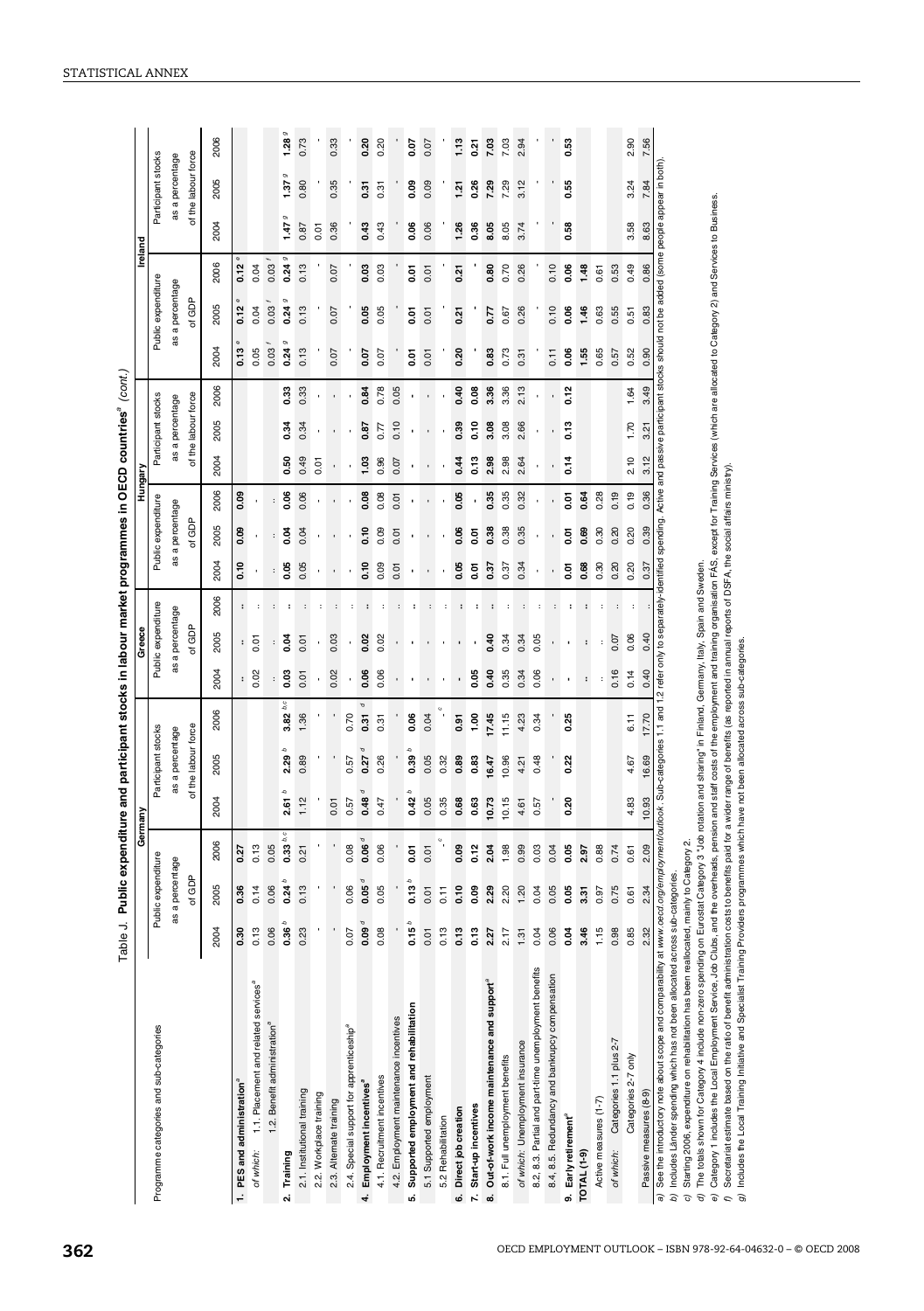| 2006<br>3.36<br>3.36<br>2.13<br>0.08<br>0.33<br>0.78<br>0.05<br>0.40<br>1.64<br>0.84<br>0.12<br>33<br>Participant stocks<br>of the labour force<br>as a percentage<br>2005<br>0.39<br>$\frac{1}{5}$<br>3.08<br>2.66<br>1.70<br>0.34<br>0.10<br>3.08<br>$\frac{13}{2}$<br>0.34<br>0.87<br>77<br>2004<br>0.96<br>0.13<br>2.98<br>2.98<br>0.14<br>2.10<br>0.50<br>0.49<br>1.03<br>0.44<br>0.07<br>2.64<br>0.01<br>$\cdot$<br>2006<br>0.35<br>0.06<br>0.06<br>0.08<br>0.05<br>0.35<br>0.32<br>0.19<br>0.09<br>0.08<br>0.01<br>0.01<br>0.28<br>0.64<br>Public expenditure<br>ł,<br>i,<br>$\vdots$<br>as a percentage<br>of GDP<br>2005<br>0.10<br>0.06<br>0.38<br>0.35<br>0.30<br>0.04<br>0.09<br>0.38<br>0.69<br>0.20<br>0.09<br>0.04<br>0.01<br>5g<br>$\overline{0}$<br>i,<br>2004<br>0.10<br>0.10<br>0.30<br>0.20<br>0.05<br>0.05<br>0.09<br>0.05<br>0.34<br>0.68<br>0.01<br>5 <sub>o</sub><br>0.37<br>0.37<br>0.01<br>$\blacksquare$<br>ï<br>$\ddot{\phantom{a}}$<br>2006<br>Public expenditure<br>as a percentage<br>of GDP<br>2005<br>0.02<br>0.40<br>0.04<br>0.03<br>0.02<br>0.34<br>0.34<br>0.05<br>0.07<br>0.01<br>0.01<br>$\cdot$<br>$\ddot{\phantom{a}}$<br>$\cdot$<br>$\bullet$<br>$\blacksquare$<br>$\blacksquare$<br>2004<br>0.06<br>0.40<br>0.16<br>0.02<br>0.03<br>0.02<br>0.06<br><b>0.05</b><br>0.35<br>0.06<br>0.34<br>0.01<br>$\ddot{\phantom{a}}$<br>ò,<br>$\blacksquare$<br>:<br>$\blacksquare$<br>$b,c$<br>0.31<br>2006<br>3.82<br>0.06<br>1.36<br>0.70<br>0.04<br>17.45<br>11.15<br>0.25<br>0.31<br>0.91<br>1,00<br>4.23<br>0.34<br>Participant stocks<br>of the labour force<br>as a percentage<br>$0.27$ <sup>d</sup><br>2.29b<br>0.39fb<br>2005<br>0.26<br>0.05<br>0.89<br>0.32<br>0.89<br><b>0.83</b><br>10.96<br>0.48<br>0.22<br>0.57<br>16.47<br>4.21<br>đ<br>٩<br>٩<br>0.48<br>0.42<br>2004<br>2.61<br>1.12<br>0.01<br>0.05<br>0.35<br>0.20<br>0.57<br>0.47<br>0.68<br>0.63<br>10.73<br>10.15<br>4.61<br>0.57<br>$0.33htext{ }$<br>$0.06$ $^d$<br>2006<br>0.13<br>0.05<br>0.08<br>0.06<br>0.09<br>0.21<br>0.01<br>2.04<br>0.99<br>0.04<br>0.05<br>0.88<br>0.74<br>0.01<br>$\frac{2}{5}$<br>1.98<br>0.03<br>2.97<br>0.27<br>Public expenditure<br>arcentage<br>GDP<br>05 d<br>$0.24$ <sup>b</sup><br>$\frac{1}{2}$<br>2005<br>$\tilde{c}$<br>$\ddot{4}$<br>8<br>8<br>9<br>$\overline{1}$<br>0.09<br>29<br>$\boldsymbol{\mathcal{S}}$<br>1.20<br>đ<br>8<br>75<br>æ<br>$\overline{5}$<br>Ξ<br>కి<br>57<br>5<br>as a pe<br>$\ddot{\circ}$<br>$\dot{\circ}$<br>$\ddot{\sim}$<br>$\ddot{\circ}$<br>৳<br>c<br>$\circ$<br>$\circ$<br>ö<br>$\dot{\circ}$<br>$\circ$<br>$\circ$<br>N<br>$\circ$<br>$\dot{\bullet}$<br>ຕ<br>$\circ$<br>$\circ$<br>c<br>$\circ$<br>0.36 <sup>b</sup><br>0.09 $^{\sigma}$<br>0.15 <sup>b</sup><br>2004<br>0.13<br>0.06<br>0.23<br>0.08<br>0.01<br>0.13<br>0.13<br>$\frac{2}{5}$<br>0.06<br>1.15<br>0.30<br>0.07<br>2.17<br>1.31<br>0.04<br>0.04<br>3.46<br>0.98<br>2.27<br>8.2, 8.3. Partial and part-time unemployment benefits<br>8.4, 8.5. Redundancy and bankrupcy compensation<br>Out-of-work income maintenance and support <sup>a</sup><br>1.1. Placement and related services <sup>®</sup><br>Supported employment and rehabilitation<br>4.2. Employment maintenance incentives<br>1.2. Benefit administration <sup>®</sup><br>Programme categories and sub-categories<br>2.4. Special support for apprenticeship <sup>®</sup><br>Categories 1.1 plus 2-7<br>of which: Unemployment insurance<br>8.1. Full unemployment benefits<br>5.1 Supported employment<br>4.1. Recruitment incentives<br>1. PES and administration<br>Employment incentives <sup>®</sup><br>2.1. Institutional training<br>2.2. Workplace training<br>Active measures (1-7)<br>2.3. Alternate training<br>7. Start-up incentives<br>Direct job creation<br>9. Early retirement <sup>®</sup><br>5.2 Rehabilitation<br>of which:<br><b>TOTAL</b> (1-9)<br>of which:<br>Training<br>ၜ<br>us.<br>ق<br>$\ddot{ }$<br>ςi |                                                                                                                     |
|-----------------------------------------------------------------------------------------------------------------------------------------------------------------------------------------------------------------------------------------------------------------------------------------------------------------------------------------------------------------------------------------------------------------------------------------------------------------------------------------------------------------------------------------------------------------------------------------------------------------------------------------------------------------------------------------------------------------------------------------------------------------------------------------------------------------------------------------------------------------------------------------------------------------------------------------------------------------------------------------------------------------------------------------------------------------------------------------------------------------------------------------------------------------------------------------------------------------------------------------------------------------------------------------------------------------------------------------------------------------------------------------------------------------------------------------------------------------------------------------------------------------------------------------------------------------------------------------------------------------------------------------------------------------------------------------------------------------------------------------------------------------------------------------------------------------------------------------------------------------------------------------------------------------------------------------------------------------------------------------------------------------------------------------------------------------------------------------------------------------------------------------------------------------------------------------------------------------------------------------------------------------------------------------------------------------------------------------------------------------------------------------------------------------------------------------------------------------------------------------------------------------------------------------------------------------------------------------------------------------------------------------------------------------------------------------------------------------------------------------------------------------------------------------------------------------------------------------------------------------------------------------------------------------------------------------------------------------------------------------------------------------------------------------------------------------------------------------------------------------------------------------------------------------------------------------------------------------------------------------------------------------------------------------------------------------------------------------------------------------------------------------------------------------------------------------------------------------------------------------------------------------------------------------------------------------------------------------------------------------------------------------------------------------------------------------------------------------------------------------------------------------------------------------------------------------------------------------------------------------------------------------------------------------------------------------------|---------------------------------------------------------------------------------------------------------------------|
|                                                                                                                                                                                                                                                                                                                                                                                                                                                                                                                                                                                                                                                                                                                                                                                                                                                                                                                                                                                                                                                                                                                                                                                                                                                                                                                                                                                                                                                                                                                                                                                                                                                                                                                                                                                                                                                                                                                                                                                                                                                                                                                                                                                                                                                                                                                                                                                                                                                                                                                                                                                                                                                                                                                                                                                                                                                                                                                                                                                                                                                                                                                                                                                                                                                                                                                                                                                                                                                                                                                                                                                                                                                                                                                                                                                                                                                                                                                                               |                                                                                                                     |
|                                                                                                                                                                                                                                                                                                                                                                                                                                                                                                                                                                                                                                                                                                                                                                                                                                                                                                                                                                                                                                                                                                                                                                                                                                                                                                                                                                                                                                                                                                                                                                                                                                                                                                                                                                                                                                                                                                                                                                                                                                                                                                                                                                                                                                                                                                                                                                                                                                                                                                                                                                                                                                                                                                                                                                                                                                                                                                                                                                                                                                                                                                                                                                                                                                                                                                                                                                                                                                                                                                                                                                                                                                                                                                                                                                                                                                                                                                                                               |                                                                                                                     |
|                                                                                                                                                                                                                                                                                                                                                                                                                                                                                                                                                                                                                                                                                                                                                                                                                                                                                                                                                                                                                                                                                                                                                                                                                                                                                                                                                                                                                                                                                                                                                                                                                                                                                                                                                                                                                                                                                                                                                                                                                                                                                                                                                                                                                                                                                                                                                                                                                                                                                                                                                                                                                                                                                                                                                                                                                                                                                                                                                                                                                                                                                                                                                                                                                                                                                                                                                                                                                                                                                                                                                                                                                                                                                                                                                                                                                                                                                                                                               |                                                                                                                     |
|                                                                                                                                                                                                                                                                                                                                                                                                                                                                                                                                                                                                                                                                                                                                                                                                                                                                                                                                                                                                                                                                                                                                                                                                                                                                                                                                                                                                                                                                                                                                                                                                                                                                                                                                                                                                                                                                                                                                                                                                                                                                                                                                                                                                                                                                                                                                                                                                                                                                                                                                                                                                                                                                                                                                                                                                                                                                                                                                                                                                                                                                                                                                                                                                                                                                                                                                                                                                                                                                                                                                                                                                                                                                                                                                                                                                                                                                                                                                               |                                                                                                                     |
|                                                                                                                                                                                                                                                                                                                                                                                                                                                                                                                                                                                                                                                                                                                                                                                                                                                                                                                                                                                                                                                                                                                                                                                                                                                                                                                                                                                                                                                                                                                                                                                                                                                                                                                                                                                                                                                                                                                                                                                                                                                                                                                                                                                                                                                                                                                                                                                                                                                                                                                                                                                                                                                                                                                                                                                                                                                                                                                                                                                                                                                                                                                                                                                                                                                                                                                                                                                                                                                                                                                                                                                                                                                                                                                                                                                                                                                                                                                                               |                                                                                                                     |
|                                                                                                                                                                                                                                                                                                                                                                                                                                                                                                                                                                                                                                                                                                                                                                                                                                                                                                                                                                                                                                                                                                                                                                                                                                                                                                                                                                                                                                                                                                                                                                                                                                                                                                                                                                                                                                                                                                                                                                                                                                                                                                                                                                                                                                                                                                                                                                                                                                                                                                                                                                                                                                                                                                                                                                                                                                                                                                                                                                                                                                                                                                                                                                                                                                                                                                                                                                                                                                                                                                                                                                                                                                                                                                                                                                                                                                                                                                                                               |                                                                                                                     |
|                                                                                                                                                                                                                                                                                                                                                                                                                                                                                                                                                                                                                                                                                                                                                                                                                                                                                                                                                                                                                                                                                                                                                                                                                                                                                                                                                                                                                                                                                                                                                                                                                                                                                                                                                                                                                                                                                                                                                                                                                                                                                                                                                                                                                                                                                                                                                                                                                                                                                                                                                                                                                                                                                                                                                                                                                                                                                                                                                                                                                                                                                                                                                                                                                                                                                                                                                                                                                                                                                                                                                                                                                                                                                                                                                                                                                                                                                                                                               |                                                                                                                     |
|                                                                                                                                                                                                                                                                                                                                                                                                                                                                                                                                                                                                                                                                                                                                                                                                                                                                                                                                                                                                                                                                                                                                                                                                                                                                                                                                                                                                                                                                                                                                                                                                                                                                                                                                                                                                                                                                                                                                                                                                                                                                                                                                                                                                                                                                                                                                                                                                                                                                                                                                                                                                                                                                                                                                                                                                                                                                                                                                                                                                                                                                                                                                                                                                                                                                                                                                                                                                                                                                                                                                                                                                                                                                                                                                                                                                                                                                                                                                               |                                                                                                                     |
|                                                                                                                                                                                                                                                                                                                                                                                                                                                                                                                                                                                                                                                                                                                                                                                                                                                                                                                                                                                                                                                                                                                                                                                                                                                                                                                                                                                                                                                                                                                                                                                                                                                                                                                                                                                                                                                                                                                                                                                                                                                                                                                                                                                                                                                                                                                                                                                                                                                                                                                                                                                                                                                                                                                                                                                                                                                                                                                                                                                                                                                                                                                                                                                                                                                                                                                                                                                                                                                                                                                                                                                                                                                                                                                                                                                                                                                                                                                                               |                                                                                                                     |
|                                                                                                                                                                                                                                                                                                                                                                                                                                                                                                                                                                                                                                                                                                                                                                                                                                                                                                                                                                                                                                                                                                                                                                                                                                                                                                                                                                                                                                                                                                                                                                                                                                                                                                                                                                                                                                                                                                                                                                                                                                                                                                                                                                                                                                                                                                                                                                                                                                                                                                                                                                                                                                                                                                                                                                                                                                                                                                                                                                                                                                                                                                                                                                                                                                                                                                                                                                                                                                                                                                                                                                                                                                                                                                                                                                                                                                                                                                                                               |                                                                                                                     |
|                                                                                                                                                                                                                                                                                                                                                                                                                                                                                                                                                                                                                                                                                                                                                                                                                                                                                                                                                                                                                                                                                                                                                                                                                                                                                                                                                                                                                                                                                                                                                                                                                                                                                                                                                                                                                                                                                                                                                                                                                                                                                                                                                                                                                                                                                                                                                                                                                                                                                                                                                                                                                                                                                                                                                                                                                                                                                                                                                                                                                                                                                                                                                                                                                                                                                                                                                                                                                                                                                                                                                                                                                                                                                                                                                                                                                                                                                                                                               |                                                                                                                     |
|                                                                                                                                                                                                                                                                                                                                                                                                                                                                                                                                                                                                                                                                                                                                                                                                                                                                                                                                                                                                                                                                                                                                                                                                                                                                                                                                                                                                                                                                                                                                                                                                                                                                                                                                                                                                                                                                                                                                                                                                                                                                                                                                                                                                                                                                                                                                                                                                                                                                                                                                                                                                                                                                                                                                                                                                                                                                                                                                                                                                                                                                                                                                                                                                                                                                                                                                                                                                                                                                                                                                                                                                                                                                                                                                                                                                                                                                                                                                               |                                                                                                                     |
|                                                                                                                                                                                                                                                                                                                                                                                                                                                                                                                                                                                                                                                                                                                                                                                                                                                                                                                                                                                                                                                                                                                                                                                                                                                                                                                                                                                                                                                                                                                                                                                                                                                                                                                                                                                                                                                                                                                                                                                                                                                                                                                                                                                                                                                                                                                                                                                                                                                                                                                                                                                                                                                                                                                                                                                                                                                                                                                                                                                                                                                                                                                                                                                                                                                                                                                                                                                                                                                                                                                                                                                                                                                                                                                                                                                                                                                                                                                                               |                                                                                                                     |
|                                                                                                                                                                                                                                                                                                                                                                                                                                                                                                                                                                                                                                                                                                                                                                                                                                                                                                                                                                                                                                                                                                                                                                                                                                                                                                                                                                                                                                                                                                                                                                                                                                                                                                                                                                                                                                                                                                                                                                                                                                                                                                                                                                                                                                                                                                                                                                                                                                                                                                                                                                                                                                                                                                                                                                                                                                                                                                                                                                                                                                                                                                                                                                                                                                                                                                                                                                                                                                                                                                                                                                                                                                                                                                                                                                                                                                                                                                                                               |                                                                                                                     |
|                                                                                                                                                                                                                                                                                                                                                                                                                                                                                                                                                                                                                                                                                                                                                                                                                                                                                                                                                                                                                                                                                                                                                                                                                                                                                                                                                                                                                                                                                                                                                                                                                                                                                                                                                                                                                                                                                                                                                                                                                                                                                                                                                                                                                                                                                                                                                                                                                                                                                                                                                                                                                                                                                                                                                                                                                                                                                                                                                                                                                                                                                                                                                                                                                                                                                                                                                                                                                                                                                                                                                                                                                                                                                                                                                                                                                                                                                                                                               |                                                                                                                     |
|                                                                                                                                                                                                                                                                                                                                                                                                                                                                                                                                                                                                                                                                                                                                                                                                                                                                                                                                                                                                                                                                                                                                                                                                                                                                                                                                                                                                                                                                                                                                                                                                                                                                                                                                                                                                                                                                                                                                                                                                                                                                                                                                                                                                                                                                                                                                                                                                                                                                                                                                                                                                                                                                                                                                                                                                                                                                                                                                                                                                                                                                                                                                                                                                                                                                                                                                                                                                                                                                                                                                                                                                                                                                                                                                                                                                                                                                                                                                               |                                                                                                                     |
|                                                                                                                                                                                                                                                                                                                                                                                                                                                                                                                                                                                                                                                                                                                                                                                                                                                                                                                                                                                                                                                                                                                                                                                                                                                                                                                                                                                                                                                                                                                                                                                                                                                                                                                                                                                                                                                                                                                                                                                                                                                                                                                                                                                                                                                                                                                                                                                                                                                                                                                                                                                                                                                                                                                                                                                                                                                                                                                                                                                                                                                                                                                                                                                                                                                                                                                                                                                                                                                                                                                                                                                                                                                                                                                                                                                                                                                                                                                                               |                                                                                                                     |
|                                                                                                                                                                                                                                                                                                                                                                                                                                                                                                                                                                                                                                                                                                                                                                                                                                                                                                                                                                                                                                                                                                                                                                                                                                                                                                                                                                                                                                                                                                                                                                                                                                                                                                                                                                                                                                                                                                                                                                                                                                                                                                                                                                                                                                                                                                                                                                                                                                                                                                                                                                                                                                                                                                                                                                                                                                                                                                                                                                                                                                                                                                                                                                                                                                                                                                                                                                                                                                                                                                                                                                                                                                                                                                                                                                                                                                                                                                                                               |                                                                                                                     |
|                                                                                                                                                                                                                                                                                                                                                                                                                                                                                                                                                                                                                                                                                                                                                                                                                                                                                                                                                                                                                                                                                                                                                                                                                                                                                                                                                                                                                                                                                                                                                                                                                                                                                                                                                                                                                                                                                                                                                                                                                                                                                                                                                                                                                                                                                                                                                                                                                                                                                                                                                                                                                                                                                                                                                                                                                                                                                                                                                                                                                                                                                                                                                                                                                                                                                                                                                                                                                                                                                                                                                                                                                                                                                                                                                                                                                                                                                                                                               |                                                                                                                     |
|                                                                                                                                                                                                                                                                                                                                                                                                                                                                                                                                                                                                                                                                                                                                                                                                                                                                                                                                                                                                                                                                                                                                                                                                                                                                                                                                                                                                                                                                                                                                                                                                                                                                                                                                                                                                                                                                                                                                                                                                                                                                                                                                                                                                                                                                                                                                                                                                                                                                                                                                                                                                                                                                                                                                                                                                                                                                                                                                                                                                                                                                                                                                                                                                                                                                                                                                                                                                                                                                                                                                                                                                                                                                                                                                                                                                                                                                                                                                               |                                                                                                                     |
|                                                                                                                                                                                                                                                                                                                                                                                                                                                                                                                                                                                                                                                                                                                                                                                                                                                                                                                                                                                                                                                                                                                                                                                                                                                                                                                                                                                                                                                                                                                                                                                                                                                                                                                                                                                                                                                                                                                                                                                                                                                                                                                                                                                                                                                                                                                                                                                                                                                                                                                                                                                                                                                                                                                                                                                                                                                                                                                                                                                                                                                                                                                                                                                                                                                                                                                                                                                                                                                                                                                                                                                                                                                                                                                                                                                                                                                                                                                                               |                                                                                                                     |
|                                                                                                                                                                                                                                                                                                                                                                                                                                                                                                                                                                                                                                                                                                                                                                                                                                                                                                                                                                                                                                                                                                                                                                                                                                                                                                                                                                                                                                                                                                                                                                                                                                                                                                                                                                                                                                                                                                                                                                                                                                                                                                                                                                                                                                                                                                                                                                                                                                                                                                                                                                                                                                                                                                                                                                                                                                                                                                                                                                                                                                                                                                                                                                                                                                                                                                                                                                                                                                                                                                                                                                                                                                                                                                                                                                                                                                                                                                                                               |                                                                                                                     |
|                                                                                                                                                                                                                                                                                                                                                                                                                                                                                                                                                                                                                                                                                                                                                                                                                                                                                                                                                                                                                                                                                                                                                                                                                                                                                                                                                                                                                                                                                                                                                                                                                                                                                                                                                                                                                                                                                                                                                                                                                                                                                                                                                                                                                                                                                                                                                                                                                                                                                                                                                                                                                                                                                                                                                                                                                                                                                                                                                                                                                                                                                                                                                                                                                                                                                                                                                                                                                                                                                                                                                                                                                                                                                                                                                                                                                                                                                                                                               |                                                                                                                     |
|                                                                                                                                                                                                                                                                                                                                                                                                                                                                                                                                                                                                                                                                                                                                                                                                                                                                                                                                                                                                                                                                                                                                                                                                                                                                                                                                                                                                                                                                                                                                                                                                                                                                                                                                                                                                                                                                                                                                                                                                                                                                                                                                                                                                                                                                                                                                                                                                                                                                                                                                                                                                                                                                                                                                                                                                                                                                                                                                                                                                                                                                                                                                                                                                                                                                                                                                                                                                                                                                                                                                                                                                                                                                                                                                                                                                                                                                                                                                               |                                                                                                                     |
|                                                                                                                                                                                                                                                                                                                                                                                                                                                                                                                                                                                                                                                                                                                                                                                                                                                                                                                                                                                                                                                                                                                                                                                                                                                                                                                                                                                                                                                                                                                                                                                                                                                                                                                                                                                                                                                                                                                                                                                                                                                                                                                                                                                                                                                                                                                                                                                                                                                                                                                                                                                                                                                                                                                                                                                                                                                                                                                                                                                                                                                                                                                                                                                                                                                                                                                                                                                                                                                                                                                                                                                                                                                                                                                                                                                                                                                                                                                                               |                                                                                                                     |
|                                                                                                                                                                                                                                                                                                                                                                                                                                                                                                                                                                                                                                                                                                                                                                                                                                                                                                                                                                                                                                                                                                                                                                                                                                                                                                                                                                                                                                                                                                                                                                                                                                                                                                                                                                                                                                                                                                                                                                                                                                                                                                                                                                                                                                                                                                                                                                                                                                                                                                                                                                                                                                                                                                                                                                                                                                                                                                                                                                                                                                                                                                                                                                                                                                                                                                                                                                                                                                                                                                                                                                                                                                                                                                                                                                                                                                                                                                                                               |                                                                                                                     |
|                                                                                                                                                                                                                                                                                                                                                                                                                                                                                                                                                                                                                                                                                                                                                                                                                                                                                                                                                                                                                                                                                                                                                                                                                                                                                                                                                                                                                                                                                                                                                                                                                                                                                                                                                                                                                                                                                                                                                                                                                                                                                                                                                                                                                                                                                                                                                                                                                                                                                                                                                                                                                                                                                                                                                                                                                                                                                                                                                                                                                                                                                                                                                                                                                                                                                                                                                                                                                                                                                                                                                                                                                                                                                                                                                                                                                                                                                                                                               |                                                                                                                     |
|                                                                                                                                                                                                                                                                                                                                                                                                                                                                                                                                                                                                                                                                                                                                                                                                                                                                                                                                                                                                                                                                                                                                                                                                                                                                                                                                                                                                                                                                                                                                                                                                                                                                                                                                                                                                                                                                                                                                                                                                                                                                                                                                                                                                                                                                                                                                                                                                                                                                                                                                                                                                                                                                                                                                                                                                                                                                                                                                                                                                                                                                                                                                                                                                                                                                                                                                                                                                                                                                                                                                                                                                                                                                                                                                                                                                                                                                                                                                               |                                                                                                                     |
|                                                                                                                                                                                                                                                                                                                                                                                                                                                                                                                                                                                                                                                                                                                                                                                                                                                                                                                                                                                                                                                                                                                                                                                                                                                                                                                                                                                                                                                                                                                                                                                                                                                                                                                                                                                                                                                                                                                                                                                                                                                                                                                                                                                                                                                                                                                                                                                                                                                                                                                                                                                                                                                                                                                                                                                                                                                                                                                                                                                                                                                                                                                                                                                                                                                                                                                                                                                                                                                                                                                                                                                                                                                                                                                                                                                                                                                                                                                                               | 0.19<br>0.20<br>0.20<br>0.06<br>0.14<br>6.11<br>4.67<br>4.83<br>0.61<br>5<br>$\circ$<br>0.85<br>Categories 2-7 only |
| 3.49<br>3.21<br>3.12<br>0.36<br>0.39<br>0.37<br>0.40<br>0.40<br>17.70<br>16.69<br>10.93<br>2.09<br>\$<br>$\mathbf{a}$<br>2.32<br>Passive measures (8-9)<br> ಹ                                                                                                                                                                                                                                                                                                                                                                                                                                                                                                                                                                                                                                                                                                                                                                                                                                                                                                                                                                                                                                                                                                                                                                                                                                                                                                                                                                                                                                                                                                                                                                                                                                                                                                                                                                                                                                                                                                                                                                                                                                                                                                                                                                                                                                                                                                                                                                                                                                                                                                                                                                                                                                                                                                                                                                                                                                                                                                                                                                                                                                                                                                                                                                                                                                                                                                                                                                                                                                                                                                                                                                                                                                                                                                                                                                                 |                                                                                                                     |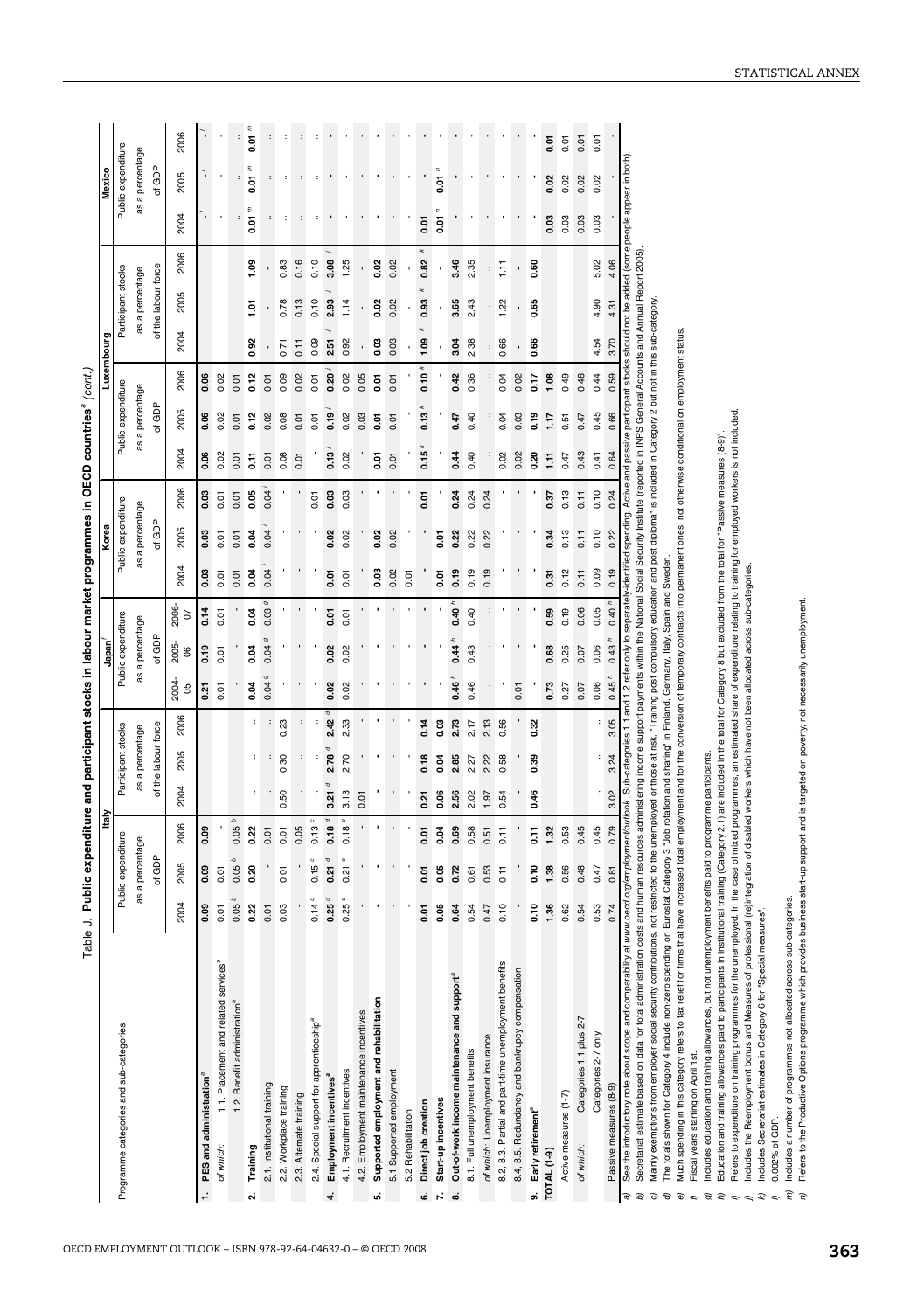| Public expenditure<br>as a percentage<br>See the introductory note about scope and comparability at www.oect.org/emporytourpowner/codox. Sub-casoreles 1.1 and 1.2 refer only to separately-identified spending. Active and passive participant stocks should not be ad<br>$0.01$ $^{\circ}$<br>of GDP<br>0.01 <sup>n</sup><br>2005<br>0.02<br>0.02<br>0.02<br>0.02<br>$0.01$ <sup>m</sup><br>0.01 <sup>n</sup><br>2004<br>0.03<br>C.OS<br>0.03<br>0.03<br>0.01<br>×<br>Secretariat estimate based on data for total administration costs and human resources administering income support payments within the National Social Security Institute (reported in INPS General Accounts and Annual Report<br>2006<br>3.08<br>0.16<br>0.10<br>0.82<br>1.25<br>0.02<br>3.46<br>5.02<br>4.06<br>$\frac{8}{10}$<br>0.83<br>0.02<br>2.35<br><b>0.60</b><br>E<br>of the labour force<br>Participant stocks<br>as a percentage<br>2005<br>Mainly exemptions from employer social security contributions, not restricted to the unemployed or those at risk. Training post compulsory education and post diploma" is included in Category 2 but not in this sub-category<br>2.93<br>0.93<br>4.90<br>0.13<br>0.10<br>1.14<br>0.02<br>3.65<br>0.65<br>0.78<br>0.02<br>2.43<br>1.22<br>4.31<br>1.01<br>÷<br>Much spending in this category refers to tax relief for firms that hanke these total energy mere incorporation of temporary contracts into permanent ones, not otherwise conditional on employment status<br>2004<br>0.09<br>2.51<br>0.03<br>1.09<br>0.66<br>3.70<br>0.92<br>0.11<br>0.92<br>0.03<br>3.04<br>2.38<br>0.66<br>4.54<br>0.71<br>0.10 <sup>k</sup><br>2006<br>0.20<br>0.59<br>0.09<br>0.05<br>0.42<br>0.36<br>0.04<br>1.08<br>0.49<br>0.46<br>0.44<br>0.06<br>0.12<br>0.02<br>0.01<br>0.02<br>0.01<br>0.02<br>0.17<br>0.02<br>0.01<br>0.01<br>0.01<br>Public expenditure<br>as a percentage<br>of GDP<br>0.13 <sup>k</sup><br>Refers to expendture on training programmes for the unemployed. In the case of mixed programmes, an estimated share of expenditure relating to training for employed workers is not included.<br>2005<br>0.19<br>0.08<br>0.03<br>0.40<br>0.04<br>0.19<br>0.45<br>0.66<br>0.06<br>0.02<br>0.12<br>0.02<br>0.01<br>0.01<br>0.02<br>0.01<br>0.47<br>0.03<br>117<br>0.47<br>0.01<br>0.01<br>0.51<br>Education and training allowances paid to participants in institutional training (Category 2.1) are included in the total for Category 8 but excluded from the total for "Passive measures (8-9)"<br>2004<br>0.13<br>0.15<br>0.06<br>0.01<br>0.08<br>0.02<br>0.01<br>0.44<br>0.40<br>0.02<br>0.20<br>0.43<br>0.41<br>0.64<br>$\overline{0.11}$<br>0.01<br>0.01<br>0.01<br>0.02<br>0.47<br>0.02<br>Ξ<br>2006<br>0.04<br>0.13<br>0.10<br>0.24<br>0.03<br><b>9.05</b><br>0.03<br>0.03<br>0.01<br>0.24<br>0.24<br>0.37<br>0.01<br>0.01<br>0.01<br>0.24<br>$\overline{0.11}$<br>Public expenditure<br>as a percentage<br>of GDP<br>2005<br>0.04<br>0.10<br>0.34<br>0.13<br>0.04<br>0.02<br>0.22<br>0.22<br>$\overline{0.11}$<br>0.22<br>0.03<br>0.01<br>0.02<br>0.02<br>0.02<br>0.22<br>0.01<br>5,01<br>The totals shown for Category 4 include non-zero spending on Eurostat Category 3 "Job rotation and sharing" in Finland, Germany, Italy, Spain and Sweden<br>ation of disabled workers which have not been allocated across sub-categories<br>2004<br>0.04<br>0.04<br>0.19<br>0.19<br>0.19<br>0.31<br>0.12<br>0.11<br>0.09<br>0.19<br>0.03<br>0.01<br>0.01<br>5.01<br>0.01<br><b>80.0</b><br>0.02<br>$\overline{0}$<br>$\overline{0}$<br>t-up support and is targeted on poverty, not necessarily unemployment.<br>0.40h<br>0.03 <sup>9</sup><br>0.40 <sup>h</sup><br>2006-<br>0.14<br>0.59<br>0.19<br>0.06<br>0.05<br>0.04<br>5.01<br>0.40<br>0.01<br>$\overline{0}$<br>0.01<br>Public expenditure<br>as a percentage<br>of GDP<br>0.43h<br>0.049<br>$0.44^{h}$<br>2005-<br>0.19<br>0.04<br>$\colon$<br>0.68<br>0.25<br>0.43<br>0.07<br>0.06<br>0.01<br>0.02<br>0.02<br>8<br>0.45h<br>$0.04$ $9$<br>0.46 <sup>h</sup><br>2004-<br>0.06<br>0.04<br>0.02<br>0.46<br>$\colon$<br>0.73<br>0.27<br>0.07<br>0.21<br>0.01<br>0.02<br>0.01<br>8<br>2006<br>2.42<br>3.05<br>2.33<br>÷<br>0.23<br>0.14<br>2.13<br>0.03<br>2.73<br>0.56<br>0.32<br>2.17<br>of the labour force<br>Participant stocks<br>as a percentage<br>2005<br>Includes education and training allowances, but not unemployment benefits paid to programme participants.<br>2.78<br>2.70<br>3.24<br>0.30<br><b>0.18</b><br>0.04<br>2.85<br>2.22<br>0.58<br>0.39<br>2.27<br>$3.21$ <sup>d</sup><br>2004<br>3.13<br>3.02<br>0.50<br>0.06<br>2.56<br>0.46<br>0.01<br>2.02<br>1.97<br>0.54<br>0.21<br>0.18<br>0.05 <sup>b</sup><br>0.13<br>0.18e<br>2006<br>0.79<br>0.05<br>0.69<br>0.58<br>$\overline{5}$<br>0.53<br>0.45<br>0.45<br>0.22<br>0.01<br>0.01<br>0.04<br>$\overline{0}$ .11<br>1.32<br><b>eo:0</b><br>0.01<br>0.51<br>expenditure<br>percentage<br>of GDP<br>0.05 <sup>b</sup><br>0.15 <sup>c</sup><br>$0.21$ <sup>d</sup><br>$0.21$ $^{\circ}$<br>2005<br>$\blacksquare$<br>0.09<br>0.20<br>$\frac{1}{2}$<br>1.38<br>0.56<br>0.48<br>0.01<br><b>0.05</b><br>0.72<br>0.53<br>0.47<br>0.81<br>0.01<br>0.61<br>5g<br>$\overline{0.11}$<br>Public<br>Includes the Reemployment bonus and Measures of professional (re)integr<br>Refers to the Productive Options programme which provides business star<br>as a<br>0.25<br>Includes a number of programmes not allocated across sub-categories.<br>0.05 <sup>b</sup><br>0.14 <sup>c</sup><br>$0.25$ <sup>e</sup><br>2004<br>$\blacksquare$<br>0.74<br>0.09<br>0.22<br>0.01<br>0.03<br>0.05<br>0.10<br>0.62<br>0.53<br>0.01<br>0.01<br>0.64<br>0.54<br>0.10<br>1.36<br>0.54<br>0.47<br>Includes Secretariat estimates in Category 6 for "Special measures".<br>1.1. Placement and related services <sup>®</sup><br>8.2, 8.3. Partial and part-time unemployment benefits<br>8.4, 8.5. Redundancy and bankrupcy compensation<br>Out-of-work income maintenance and support <sup>®</sup><br>Supported employment and rehabilitation<br>1.2. Benefit administration <sup>ª</sup><br>4.2. Employment maintenance incentives<br>Categories 1.1 plus 2-7<br>2.4. Special support for apprenticeship <sup>ª</sup><br>Programme categories and sub-categories<br>Categories 2-7 only<br>of which: Unemployment insurance<br>8.1. Full unemployment benefits<br>Fiscal years starting on April 1st.<br>4.1. Recruitment incentives<br>5.1 Supported employment<br>PES and administration <sup>®</sup><br>Employment incentives <sup>®</sup><br>2.1. Institutional training<br>Passive measures (8-9)<br>2.2. Workplace training<br>Active measures (1-7)<br>2.3. Alternate training<br>Start-up incentives<br>Direct job creation<br>Early retirement <sup>®</sup><br>5.2 Rehabilitation<br>0.002% of GDP.<br>of which:<br>of which:<br>Training<br><b>TOTAL</b> (1-9)<br>Ιú<br>တ<br>$\widehat{\kappa}$<br>$\vec{c}$<br>$\mathcal{L}$<br>e)<br>ίq<br>Θ<br>$\mathbf{a}$<br>4<br>ŕ.<br>ထံ<br>ত<br>ιó<br>ဖ<br>ত্ত<br>ত্র<br>$\blacktriangle$<br>$\overline{\phantom{a}}$<br>$\rightarrow$<br>$\overline{\phantom{0}}$ |  |  | í |  |  |  |  |  | Luxembourg |  | Mexico |
|--------------------------------------------------------------------------------------------------------------------------------------------------------------------------------------------------------------------------------------------------------------------------------------------------------------------------------------------------------------------------------------------------------------------------------------------------------------------------------------------------------------------------------------------------------------------------------------------------------------------------------------------------------------------------------------------------------------------------------------------------------------------------------------------------------------------------------------------------------------------------------------------------------------------------------------------------------------------------------------------------------------------------------------------------------------------------------------------------------------------------------------------------------------------------------------------------------------------------------------------------------------------------------------------------------------------------------------------------------------------------------------------------------------------------------------------------------------------------------------------------------------------------------------------------------------------------------------------------------------------------------------------------------------------------------------------------------------------------------------------------------------------------------------------------------------------------------------------------------------------------------------------------------------------------------------------------------------------------------------------------------------------------------------------------------------------------------------------------------------------------------------------------------------------------------------------------------------------------------------------------------------------------------------------------------------------------------------------------------------------------------------------------------------------------------------------------------------------------------------------------------------------------------------------------------------------------------------------------------------------------------------------------------------------------------------------------------------------------------------------------------------------------------------------------------------------------------------------------------------------------------------------------------------------------------------------------------------------------------------------------------------------------------------------------------------------------------------------------------------------------------------------------------------------------------------------------------------------------------------------------------------------------------------------------------------------------------------------------------------------------------------------------------------------------------------------------------------------------------------------------------------------------------------------------------------------------------------------------------------------------------------------------------------------------------------------------------------------------------------------------------------------------------------------------------------------------------------------------------------------------------------------------------------------------------------------------------------------------------------------------------------------------------------------------------------------------------------------------------------------------------------------------------------------------------------------------------------------------------------------------------------------------------------------------------------------------------------------------------------------------------------------------------------------------------------------------------------------------------------------------------------------------------------------------------------------------------------------------------------------------------------------------------------------------------------------------------------------------------------------------------------------------------------------------------------------------------------------------------------------------------------------------------------------------------------------------------------------------------------------------------------------------------------------------------------------------------------------------------------------------------------------------------------------------------------------------------------------------------------------------------------------------------------------------------------------------------------------------------------------------------------------------------------------------------------------------------------------------------------------------------------------------------------------------------------------------------------------------------------------------------------------------------------------------------------------------------------------------------------------------------------------------------------------------------------------------------------------------------------------------------------------------------------------------------------------------------------------------------------------------------------------------------------------------------------------------------------------------------------------------------------------------------------------------------------------------------------------------------------------------------------------------------------------------------------------------------------------------------------------------------------------------------------------------------------------------------------------------------------------------------------------------------------------------------------------------------------------------------------------------------------------------------------------------------------------------------------------------------------------------------------------------------------------------------------------------------------------------------------------------------------------------------------------------------------------------------------------------------------------------------------------------------------------------------------------------------------------------------------------------------------------------------------------|--|--|---|--|--|--|--|--|------------|--|--------|
|                                                                                                                                                                                                                                                                                                                                                                                                                                                                                                                                                                                                                                                                                                                                                                                                                                                                                                                                                                                                                                                                                                                                                                                                                                                                                                                                                                                                                                                                                                                                                                                                                                                                                                                                                                                                                                                                                                                                                                                                                                                                                                                                                                                                                                                                                                                                                                                                                                                                                                                                                                                                                                                                                                                                                                                                                                                                                                                                                                                                                                                                                                                                                                                                                                                                                                                                                                                                                                                                                                                                                                                                                                                                                                                                                                                                                                                                                                                                                                                                                                                                                                                                                                                                                                                                                                                                                                                                                                                                                                                                                                                                                                                                                                                                                                                                                                                                                                                                                                                                                                                                                                                                                                                                                                                                                                                                                                                                                                                                                                                                                                                                                                                                                                                                                                                                                                                                                                                                                                                                                                                                                                                                                                                                                                                                                                                                                                                                                                                                                                                                                                                                                                                                                                                                                                                                                                                                                                                                                                                                                                                                                                                                                                    |  |  |   |  |  |  |  |  |            |  |        |
|                                                                                                                                                                                                                                                                                                                                                                                                                                                                                                                                                                                                                                                                                                                                                                                                                                                                                                                                                                                                                                                                                                                                                                                                                                                                                                                                                                                                                                                                                                                                                                                                                                                                                                                                                                                                                                                                                                                                                                                                                                                                                                                                                                                                                                                                                                                                                                                                                                                                                                                                                                                                                                                                                                                                                                                                                                                                                                                                                                                                                                                                                                                                                                                                                                                                                                                                                                                                                                                                                                                                                                                                                                                                                                                                                                                                                                                                                                                                                                                                                                                                                                                                                                                                                                                                                                                                                                                                                                                                                                                                                                                                                                                                                                                                                                                                                                                                                                                                                                                                                                                                                                                                                                                                                                                                                                                                                                                                                                                                                                                                                                                                                                                                                                                                                                                                                                                                                                                                                                                                                                                                                                                                                                                                                                                                                                                                                                                                                                                                                                                                                                                                                                                                                                                                                                                                                                                                                                                                                                                                                                                                                                                                                                    |  |  |   |  |  |  |  |  |            |  |        |
|                                                                                                                                                                                                                                                                                                                                                                                                                                                                                                                                                                                                                                                                                                                                                                                                                                                                                                                                                                                                                                                                                                                                                                                                                                                                                                                                                                                                                                                                                                                                                                                                                                                                                                                                                                                                                                                                                                                                                                                                                                                                                                                                                                                                                                                                                                                                                                                                                                                                                                                                                                                                                                                                                                                                                                                                                                                                                                                                                                                                                                                                                                                                                                                                                                                                                                                                                                                                                                                                                                                                                                                                                                                                                                                                                                                                                                                                                                                                                                                                                                                                                                                                                                                                                                                                                                                                                                                                                                                                                                                                                                                                                                                                                                                                                                                                                                                                                                                                                                                                                                                                                                                                                                                                                                                                                                                                                                                                                                                                                                                                                                                                                                                                                                                                                                                                                                                                                                                                                                                                                                                                                                                                                                                                                                                                                                                                                                                                                                                                                                                                                                                                                                                                                                                                                                                                                                                                                                                                                                                                                                                                                                                                                                    |  |  |   |  |  |  |  |  |            |  |        |
|                                                                                                                                                                                                                                                                                                                                                                                                                                                                                                                                                                                                                                                                                                                                                                                                                                                                                                                                                                                                                                                                                                                                                                                                                                                                                                                                                                                                                                                                                                                                                                                                                                                                                                                                                                                                                                                                                                                                                                                                                                                                                                                                                                                                                                                                                                                                                                                                                                                                                                                                                                                                                                                                                                                                                                                                                                                                                                                                                                                                                                                                                                                                                                                                                                                                                                                                                                                                                                                                                                                                                                                                                                                                                                                                                                                                                                                                                                                                                                                                                                                                                                                                                                                                                                                                                                                                                                                                                                                                                                                                                                                                                                                                                                                                                                                                                                                                                                                                                                                                                                                                                                                                                                                                                                                                                                                                                                                                                                                                                                                                                                                                                                                                                                                                                                                                                                                                                                                                                                                                                                                                                                                                                                                                                                                                                                                                                                                                                                                                                                                                                                                                                                                                                                                                                                                                                                                                                                                                                                                                                                                                                                                                                                    |  |  |   |  |  |  |  |  |            |  |        |
|                                                                                                                                                                                                                                                                                                                                                                                                                                                                                                                                                                                                                                                                                                                                                                                                                                                                                                                                                                                                                                                                                                                                                                                                                                                                                                                                                                                                                                                                                                                                                                                                                                                                                                                                                                                                                                                                                                                                                                                                                                                                                                                                                                                                                                                                                                                                                                                                                                                                                                                                                                                                                                                                                                                                                                                                                                                                                                                                                                                                                                                                                                                                                                                                                                                                                                                                                                                                                                                                                                                                                                                                                                                                                                                                                                                                                                                                                                                                                                                                                                                                                                                                                                                                                                                                                                                                                                                                                                                                                                                                                                                                                                                                                                                                                                                                                                                                                                                                                                                                                                                                                                                                                                                                                                                                                                                                                                                                                                                                                                                                                                                                                                                                                                                                                                                                                                                                                                                                                                                                                                                                                                                                                                                                                                                                                                                                                                                                                                                                                                                                                                                                                                                                                                                                                                                                                                                                                                                                                                                                                                                                                                                                                                    |  |  |   |  |  |  |  |  |            |  |        |
|                                                                                                                                                                                                                                                                                                                                                                                                                                                                                                                                                                                                                                                                                                                                                                                                                                                                                                                                                                                                                                                                                                                                                                                                                                                                                                                                                                                                                                                                                                                                                                                                                                                                                                                                                                                                                                                                                                                                                                                                                                                                                                                                                                                                                                                                                                                                                                                                                                                                                                                                                                                                                                                                                                                                                                                                                                                                                                                                                                                                                                                                                                                                                                                                                                                                                                                                                                                                                                                                                                                                                                                                                                                                                                                                                                                                                                                                                                                                                                                                                                                                                                                                                                                                                                                                                                                                                                                                                                                                                                                                                                                                                                                                                                                                                                                                                                                                                                                                                                                                                                                                                                                                                                                                                                                                                                                                                                                                                                                                                                                                                                                                                                                                                                                                                                                                                                                                                                                                                                                                                                                                                                                                                                                                                                                                                                                                                                                                                                                                                                                                                                                                                                                                                                                                                                                                                                                                                                                                                                                                                                                                                                                                                                    |  |  |   |  |  |  |  |  |            |  |        |
|                                                                                                                                                                                                                                                                                                                                                                                                                                                                                                                                                                                                                                                                                                                                                                                                                                                                                                                                                                                                                                                                                                                                                                                                                                                                                                                                                                                                                                                                                                                                                                                                                                                                                                                                                                                                                                                                                                                                                                                                                                                                                                                                                                                                                                                                                                                                                                                                                                                                                                                                                                                                                                                                                                                                                                                                                                                                                                                                                                                                                                                                                                                                                                                                                                                                                                                                                                                                                                                                                                                                                                                                                                                                                                                                                                                                                                                                                                                                                                                                                                                                                                                                                                                                                                                                                                                                                                                                                                                                                                                                                                                                                                                                                                                                                                                                                                                                                                                                                                                                                                                                                                                                                                                                                                                                                                                                                                                                                                                                                                                                                                                                                                                                                                                                                                                                                                                                                                                                                                                                                                                                                                                                                                                                                                                                                                                                                                                                                                                                                                                                                                                                                                                                                                                                                                                                                                                                                                                                                                                                                                                                                                                                                                    |  |  |   |  |  |  |  |  |            |  |        |
|                                                                                                                                                                                                                                                                                                                                                                                                                                                                                                                                                                                                                                                                                                                                                                                                                                                                                                                                                                                                                                                                                                                                                                                                                                                                                                                                                                                                                                                                                                                                                                                                                                                                                                                                                                                                                                                                                                                                                                                                                                                                                                                                                                                                                                                                                                                                                                                                                                                                                                                                                                                                                                                                                                                                                                                                                                                                                                                                                                                                                                                                                                                                                                                                                                                                                                                                                                                                                                                                                                                                                                                                                                                                                                                                                                                                                                                                                                                                                                                                                                                                                                                                                                                                                                                                                                                                                                                                                                                                                                                                                                                                                                                                                                                                                                                                                                                                                                                                                                                                                                                                                                                                                                                                                                                                                                                                                                                                                                                                                                                                                                                                                                                                                                                                                                                                                                                                                                                                                                                                                                                                                                                                                                                                                                                                                                                                                                                                                                                                                                                                                                                                                                                                                                                                                                                                                                                                                                                                                                                                                                                                                                                                                                    |  |  |   |  |  |  |  |  |            |  |        |
|                                                                                                                                                                                                                                                                                                                                                                                                                                                                                                                                                                                                                                                                                                                                                                                                                                                                                                                                                                                                                                                                                                                                                                                                                                                                                                                                                                                                                                                                                                                                                                                                                                                                                                                                                                                                                                                                                                                                                                                                                                                                                                                                                                                                                                                                                                                                                                                                                                                                                                                                                                                                                                                                                                                                                                                                                                                                                                                                                                                                                                                                                                                                                                                                                                                                                                                                                                                                                                                                                                                                                                                                                                                                                                                                                                                                                                                                                                                                                                                                                                                                                                                                                                                                                                                                                                                                                                                                                                                                                                                                                                                                                                                                                                                                                                                                                                                                                                                                                                                                                                                                                                                                                                                                                                                                                                                                                                                                                                                                                                                                                                                                                                                                                                                                                                                                                                                                                                                                                                                                                                                                                                                                                                                                                                                                                                                                                                                                                                                                                                                                                                                                                                                                                                                                                                                                                                                                                                                                                                                                                                                                                                                                                                    |  |  |   |  |  |  |  |  |            |  |        |
|                                                                                                                                                                                                                                                                                                                                                                                                                                                                                                                                                                                                                                                                                                                                                                                                                                                                                                                                                                                                                                                                                                                                                                                                                                                                                                                                                                                                                                                                                                                                                                                                                                                                                                                                                                                                                                                                                                                                                                                                                                                                                                                                                                                                                                                                                                                                                                                                                                                                                                                                                                                                                                                                                                                                                                                                                                                                                                                                                                                                                                                                                                                                                                                                                                                                                                                                                                                                                                                                                                                                                                                                                                                                                                                                                                                                                                                                                                                                                                                                                                                                                                                                                                                                                                                                                                                                                                                                                                                                                                                                                                                                                                                                                                                                                                                                                                                                                                                                                                                                                                                                                                                                                                                                                                                                                                                                                                                                                                                                                                                                                                                                                                                                                                                                                                                                                                                                                                                                                                                                                                                                                                                                                                                                                                                                                                                                                                                                                                                                                                                                                                                                                                                                                                                                                                                                                                                                                                                                                                                                                                                                                                                                                                    |  |  |   |  |  |  |  |  |            |  |        |
|                                                                                                                                                                                                                                                                                                                                                                                                                                                                                                                                                                                                                                                                                                                                                                                                                                                                                                                                                                                                                                                                                                                                                                                                                                                                                                                                                                                                                                                                                                                                                                                                                                                                                                                                                                                                                                                                                                                                                                                                                                                                                                                                                                                                                                                                                                                                                                                                                                                                                                                                                                                                                                                                                                                                                                                                                                                                                                                                                                                                                                                                                                                                                                                                                                                                                                                                                                                                                                                                                                                                                                                                                                                                                                                                                                                                                                                                                                                                                                                                                                                                                                                                                                                                                                                                                                                                                                                                                                                                                                                                                                                                                                                                                                                                                                                                                                                                                                                                                                                                                                                                                                                                                                                                                                                                                                                                                                                                                                                                                                                                                                                                                                                                                                                                                                                                                                                                                                                                                                                                                                                                                                                                                                                                                                                                                                                                                                                                                                                                                                                                                                                                                                                                                                                                                                                                                                                                                                                                                                                                                                                                                                                                                                    |  |  |   |  |  |  |  |  |            |  |        |
|                                                                                                                                                                                                                                                                                                                                                                                                                                                                                                                                                                                                                                                                                                                                                                                                                                                                                                                                                                                                                                                                                                                                                                                                                                                                                                                                                                                                                                                                                                                                                                                                                                                                                                                                                                                                                                                                                                                                                                                                                                                                                                                                                                                                                                                                                                                                                                                                                                                                                                                                                                                                                                                                                                                                                                                                                                                                                                                                                                                                                                                                                                                                                                                                                                                                                                                                                                                                                                                                                                                                                                                                                                                                                                                                                                                                                                                                                                                                                                                                                                                                                                                                                                                                                                                                                                                                                                                                                                                                                                                                                                                                                                                                                                                                                                                                                                                                                                                                                                                                                                                                                                                                                                                                                                                                                                                                                                                                                                                                                                                                                                                                                                                                                                                                                                                                                                                                                                                                                                                                                                                                                                                                                                                                                                                                                                                                                                                                                                                                                                                                                                                                                                                                                                                                                                                                                                                                                                                                                                                                                                                                                                                                                                    |  |  |   |  |  |  |  |  |            |  |        |
|                                                                                                                                                                                                                                                                                                                                                                                                                                                                                                                                                                                                                                                                                                                                                                                                                                                                                                                                                                                                                                                                                                                                                                                                                                                                                                                                                                                                                                                                                                                                                                                                                                                                                                                                                                                                                                                                                                                                                                                                                                                                                                                                                                                                                                                                                                                                                                                                                                                                                                                                                                                                                                                                                                                                                                                                                                                                                                                                                                                                                                                                                                                                                                                                                                                                                                                                                                                                                                                                                                                                                                                                                                                                                                                                                                                                                                                                                                                                                                                                                                                                                                                                                                                                                                                                                                                                                                                                                                                                                                                                                                                                                                                                                                                                                                                                                                                                                                                                                                                                                                                                                                                                                                                                                                                                                                                                                                                                                                                                                                                                                                                                                                                                                                                                                                                                                                                                                                                                                                                                                                                                                                                                                                                                                                                                                                                                                                                                                                                                                                                                                                                                                                                                                                                                                                                                                                                                                                                                                                                                                                                                                                                                                                    |  |  |   |  |  |  |  |  |            |  |        |
|                                                                                                                                                                                                                                                                                                                                                                                                                                                                                                                                                                                                                                                                                                                                                                                                                                                                                                                                                                                                                                                                                                                                                                                                                                                                                                                                                                                                                                                                                                                                                                                                                                                                                                                                                                                                                                                                                                                                                                                                                                                                                                                                                                                                                                                                                                                                                                                                                                                                                                                                                                                                                                                                                                                                                                                                                                                                                                                                                                                                                                                                                                                                                                                                                                                                                                                                                                                                                                                                                                                                                                                                                                                                                                                                                                                                                                                                                                                                                                                                                                                                                                                                                                                                                                                                                                                                                                                                                                                                                                                                                                                                                                                                                                                                                                                                                                                                                                                                                                                                                                                                                                                                                                                                                                                                                                                                                                                                                                                                                                                                                                                                                                                                                                                                                                                                                                                                                                                                                                                                                                                                                                                                                                                                                                                                                                                                                                                                                                                                                                                                                                                                                                                                                                                                                                                                                                                                                                                                                                                                                                                                                                                                                                    |  |  |   |  |  |  |  |  |            |  |        |
|                                                                                                                                                                                                                                                                                                                                                                                                                                                                                                                                                                                                                                                                                                                                                                                                                                                                                                                                                                                                                                                                                                                                                                                                                                                                                                                                                                                                                                                                                                                                                                                                                                                                                                                                                                                                                                                                                                                                                                                                                                                                                                                                                                                                                                                                                                                                                                                                                                                                                                                                                                                                                                                                                                                                                                                                                                                                                                                                                                                                                                                                                                                                                                                                                                                                                                                                                                                                                                                                                                                                                                                                                                                                                                                                                                                                                                                                                                                                                                                                                                                                                                                                                                                                                                                                                                                                                                                                                                                                                                                                                                                                                                                                                                                                                                                                                                                                                                                                                                                                                                                                                                                                                                                                                                                                                                                                                                                                                                                                                                                                                                                                                                                                                                                                                                                                                                                                                                                                                                                                                                                                                                                                                                                                                                                                                                                                                                                                                                                                                                                                                                                                                                                                                                                                                                                                                                                                                                                                                                                                                                                                                                                                                                    |  |  |   |  |  |  |  |  |            |  |        |
|                                                                                                                                                                                                                                                                                                                                                                                                                                                                                                                                                                                                                                                                                                                                                                                                                                                                                                                                                                                                                                                                                                                                                                                                                                                                                                                                                                                                                                                                                                                                                                                                                                                                                                                                                                                                                                                                                                                                                                                                                                                                                                                                                                                                                                                                                                                                                                                                                                                                                                                                                                                                                                                                                                                                                                                                                                                                                                                                                                                                                                                                                                                                                                                                                                                                                                                                                                                                                                                                                                                                                                                                                                                                                                                                                                                                                                                                                                                                                                                                                                                                                                                                                                                                                                                                                                                                                                                                                                                                                                                                                                                                                                                                                                                                                                                                                                                                                                                                                                                                                                                                                                                                                                                                                                                                                                                                                                                                                                                                                                                                                                                                                                                                                                                                                                                                                                                                                                                                                                                                                                                                                                                                                                                                                                                                                                                                                                                                                                                                                                                                                                                                                                                                                                                                                                                                                                                                                                                                                                                                                                                                                                                                                                    |  |  |   |  |  |  |  |  |            |  |        |
|                                                                                                                                                                                                                                                                                                                                                                                                                                                                                                                                                                                                                                                                                                                                                                                                                                                                                                                                                                                                                                                                                                                                                                                                                                                                                                                                                                                                                                                                                                                                                                                                                                                                                                                                                                                                                                                                                                                                                                                                                                                                                                                                                                                                                                                                                                                                                                                                                                                                                                                                                                                                                                                                                                                                                                                                                                                                                                                                                                                                                                                                                                                                                                                                                                                                                                                                                                                                                                                                                                                                                                                                                                                                                                                                                                                                                                                                                                                                                                                                                                                                                                                                                                                                                                                                                                                                                                                                                                                                                                                                                                                                                                                                                                                                                                                                                                                                                                                                                                                                                                                                                                                                                                                                                                                                                                                                                                                                                                                                                                                                                                                                                                                                                                                                                                                                                                                                                                                                                                                                                                                                                                                                                                                                                                                                                                                                                                                                                                                                                                                                                                                                                                                                                                                                                                                                                                                                                                                                                                                                                                                                                                                                                                    |  |  |   |  |  |  |  |  |            |  |        |
|                                                                                                                                                                                                                                                                                                                                                                                                                                                                                                                                                                                                                                                                                                                                                                                                                                                                                                                                                                                                                                                                                                                                                                                                                                                                                                                                                                                                                                                                                                                                                                                                                                                                                                                                                                                                                                                                                                                                                                                                                                                                                                                                                                                                                                                                                                                                                                                                                                                                                                                                                                                                                                                                                                                                                                                                                                                                                                                                                                                                                                                                                                                                                                                                                                                                                                                                                                                                                                                                                                                                                                                                                                                                                                                                                                                                                                                                                                                                                                                                                                                                                                                                                                                                                                                                                                                                                                                                                                                                                                                                                                                                                                                                                                                                                                                                                                                                                                                                                                                                                                                                                                                                                                                                                                                                                                                                                                                                                                                                                                                                                                                                                                                                                                                                                                                                                                                                                                                                                                                                                                                                                                                                                                                                                                                                                                                                                                                                                                                                                                                                                                                                                                                                                                                                                                                                                                                                                                                                                                                                                                                                                                                                                                    |  |  |   |  |  |  |  |  |            |  |        |
|                                                                                                                                                                                                                                                                                                                                                                                                                                                                                                                                                                                                                                                                                                                                                                                                                                                                                                                                                                                                                                                                                                                                                                                                                                                                                                                                                                                                                                                                                                                                                                                                                                                                                                                                                                                                                                                                                                                                                                                                                                                                                                                                                                                                                                                                                                                                                                                                                                                                                                                                                                                                                                                                                                                                                                                                                                                                                                                                                                                                                                                                                                                                                                                                                                                                                                                                                                                                                                                                                                                                                                                                                                                                                                                                                                                                                                                                                                                                                                                                                                                                                                                                                                                                                                                                                                                                                                                                                                                                                                                                                                                                                                                                                                                                                                                                                                                                                                                                                                                                                                                                                                                                                                                                                                                                                                                                                                                                                                                                                                                                                                                                                                                                                                                                                                                                                                                                                                                                                                                                                                                                                                                                                                                                                                                                                                                                                                                                                                                                                                                                                                                                                                                                                                                                                                                                                                                                                                                                                                                                                                                                                                                                                                    |  |  |   |  |  |  |  |  |            |  |        |
|                                                                                                                                                                                                                                                                                                                                                                                                                                                                                                                                                                                                                                                                                                                                                                                                                                                                                                                                                                                                                                                                                                                                                                                                                                                                                                                                                                                                                                                                                                                                                                                                                                                                                                                                                                                                                                                                                                                                                                                                                                                                                                                                                                                                                                                                                                                                                                                                                                                                                                                                                                                                                                                                                                                                                                                                                                                                                                                                                                                                                                                                                                                                                                                                                                                                                                                                                                                                                                                                                                                                                                                                                                                                                                                                                                                                                                                                                                                                                                                                                                                                                                                                                                                                                                                                                                                                                                                                                                                                                                                                                                                                                                                                                                                                                                                                                                                                                                                                                                                                                                                                                                                                                                                                                                                                                                                                                                                                                                                                                                                                                                                                                                                                                                                                                                                                                                                                                                                                                                                                                                                                                                                                                                                                                                                                                                                                                                                                                                                                                                                                                                                                                                                                                                                                                                                                                                                                                                                                                                                                                                                                                                                                                                    |  |  |   |  |  |  |  |  |            |  |        |
|                                                                                                                                                                                                                                                                                                                                                                                                                                                                                                                                                                                                                                                                                                                                                                                                                                                                                                                                                                                                                                                                                                                                                                                                                                                                                                                                                                                                                                                                                                                                                                                                                                                                                                                                                                                                                                                                                                                                                                                                                                                                                                                                                                                                                                                                                                                                                                                                                                                                                                                                                                                                                                                                                                                                                                                                                                                                                                                                                                                                                                                                                                                                                                                                                                                                                                                                                                                                                                                                                                                                                                                                                                                                                                                                                                                                                                                                                                                                                                                                                                                                                                                                                                                                                                                                                                                                                                                                                                                                                                                                                                                                                                                                                                                                                                                                                                                                                                                                                                                                                                                                                                                                                                                                                                                                                                                                                                                                                                                                                                                                                                                                                                                                                                                                                                                                                                                                                                                                                                                                                                                                                                                                                                                                                                                                                                                                                                                                                                                                                                                                                                                                                                                                                                                                                                                                                                                                                                                                                                                                                                                                                                                                                                    |  |  |   |  |  |  |  |  |            |  |        |
|                                                                                                                                                                                                                                                                                                                                                                                                                                                                                                                                                                                                                                                                                                                                                                                                                                                                                                                                                                                                                                                                                                                                                                                                                                                                                                                                                                                                                                                                                                                                                                                                                                                                                                                                                                                                                                                                                                                                                                                                                                                                                                                                                                                                                                                                                                                                                                                                                                                                                                                                                                                                                                                                                                                                                                                                                                                                                                                                                                                                                                                                                                                                                                                                                                                                                                                                                                                                                                                                                                                                                                                                                                                                                                                                                                                                                                                                                                                                                                                                                                                                                                                                                                                                                                                                                                                                                                                                                                                                                                                                                                                                                                                                                                                                                                                                                                                                                                                                                                                                                                                                                                                                                                                                                                                                                                                                                                                                                                                                                                                                                                                                                                                                                                                                                                                                                                                                                                                                                                                                                                                                                                                                                                                                                                                                                                                                                                                                                                                                                                                                                                                                                                                                                                                                                                                                                                                                                                                                                                                                                                                                                                                                                                    |  |  |   |  |  |  |  |  |            |  |        |
|                                                                                                                                                                                                                                                                                                                                                                                                                                                                                                                                                                                                                                                                                                                                                                                                                                                                                                                                                                                                                                                                                                                                                                                                                                                                                                                                                                                                                                                                                                                                                                                                                                                                                                                                                                                                                                                                                                                                                                                                                                                                                                                                                                                                                                                                                                                                                                                                                                                                                                                                                                                                                                                                                                                                                                                                                                                                                                                                                                                                                                                                                                                                                                                                                                                                                                                                                                                                                                                                                                                                                                                                                                                                                                                                                                                                                                                                                                                                                                                                                                                                                                                                                                                                                                                                                                                                                                                                                                                                                                                                                                                                                                                                                                                                                                                                                                                                                                                                                                                                                                                                                                                                                                                                                                                                                                                                                                                                                                                                                                                                                                                                                                                                                                                                                                                                                                                                                                                                                                                                                                                                                                                                                                                                                                                                                                                                                                                                                                                                                                                                                                                                                                                                                                                                                                                                                                                                                                                                                                                                                                                                                                                                                                    |  |  |   |  |  |  |  |  |            |  |        |
|                                                                                                                                                                                                                                                                                                                                                                                                                                                                                                                                                                                                                                                                                                                                                                                                                                                                                                                                                                                                                                                                                                                                                                                                                                                                                                                                                                                                                                                                                                                                                                                                                                                                                                                                                                                                                                                                                                                                                                                                                                                                                                                                                                                                                                                                                                                                                                                                                                                                                                                                                                                                                                                                                                                                                                                                                                                                                                                                                                                                                                                                                                                                                                                                                                                                                                                                                                                                                                                                                                                                                                                                                                                                                                                                                                                                                                                                                                                                                                                                                                                                                                                                                                                                                                                                                                                                                                                                                                                                                                                                                                                                                                                                                                                                                                                                                                                                                                                                                                                                                                                                                                                                                                                                                                                                                                                                                                                                                                                                                                                                                                                                                                                                                                                                                                                                                                                                                                                                                                                                                                                                                                                                                                                                                                                                                                                                                                                                                                                                                                                                                                                                                                                                                                                                                                                                                                                                                                                                                                                                                                                                                                                                                                    |  |  |   |  |  |  |  |  |            |  |        |
|                                                                                                                                                                                                                                                                                                                                                                                                                                                                                                                                                                                                                                                                                                                                                                                                                                                                                                                                                                                                                                                                                                                                                                                                                                                                                                                                                                                                                                                                                                                                                                                                                                                                                                                                                                                                                                                                                                                                                                                                                                                                                                                                                                                                                                                                                                                                                                                                                                                                                                                                                                                                                                                                                                                                                                                                                                                                                                                                                                                                                                                                                                                                                                                                                                                                                                                                                                                                                                                                                                                                                                                                                                                                                                                                                                                                                                                                                                                                                                                                                                                                                                                                                                                                                                                                                                                                                                                                                                                                                                                                                                                                                                                                                                                                                                                                                                                                                                                                                                                                                                                                                                                                                                                                                                                                                                                                                                                                                                                                                                                                                                                                                                                                                                                                                                                                                                                                                                                                                                                                                                                                                                                                                                                                                                                                                                                                                                                                                                                                                                                                                                                                                                                                                                                                                                                                                                                                                                                                                                                                                                                                                                                                                                    |  |  |   |  |  |  |  |  |            |  |        |
|                                                                                                                                                                                                                                                                                                                                                                                                                                                                                                                                                                                                                                                                                                                                                                                                                                                                                                                                                                                                                                                                                                                                                                                                                                                                                                                                                                                                                                                                                                                                                                                                                                                                                                                                                                                                                                                                                                                                                                                                                                                                                                                                                                                                                                                                                                                                                                                                                                                                                                                                                                                                                                                                                                                                                                                                                                                                                                                                                                                                                                                                                                                                                                                                                                                                                                                                                                                                                                                                                                                                                                                                                                                                                                                                                                                                                                                                                                                                                                                                                                                                                                                                                                                                                                                                                                                                                                                                                                                                                                                                                                                                                                                                                                                                                                                                                                                                                                                                                                                                                                                                                                                                                                                                                                                                                                                                                                                                                                                                                                                                                                                                                                                                                                                                                                                                                                                                                                                                                                                                                                                                                                                                                                                                                                                                                                                                                                                                                                                                                                                                                                                                                                                                                                                                                                                                                                                                                                                                                                                                                                                                                                                                                                    |  |  |   |  |  |  |  |  |            |  |        |
|                                                                                                                                                                                                                                                                                                                                                                                                                                                                                                                                                                                                                                                                                                                                                                                                                                                                                                                                                                                                                                                                                                                                                                                                                                                                                                                                                                                                                                                                                                                                                                                                                                                                                                                                                                                                                                                                                                                                                                                                                                                                                                                                                                                                                                                                                                                                                                                                                                                                                                                                                                                                                                                                                                                                                                                                                                                                                                                                                                                                                                                                                                                                                                                                                                                                                                                                                                                                                                                                                                                                                                                                                                                                                                                                                                                                                                                                                                                                                                                                                                                                                                                                                                                                                                                                                                                                                                                                                                                                                                                                                                                                                                                                                                                                                                                                                                                                                                                                                                                                                                                                                                                                                                                                                                                                                                                                                                                                                                                                                                                                                                                                                                                                                                                                                                                                                                                                                                                                                                                                                                                                                                                                                                                                                                                                                                                                                                                                                                                                                                                                                                                                                                                                                                                                                                                                                                                                                                                                                                                                                                                                                                                                                                    |  |  |   |  |  |  |  |  |            |  |        |
|                                                                                                                                                                                                                                                                                                                                                                                                                                                                                                                                                                                                                                                                                                                                                                                                                                                                                                                                                                                                                                                                                                                                                                                                                                                                                                                                                                                                                                                                                                                                                                                                                                                                                                                                                                                                                                                                                                                                                                                                                                                                                                                                                                                                                                                                                                                                                                                                                                                                                                                                                                                                                                                                                                                                                                                                                                                                                                                                                                                                                                                                                                                                                                                                                                                                                                                                                                                                                                                                                                                                                                                                                                                                                                                                                                                                                                                                                                                                                                                                                                                                                                                                                                                                                                                                                                                                                                                                                                                                                                                                                                                                                                                                                                                                                                                                                                                                                                                                                                                                                                                                                                                                                                                                                                                                                                                                                                                                                                                                                                                                                                                                                                                                                                                                                                                                                                                                                                                                                                                                                                                                                                                                                                                                                                                                                                                                                                                                                                                                                                                                                                                                                                                                                                                                                                                                                                                                                                                                                                                                                                                                                                                                                                    |  |  |   |  |  |  |  |  |            |  |        |
|                                                                                                                                                                                                                                                                                                                                                                                                                                                                                                                                                                                                                                                                                                                                                                                                                                                                                                                                                                                                                                                                                                                                                                                                                                                                                                                                                                                                                                                                                                                                                                                                                                                                                                                                                                                                                                                                                                                                                                                                                                                                                                                                                                                                                                                                                                                                                                                                                                                                                                                                                                                                                                                                                                                                                                                                                                                                                                                                                                                                                                                                                                                                                                                                                                                                                                                                                                                                                                                                                                                                                                                                                                                                                                                                                                                                                                                                                                                                                                                                                                                                                                                                                                                                                                                                                                                                                                                                                                                                                                                                                                                                                                                                                                                                                                                                                                                                                                                                                                                                                                                                                                                                                                                                                                                                                                                                                                                                                                                                                                                                                                                                                                                                                                                                                                                                                                                                                                                                                                                                                                                                                                                                                                                                                                                                                                                                                                                                                                                                                                                                                                                                                                                                                                                                                                                                                                                                                                                                                                                                                                                                                                                                                                    |  |  |   |  |  |  |  |  |            |  |        |
|                                                                                                                                                                                                                                                                                                                                                                                                                                                                                                                                                                                                                                                                                                                                                                                                                                                                                                                                                                                                                                                                                                                                                                                                                                                                                                                                                                                                                                                                                                                                                                                                                                                                                                                                                                                                                                                                                                                                                                                                                                                                                                                                                                                                                                                                                                                                                                                                                                                                                                                                                                                                                                                                                                                                                                                                                                                                                                                                                                                                                                                                                                                                                                                                                                                                                                                                                                                                                                                                                                                                                                                                                                                                                                                                                                                                                                                                                                                                                                                                                                                                                                                                                                                                                                                                                                                                                                                                                                                                                                                                                                                                                                                                                                                                                                                                                                                                                                                                                                                                                                                                                                                                                                                                                                                                                                                                                                                                                                                                                                                                                                                                                                                                                                                                                                                                                                                                                                                                                                                                                                                                                                                                                                                                                                                                                                                                                                                                                                                                                                                                                                                                                                                                                                                                                                                                                                                                                                                                                                                                                                                                                                                                                                    |  |  |   |  |  |  |  |  |            |  |        |
|                                                                                                                                                                                                                                                                                                                                                                                                                                                                                                                                                                                                                                                                                                                                                                                                                                                                                                                                                                                                                                                                                                                                                                                                                                                                                                                                                                                                                                                                                                                                                                                                                                                                                                                                                                                                                                                                                                                                                                                                                                                                                                                                                                                                                                                                                                                                                                                                                                                                                                                                                                                                                                                                                                                                                                                                                                                                                                                                                                                                                                                                                                                                                                                                                                                                                                                                                                                                                                                                                                                                                                                                                                                                                                                                                                                                                                                                                                                                                                                                                                                                                                                                                                                                                                                                                                                                                                                                                                                                                                                                                                                                                                                                                                                                                                                                                                                                                                                                                                                                                                                                                                                                                                                                                                                                                                                                                                                                                                                                                                                                                                                                                                                                                                                                                                                                                                                                                                                                                                                                                                                                                                                                                                                                                                                                                                                                                                                                                                                                                                                                                                                                                                                                                                                                                                                                                                                                                                                                                                                                                                                                                                                                                                    |  |  |   |  |  |  |  |  |            |  |        |
|                                                                                                                                                                                                                                                                                                                                                                                                                                                                                                                                                                                                                                                                                                                                                                                                                                                                                                                                                                                                                                                                                                                                                                                                                                                                                                                                                                                                                                                                                                                                                                                                                                                                                                                                                                                                                                                                                                                                                                                                                                                                                                                                                                                                                                                                                                                                                                                                                                                                                                                                                                                                                                                                                                                                                                                                                                                                                                                                                                                                                                                                                                                                                                                                                                                                                                                                                                                                                                                                                                                                                                                                                                                                                                                                                                                                                                                                                                                                                                                                                                                                                                                                                                                                                                                                                                                                                                                                                                                                                                                                                                                                                                                                                                                                                                                                                                                                                                                                                                                                                                                                                                                                                                                                                                                                                                                                                                                                                                                                                                                                                                                                                                                                                                                                                                                                                                                                                                                                                                                                                                                                                                                                                                                                                                                                                                                                                                                                                                                                                                                                                                                                                                                                                                                                                                                                                                                                                                                                                                                                                                                                                                                                                                    |  |  |   |  |  |  |  |  |            |  |        |
|                                                                                                                                                                                                                                                                                                                                                                                                                                                                                                                                                                                                                                                                                                                                                                                                                                                                                                                                                                                                                                                                                                                                                                                                                                                                                                                                                                                                                                                                                                                                                                                                                                                                                                                                                                                                                                                                                                                                                                                                                                                                                                                                                                                                                                                                                                                                                                                                                                                                                                                                                                                                                                                                                                                                                                                                                                                                                                                                                                                                                                                                                                                                                                                                                                                                                                                                                                                                                                                                                                                                                                                                                                                                                                                                                                                                                                                                                                                                                                                                                                                                                                                                                                                                                                                                                                                                                                                                                                                                                                                                                                                                                                                                                                                                                                                                                                                                                                                                                                                                                                                                                                                                                                                                                                                                                                                                                                                                                                                                                                                                                                                                                                                                                                                                                                                                                                                                                                                                                                                                                                                                                                                                                                                                                                                                                                                                                                                                                                                                                                                                                                                                                                                                                                                                                                                                                                                                                                                                                                                                                                                                                                                                                                    |  |  |   |  |  |  |  |  |            |  |        |
|                                                                                                                                                                                                                                                                                                                                                                                                                                                                                                                                                                                                                                                                                                                                                                                                                                                                                                                                                                                                                                                                                                                                                                                                                                                                                                                                                                                                                                                                                                                                                                                                                                                                                                                                                                                                                                                                                                                                                                                                                                                                                                                                                                                                                                                                                                                                                                                                                                                                                                                                                                                                                                                                                                                                                                                                                                                                                                                                                                                                                                                                                                                                                                                                                                                                                                                                                                                                                                                                                                                                                                                                                                                                                                                                                                                                                                                                                                                                                                                                                                                                                                                                                                                                                                                                                                                                                                                                                                                                                                                                                                                                                                                                                                                                                                                                                                                                                                                                                                                                                                                                                                                                                                                                                                                                                                                                                                                                                                                                                                                                                                                                                                                                                                                                                                                                                                                                                                                                                                                                                                                                                                                                                                                                                                                                                                                                                                                                                                                                                                                                                                                                                                                                                                                                                                                                                                                                                                                                                                                                                                                                                                                                                                    |  |  |   |  |  |  |  |  |            |  |        |
|                                                                                                                                                                                                                                                                                                                                                                                                                                                                                                                                                                                                                                                                                                                                                                                                                                                                                                                                                                                                                                                                                                                                                                                                                                                                                                                                                                                                                                                                                                                                                                                                                                                                                                                                                                                                                                                                                                                                                                                                                                                                                                                                                                                                                                                                                                                                                                                                                                                                                                                                                                                                                                                                                                                                                                                                                                                                                                                                                                                                                                                                                                                                                                                                                                                                                                                                                                                                                                                                                                                                                                                                                                                                                                                                                                                                                                                                                                                                                                                                                                                                                                                                                                                                                                                                                                                                                                                                                                                                                                                                                                                                                                                                                                                                                                                                                                                                                                                                                                                                                                                                                                                                                                                                                                                                                                                                                                                                                                                                                                                                                                                                                                                                                                                                                                                                                                                                                                                                                                                                                                                                                                                                                                                                                                                                                                                                                                                                                                                                                                                                                                                                                                                                                                                                                                                                                                                                                                                                                                                                                                                                                                                                                                    |  |  |   |  |  |  |  |  |            |  |        |
|                                                                                                                                                                                                                                                                                                                                                                                                                                                                                                                                                                                                                                                                                                                                                                                                                                                                                                                                                                                                                                                                                                                                                                                                                                                                                                                                                                                                                                                                                                                                                                                                                                                                                                                                                                                                                                                                                                                                                                                                                                                                                                                                                                                                                                                                                                                                                                                                                                                                                                                                                                                                                                                                                                                                                                                                                                                                                                                                                                                                                                                                                                                                                                                                                                                                                                                                                                                                                                                                                                                                                                                                                                                                                                                                                                                                                                                                                                                                                                                                                                                                                                                                                                                                                                                                                                                                                                                                                                                                                                                                                                                                                                                                                                                                                                                                                                                                                                                                                                                                                                                                                                                                                                                                                                                                                                                                                                                                                                                                                                                                                                                                                                                                                                                                                                                                                                                                                                                                                                                                                                                                                                                                                                                                                                                                                                                                                                                                                                                                                                                                                                                                                                                                                                                                                                                                                                                                                                                                                                                                                                                                                                                                                                    |  |  |   |  |  |  |  |  |            |  |        |
|                                                                                                                                                                                                                                                                                                                                                                                                                                                                                                                                                                                                                                                                                                                                                                                                                                                                                                                                                                                                                                                                                                                                                                                                                                                                                                                                                                                                                                                                                                                                                                                                                                                                                                                                                                                                                                                                                                                                                                                                                                                                                                                                                                                                                                                                                                                                                                                                                                                                                                                                                                                                                                                                                                                                                                                                                                                                                                                                                                                                                                                                                                                                                                                                                                                                                                                                                                                                                                                                                                                                                                                                                                                                                                                                                                                                                                                                                                                                                                                                                                                                                                                                                                                                                                                                                                                                                                                                                                                                                                                                                                                                                                                                                                                                                                                                                                                                                                                                                                                                                                                                                                                                                                                                                                                                                                                                                                                                                                                                                                                                                                                                                                                                                                                                                                                                                                                                                                                                                                                                                                                                                                                                                                                                                                                                                                                                                                                                                                                                                                                                                                                                                                                                                                                                                                                                                                                                                                                                                                                                                                                                                                                                                                    |  |  |   |  |  |  |  |  |            |  |        |
|                                                                                                                                                                                                                                                                                                                                                                                                                                                                                                                                                                                                                                                                                                                                                                                                                                                                                                                                                                                                                                                                                                                                                                                                                                                                                                                                                                                                                                                                                                                                                                                                                                                                                                                                                                                                                                                                                                                                                                                                                                                                                                                                                                                                                                                                                                                                                                                                                                                                                                                                                                                                                                                                                                                                                                                                                                                                                                                                                                                                                                                                                                                                                                                                                                                                                                                                                                                                                                                                                                                                                                                                                                                                                                                                                                                                                                                                                                                                                                                                                                                                                                                                                                                                                                                                                                                                                                                                                                                                                                                                                                                                                                                                                                                                                                                                                                                                                                                                                                                                                                                                                                                                                                                                                                                                                                                                                                                                                                                                                                                                                                                                                                                                                                                                                                                                                                                                                                                                                                                                                                                                                                                                                                                                                                                                                                                                                                                                                                                                                                                                                                                                                                                                                                                                                                                                                                                                                                                                                                                                                                                                                                                                                                    |  |  |   |  |  |  |  |  |            |  |        |
|                                                                                                                                                                                                                                                                                                                                                                                                                                                                                                                                                                                                                                                                                                                                                                                                                                                                                                                                                                                                                                                                                                                                                                                                                                                                                                                                                                                                                                                                                                                                                                                                                                                                                                                                                                                                                                                                                                                                                                                                                                                                                                                                                                                                                                                                                                                                                                                                                                                                                                                                                                                                                                                                                                                                                                                                                                                                                                                                                                                                                                                                                                                                                                                                                                                                                                                                                                                                                                                                                                                                                                                                                                                                                                                                                                                                                                                                                                                                                                                                                                                                                                                                                                                                                                                                                                                                                                                                                                                                                                                                                                                                                                                                                                                                                                                                                                                                                                                                                                                                                                                                                                                                                                                                                                                                                                                                                                                                                                                                                                                                                                                                                                                                                                                                                                                                                                                                                                                                                                                                                                                                                                                                                                                                                                                                                                                                                                                                                                                                                                                                                                                                                                                                                                                                                                                                                                                                                                                                                                                                                                                                                                                                                                    |  |  |   |  |  |  |  |  |            |  |        |
|                                                                                                                                                                                                                                                                                                                                                                                                                                                                                                                                                                                                                                                                                                                                                                                                                                                                                                                                                                                                                                                                                                                                                                                                                                                                                                                                                                                                                                                                                                                                                                                                                                                                                                                                                                                                                                                                                                                                                                                                                                                                                                                                                                                                                                                                                                                                                                                                                                                                                                                                                                                                                                                                                                                                                                                                                                                                                                                                                                                                                                                                                                                                                                                                                                                                                                                                                                                                                                                                                                                                                                                                                                                                                                                                                                                                                                                                                                                                                                                                                                                                                                                                                                                                                                                                                                                                                                                                                                                                                                                                                                                                                                                                                                                                                                                                                                                                                                                                                                                                                                                                                                                                                                                                                                                                                                                                                                                                                                                                                                                                                                                                                                                                                                                                                                                                                                                                                                                                                                                                                                                                                                                                                                                                                                                                                                                                                                                                                                                                                                                                                                                                                                                                                                                                                                                                                                                                                                                                                                                                                                                                                                                                                                    |  |  |   |  |  |  |  |  |            |  |        |
|                                                                                                                                                                                                                                                                                                                                                                                                                                                                                                                                                                                                                                                                                                                                                                                                                                                                                                                                                                                                                                                                                                                                                                                                                                                                                                                                                                                                                                                                                                                                                                                                                                                                                                                                                                                                                                                                                                                                                                                                                                                                                                                                                                                                                                                                                                                                                                                                                                                                                                                                                                                                                                                                                                                                                                                                                                                                                                                                                                                                                                                                                                                                                                                                                                                                                                                                                                                                                                                                                                                                                                                                                                                                                                                                                                                                                                                                                                                                                                                                                                                                                                                                                                                                                                                                                                                                                                                                                                                                                                                                                                                                                                                                                                                                                                                                                                                                                                                                                                                                                                                                                                                                                                                                                                                                                                                                                                                                                                                                                                                                                                                                                                                                                                                                                                                                                                                                                                                                                                                                                                                                                                                                                                                                                                                                                                                                                                                                                                                                                                                                                                                                                                                                                                                                                                                                                                                                                                                                                                                                                                                                                                                                                                    |  |  |   |  |  |  |  |  |            |  |        |
|                                                                                                                                                                                                                                                                                                                                                                                                                                                                                                                                                                                                                                                                                                                                                                                                                                                                                                                                                                                                                                                                                                                                                                                                                                                                                                                                                                                                                                                                                                                                                                                                                                                                                                                                                                                                                                                                                                                                                                                                                                                                                                                                                                                                                                                                                                                                                                                                                                                                                                                                                                                                                                                                                                                                                                                                                                                                                                                                                                                                                                                                                                                                                                                                                                                                                                                                                                                                                                                                                                                                                                                                                                                                                                                                                                                                                                                                                                                                                                                                                                                                                                                                                                                                                                                                                                                                                                                                                                                                                                                                                                                                                                                                                                                                                                                                                                                                                                                                                                                                                                                                                                                                                                                                                                                                                                                                                                                                                                                                                                                                                                                                                                                                                                                                                                                                                                                                                                                                                                                                                                                                                                                                                                                                                                                                                                                                                                                                                                                                                                                                                                                                                                                                                                                                                                                                                                                                                                                                                                                                                                                                                                                                                                    |  |  |   |  |  |  |  |  |            |  |        |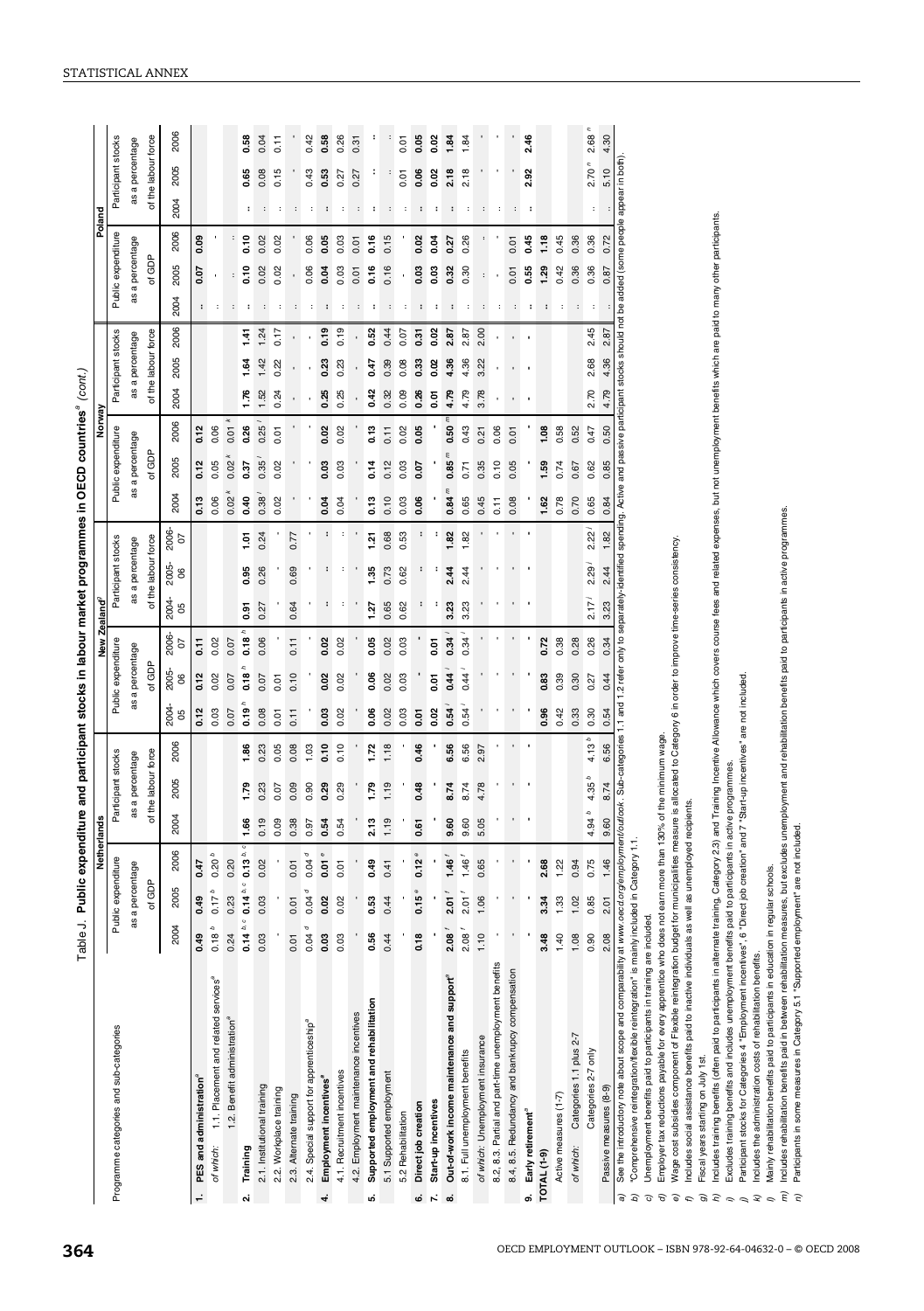| added (some people appear in both)<br>includes raining benefits (often paid to participants in alternate training, category 2.3) and Training Incentive Allowance which covers course fees and related expenses, but not unemployment benefits which are paid to man<br>Public expenditure<br>2006<br>$\frac{8}{10}$<br>0.26<br>0.45<br>1.18<br>0.45<br>0.36<br>0.36<br>as a percentage<br>0.09<br>0.02<br>0.02<br>0.06<br>0.05<br>0.03<br>$\frac{6}{5}$<br>0.15<br>0.02<br>0.04<br>0.72<br>0.01<br>0.27<br>0.01<br>of GDP<br>2005<br>$\frac{8}{10}$<br>0.36<br>0.36<br>0.06<br>0.03<br>0.16<br>0.16<br>0.03<br><b>C.O.</b><br>0.30<br>0.01<br>0.55<br>1.29<br>0.42<br>0.02<br>0.02<br>0.04<br>0.32<br>0.01<br>0.87<br>0.07<br>ł.<br>2004<br>÷<br>å<br>spending. Active and passive participant stocks should not<br>2006<br>0.19<br>0.19<br>0.02<br>2.00<br>2.45<br>Participant stocks<br>0.52<br>0.44<br>of the labour force<br>1.24<br>0.17<br>0.07<br>0.31<br>2.87<br>2.87<br>as a percentage<br>141<br>2.87<br>2005<br>0.22<br>0.23<br>0.23<br>4.36<br>4.36<br>2.68<br>4.36<br>1.42<br>0.39<br>0.08<br>0.33<br>0.02<br>1.64<br>0.47<br>3.22<br>2004<br>0.25<br>2.70<br>1.76<br>1.52<br>0.24<br>0.25<br>0.09<br>0.26<br>4.79<br>4.79<br>3.78<br>4.79<br>0.42<br>0.32<br>0.01<br>2006<br>0.50<br>0.01<br>0.25<br>Public expenditure<br>0.06<br>0.13<br>0.50<br>0.26<br>0.02<br>0.02<br>0.02<br>0.05<br>0.43<br>0.06<br>1.08<br>0.58<br>0.52<br>0.12<br>0.11<br>0.21<br>0.47<br>$\overline{0}$<br>0.01<br>as a percentage<br>of GDP<br>0.85~ <sup>m</sup><br>2005<br>0.02<br>0.35<br>0.05<br>0.14<br>0.03<br>0.35<br>0.10<br>0.05<br>1.59<br>0.62<br>0.85<br>0.12<br>0.37<br>0.02<br>0.03<br>0.03<br>0.12<br>0.71<br>0.74<br>0.67<br>0.07<br>0.84~ <sup>m</sup><br>2004<br>0.02<br>0.38<br>0.70<br>0.40<br>0.02<br>0.13<br>0.10<br>0.03<br>0.06<br>0.65<br>0.45<br>0.08<br>1.62<br>0.78<br>0.65<br>0.13<br>0.06<br>0.04<br>0.04<br>0.84<br>$\overline{0.11}$<br>ncludes rehabilitation benefits paid in between rehabilitation measures, but excludes unemployment and rehabilitation benefits paid to participants in active programmes.<br>2006-<br>$2.22^{1}$<br>$\ddot{\phantom{a}}$<br>1.82<br>0.68<br>0.53<br>1.82<br>1.82<br>$\frac{5}{2}$<br>0.24<br>0.77<br>121<br>of the labour force<br>5<br>Participant stocks<br>as a percentage<br>Wage cost subsidies component of Flexible reintegration budget for municipalities measure is allocated to Category 6 in order to improve time-series consistency<br>only to separately-identified<br>2005-<br>2.29<br>0.26<br>0.69<br>$\ddot{\cdot}$<br>2.44<br>2.44<br>0.95<br>г<br>135<br>0.73<br>0.62<br>÷<br>2.44<br>8<br>2004-<br>2.17 <sup>j</sup><br>:<br>÷<br>3.23<br>3.23<br>0.64<br>0.65<br>3.23<br>0.91<br>127<br>0.62<br>8<br>0.27<br>0.18 <sup>h</sup><br>2006-<br>$0.34$ <sup><math>'</math></sup><br>0.34 <sup>1</sup><br>0.03<br>0.72<br>0.38<br>0.26<br>Public expenditure<br>0.02<br>0.06<br>0.11<br>0.02<br>0.02<br><b>90.0</b><br>0.02<br>$\overline{0}$<br>0.28<br>$\frac{1}{2}$<br>0.07<br>0.34<br>5<br>as a percentage<br>of GDP<br>0.18 <sup>h</sup><br>1.1 and 1.2 refer<br>2005-<br>0.44 <sup>1</sup><br>0.44<br>0.06<br>0.83<br>0.10<br>0.03<br>0.39<br>0.30<br>8<br>0.12<br>0.02<br>0.07<br>0.02<br>0.02<br>0.02<br>$\overline{0}$<br>0.44<br>0.07<br>0.01<br>0.27<br>creation" and 7 "Start-up incentives" are not included<br>2004-<br>0.19<br>0.54<br>0.54<br>0.96<br>0.33<br>0.30<br>0.12<br>0.03<br>0.08<br>0.03<br>0.02<br>0.42<br>0.07<br>0.03<br>0.06<br>0.02<br>8<br>$\overline{0}$ .11<br>0.02<br>0.01<br>0.54<br>0.01<br>See the introductory note about scope and comparability at www.oecd.org/employment/outlook. Sub-categories<br>Employer tax reductions payable for every apprentice who does not earn more than 130% of the minimum wage.<br>2006<br>4.13<br>0.05<br>0.08<br>0.10<br>0.10<br>1.72<br>1.18<br>0.46<br>6.56<br>6.56<br>6.56<br>1.86<br>0.23<br>1.03<br>2.97<br>Participant stocks<br>of the labour force<br>as a percentage<br>Excludes training benefits and includes unemployment benefits paid to participants in active programmes.<br>2005<br>4.35<br>0.09<br>0.90<br>0.29<br>0.29<br>1.79<br>1.19<br>0.48<br>8.74<br>8.74<br>4.78<br>8.74<br>0.23<br>0.07<br>1.79<br>unemployed recipients<br>٠<br>2004<br>$\mathbf{r}$<br>2.13<br>4.94<br>1.66<br>0.19<br>0.09<br>0.38<br>0.54<br>1.19<br>9.60<br>9.60<br>5.05<br>9.60<br>0.97<br>0.54<br>0.61<br>are not included.<br>Category 1.1<br>2006<br>$0.13^{h}$<br>0.20 <sup>b</sup><br>$0.04$ d<br>0.01<br>1.46'<br>1.46'<br>Public expenditure<br>0.12<br>0.49<br>$\blacksquare$<br>1.46<br>0.02<br>0.01<br>0.01<br>0.65<br>2.68<br>0.75<br>0.20<br>0.41<br>1.22<br>0.94<br>as a percentage<br>0.47<br>Mainly rehabilitation benefits paid to participants in education in regular schools<br>of GDP<br>$\circ$<br>2005<br>$0.17^{b}$<br>$0.14^{h.c}$ 0.14 $^{h}$<br>0.04 <sup>d</sup><br>$0.15$ <sup>e</sup><br>$2.01$ <sup><math>'</math></sup><br>2.01 <sup>1</sup><br>Participant stocks for Categories 4 "Employment incentives", 6 "Direct job<br>Includes social assistance benefits paid to inactive individuals as well as<br>"Comprehensive reintegration/flexible reintegration" is mainly included in<br>Participants in some measures in Category 5.1" Supported employment"<br>0.23<br>0.03<br>3.34<br>1.33<br>1.02<br>0.85<br>0.49<br>0.02<br>1.06<br>0.01<br>0.02<br>0.53<br>0.44<br>2.01<br>Unemployment benefits paid to participants in training are included.<br>2004<br>$0.18^{b}$<br>$0.04$ d<br>$2.08$ <sup>f</sup><br>$2.08$ <sup><math>'</math></sup><br>0.24<br>0.03<br>1.08<br>2.08<br>1.10<br>3.48<br>0.90<br>0.03<br>1.40<br>0.01<br>0.03<br>0.56<br>0.18<br>ı<br>0.49<br>0.44<br>ncludes the administration costs of rehabilitation benefits.<br>8.2, 8.3. Partial and part-time unemployment benefits<br>8.4, 8.5. Redundancy and bankrupcy compensation<br>Out-of-work income maintenance and support <sup>a</sup><br>1.1. Placement and related services <sup>ª</sup><br>Supported employment and rehabilitation<br>4.2. Employment maintenance incentives<br>1.2. Benefit administration <sup>®</sup><br>2.4. Special support for apprenticeship <sup>®</sup><br>Programme categories and sub-categories<br>Categories 1.1 plus 2-7<br>of which: Unemployment insurance<br>Categories 2-7 only<br>8.1. Full unemployment benefits<br>Fiscal years starting on July 1st.<br>5.1 Supported employment<br>4.1. Recruitment incentives<br>PES and administration <sup>®</sup><br>Employment incentives <sup>®</sup><br>2.1. Institutional training<br>Passive measures (8-9)<br>2.2. Workplace training<br>Active measures (1-7)<br>2.3. Altemate training<br>Start-up incentives<br>Direct job creation<br>Early retirement <sup>a</sup><br>5.2 Rehabilitation<br>of which:<br>of which:<br>Training<br><b>TOTAL</b> (1-9)<br>$\epsilon$<br>တဲ<br>$\tilde{E}$<br>4.<br>$\dot{\bf{e}}$<br><b>ଟ</b> ଦ ଦ ଜ<br>$\begin{array}{ccc}\n\widehat{\sigma} & \widehat{\sigma} & \widehat{\sigma} & \widehat{\sigma} & \widehat{\sigma} & \widehat{\sigma} & \widehat{\sigma} & \widehat{\sigma} & \widehat{\sigma} & \widehat{\sigma} & \widehat{\sigma} & \widehat{\sigma} & \widehat{\sigma} & \widehat{\sigma} & \widehat{\sigma} & \widehat{\sigma} & \widehat{\sigma} & \widehat{\sigma} & \widehat{\sigma} & \widehat{\sigma} & \widehat{\sigma} & \widehat{\sigma} & \widehat{\sigma} & \widehat{\sigma} & \widehat{\sigma} & \widehat{\sigma} & \widehat{\sigma} & \widehat{\sigma} & \widehat{\sigma} & \widehat{\sigma} & \wide$<br>۵İ<br>ທ່<br>ဖ |  |  |  |  |  |  |  |  | Poland |                     |
|-----------------------------------------------------------------------------------------------------------------------------------------------------------------------------------------------------------------------------------------------------------------------------------------------------------------------------------------------------------------------------------------------------------------------------------------------------------------------------------------------------------------------------------------------------------------------------------------------------------------------------------------------------------------------------------------------------------------------------------------------------------------------------------------------------------------------------------------------------------------------------------------------------------------------------------------------------------------------------------------------------------------------------------------------------------------------------------------------------------------------------------------------------------------------------------------------------------------------------------------------------------------------------------------------------------------------------------------------------------------------------------------------------------------------------------------------------------------------------------------------------------------------------------------------------------------------------------------------------------------------------------------------------------------------------------------------------------------------------------------------------------------------------------------------------------------------------------------------------------------------------------------------------------------------------------------------------------------------------------------------------------------------------------------------------------------------------------------------------------------------------------------------------------------------------------------------------------------------------------------------------------------------------------------------------------------------------------------------------------------------------------------------------------------------------------------------------------------------------------------------------------------------------------------------------------------------------------------------------------------------------------------------------------------------------------------------------------------------------------------------------------------------------------------------------------------------------------------------------------------------------------------------------------------------------------------------------------------------------------------------------------------------------------------------------------------------------------------------------------------------------------------------------------------------------------------------------------------------------------------------------------------------------------------------------------------------------------------------------------------------------------------------------------------------------------------------------------------------------------------------------------------------------------------------------------------------------------------------------------------------------------------------------------------------------------------------------------------------------------------------------------------------------------------------------------------------------------------------------------------------------------------------------------------------------------------------------------------------------------------------------------------------------------------------------------------------------------------------------------------------------------------------------------------------------------------------------------------------------------------------------------------------------------------------------------------------------------------------------------------------------------------------------------------------------------------------------------------------------------------------------------------------------------------------------------------------------------------------------------------------------------------------------------------------------------------------------------------------------------------------------------------------------------------------------------------------------------------------------------------------------------------------------------------------------------------------------------------------------------------------------------------------------------------------------------------------------------------------------------------------------------------------------------------------------------------------------------------------------------------------------------------------------------------------------------------------------------------------------------------------------------------------------------------------------------------------------------------------------------------------------------------------------------------------------------------------------------------------------------------------------------------------------------------------------------------------------------------------------------------------------------------------------------------------------------------------------------------------------------------------------------------------------------------------------------------------------------------------------------------------------------------------------------------------------------------------------------------------------------------------------------------------------------------------------------------------------------------------------------------------------------------------------------------------------------------------------------------------------------------------------------------------------------------------------------------------------------------------------------------------------------------------------------------------------------------------------------------------------------------------------------------------------------------------------------------------------------------------------------------------------------------------------------------------------------------------------------------------------------------------------------------------------------------------------------------------------------------------------------------------------------------------------------------------------------------------------------------------------------------------------------------------------------------------------------------------------------------------------------------------------------------------------------------------------------------------------------------------------------------------------------------------------------------------------------------------------------------------------------------------------------------------------------------------------------------------------------------------------------------------------------------------------|--|--|--|--|--|--|--|--|--------|---------------------|
|                                                                                                                                                                                                                                                                                                                                                                                                                                                                                                                                                                                                                                                                                                                                                                                                                                                                                                                                                                                                                                                                                                                                                                                                                                                                                                                                                                                                                                                                                                                                                                                                                                                                                                                                                                                                                                                                                                                                                                                                                                                                                                                                                                                                                                                                                                                                                                                                                                                                                                                                                                                                                                                                                                                                                                                                                                                                                                                                                                                                                                                                                                                                                                                                                                                                                                                                                                                                                                                                                                                                                                                                                                                                                                                                                                                                                                                                                                                                                                                                                                                                                                                                                                                                                                                                                                                                                                                                                                                                                                                                                                                                                                                                                                                                                                                                                                                                                                                                                                                                                                                                                                                                                                                                                                                                                                                                                                                                                                                                                                                                                                                                                                                                                                                                                                                                                                                                                                                                                                                                                                                                                                                                                                                                                                                                                                                                                                                                                                                                                                                                                                                                                                                                                                                                                                                                                                                                                                                                                                                                                                                                                                                                                                                                                                                                                                                                                                                                                                                                                                                                                                                                                                                     |  |  |  |  |  |  |  |  |        | Participant stocks  |
|                                                                                                                                                                                                                                                                                                                                                                                                                                                                                                                                                                                                                                                                                                                                                                                                                                                                                                                                                                                                                                                                                                                                                                                                                                                                                                                                                                                                                                                                                                                                                                                                                                                                                                                                                                                                                                                                                                                                                                                                                                                                                                                                                                                                                                                                                                                                                                                                                                                                                                                                                                                                                                                                                                                                                                                                                                                                                                                                                                                                                                                                                                                                                                                                                                                                                                                                                                                                                                                                                                                                                                                                                                                                                                                                                                                                                                                                                                                                                                                                                                                                                                                                                                                                                                                                                                                                                                                                                                                                                                                                                                                                                                                                                                                                                                                                                                                                                                                                                                                                                                                                                                                                                                                                                                                                                                                                                                                                                                                                                                                                                                                                                                                                                                                                                                                                                                                                                                                                                                                                                                                                                                                                                                                                                                                                                                                                                                                                                                                                                                                                                                                                                                                                                                                                                                                                                                                                                                                                                                                                                                                                                                                                                                                                                                                                                                                                                                                                                                                                                                                                                                                                                                                     |  |  |  |  |  |  |  |  |        | as a percentage     |
|                                                                                                                                                                                                                                                                                                                                                                                                                                                                                                                                                                                                                                                                                                                                                                                                                                                                                                                                                                                                                                                                                                                                                                                                                                                                                                                                                                                                                                                                                                                                                                                                                                                                                                                                                                                                                                                                                                                                                                                                                                                                                                                                                                                                                                                                                                                                                                                                                                                                                                                                                                                                                                                                                                                                                                                                                                                                                                                                                                                                                                                                                                                                                                                                                                                                                                                                                                                                                                                                                                                                                                                                                                                                                                                                                                                                                                                                                                                                                                                                                                                                                                                                                                                                                                                                                                                                                                                                                                                                                                                                                                                                                                                                                                                                                                                                                                                                                                                                                                                                                                                                                                                                                                                                                                                                                                                                                                                                                                                                                                                                                                                                                                                                                                                                                                                                                                                                                                                                                                                                                                                                                                                                                                                                                                                                                                                                                                                                                                                                                                                                                                                                                                                                                                                                                                                                                                                                                                                                                                                                                                                                                                                                                                                                                                                                                                                                                                                                                                                                                                                                                                                                                                                     |  |  |  |  |  |  |  |  |        | of the labour force |
|                                                                                                                                                                                                                                                                                                                                                                                                                                                                                                                                                                                                                                                                                                                                                                                                                                                                                                                                                                                                                                                                                                                                                                                                                                                                                                                                                                                                                                                                                                                                                                                                                                                                                                                                                                                                                                                                                                                                                                                                                                                                                                                                                                                                                                                                                                                                                                                                                                                                                                                                                                                                                                                                                                                                                                                                                                                                                                                                                                                                                                                                                                                                                                                                                                                                                                                                                                                                                                                                                                                                                                                                                                                                                                                                                                                                                                                                                                                                                                                                                                                                                                                                                                                                                                                                                                                                                                                                                                                                                                                                                                                                                                                                                                                                                                                                                                                                                                                                                                                                                                                                                                                                                                                                                                                                                                                                                                                                                                                                                                                                                                                                                                                                                                                                                                                                                                                                                                                                                                                                                                                                                                                                                                                                                                                                                                                                                                                                                                                                                                                                                                                                                                                                                                                                                                                                                                                                                                                                                                                                                                                                                                                                                                                                                                                                                                                                                                                                                                                                                                                                                                                                                                                     |  |  |  |  |  |  |  |  | 2004   | 2005                |
|                                                                                                                                                                                                                                                                                                                                                                                                                                                                                                                                                                                                                                                                                                                                                                                                                                                                                                                                                                                                                                                                                                                                                                                                                                                                                                                                                                                                                                                                                                                                                                                                                                                                                                                                                                                                                                                                                                                                                                                                                                                                                                                                                                                                                                                                                                                                                                                                                                                                                                                                                                                                                                                                                                                                                                                                                                                                                                                                                                                                                                                                                                                                                                                                                                                                                                                                                                                                                                                                                                                                                                                                                                                                                                                                                                                                                                                                                                                                                                                                                                                                                                                                                                                                                                                                                                                                                                                                                                                                                                                                                                                                                                                                                                                                                                                                                                                                                                                                                                                                                                                                                                                                                                                                                                                                                                                                                                                                                                                                                                                                                                                                                                                                                                                                                                                                                                                                                                                                                                                                                                                                                                                                                                                                                                                                                                                                                                                                                                                                                                                                                                                                                                                                                                                                                                                                                                                                                                                                                                                                                                                                                                                                                                                                                                                                                                                                                                                                                                                                                                                                                                                                                                                     |  |  |  |  |  |  |  |  |        |                     |
|                                                                                                                                                                                                                                                                                                                                                                                                                                                                                                                                                                                                                                                                                                                                                                                                                                                                                                                                                                                                                                                                                                                                                                                                                                                                                                                                                                                                                                                                                                                                                                                                                                                                                                                                                                                                                                                                                                                                                                                                                                                                                                                                                                                                                                                                                                                                                                                                                                                                                                                                                                                                                                                                                                                                                                                                                                                                                                                                                                                                                                                                                                                                                                                                                                                                                                                                                                                                                                                                                                                                                                                                                                                                                                                                                                                                                                                                                                                                                                                                                                                                                                                                                                                                                                                                                                                                                                                                                                                                                                                                                                                                                                                                                                                                                                                                                                                                                                                                                                                                                                                                                                                                                                                                                                                                                                                                                                                                                                                                                                                                                                                                                                                                                                                                                                                                                                                                                                                                                                                                                                                                                                                                                                                                                                                                                                                                                                                                                                                                                                                                                                                                                                                                                                                                                                                                                                                                                                                                                                                                                                                                                                                                                                                                                                                                                                                                                                                                                                                                                                                                                                                                                                                     |  |  |  |  |  |  |  |  |        |                     |
|                                                                                                                                                                                                                                                                                                                                                                                                                                                                                                                                                                                                                                                                                                                                                                                                                                                                                                                                                                                                                                                                                                                                                                                                                                                                                                                                                                                                                                                                                                                                                                                                                                                                                                                                                                                                                                                                                                                                                                                                                                                                                                                                                                                                                                                                                                                                                                                                                                                                                                                                                                                                                                                                                                                                                                                                                                                                                                                                                                                                                                                                                                                                                                                                                                                                                                                                                                                                                                                                                                                                                                                                                                                                                                                                                                                                                                                                                                                                                                                                                                                                                                                                                                                                                                                                                                                                                                                                                                                                                                                                                                                                                                                                                                                                                                                                                                                                                                                                                                                                                                                                                                                                                                                                                                                                                                                                                                                                                                                                                                                                                                                                                                                                                                                                                                                                                                                                                                                                                                                                                                                                                                                                                                                                                                                                                                                                                                                                                                                                                                                                                                                                                                                                                                                                                                                                                                                                                                                                                                                                                                                                                                                                                                                                                                                                                                                                                                                                                                                                                                                                                                                                                                                     |  |  |  |  |  |  |  |  |        |                     |
|                                                                                                                                                                                                                                                                                                                                                                                                                                                                                                                                                                                                                                                                                                                                                                                                                                                                                                                                                                                                                                                                                                                                                                                                                                                                                                                                                                                                                                                                                                                                                                                                                                                                                                                                                                                                                                                                                                                                                                                                                                                                                                                                                                                                                                                                                                                                                                                                                                                                                                                                                                                                                                                                                                                                                                                                                                                                                                                                                                                                                                                                                                                                                                                                                                                                                                                                                                                                                                                                                                                                                                                                                                                                                                                                                                                                                                                                                                                                                                                                                                                                                                                                                                                                                                                                                                                                                                                                                                                                                                                                                                                                                                                                                                                                                                                                                                                                                                                                                                                                                                                                                                                                                                                                                                                                                                                                                                                                                                                                                                                                                                                                                                                                                                                                                                                                                                                                                                                                                                                                                                                                                                                                                                                                                                                                                                                                                                                                                                                                                                                                                                                                                                                                                                                                                                                                                                                                                                                                                                                                                                                                                                                                                                                                                                                                                                                                                                                                                                                                                                                                                                                                                                                     |  |  |  |  |  |  |  |  |        | 0.65                |
|                                                                                                                                                                                                                                                                                                                                                                                                                                                                                                                                                                                                                                                                                                                                                                                                                                                                                                                                                                                                                                                                                                                                                                                                                                                                                                                                                                                                                                                                                                                                                                                                                                                                                                                                                                                                                                                                                                                                                                                                                                                                                                                                                                                                                                                                                                                                                                                                                                                                                                                                                                                                                                                                                                                                                                                                                                                                                                                                                                                                                                                                                                                                                                                                                                                                                                                                                                                                                                                                                                                                                                                                                                                                                                                                                                                                                                                                                                                                                                                                                                                                                                                                                                                                                                                                                                                                                                                                                                                                                                                                                                                                                                                                                                                                                                                                                                                                                                                                                                                                                                                                                                                                                                                                                                                                                                                                                                                                                                                                                                                                                                                                                                                                                                                                                                                                                                                                                                                                                                                                                                                                                                                                                                                                                                                                                                                                                                                                                                                                                                                                                                                                                                                                                                                                                                                                                                                                                                                                                                                                                                                                                                                                                                                                                                                                                                                                                                                                                                                                                                                                                                                                                                                     |  |  |  |  |  |  |  |  |        | 0.08                |
|                                                                                                                                                                                                                                                                                                                                                                                                                                                                                                                                                                                                                                                                                                                                                                                                                                                                                                                                                                                                                                                                                                                                                                                                                                                                                                                                                                                                                                                                                                                                                                                                                                                                                                                                                                                                                                                                                                                                                                                                                                                                                                                                                                                                                                                                                                                                                                                                                                                                                                                                                                                                                                                                                                                                                                                                                                                                                                                                                                                                                                                                                                                                                                                                                                                                                                                                                                                                                                                                                                                                                                                                                                                                                                                                                                                                                                                                                                                                                                                                                                                                                                                                                                                                                                                                                                                                                                                                                                                                                                                                                                                                                                                                                                                                                                                                                                                                                                                                                                                                                                                                                                                                                                                                                                                                                                                                                                                                                                                                                                                                                                                                                                                                                                                                                                                                                                                                                                                                                                                                                                                                                                                                                                                                                                                                                                                                                                                                                                                                                                                                                                                                                                                                                                                                                                                                                                                                                                                                                                                                                                                                                                                                                                                                                                                                                                                                                                                                                                                                                                                                                                                                                                                     |  |  |  |  |  |  |  |  |        | 0.15                |
|                                                                                                                                                                                                                                                                                                                                                                                                                                                                                                                                                                                                                                                                                                                                                                                                                                                                                                                                                                                                                                                                                                                                                                                                                                                                                                                                                                                                                                                                                                                                                                                                                                                                                                                                                                                                                                                                                                                                                                                                                                                                                                                                                                                                                                                                                                                                                                                                                                                                                                                                                                                                                                                                                                                                                                                                                                                                                                                                                                                                                                                                                                                                                                                                                                                                                                                                                                                                                                                                                                                                                                                                                                                                                                                                                                                                                                                                                                                                                                                                                                                                                                                                                                                                                                                                                                                                                                                                                                                                                                                                                                                                                                                                                                                                                                                                                                                                                                                                                                                                                                                                                                                                                                                                                                                                                                                                                                                                                                                                                                                                                                                                                                                                                                                                                                                                                                                                                                                                                                                                                                                                                                                                                                                                                                                                                                                                                                                                                                                                                                                                                                                                                                                                                                                                                                                                                                                                                                                                                                                                                                                                                                                                                                                                                                                                                                                                                                                                                                                                                                                                                                                                                                                     |  |  |  |  |  |  |  |  |        |                     |
|                                                                                                                                                                                                                                                                                                                                                                                                                                                                                                                                                                                                                                                                                                                                                                                                                                                                                                                                                                                                                                                                                                                                                                                                                                                                                                                                                                                                                                                                                                                                                                                                                                                                                                                                                                                                                                                                                                                                                                                                                                                                                                                                                                                                                                                                                                                                                                                                                                                                                                                                                                                                                                                                                                                                                                                                                                                                                                                                                                                                                                                                                                                                                                                                                                                                                                                                                                                                                                                                                                                                                                                                                                                                                                                                                                                                                                                                                                                                                                                                                                                                                                                                                                                                                                                                                                                                                                                                                                                                                                                                                                                                                                                                                                                                                                                                                                                                                                                                                                                                                                                                                                                                                                                                                                                                                                                                                                                                                                                                                                                                                                                                                                                                                                                                                                                                                                                                                                                                                                                                                                                                                                                                                                                                                                                                                                                                                                                                                                                                                                                                                                                                                                                                                                                                                                                                                                                                                                                                                                                                                                                                                                                                                                                                                                                                                                                                                                                                                                                                                                                                                                                                                                                     |  |  |  |  |  |  |  |  |        | 0.43                |
|                                                                                                                                                                                                                                                                                                                                                                                                                                                                                                                                                                                                                                                                                                                                                                                                                                                                                                                                                                                                                                                                                                                                                                                                                                                                                                                                                                                                                                                                                                                                                                                                                                                                                                                                                                                                                                                                                                                                                                                                                                                                                                                                                                                                                                                                                                                                                                                                                                                                                                                                                                                                                                                                                                                                                                                                                                                                                                                                                                                                                                                                                                                                                                                                                                                                                                                                                                                                                                                                                                                                                                                                                                                                                                                                                                                                                                                                                                                                                                                                                                                                                                                                                                                                                                                                                                                                                                                                                                                                                                                                                                                                                                                                                                                                                                                                                                                                                                                                                                                                                                                                                                                                                                                                                                                                                                                                                                                                                                                                                                                                                                                                                                                                                                                                                                                                                                                                                                                                                                                                                                                                                                                                                                                                                                                                                                                                                                                                                                                                                                                                                                                                                                                                                                                                                                                                                                                                                                                                                                                                                                                                                                                                                                                                                                                                                                                                                                                                                                                                                                                                                                                                                                                     |  |  |  |  |  |  |  |  |        | 0.53                |
|                                                                                                                                                                                                                                                                                                                                                                                                                                                                                                                                                                                                                                                                                                                                                                                                                                                                                                                                                                                                                                                                                                                                                                                                                                                                                                                                                                                                                                                                                                                                                                                                                                                                                                                                                                                                                                                                                                                                                                                                                                                                                                                                                                                                                                                                                                                                                                                                                                                                                                                                                                                                                                                                                                                                                                                                                                                                                                                                                                                                                                                                                                                                                                                                                                                                                                                                                                                                                                                                                                                                                                                                                                                                                                                                                                                                                                                                                                                                                                                                                                                                                                                                                                                                                                                                                                                                                                                                                                                                                                                                                                                                                                                                                                                                                                                                                                                                                                                                                                                                                                                                                                                                                                                                                                                                                                                                                                                                                                                                                                                                                                                                                                                                                                                                                                                                                                                                                                                                                                                                                                                                                                                                                                                                                                                                                                                                                                                                                                                                                                                                                                                                                                                                                                                                                                                                                                                                                                                                                                                                                                                                                                                                                                                                                                                                                                                                                                                                                                                                                                                                                                                                                                                     |  |  |  |  |  |  |  |  |        | 0.27                |
|                                                                                                                                                                                                                                                                                                                                                                                                                                                                                                                                                                                                                                                                                                                                                                                                                                                                                                                                                                                                                                                                                                                                                                                                                                                                                                                                                                                                                                                                                                                                                                                                                                                                                                                                                                                                                                                                                                                                                                                                                                                                                                                                                                                                                                                                                                                                                                                                                                                                                                                                                                                                                                                                                                                                                                                                                                                                                                                                                                                                                                                                                                                                                                                                                                                                                                                                                                                                                                                                                                                                                                                                                                                                                                                                                                                                                                                                                                                                                                                                                                                                                                                                                                                                                                                                                                                                                                                                                                                                                                                                                                                                                                                                                                                                                                                                                                                                                                                                                                                                                                                                                                                                                                                                                                                                                                                                                                                                                                                                                                                                                                                                                                                                                                                                                                                                                                                                                                                                                                                                                                                                                                                                                                                                                                                                                                                                                                                                                                                                                                                                                                                                                                                                                                                                                                                                                                                                                                                                                                                                                                                                                                                                                                                                                                                                                                                                                                                                                                                                                                                                                                                                                                                     |  |  |  |  |  |  |  |  |        | 0.27                |
|                                                                                                                                                                                                                                                                                                                                                                                                                                                                                                                                                                                                                                                                                                                                                                                                                                                                                                                                                                                                                                                                                                                                                                                                                                                                                                                                                                                                                                                                                                                                                                                                                                                                                                                                                                                                                                                                                                                                                                                                                                                                                                                                                                                                                                                                                                                                                                                                                                                                                                                                                                                                                                                                                                                                                                                                                                                                                                                                                                                                                                                                                                                                                                                                                                                                                                                                                                                                                                                                                                                                                                                                                                                                                                                                                                                                                                                                                                                                                                                                                                                                                                                                                                                                                                                                                                                                                                                                                                                                                                                                                                                                                                                                                                                                                                                                                                                                                                                                                                                                                                                                                                                                                                                                                                                                                                                                                                                                                                                                                                                                                                                                                                                                                                                                                                                                                                                                                                                                                                                                                                                                                                                                                                                                                                                                                                                                                                                                                                                                                                                                                                                                                                                                                                                                                                                                                                                                                                                                                                                                                                                                                                                                                                                                                                                                                                                                                                                                                                                                                                                                                                                                                                                     |  |  |  |  |  |  |  |  |        |                     |
|                                                                                                                                                                                                                                                                                                                                                                                                                                                                                                                                                                                                                                                                                                                                                                                                                                                                                                                                                                                                                                                                                                                                                                                                                                                                                                                                                                                                                                                                                                                                                                                                                                                                                                                                                                                                                                                                                                                                                                                                                                                                                                                                                                                                                                                                                                                                                                                                                                                                                                                                                                                                                                                                                                                                                                                                                                                                                                                                                                                                                                                                                                                                                                                                                                                                                                                                                                                                                                                                                                                                                                                                                                                                                                                                                                                                                                                                                                                                                                                                                                                                                                                                                                                                                                                                                                                                                                                                                                                                                                                                                                                                                                                                                                                                                                                                                                                                                                                                                                                                                                                                                                                                                                                                                                                                                                                                                                                                                                                                                                                                                                                                                                                                                                                                                                                                                                                                                                                                                                                                                                                                                                                                                                                                                                                                                                                                                                                                                                                                                                                                                                                                                                                                                                                                                                                                                                                                                                                                                                                                                                                                                                                                                                                                                                                                                                                                                                                                                                                                                                                                                                                                                                                     |  |  |  |  |  |  |  |  |        |                     |
|                                                                                                                                                                                                                                                                                                                                                                                                                                                                                                                                                                                                                                                                                                                                                                                                                                                                                                                                                                                                                                                                                                                                                                                                                                                                                                                                                                                                                                                                                                                                                                                                                                                                                                                                                                                                                                                                                                                                                                                                                                                                                                                                                                                                                                                                                                                                                                                                                                                                                                                                                                                                                                                                                                                                                                                                                                                                                                                                                                                                                                                                                                                                                                                                                                                                                                                                                                                                                                                                                                                                                                                                                                                                                                                                                                                                                                                                                                                                                                                                                                                                                                                                                                                                                                                                                                                                                                                                                                                                                                                                                                                                                                                                                                                                                                                                                                                                                                                                                                                                                                                                                                                                                                                                                                                                                                                                                                                                                                                                                                                                                                                                                                                                                                                                                                                                                                                                                                                                                                                                                                                                                                                                                                                                                                                                                                                                                                                                                                                                                                                                                                                                                                                                                                                                                                                                                                                                                                                                                                                                                                                                                                                                                                                                                                                                                                                                                                                                                                                                                                                                                                                                                                                     |  |  |  |  |  |  |  |  |        | 0.01                |
|                                                                                                                                                                                                                                                                                                                                                                                                                                                                                                                                                                                                                                                                                                                                                                                                                                                                                                                                                                                                                                                                                                                                                                                                                                                                                                                                                                                                                                                                                                                                                                                                                                                                                                                                                                                                                                                                                                                                                                                                                                                                                                                                                                                                                                                                                                                                                                                                                                                                                                                                                                                                                                                                                                                                                                                                                                                                                                                                                                                                                                                                                                                                                                                                                                                                                                                                                                                                                                                                                                                                                                                                                                                                                                                                                                                                                                                                                                                                                                                                                                                                                                                                                                                                                                                                                                                                                                                                                                                                                                                                                                                                                                                                                                                                                                                                                                                                                                                                                                                                                                                                                                                                                                                                                                                                                                                                                                                                                                                                                                                                                                                                                                                                                                                                                                                                                                                                                                                                                                                                                                                                                                                                                                                                                                                                                                                                                                                                                                                                                                                                                                                                                                                                                                                                                                                                                                                                                                                                                                                                                                                                                                                                                                                                                                                                                                                                                                                                                                                                                                                                                                                                                                                     |  |  |  |  |  |  |  |  |        | 0.06                |
|                                                                                                                                                                                                                                                                                                                                                                                                                                                                                                                                                                                                                                                                                                                                                                                                                                                                                                                                                                                                                                                                                                                                                                                                                                                                                                                                                                                                                                                                                                                                                                                                                                                                                                                                                                                                                                                                                                                                                                                                                                                                                                                                                                                                                                                                                                                                                                                                                                                                                                                                                                                                                                                                                                                                                                                                                                                                                                                                                                                                                                                                                                                                                                                                                                                                                                                                                                                                                                                                                                                                                                                                                                                                                                                                                                                                                                                                                                                                                                                                                                                                                                                                                                                                                                                                                                                                                                                                                                                                                                                                                                                                                                                                                                                                                                                                                                                                                                                                                                                                                                                                                                                                                                                                                                                                                                                                                                                                                                                                                                                                                                                                                                                                                                                                                                                                                                                                                                                                                                                                                                                                                                                                                                                                                                                                                                                                                                                                                                                                                                                                                                                                                                                                                                                                                                                                                                                                                                                                                                                                                                                                                                                                                                                                                                                                                                                                                                                                                                                                                                                                                                                                                                                     |  |  |  |  |  |  |  |  |        | 0.02                |
|                                                                                                                                                                                                                                                                                                                                                                                                                                                                                                                                                                                                                                                                                                                                                                                                                                                                                                                                                                                                                                                                                                                                                                                                                                                                                                                                                                                                                                                                                                                                                                                                                                                                                                                                                                                                                                                                                                                                                                                                                                                                                                                                                                                                                                                                                                                                                                                                                                                                                                                                                                                                                                                                                                                                                                                                                                                                                                                                                                                                                                                                                                                                                                                                                                                                                                                                                                                                                                                                                                                                                                                                                                                                                                                                                                                                                                                                                                                                                                                                                                                                                                                                                                                                                                                                                                                                                                                                                                                                                                                                                                                                                                                                                                                                                                                                                                                                                                                                                                                                                                                                                                                                                                                                                                                                                                                                                                                                                                                                                                                                                                                                                                                                                                                                                                                                                                                                                                                                                                                                                                                                                                                                                                                                                                                                                                                                                                                                                                                                                                                                                                                                                                                                                                                                                                                                                                                                                                                                                                                                                                                                                                                                                                                                                                                                                                                                                                                                                                                                                                                                                                                                                                                     |  |  |  |  |  |  |  |  |        | 2.18                |
|                                                                                                                                                                                                                                                                                                                                                                                                                                                                                                                                                                                                                                                                                                                                                                                                                                                                                                                                                                                                                                                                                                                                                                                                                                                                                                                                                                                                                                                                                                                                                                                                                                                                                                                                                                                                                                                                                                                                                                                                                                                                                                                                                                                                                                                                                                                                                                                                                                                                                                                                                                                                                                                                                                                                                                                                                                                                                                                                                                                                                                                                                                                                                                                                                                                                                                                                                                                                                                                                                                                                                                                                                                                                                                                                                                                                                                                                                                                                                                                                                                                                                                                                                                                                                                                                                                                                                                                                                                                                                                                                                                                                                                                                                                                                                                                                                                                                                                                                                                                                                                                                                                                                                                                                                                                                                                                                                                                                                                                                                                                                                                                                                                                                                                                                                                                                                                                                                                                                                                                                                                                                                                                                                                                                                                                                                                                                                                                                                                                                                                                                                                                                                                                                                                                                                                                                                                                                                                                                                                                                                                                                                                                                                                                                                                                                                                                                                                                                                                                                                                                                                                                                                                                     |  |  |  |  |  |  |  |  |        | 2.18                |
|                                                                                                                                                                                                                                                                                                                                                                                                                                                                                                                                                                                                                                                                                                                                                                                                                                                                                                                                                                                                                                                                                                                                                                                                                                                                                                                                                                                                                                                                                                                                                                                                                                                                                                                                                                                                                                                                                                                                                                                                                                                                                                                                                                                                                                                                                                                                                                                                                                                                                                                                                                                                                                                                                                                                                                                                                                                                                                                                                                                                                                                                                                                                                                                                                                                                                                                                                                                                                                                                                                                                                                                                                                                                                                                                                                                                                                                                                                                                                                                                                                                                                                                                                                                                                                                                                                                                                                                                                                                                                                                                                                                                                                                                                                                                                                                                                                                                                                                                                                                                                                                                                                                                                                                                                                                                                                                                                                                                                                                                                                                                                                                                                                                                                                                                                                                                                                                                                                                                                                                                                                                                                                                                                                                                                                                                                                                                                                                                                                                                                                                                                                                                                                                                                                                                                                                                                                                                                                                                                                                                                                                                                                                                                                                                                                                                                                                                                                                                                                                                                                                                                                                                                                                     |  |  |  |  |  |  |  |  |        |                     |
|                                                                                                                                                                                                                                                                                                                                                                                                                                                                                                                                                                                                                                                                                                                                                                                                                                                                                                                                                                                                                                                                                                                                                                                                                                                                                                                                                                                                                                                                                                                                                                                                                                                                                                                                                                                                                                                                                                                                                                                                                                                                                                                                                                                                                                                                                                                                                                                                                                                                                                                                                                                                                                                                                                                                                                                                                                                                                                                                                                                                                                                                                                                                                                                                                                                                                                                                                                                                                                                                                                                                                                                                                                                                                                                                                                                                                                                                                                                                                                                                                                                                                                                                                                                                                                                                                                                                                                                                                                                                                                                                                                                                                                                                                                                                                                                                                                                                                                                                                                                                                                                                                                                                                                                                                                                                                                                                                                                                                                                                                                                                                                                                                                                                                                                                                                                                                                                                                                                                                                                                                                                                                                                                                                                                                                                                                                                                                                                                                                                                                                                                                                                                                                                                                                                                                                                                                                                                                                                                                                                                                                                                                                                                                                                                                                                                                                                                                                                                                                                                                                                                                                                                                                                     |  |  |  |  |  |  |  |  |        |                     |
|                                                                                                                                                                                                                                                                                                                                                                                                                                                                                                                                                                                                                                                                                                                                                                                                                                                                                                                                                                                                                                                                                                                                                                                                                                                                                                                                                                                                                                                                                                                                                                                                                                                                                                                                                                                                                                                                                                                                                                                                                                                                                                                                                                                                                                                                                                                                                                                                                                                                                                                                                                                                                                                                                                                                                                                                                                                                                                                                                                                                                                                                                                                                                                                                                                                                                                                                                                                                                                                                                                                                                                                                                                                                                                                                                                                                                                                                                                                                                                                                                                                                                                                                                                                                                                                                                                                                                                                                                                                                                                                                                                                                                                                                                                                                                                                                                                                                                                                                                                                                                                                                                                                                                                                                                                                                                                                                                                                                                                                                                                                                                                                                                                                                                                                                                                                                                                                                                                                                                                                                                                                                                                                                                                                                                                                                                                                                                                                                                                                                                                                                                                                                                                                                                                                                                                                                                                                                                                                                                                                                                                                                                                                                                                                                                                                                                                                                                                                                                                                                                                                                                                                                                                                     |  |  |  |  |  |  |  |  |        |                     |
|                                                                                                                                                                                                                                                                                                                                                                                                                                                                                                                                                                                                                                                                                                                                                                                                                                                                                                                                                                                                                                                                                                                                                                                                                                                                                                                                                                                                                                                                                                                                                                                                                                                                                                                                                                                                                                                                                                                                                                                                                                                                                                                                                                                                                                                                                                                                                                                                                                                                                                                                                                                                                                                                                                                                                                                                                                                                                                                                                                                                                                                                                                                                                                                                                                                                                                                                                                                                                                                                                                                                                                                                                                                                                                                                                                                                                                                                                                                                                                                                                                                                                                                                                                                                                                                                                                                                                                                                                                                                                                                                                                                                                                                                                                                                                                                                                                                                                                                                                                                                                                                                                                                                                                                                                                                                                                                                                                                                                                                                                                                                                                                                                                                                                                                                                                                                                                                                                                                                                                                                                                                                                                                                                                                                                                                                                                                                                                                                                                                                                                                                                                                                                                                                                                                                                                                                                                                                                                                                                                                                                                                                                                                                                                                                                                                                                                                                                                                                                                                                                                                                                                                                                                                     |  |  |  |  |  |  |  |  |        | 2.92                |
|                                                                                                                                                                                                                                                                                                                                                                                                                                                                                                                                                                                                                                                                                                                                                                                                                                                                                                                                                                                                                                                                                                                                                                                                                                                                                                                                                                                                                                                                                                                                                                                                                                                                                                                                                                                                                                                                                                                                                                                                                                                                                                                                                                                                                                                                                                                                                                                                                                                                                                                                                                                                                                                                                                                                                                                                                                                                                                                                                                                                                                                                                                                                                                                                                                                                                                                                                                                                                                                                                                                                                                                                                                                                                                                                                                                                                                                                                                                                                                                                                                                                                                                                                                                                                                                                                                                                                                                                                                                                                                                                                                                                                                                                                                                                                                                                                                                                                                                                                                                                                                                                                                                                                                                                                                                                                                                                                                                                                                                                                                                                                                                                                                                                                                                                                                                                                                                                                                                                                                                                                                                                                                                                                                                                                                                                                                                                                                                                                                                                                                                                                                                                                                                                                                                                                                                                                                                                                                                                                                                                                                                                                                                                                                                                                                                                                                                                                                                                                                                                                                                                                                                                                                                     |  |  |  |  |  |  |  |  |        |                     |
|                                                                                                                                                                                                                                                                                                                                                                                                                                                                                                                                                                                                                                                                                                                                                                                                                                                                                                                                                                                                                                                                                                                                                                                                                                                                                                                                                                                                                                                                                                                                                                                                                                                                                                                                                                                                                                                                                                                                                                                                                                                                                                                                                                                                                                                                                                                                                                                                                                                                                                                                                                                                                                                                                                                                                                                                                                                                                                                                                                                                                                                                                                                                                                                                                                                                                                                                                                                                                                                                                                                                                                                                                                                                                                                                                                                                                                                                                                                                                                                                                                                                                                                                                                                                                                                                                                                                                                                                                                                                                                                                                                                                                                                                                                                                                                                                                                                                                                                                                                                                                                                                                                                                                                                                                                                                                                                                                                                                                                                                                                                                                                                                                                                                                                                                                                                                                                                                                                                                                                                                                                                                                                                                                                                                                                                                                                                                                                                                                                                                                                                                                                                                                                                                                                                                                                                                                                                                                                                                                                                                                                                                                                                                                                                                                                                                                                                                                                                                                                                                                                                                                                                                                                                     |  |  |  |  |  |  |  |  |        |                     |
|                                                                                                                                                                                                                                                                                                                                                                                                                                                                                                                                                                                                                                                                                                                                                                                                                                                                                                                                                                                                                                                                                                                                                                                                                                                                                                                                                                                                                                                                                                                                                                                                                                                                                                                                                                                                                                                                                                                                                                                                                                                                                                                                                                                                                                                                                                                                                                                                                                                                                                                                                                                                                                                                                                                                                                                                                                                                                                                                                                                                                                                                                                                                                                                                                                                                                                                                                                                                                                                                                                                                                                                                                                                                                                                                                                                                                                                                                                                                                                                                                                                                                                                                                                                                                                                                                                                                                                                                                                                                                                                                                                                                                                                                                                                                                                                                                                                                                                                                                                                                                                                                                                                                                                                                                                                                                                                                                                                                                                                                                                                                                                                                                                                                                                                                                                                                                                                                                                                                                                                                                                                                                                                                                                                                                                                                                                                                                                                                                                                                                                                                                                                                                                                                                                                                                                                                                                                                                                                                                                                                                                                                                                                                                                                                                                                                                                                                                                                                                                                                                                                                                                                                                                                     |  |  |  |  |  |  |  |  |        |                     |
|                                                                                                                                                                                                                                                                                                                                                                                                                                                                                                                                                                                                                                                                                                                                                                                                                                                                                                                                                                                                                                                                                                                                                                                                                                                                                                                                                                                                                                                                                                                                                                                                                                                                                                                                                                                                                                                                                                                                                                                                                                                                                                                                                                                                                                                                                                                                                                                                                                                                                                                                                                                                                                                                                                                                                                                                                                                                                                                                                                                                                                                                                                                                                                                                                                                                                                                                                                                                                                                                                                                                                                                                                                                                                                                                                                                                                                                                                                                                                                                                                                                                                                                                                                                                                                                                                                                                                                                                                                                                                                                                                                                                                                                                                                                                                                                                                                                                                                                                                                                                                                                                                                                                                                                                                                                                                                                                                                                                                                                                                                                                                                                                                                                                                                                                                                                                                                                                                                                                                                                                                                                                                                                                                                                                                                                                                                                                                                                                                                                                                                                                                                                                                                                                                                                                                                                                                                                                                                                                                                                                                                                                                                                                                                                                                                                                                                                                                                                                                                                                                                                                                                                                                                                     |  |  |  |  |  |  |  |  |        | 2.70 <sup>n</sup>   |
|                                                                                                                                                                                                                                                                                                                                                                                                                                                                                                                                                                                                                                                                                                                                                                                                                                                                                                                                                                                                                                                                                                                                                                                                                                                                                                                                                                                                                                                                                                                                                                                                                                                                                                                                                                                                                                                                                                                                                                                                                                                                                                                                                                                                                                                                                                                                                                                                                                                                                                                                                                                                                                                                                                                                                                                                                                                                                                                                                                                                                                                                                                                                                                                                                                                                                                                                                                                                                                                                                                                                                                                                                                                                                                                                                                                                                                                                                                                                                                                                                                                                                                                                                                                                                                                                                                                                                                                                                                                                                                                                                                                                                                                                                                                                                                                                                                                                                                                                                                                                                                                                                                                                                                                                                                                                                                                                                                                                                                                                                                                                                                                                                                                                                                                                                                                                                                                                                                                                                                                                                                                                                                                                                                                                                                                                                                                                                                                                                                                                                                                                                                                                                                                                                                                                                                                                                                                                                                                                                                                                                                                                                                                                                                                                                                                                                                                                                                                                                                                                                                                                                                                                                                                     |  |  |  |  |  |  |  |  |        | 5.10                |
|                                                                                                                                                                                                                                                                                                                                                                                                                                                                                                                                                                                                                                                                                                                                                                                                                                                                                                                                                                                                                                                                                                                                                                                                                                                                                                                                                                                                                                                                                                                                                                                                                                                                                                                                                                                                                                                                                                                                                                                                                                                                                                                                                                                                                                                                                                                                                                                                                                                                                                                                                                                                                                                                                                                                                                                                                                                                                                                                                                                                                                                                                                                                                                                                                                                                                                                                                                                                                                                                                                                                                                                                                                                                                                                                                                                                                                                                                                                                                                                                                                                                                                                                                                                                                                                                                                                                                                                                                                                                                                                                                                                                                                                                                                                                                                                                                                                                                                                                                                                                                                                                                                                                                                                                                                                                                                                                                                                                                                                                                                                                                                                                                                                                                                                                                                                                                                                                                                                                                                                                                                                                                                                                                                                                                                                                                                                                                                                                                                                                                                                                                                                                                                                                                                                                                                                                                                                                                                                                                                                                                                                                                                                                                                                                                                                                                                                                                                                                                                                                                                                                                                                                                                                     |  |  |  |  |  |  |  |  |        |                     |
|                                                                                                                                                                                                                                                                                                                                                                                                                                                                                                                                                                                                                                                                                                                                                                                                                                                                                                                                                                                                                                                                                                                                                                                                                                                                                                                                                                                                                                                                                                                                                                                                                                                                                                                                                                                                                                                                                                                                                                                                                                                                                                                                                                                                                                                                                                                                                                                                                                                                                                                                                                                                                                                                                                                                                                                                                                                                                                                                                                                                                                                                                                                                                                                                                                                                                                                                                                                                                                                                                                                                                                                                                                                                                                                                                                                                                                                                                                                                                                                                                                                                                                                                                                                                                                                                                                                                                                                                                                                                                                                                                                                                                                                                                                                                                                                                                                                                                                                                                                                                                                                                                                                                                                                                                                                                                                                                                                                                                                                                                                                                                                                                                                                                                                                                                                                                                                                                                                                                                                                                                                                                                                                                                                                                                                                                                                                                                                                                                                                                                                                                                                                                                                                                                                                                                                                                                                                                                                                                                                                                                                                                                                                                                                                                                                                                                                                                                                                                                                                                                                                                                                                                                                                     |  |  |  |  |  |  |  |  |        |                     |
|                                                                                                                                                                                                                                                                                                                                                                                                                                                                                                                                                                                                                                                                                                                                                                                                                                                                                                                                                                                                                                                                                                                                                                                                                                                                                                                                                                                                                                                                                                                                                                                                                                                                                                                                                                                                                                                                                                                                                                                                                                                                                                                                                                                                                                                                                                                                                                                                                                                                                                                                                                                                                                                                                                                                                                                                                                                                                                                                                                                                                                                                                                                                                                                                                                                                                                                                                                                                                                                                                                                                                                                                                                                                                                                                                                                                                                                                                                                                                                                                                                                                                                                                                                                                                                                                                                                                                                                                                                                                                                                                                                                                                                                                                                                                                                                                                                                                                                                                                                                                                                                                                                                                                                                                                                                                                                                                                                                                                                                                                                                                                                                                                                                                                                                                                                                                                                                                                                                                                                                                                                                                                                                                                                                                                                                                                                                                                                                                                                                                                                                                                                                                                                                                                                                                                                                                                                                                                                                                                                                                                                                                                                                                                                                                                                                                                                                                                                                                                                                                                                                                                                                                                                                     |  |  |  |  |  |  |  |  |        |                     |
|                                                                                                                                                                                                                                                                                                                                                                                                                                                                                                                                                                                                                                                                                                                                                                                                                                                                                                                                                                                                                                                                                                                                                                                                                                                                                                                                                                                                                                                                                                                                                                                                                                                                                                                                                                                                                                                                                                                                                                                                                                                                                                                                                                                                                                                                                                                                                                                                                                                                                                                                                                                                                                                                                                                                                                                                                                                                                                                                                                                                                                                                                                                                                                                                                                                                                                                                                                                                                                                                                                                                                                                                                                                                                                                                                                                                                                                                                                                                                                                                                                                                                                                                                                                                                                                                                                                                                                                                                                                                                                                                                                                                                                                                                                                                                                                                                                                                                                                                                                                                                                                                                                                                                                                                                                                                                                                                                                                                                                                                                                                                                                                                                                                                                                                                                                                                                                                                                                                                                                                                                                                                                                                                                                                                                                                                                                                                                                                                                                                                                                                                                                                                                                                                                                                                                                                                                                                                                                                                                                                                                                                                                                                                                                                                                                                                                                                                                                                                                                                                                                                                                                                                                                                     |  |  |  |  |  |  |  |  |        |                     |
|                                                                                                                                                                                                                                                                                                                                                                                                                                                                                                                                                                                                                                                                                                                                                                                                                                                                                                                                                                                                                                                                                                                                                                                                                                                                                                                                                                                                                                                                                                                                                                                                                                                                                                                                                                                                                                                                                                                                                                                                                                                                                                                                                                                                                                                                                                                                                                                                                                                                                                                                                                                                                                                                                                                                                                                                                                                                                                                                                                                                                                                                                                                                                                                                                                                                                                                                                                                                                                                                                                                                                                                                                                                                                                                                                                                                                                                                                                                                                                                                                                                                                                                                                                                                                                                                                                                                                                                                                                                                                                                                                                                                                                                                                                                                                                                                                                                                                                                                                                                                                                                                                                                                                                                                                                                                                                                                                                                                                                                                                                                                                                                                                                                                                                                                                                                                                                                                                                                                                                                                                                                                                                                                                                                                                                                                                                                                                                                                                                                                                                                                                                                                                                                                                                                                                                                                                                                                                                                                                                                                                                                                                                                                                                                                                                                                                                                                                                                                                                                                                                                                                                                                                                                     |  |  |  |  |  |  |  |  |        |                     |
|                                                                                                                                                                                                                                                                                                                                                                                                                                                                                                                                                                                                                                                                                                                                                                                                                                                                                                                                                                                                                                                                                                                                                                                                                                                                                                                                                                                                                                                                                                                                                                                                                                                                                                                                                                                                                                                                                                                                                                                                                                                                                                                                                                                                                                                                                                                                                                                                                                                                                                                                                                                                                                                                                                                                                                                                                                                                                                                                                                                                                                                                                                                                                                                                                                                                                                                                                                                                                                                                                                                                                                                                                                                                                                                                                                                                                                                                                                                                                                                                                                                                                                                                                                                                                                                                                                                                                                                                                                                                                                                                                                                                                                                                                                                                                                                                                                                                                                                                                                                                                                                                                                                                                                                                                                                                                                                                                                                                                                                                                                                                                                                                                                                                                                                                                                                                                                                                                                                                                                                                                                                                                                                                                                                                                                                                                                                                                                                                                                                                                                                                                                                                                                                                                                                                                                                                                                                                                                                                                                                                                                                                                                                                                                                                                                                                                                                                                                                                                                                                                                                                                                                                                                                     |  |  |  |  |  |  |  |  |        |                     |
|                                                                                                                                                                                                                                                                                                                                                                                                                                                                                                                                                                                                                                                                                                                                                                                                                                                                                                                                                                                                                                                                                                                                                                                                                                                                                                                                                                                                                                                                                                                                                                                                                                                                                                                                                                                                                                                                                                                                                                                                                                                                                                                                                                                                                                                                                                                                                                                                                                                                                                                                                                                                                                                                                                                                                                                                                                                                                                                                                                                                                                                                                                                                                                                                                                                                                                                                                                                                                                                                                                                                                                                                                                                                                                                                                                                                                                                                                                                                                                                                                                                                                                                                                                                                                                                                                                                                                                                                                                                                                                                                                                                                                                                                                                                                                                                                                                                                                                                                                                                                                                                                                                                                                                                                                                                                                                                                                                                                                                                                                                                                                                                                                                                                                                                                                                                                                                                                                                                                                                                                                                                                                                                                                                                                                                                                                                                                                                                                                                                                                                                                                                                                                                                                                                                                                                                                                                                                                                                                                                                                                                                                                                                                                                                                                                                                                                                                                                                                                                                                                                                                                                                                                                                     |  |  |  |  |  |  |  |  |        |                     |
|                                                                                                                                                                                                                                                                                                                                                                                                                                                                                                                                                                                                                                                                                                                                                                                                                                                                                                                                                                                                                                                                                                                                                                                                                                                                                                                                                                                                                                                                                                                                                                                                                                                                                                                                                                                                                                                                                                                                                                                                                                                                                                                                                                                                                                                                                                                                                                                                                                                                                                                                                                                                                                                                                                                                                                                                                                                                                                                                                                                                                                                                                                                                                                                                                                                                                                                                                                                                                                                                                                                                                                                                                                                                                                                                                                                                                                                                                                                                                                                                                                                                                                                                                                                                                                                                                                                                                                                                                                                                                                                                                                                                                                                                                                                                                                                                                                                                                                                                                                                                                                                                                                                                                                                                                                                                                                                                                                                                                                                                                                                                                                                                                                                                                                                                                                                                                                                                                                                                                                                                                                                                                                                                                                                                                                                                                                                                                                                                                                                                                                                                                                                                                                                                                                                                                                                                                                                                                                                                                                                                                                                                                                                                                                                                                                                                                                                                                                                                                                                                                                                                                                                                                                                     |  |  |  |  |  |  |  |  |        |                     |
|                                                                                                                                                                                                                                                                                                                                                                                                                                                                                                                                                                                                                                                                                                                                                                                                                                                                                                                                                                                                                                                                                                                                                                                                                                                                                                                                                                                                                                                                                                                                                                                                                                                                                                                                                                                                                                                                                                                                                                                                                                                                                                                                                                                                                                                                                                                                                                                                                                                                                                                                                                                                                                                                                                                                                                                                                                                                                                                                                                                                                                                                                                                                                                                                                                                                                                                                                                                                                                                                                                                                                                                                                                                                                                                                                                                                                                                                                                                                                                                                                                                                                                                                                                                                                                                                                                                                                                                                                                                                                                                                                                                                                                                                                                                                                                                                                                                                                                                                                                                                                                                                                                                                                                                                                                                                                                                                                                                                                                                                                                                                                                                                                                                                                                                                                                                                                                                                                                                                                                                                                                                                                                                                                                                                                                                                                                                                                                                                                                                                                                                                                                                                                                                                                                                                                                                                                                                                                                                                                                                                                                                                                                                                                                                                                                                                                                                                                                                                                                                                                                                                                                                                                                                     |  |  |  |  |  |  |  |  |        |                     |
|                                                                                                                                                                                                                                                                                                                                                                                                                                                                                                                                                                                                                                                                                                                                                                                                                                                                                                                                                                                                                                                                                                                                                                                                                                                                                                                                                                                                                                                                                                                                                                                                                                                                                                                                                                                                                                                                                                                                                                                                                                                                                                                                                                                                                                                                                                                                                                                                                                                                                                                                                                                                                                                                                                                                                                                                                                                                                                                                                                                                                                                                                                                                                                                                                                                                                                                                                                                                                                                                                                                                                                                                                                                                                                                                                                                                                                                                                                                                                                                                                                                                                                                                                                                                                                                                                                                                                                                                                                                                                                                                                                                                                                                                                                                                                                                                                                                                                                                                                                                                                                                                                                                                                                                                                                                                                                                                                                                                                                                                                                                                                                                                                                                                                                                                                                                                                                                                                                                                                                                                                                                                                                                                                                                                                                                                                                                                                                                                                                                                                                                                                                                                                                                                                                                                                                                                                                                                                                                                                                                                                                                                                                                                                                                                                                                                                                                                                                                                                                                                                                                                                                                                                                                     |  |  |  |  |  |  |  |  |        |                     |
|                                                                                                                                                                                                                                                                                                                                                                                                                                                                                                                                                                                                                                                                                                                                                                                                                                                                                                                                                                                                                                                                                                                                                                                                                                                                                                                                                                                                                                                                                                                                                                                                                                                                                                                                                                                                                                                                                                                                                                                                                                                                                                                                                                                                                                                                                                                                                                                                                                                                                                                                                                                                                                                                                                                                                                                                                                                                                                                                                                                                                                                                                                                                                                                                                                                                                                                                                                                                                                                                                                                                                                                                                                                                                                                                                                                                                                                                                                                                                                                                                                                                                                                                                                                                                                                                                                                                                                                                                                                                                                                                                                                                                                                                                                                                                                                                                                                                                                                                                                                                                                                                                                                                                                                                                                                                                                                                                                                                                                                                                                                                                                                                                                                                                                                                                                                                                                                                                                                                                                                                                                                                                                                                                                                                                                                                                                                                                                                                                                                                                                                                                                                                                                                                                                                                                                                                                                                                                                                                                                                                                                                                                                                                                                                                                                                                                                                                                                                                                                                                                                                                                                                                                                                     |  |  |  |  |  |  |  |  |        |                     |
|                                                                                                                                                                                                                                                                                                                                                                                                                                                                                                                                                                                                                                                                                                                                                                                                                                                                                                                                                                                                                                                                                                                                                                                                                                                                                                                                                                                                                                                                                                                                                                                                                                                                                                                                                                                                                                                                                                                                                                                                                                                                                                                                                                                                                                                                                                                                                                                                                                                                                                                                                                                                                                                                                                                                                                                                                                                                                                                                                                                                                                                                                                                                                                                                                                                                                                                                                                                                                                                                                                                                                                                                                                                                                                                                                                                                                                                                                                                                                                                                                                                                                                                                                                                                                                                                                                                                                                                                                                                                                                                                                                                                                                                                                                                                                                                                                                                                                                                                                                                                                                                                                                                                                                                                                                                                                                                                                                                                                                                                                                                                                                                                                                                                                                                                                                                                                                                                                                                                                                                                                                                                                                                                                                                                                                                                                                                                                                                                                                                                                                                                                                                                                                                                                                                                                                                                                                                                                                                                                                                                                                                                                                                                                                                                                                                                                                                                                                                                                                                                                                                                                                                                                                                     |  |  |  |  |  |  |  |  |        |                     |

STATISTICAL ANNEX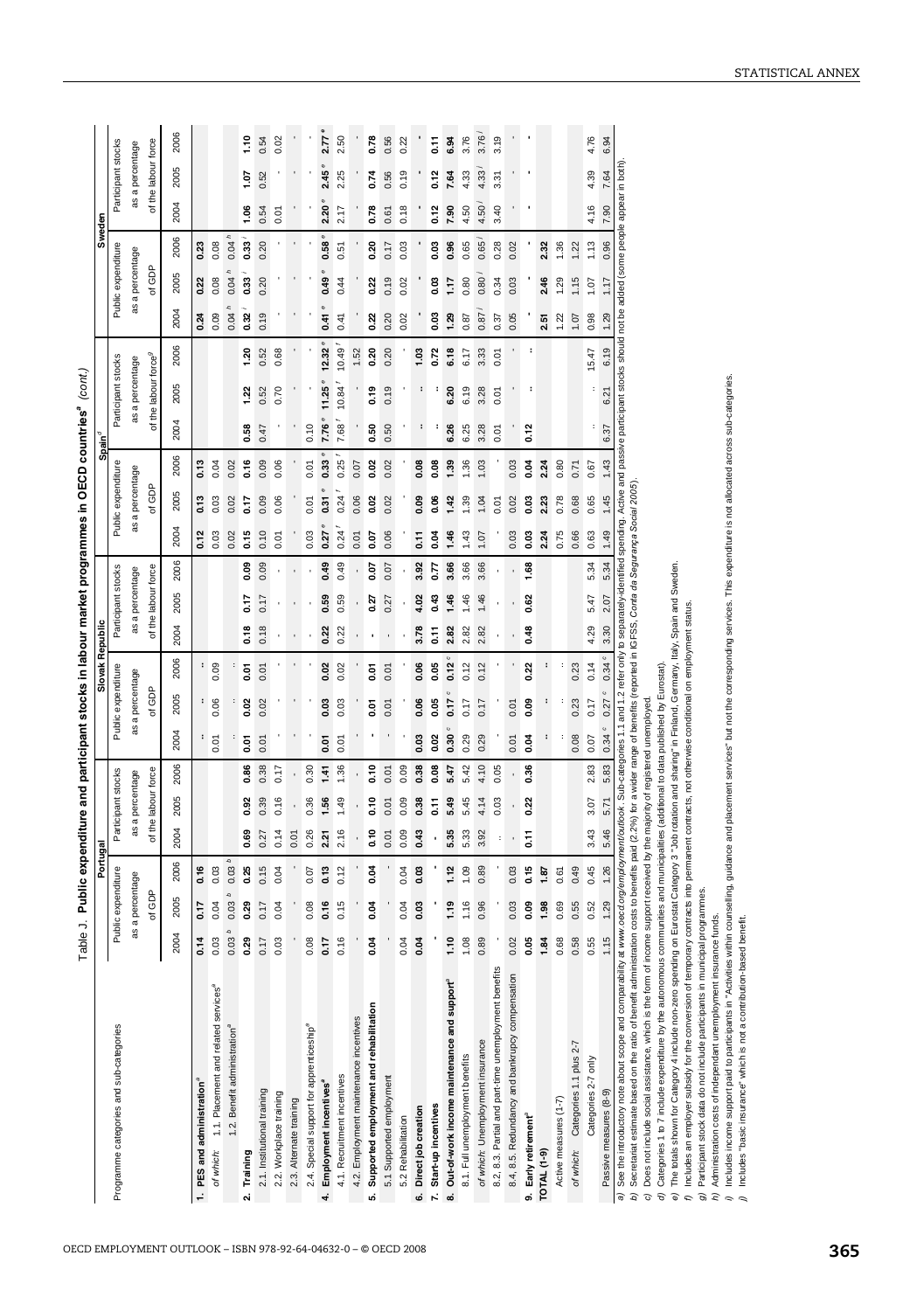| 3.76<br>0.78<br>3.19<br>0.56<br>0.22<br>3.76<br>4.76<br>$\frac{1}{6}$<br>6.94<br>6.94<br>Participant stocks<br>of the labour force<br>as a percentage<br>spending. Active and passive participant stocks should not be added (some people appear in both)<br>2005<br>2.45<br>4.33<br>2.25<br>0.74<br>0.12<br>0.56<br>0.19<br>7.64<br>4.33<br>4.39<br>0.52<br>3.31<br>7.64<br>1.07<br>4.50 <sup>j</sup><br>2004<br>4.16<br>2.20<br>0.78<br>0.18<br>0.12<br>7.90<br>4.50<br>3.40<br>7.90<br>1.06<br>0.54<br>$\overline{6}$<br>0.61<br>2.17<br>0.04 <sup>h</sup><br>0.33<br>2006<br>0.65 <sup>j</sup><br>0.58<br>0.20<br>1.13<br>0.96<br>Public expenditure<br>0.08<br>0.20<br>0.51<br>0.03<br>0.03<br>0.96<br>0.65<br>0.28<br>0.02<br>2.32<br>0.23<br>0.17<br>1.36<br>1.22<br>as a percentage<br>of GDP<br>0.04 <sup>h</sup><br>2005<br>0.33<br>0.80 <sup>j</sup><br>0.08<br>0.49<br>2.46<br>0.20<br>0.44<br>0.22<br>0.19<br>0.02<br>0.03<br>117<br>0.80<br>0.34<br>0.03<br>1.29<br>1.15<br>0.22<br>1.07<br>1.17<br>0.04h<br>2004<br>0.32<br>0.87<br>0.19<br>0.09<br>0.41<br>0.98<br>1.29<br>0.24<br>0.41<br>0.22<br>0.20<br>0.02<br>0.03<br>1.29<br>0.05<br>2.51<br>1.22<br>1.07<br>0.87<br>0.37<br>2006<br>10.49<br>12.32<br>0.20<br>6.18<br>3.33<br>6.19<br>1.20<br>0.68<br>1.52<br>0.72<br>0.52<br>0.20<br>103<br>6.17<br>0.01<br>15.47<br>of the labour force <sup>9</sup><br>Participant stocks<br>as a percentage<br>Includes income support paid to participants in "Activities within counselling, guidance and placement services" but not the corresponding services. This expenditure is not allocated across sub-categories<br>2005<br>11.25<br>10.84<br>:<br>6.20<br>0.19<br>0.19<br>6.19<br>3.28<br>÷<br>0.70<br>1.22<br>0.52<br>0.07<br>6.21<br>2004<br>7.76<br>7.68<br>3.28<br>0.10<br>0.50<br>6.25<br>0.12<br>0.58<br>0.50<br>6.26<br>0.07<br>6.37<br>0.47<br>$0.33$ <sup>e</sup><br>$0.25$ <sup>f</sup><br>2006<br>0.16<br>0.09<br>0.06<br>601<br>1.39<br>0.03<br>1.43<br>Public expenditure<br>0.13<br>0.04<br>0.02<br>0.02<br>0.02<br>0.08<br>0.08<br>1.36<br>1,03<br>0.04<br>2.24<br>0.80<br>0.07<br>0.67<br>0.71<br>as a percentage<br>benefits paid (2.2%) for a wider range of benefits (reported in IGFSS, Conta da Segurança Social 2005).<br>of GDP<br>$0.24$ <sup><math>'</math></sup><br>2005<br>0.06<br>1.45<br>0.09<br>0.06<br>0.01<br>0.02<br>0.02<br>0.09<br>0.06<br>1.39<br>1.04<br>0.02<br>0.03<br>2.23<br>0.78<br>0.68<br>0.65<br>0.13<br>0.03<br>0.02<br>$\frac{1}{2}$<br>0.31<br>1.42<br>0.01<br>2004<br>0.24<br>1.49<br>0.15<br>0.10<br>0.03<br>0.03<br>0.75<br>0.66<br>0.63<br>0.12<br>0.03<br>0.02<br>0.27<br>0.01<br>0.06<br>1.46<br>1.43<br><b>C.O3</b><br>2.24<br>0.01<br>$\overline{5}$<br>0.04<br>0.07<br>70.1<br>to separately-identified<br>2006<br>3.66<br>5.34<br>Category 3 "Job rotation and sharing" in Finland, Germany, Italy, Spain and Sweden.<br>0.49<br>3.92<br>3.66<br>3.66<br>1.68<br>0.09<br>0.09<br>0.49<br>0.07<br>5.34<br>0.07<br>77<br>of the labour force<br>Participant stocks<br>as a percentage<br>2005<br>0.59<br>1.46<br>1.46<br>1.46<br>0.17<br>0.59<br>4.02<br>0.43<br>0.62<br>0.17<br>0.27<br>0.27<br>5.47<br>2.07<br>into permanent contracts, not otherwise conditional on employment status.<br>2004<br>0.48<br>4.29<br>$\frac{18}{16}$<br>0.18<br>0.22<br>3.78<br>3.30<br>0.22<br>$\overline{5}$<br>2.82<br>2.82<br>2.82<br>rg/employment/outlook. Sub-categories 1.1 and 1.2 refer only<br>0.34<br>0.12<br>2006<br>Categories 1 to 7 include expenditure by the autonomous communities and municipalities (additional to data published by Eurostat).<br>0.06<br>0.12<br>0.12<br>0.23<br>0.14<br>Public expenditure<br>0.09<br>$\overline{0}$<br>0.02<br>0.02<br>0.01<br>0.05<br>0.22<br>0.01<br>0.01<br>as a percentage<br>of GDP<br>$\circ$<br>$\circ$<br>2005<br>$\ddot{\cdot}$<br>0.23<br>0.27<br>0.06<br>0.02<br>0.03<br>0.03<br>0.01<br>0.06<br>0.05<br>0.17<br>0.17<br>0.09<br>0.17<br>0.02<br>0.01<br>0.17<br>0.01<br>received by the majority of registered unemployed<br>$0.34~^{\circ}$<br>0.30<br>2004<br>0.08<br>0.03<br>0.29<br>0.29<br>0.02<br>0.01<br>0.04<br>0.01<br>$\overline{0}$<br>0.01<br>0.01<br>0.01<br>0.07<br>2006<br>4.10<br>1.36<br>$\frac{1}{2}$<br>0.38<br><b>0.08</b><br>0.36<br>2.83<br>5.83<br><b>0.86</b><br>0.38<br>0.30<br>0.09<br>5.42<br>0.05<br>0.17<br>1.41<br>0.01<br>5.47<br>of the labour force<br>Participant stocks<br>as a percentage<br>2005<br>0.16<br>0.36<br>1.49<br>0.10<br>0.09<br>5.49<br>0.92<br>0.39<br>1.56<br>0.01<br>0.38<br>5.45<br>4.14<br>0.03<br>0.22<br>$\frac{1}{6}$<br>3.07<br>5.71<br>2004<br>2.16<br>$\frac{1}{2}$<br>3.43<br>5.46<br>0.14<br>0.26<br>0.09<br>0.43<br>5.35<br>5.33<br>0.69<br>0.01<br>3.92<br>0.27<br>0.01<br>2.21<br>등<br>þ<br>0.03 <sup>b</sup><br>2006<br>0.03<br>0.25<br>0.15<br>0.12<br>0.04<br>1.12<br>1.09<br>0.89<br>0.03<br>0.15<br>0.49<br>0.45<br>1.26<br>0.16<br>0.04<br>0.07<br>0.13<br>0.04<br>0.03<br>1.87<br>Public expenditure<br>0.61<br>as a percentage<br>Participant stock data do not include participants in municipal programmes.<br>of GDP<br>۵<br>2005<br>0.04<br>0.03<br>0.29<br>0.08<br>0.15<br>0.04<br><b>1.19</b><br>1.16<br>0.03<br>0.09<br>1.98<br>0.69<br>0.55<br>1.29<br>o poec www te Milideracturo pue adoos trocke aou Aroporpou pu is ees<br>Secretariat estimate based on the ratio of benefit administration costs to<br>Does not include social assistance, which is the form of income support<br>The totals shown for Category 4 include non-zero spending on Eurostat<br>Includes an employer subsidy for the conversion of temporary contracts<br>0.17<br>0.04<br>0.16<br>0.03<br>0.52<br>0.17<br>0.04<br>0.96<br>Administration costs of independant unemployment insurance funds.<br>Includes "basic insurance" which is not a contribution-based benefit.<br>0.03 <sup>b</sup><br>2004<br>1.15<br>0.03<br>0.29<br>0.03<br>0.08<br>0.16<br>0.04<br>1.10<br>0.89<br>1.84<br>0.68<br>0.58<br>0.55<br>0.14<br>0.17<br>0.04<br>0.04<br>1.08<br>0.02<br>0.05<br>$-17$<br>8.2, 8.3. Partial and part-time unemployment benefits<br>8.4, 8.5. Redundancy and bankrupcy compensation<br>Out-of-work income maintenance and support <sup>®</sup><br>1.1. Placement and related services <sup>®</sup><br>Supported employment and rehabilitation<br>4.2. Employment maintenance incentives<br>Programme categories and sub-categories<br>1.2. Benefit administration <sup>®</sup><br>2.4. Special support for apprenticeship <sup>a</sup><br>of which: Unemployment insurance<br>Categories 1.1 plus 2-7<br>8.1. Full unemployment benefits<br>Categories 2-7 only<br>4.1. Recruitment incentives<br>5.1 Supported employment<br>1. PES and administration<br>Employment incentives <sup>ª</sup><br>2.1. Institutional training<br>Passive measures (8-9)<br>2.2. Workplace training<br>Active measures (1-7)<br>2.3. Alternate training<br>Start-up incentives<br>Direct job creation<br>9. Early retirement <sup>ª</sup><br>5.2 Rehabilitation<br>of which:<br>of which:<br>TOTAL (1-9)<br>Training<br>$\ddot{\mathbf{a}}$<br>ø<br>$\ddot{\sim}$<br>4<br>ທ່<br>$\widehat{\mathfrak{w}}$<br>$\widehat{\textbf{c}}$<br>$\mathcal{L}$<br>ق<br>$\dot{\infty}$<br>$\widehat{\mathbf{e}}$<br>$\mathfrak{c}$<br>$B = 5$ |  | Portuga |  |  | Slovak Republic |  |  |  |  |  | Sweder |                 |
|---------------------------------------------------------------------------------------------------------------------------------------------------------------------------------------------------------------------------------------------------------------------------------------------------------------------------------------------------------------------------------------------------------------------------------------------------------------------------------------------------------------------------------------------------------------------------------------------------------------------------------------------------------------------------------------------------------------------------------------------------------------------------------------------------------------------------------------------------------------------------------------------------------------------------------------------------------------------------------------------------------------------------------------------------------------------------------------------------------------------------------------------------------------------------------------------------------------------------------------------------------------------------------------------------------------------------------------------------------------------------------------------------------------------------------------------------------------------------------------------------------------------------------------------------------------------------------------------------------------------------------------------------------------------------------------------------------------------------------------------------------------------------------------------------------------------------------------------------------------------------------------------------------------------------------------------------------------------------------------------------------------------------------------------------------------------------------------------------------------------------------------------------------------------------------------------------------------------------------------------------------------------------------------------------------------------------------------------------------------------------------------------------------------------------------------------------------------------------------------------------------------------------------------------------------------------------------------------------------------------------------------------------------------------------------------------------------------------------------------------------------------------------------------------------------------------------------------------------------------------------------------------------------------------------------------------------------------------------------------------------------------------------------------------------------------------------------------------------------------------------------------------------------------------------------------------------------------------------------------------------------------------------------------------------------------------------------------------------------------------------------------------------------------------------------------------------------------------------------------------------------------------------------------------------------------------------------------------------------------------------------------------------------------------------------------------------------------------------------------------------------------------------------------------------------------------------------------------------------------------------------------------------------------------------------------------------------------------------------------------------------------------------------------------------------------------------------------------------------------------------------------------------------------------------------------------------------------------------------------------------------------------------------------------------------------------------------------------------------------------------------------------------------------------------------------------------------------------------------------------------------------------------------------------------------------------------------------------------------------------------------------------------------------------------------------------------------------------------------------------------------------------------------------------------------------------------------------------------------------------------------------------------------------------------------------------------------------------------------------------------------------------------------------------------------------------------------------------------------------------------------------------------------------------------------------------------------------------------------------------------------------------------------------------------------------------------------------------------------------------------------------------------------------------------------------------------------------------------------------------------------------------------------------------------------------------------------------------------------------------------------------------------------------------------------------------------------------------------------------------------------------------------------------------------------------------------------------------------------------------------------------------------------------------------------------------------------------------------------------------------------------------------------------------------------------------------------------------------------------------------------------------------------------------------------------------------------------------------------------------------------------------------------------------------------------------------------------------------------------------------------------------------------------------------------------------------------------------------------------------------------------------------------------------------------------------------------------------------------------------------------------------------------------------------------------------------------------------------------------------------------------------------------------------------------------------------------------------------------------------------------------------------------------------------------------------------------------------------------------------------------------------------------------------------------------------------------------------------------------------------------------------------------------------------------------------------------------------------------------------------------------------------------------------------------------------------|--|---------|--|--|-----------------|--|--|--|--|--|--------|-----------------|
|                                                                                                                                                                                                                                                                                                                                                                                                                                                                                                                                                                                                                                                                                                                                                                                                                                                                                                                                                                                                                                                                                                                                                                                                                                                                                                                                                                                                                                                                                                                                                                                                                                                                                                                                                                                                                                                                                                                                                                                                                                                                                                                                                                                                                                                                                                                                                                                                                                                                                                                                                                                                                                                                                                                                                                                                                                                                                                                                                                                                                                                                                                                                                                                                                                                                                                                                                                                                                                                                                                                                                                                                                                                                                                                                                                                                                                                                                                                                                                                                                                                                                                                                                                                                                                                                                                                                                                                                                                                                                                                                                                                                                                                                                                                                                                                                                                                                                                                                                                                                                                                                                                                                                                                                                                                                                                                                                                                                                                                                                                                                                                                                                                                                                                                                                                                                                                                                                                                                                                                                                                                                                                                                                                                                                                                                                                                                                                                                                                                                                                                                                                                                                                                                                                                                                                                                                                                                                                                                                                                                                                                                                                                                                                                                                                                                                                                           |  |         |  |  |                 |  |  |  |  |  |        |                 |
|                                                                                                                                                                                                                                                                                                                                                                                                                                                                                                                                                                                                                                                                                                                                                                                                                                                                                                                                                                                                                                                                                                                                                                                                                                                                                                                                                                                                                                                                                                                                                                                                                                                                                                                                                                                                                                                                                                                                                                                                                                                                                                                                                                                                                                                                                                                                                                                                                                                                                                                                                                                                                                                                                                                                                                                                                                                                                                                                                                                                                                                                                                                                                                                                                                                                                                                                                                                                                                                                                                                                                                                                                                                                                                                                                                                                                                                                                                                                                                                                                                                                                                                                                                                                                                                                                                                                                                                                                                                                                                                                                                                                                                                                                                                                                                                                                                                                                                                                                                                                                                                                                                                                                                                                                                                                                                                                                                                                                                                                                                                                                                                                                                                                                                                                                                                                                                                                                                                                                                                                                                                                                                                                                                                                                                                                                                                                                                                                                                                                                                                                                                                                                                                                                                                                                                                                                                                                                                                                                                                                                                                                                                                                                                                                                                                                                                                           |  |         |  |  |                 |  |  |  |  |  |        |                 |
|                                                                                                                                                                                                                                                                                                                                                                                                                                                                                                                                                                                                                                                                                                                                                                                                                                                                                                                                                                                                                                                                                                                                                                                                                                                                                                                                                                                                                                                                                                                                                                                                                                                                                                                                                                                                                                                                                                                                                                                                                                                                                                                                                                                                                                                                                                                                                                                                                                                                                                                                                                                                                                                                                                                                                                                                                                                                                                                                                                                                                                                                                                                                                                                                                                                                                                                                                                                                                                                                                                                                                                                                                                                                                                                                                                                                                                                                                                                                                                                                                                                                                                                                                                                                                                                                                                                                                                                                                                                                                                                                                                                                                                                                                                                                                                                                                                                                                                                                                                                                                                                                                                                                                                                                                                                                                                                                                                                                                                                                                                                                                                                                                                                                                                                                                                                                                                                                                                                                                                                                                                                                                                                                                                                                                                                                                                                                                                                                                                                                                                                                                                                                                                                                                                                                                                                                                                                                                                                                                                                                                                                                                                                                                                                                                                                                                                                           |  |         |  |  |                 |  |  |  |  |  |        |                 |
|                                                                                                                                                                                                                                                                                                                                                                                                                                                                                                                                                                                                                                                                                                                                                                                                                                                                                                                                                                                                                                                                                                                                                                                                                                                                                                                                                                                                                                                                                                                                                                                                                                                                                                                                                                                                                                                                                                                                                                                                                                                                                                                                                                                                                                                                                                                                                                                                                                                                                                                                                                                                                                                                                                                                                                                                                                                                                                                                                                                                                                                                                                                                                                                                                                                                                                                                                                                                                                                                                                                                                                                                                                                                                                                                                                                                                                                                                                                                                                                                                                                                                                                                                                                                                                                                                                                                                                                                                                                                                                                                                                                                                                                                                                                                                                                                                                                                                                                                                                                                                                                                                                                                                                                                                                                                                                                                                                                                                                                                                                                                                                                                                                                                                                                                                                                                                                                                                                                                                                                                                                                                                                                                                                                                                                                                                                                                                                                                                                                                                                                                                                                                                                                                                                                                                                                                                                                                                                                                                                                                                                                                                                                                                                                                                                                                                                                           |  |         |  |  |                 |  |  |  |  |  |        | 2006            |
|                                                                                                                                                                                                                                                                                                                                                                                                                                                                                                                                                                                                                                                                                                                                                                                                                                                                                                                                                                                                                                                                                                                                                                                                                                                                                                                                                                                                                                                                                                                                                                                                                                                                                                                                                                                                                                                                                                                                                                                                                                                                                                                                                                                                                                                                                                                                                                                                                                                                                                                                                                                                                                                                                                                                                                                                                                                                                                                                                                                                                                                                                                                                                                                                                                                                                                                                                                                                                                                                                                                                                                                                                                                                                                                                                                                                                                                                                                                                                                                                                                                                                                                                                                                                                                                                                                                                                                                                                                                                                                                                                                                                                                                                                                                                                                                                                                                                                                                                                                                                                                                                                                                                                                                                                                                                                                                                                                                                                                                                                                                                                                                                                                                                                                                                                                                                                                                                                                                                                                                                                                                                                                                                                                                                                                                                                                                                                                                                                                                                                                                                                                                                                                                                                                                                                                                                                                                                                                                                                                                                                                                                                                                                                                                                                                                                                                                           |  |         |  |  |                 |  |  |  |  |  |        |                 |
|                                                                                                                                                                                                                                                                                                                                                                                                                                                                                                                                                                                                                                                                                                                                                                                                                                                                                                                                                                                                                                                                                                                                                                                                                                                                                                                                                                                                                                                                                                                                                                                                                                                                                                                                                                                                                                                                                                                                                                                                                                                                                                                                                                                                                                                                                                                                                                                                                                                                                                                                                                                                                                                                                                                                                                                                                                                                                                                                                                                                                                                                                                                                                                                                                                                                                                                                                                                                                                                                                                                                                                                                                                                                                                                                                                                                                                                                                                                                                                                                                                                                                                                                                                                                                                                                                                                                                                                                                                                                                                                                                                                                                                                                                                                                                                                                                                                                                                                                                                                                                                                                                                                                                                                                                                                                                                                                                                                                                                                                                                                                                                                                                                                                                                                                                                                                                                                                                                                                                                                                                                                                                                                                                                                                                                                                                                                                                                                                                                                                                                                                                                                                                                                                                                                                                                                                                                                                                                                                                                                                                                                                                                                                                                                                                                                                                                                           |  |         |  |  |                 |  |  |  |  |  |        |                 |
|                                                                                                                                                                                                                                                                                                                                                                                                                                                                                                                                                                                                                                                                                                                                                                                                                                                                                                                                                                                                                                                                                                                                                                                                                                                                                                                                                                                                                                                                                                                                                                                                                                                                                                                                                                                                                                                                                                                                                                                                                                                                                                                                                                                                                                                                                                                                                                                                                                                                                                                                                                                                                                                                                                                                                                                                                                                                                                                                                                                                                                                                                                                                                                                                                                                                                                                                                                                                                                                                                                                                                                                                                                                                                                                                                                                                                                                                                                                                                                                                                                                                                                                                                                                                                                                                                                                                                                                                                                                                                                                                                                                                                                                                                                                                                                                                                                                                                                                                                                                                                                                                                                                                                                                                                                                                                                                                                                                                                                                                                                                                                                                                                                                                                                                                                                                                                                                                                                                                                                                                                                                                                                                                                                                                                                                                                                                                                                                                                                                                                                                                                                                                                                                                                                                                                                                                                                                                                                                                                                                                                                                                                                                                                                                                                                                                                                                           |  |         |  |  |                 |  |  |  |  |  |        |                 |
|                                                                                                                                                                                                                                                                                                                                                                                                                                                                                                                                                                                                                                                                                                                                                                                                                                                                                                                                                                                                                                                                                                                                                                                                                                                                                                                                                                                                                                                                                                                                                                                                                                                                                                                                                                                                                                                                                                                                                                                                                                                                                                                                                                                                                                                                                                                                                                                                                                                                                                                                                                                                                                                                                                                                                                                                                                                                                                                                                                                                                                                                                                                                                                                                                                                                                                                                                                                                                                                                                                                                                                                                                                                                                                                                                                                                                                                                                                                                                                                                                                                                                                                                                                                                                                                                                                                                                                                                                                                                                                                                                                                                                                                                                                                                                                                                                                                                                                                                                                                                                                                                                                                                                                                                                                                                                                                                                                                                                                                                                                                                                                                                                                                                                                                                                                                                                                                                                                                                                                                                                                                                                                                                                                                                                                                                                                                                                                                                                                                                                                                                                                                                                                                                                                                                                                                                                                                                                                                                                                                                                                                                                                                                                                                                                                                                                                                           |  |         |  |  |                 |  |  |  |  |  |        | $\frac{8}{110}$ |
|                                                                                                                                                                                                                                                                                                                                                                                                                                                                                                                                                                                                                                                                                                                                                                                                                                                                                                                                                                                                                                                                                                                                                                                                                                                                                                                                                                                                                                                                                                                                                                                                                                                                                                                                                                                                                                                                                                                                                                                                                                                                                                                                                                                                                                                                                                                                                                                                                                                                                                                                                                                                                                                                                                                                                                                                                                                                                                                                                                                                                                                                                                                                                                                                                                                                                                                                                                                                                                                                                                                                                                                                                                                                                                                                                                                                                                                                                                                                                                                                                                                                                                                                                                                                                                                                                                                                                                                                                                                                                                                                                                                                                                                                                                                                                                                                                                                                                                                                                                                                                                                                                                                                                                                                                                                                                                                                                                                                                                                                                                                                                                                                                                                                                                                                                                                                                                                                                                                                                                                                                                                                                                                                                                                                                                                                                                                                                                                                                                                                                                                                                                                                                                                                                                                                                                                                                                                                                                                                                                                                                                                                                                                                                                                                                                                                                                                           |  |         |  |  |                 |  |  |  |  |  |        | 0.54            |
|                                                                                                                                                                                                                                                                                                                                                                                                                                                                                                                                                                                                                                                                                                                                                                                                                                                                                                                                                                                                                                                                                                                                                                                                                                                                                                                                                                                                                                                                                                                                                                                                                                                                                                                                                                                                                                                                                                                                                                                                                                                                                                                                                                                                                                                                                                                                                                                                                                                                                                                                                                                                                                                                                                                                                                                                                                                                                                                                                                                                                                                                                                                                                                                                                                                                                                                                                                                                                                                                                                                                                                                                                                                                                                                                                                                                                                                                                                                                                                                                                                                                                                                                                                                                                                                                                                                                                                                                                                                                                                                                                                                                                                                                                                                                                                                                                                                                                                                                                                                                                                                                                                                                                                                                                                                                                                                                                                                                                                                                                                                                                                                                                                                                                                                                                                                                                                                                                                                                                                                                                                                                                                                                                                                                                                                                                                                                                                                                                                                                                                                                                                                                                                                                                                                                                                                                                                                                                                                                                                                                                                                                                                                                                                                                                                                                                                                           |  |         |  |  |                 |  |  |  |  |  |        | 0.02            |
|                                                                                                                                                                                                                                                                                                                                                                                                                                                                                                                                                                                                                                                                                                                                                                                                                                                                                                                                                                                                                                                                                                                                                                                                                                                                                                                                                                                                                                                                                                                                                                                                                                                                                                                                                                                                                                                                                                                                                                                                                                                                                                                                                                                                                                                                                                                                                                                                                                                                                                                                                                                                                                                                                                                                                                                                                                                                                                                                                                                                                                                                                                                                                                                                                                                                                                                                                                                                                                                                                                                                                                                                                                                                                                                                                                                                                                                                                                                                                                                                                                                                                                                                                                                                                                                                                                                                                                                                                                                                                                                                                                                                                                                                                                                                                                                                                                                                                                                                                                                                                                                                                                                                                                                                                                                                                                                                                                                                                                                                                                                                                                                                                                                                                                                                                                                                                                                                                                                                                                                                                                                                                                                                                                                                                                                                                                                                                                                                                                                                                                                                                                                                                                                                                                                                                                                                                                                                                                                                                                                                                                                                                                                                                                                                                                                                                                                           |  |         |  |  |                 |  |  |  |  |  |        |                 |
|                                                                                                                                                                                                                                                                                                                                                                                                                                                                                                                                                                                                                                                                                                                                                                                                                                                                                                                                                                                                                                                                                                                                                                                                                                                                                                                                                                                                                                                                                                                                                                                                                                                                                                                                                                                                                                                                                                                                                                                                                                                                                                                                                                                                                                                                                                                                                                                                                                                                                                                                                                                                                                                                                                                                                                                                                                                                                                                                                                                                                                                                                                                                                                                                                                                                                                                                                                                                                                                                                                                                                                                                                                                                                                                                                                                                                                                                                                                                                                                                                                                                                                                                                                                                                                                                                                                                                                                                                                                                                                                                                                                                                                                                                                                                                                                                                                                                                                                                                                                                                                                                                                                                                                                                                                                                                                                                                                                                                                                                                                                                                                                                                                                                                                                                                                                                                                                                                                                                                                                                                                                                                                                                                                                                                                                                                                                                                                                                                                                                                                                                                                                                                                                                                                                                                                                                                                                                                                                                                                                                                                                                                                                                                                                                                                                                                                                           |  |         |  |  |                 |  |  |  |  |  |        |                 |
|                                                                                                                                                                                                                                                                                                                                                                                                                                                                                                                                                                                                                                                                                                                                                                                                                                                                                                                                                                                                                                                                                                                                                                                                                                                                                                                                                                                                                                                                                                                                                                                                                                                                                                                                                                                                                                                                                                                                                                                                                                                                                                                                                                                                                                                                                                                                                                                                                                                                                                                                                                                                                                                                                                                                                                                                                                                                                                                                                                                                                                                                                                                                                                                                                                                                                                                                                                                                                                                                                                                                                                                                                                                                                                                                                                                                                                                                                                                                                                                                                                                                                                                                                                                                                                                                                                                                                                                                                                                                                                                                                                                                                                                                                                                                                                                                                                                                                                                                                                                                                                                                                                                                                                                                                                                                                                                                                                                                                                                                                                                                                                                                                                                                                                                                                                                                                                                                                                                                                                                                                                                                                                                                                                                                                                                                                                                                                                                                                                                                                                                                                                                                                                                                                                                                                                                                                                                                                                                                                                                                                                                                                                                                                                                                                                                                                                                           |  |         |  |  |                 |  |  |  |  |  |        | 2.77            |
|                                                                                                                                                                                                                                                                                                                                                                                                                                                                                                                                                                                                                                                                                                                                                                                                                                                                                                                                                                                                                                                                                                                                                                                                                                                                                                                                                                                                                                                                                                                                                                                                                                                                                                                                                                                                                                                                                                                                                                                                                                                                                                                                                                                                                                                                                                                                                                                                                                                                                                                                                                                                                                                                                                                                                                                                                                                                                                                                                                                                                                                                                                                                                                                                                                                                                                                                                                                                                                                                                                                                                                                                                                                                                                                                                                                                                                                                                                                                                                                                                                                                                                                                                                                                                                                                                                                                                                                                                                                                                                                                                                                                                                                                                                                                                                                                                                                                                                                                                                                                                                                                                                                                                                                                                                                                                                                                                                                                                                                                                                                                                                                                                                                                                                                                                                                                                                                                                                                                                                                                                                                                                                                                                                                                                                                                                                                                                                                                                                                                                                                                                                                                                                                                                                                                                                                                                                                                                                                                                                                                                                                                                                                                                                                                                                                                                                                           |  |         |  |  |                 |  |  |  |  |  |        | 2.50            |
|                                                                                                                                                                                                                                                                                                                                                                                                                                                                                                                                                                                                                                                                                                                                                                                                                                                                                                                                                                                                                                                                                                                                                                                                                                                                                                                                                                                                                                                                                                                                                                                                                                                                                                                                                                                                                                                                                                                                                                                                                                                                                                                                                                                                                                                                                                                                                                                                                                                                                                                                                                                                                                                                                                                                                                                                                                                                                                                                                                                                                                                                                                                                                                                                                                                                                                                                                                                                                                                                                                                                                                                                                                                                                                                                                                                                                                                                                                                                                                                                                                                                                                                                                                                                                                                                                                                                                                                                                                                                                                                                                                                                                                                                                                                                                                                                                                                                                                                                                                                                                                                                                                                                                                                                                                                                                                                                                                                                                                                                                                                                                                                                                                                                                                                                                                                                                                                                                                                                                                                                                                                                                                                                                                                                                                                                                                                                                                                                                                                                                                                                                                                                                                                                                                                                                                                                                                                                                                                                                                                                                                                                                                                                                                                                                                                                                                                           |  |         |  |  |                 |  |  |  |  |  |        |                 |
|                                                                                                                                                                                                                                                                                                                                                                                                                                                                                                                                                                                                                                                                                                                                                                                                                                                                                                                                                                                                                                                                                                                                                                                                                                                                                                                                                                                                                                                                                                                                                                                                                                                                                                                                                                                                                                                                                                                                                                                                                                                                                                                                                                                                                                                                                                                                                                                                                                                                                                                                                                                                                                                                                                                                                                                                                                                                                                                                                                                                                                                                                                                                                                                                                                                                                                                                                                                                                                                                                                                                                                                                                                                                                                                                                                                                                                                                                                                                                                                                                                                                                                                                                                                                                                                                                                                                                                                                                                                                                                                                                                                                                                                                                                                                                                                                                                                                                                                                                                                                                                                                                                                                                                                                                                                                                                                                                                                                                                                                                                                                                                                                                                                                                                                                                                                                                                                                                                                                                                                                                                                                                                                                                                                                                                                                                                                                                                                                                                                                                                                                                                                                                                                                                                                                                                                                                                                                                                                                                                                                                                                                                                                                                                                                                                                                                                                           |  |         |  |  |                 |  |  |  |  |  |        |                 |
|                                                                                                                                                                                                                                                                                                                                                                                                                                                                                                                                                                                                                                                                                                                                                                                                                                                                                                                                                                                                                                                                                                                                                                                                                                                                                                                                                                                                                                                                                                                                                                                                                                                                                                                                                                                                                                                                                                                                                                                                                                                                                                                                                                                                                                                                                                                                                                                                                                                                                                                                                                                                                                                                                                                                                                                                                                                                                                                                                                                                                                                                                                                                                                                                                                                                                                                                                                                                                                                                                                                                                                                                                                                                                                                                                                                                                                                                                                                                                                                                                                                                                                                                                                                                                                                                                                                                                                                                                                                                                                                                                                                                                                                                                                                                                                                                                                                                                                                                                                                                                                                                                                                                                                                                                                                                                                                                                                                                                                                                                                                                                                                                                                                                                                                                                                                                                                                                                                                                                                                                                                                                                                                                                                                                                                                                                                                                                                                                                                                                                                                                                                                                                                                                                                                                                                                                                                                                                                                                                                                                                                                                                                                                                                                                                                                                                                                           |  |         |  |  |                 |  |  |  |  |  |        |                 |
|                                                                                                                                                                                                                                                                                                                                                                                                                                                                                                                                                                                                                                                                                                                                                                                                                                                                                                                                                                                                                                                                                                                                                                                                                                                                                                                                                                                                                                                                                                                                                                                                                                                                                                                                                                                                                                                                                                                                                                                                                                                                                                                                                                                                                                                                                                                                                                                                                                                                                                                                                                                                                                                                                                                                                                                                                                                                                                                                                                                                                                                                                                                                                                                                                                                                                                                                                                                                                                                                                                                                                                                                                                                                                                                                                                                                                                                                                                                                                                                                                                                                                                                                                                                                                                                                                                                                                                                                                                                                                                                                                                                                                                                                                                                                                                                                                                                                                                                                                                                                                                                                                                                                                                                                                                                                                                                                                                                                                                                                                                                                                                                                                                                                                                                                                                                                                                                                                                                                                                                                                                                                                                                                                                                                                                                                                                                                                                                                                                                                                                                                                                                                                                                                                                                                                                                                                                                                                                                                                                                                                                                                                                                                                                                                                                                                                                                           |  |         |  |  |                 |  |  |  |  |  |        |                 |
|                                                                                                                                                                                                                                                                                                                                                                                                                                                                                                                                                                                                                                                                                                                                                                                                                                                                                                                                                                                                                                                                                                                                                                                                                                                                                                                                                                                                                                                                                                                                                                                                                                                                                                                                                                                                                                                                                                                                                                                                                                                                                                                                                                                                                                                                                                                                                                                                                                                                                                                                                                                                                                                                                                                                                                                                                                                                                                                                                                                                                                                                                                                                                                                                                                                                                                                                                                                                                                                                                                                                                                                                                                                                                                                                                                                                                                                                                                                                                                                                                                                                                                                                                                                                                                                                                                                                                                                                                                                                                                                                                                                                                                                                                                                                                                                                                                                                                                                                                                                                                                                                                                                                                                                                                                                                                                                                                                                                                                                                                                                                                                                                                                                                                                                                                                                                                                                                                                                                                                                                                                                                                                                                                                                                                                                                                                                                                                                                                                                                                                                                                                                                                                                                                                                                                                                                                                                                                                                                                                                                                                                                                                                                                                                                                                                                                                                           |  |         |  |  |                 |  |  |  |  |  |        |                 |
|                                                                                                                                                                                                                                                                                                                                                                                                                                                                                                                                                                                                                                                                                                                                                                                                                                                                                                                                                                                                                                                                                                                                                                                                                                                                                                                                                                                                                                                                                                                                                                                                                                                                                                                                                                                                                                                                                                                                                                                                                                                                                                                                                                                                                                                                                                                                                                                                                                                                                                                                                                                                                                                                                                                                                                                                                                                                                                                                                                                                                                                                                                                                                                                                                                                                                                                                                                                                                                                                                                                                                                                                                                                                                                                                                                                                                                                                                                                                                                                                                                                                                                                                                                                                                                                                                                                                                                                                                                                                                                                                                                                                                                                                                                                                                                                                                                                                                                                                                                                                                                                                                                                                                                                                                                                                                                                                                                                                                                                                                                                                                                                                                                                                                                                                                                                                                                                                                                                                                                                                                                                                                                                                                                                                                                                                                                                                                                                                                                                                                                                                                                                                                                                                                                                                                                                                                                                                                                                                                                                                                                                                                                                                                                                                                                                                                                                           |  |         |  |  |                 |  |  |  |  |  |        |                 |
|                                                                                                                                                                                                                                                                                                                                                                                                                                                                                                                                                                                                                                                                                                                                                                                                                                                                                                                                                                                                                                                                                                                                                                                                                                                                                                                                                                                                                                                                                                                                                                                                                                                                                                                                                                                                                                                                                                                                                                                                                                                                                                                                                                                                                                                                                                                                                                                                                                                                                                                                                                                                                                                                                                                                                                                                                                                                                                                                                                                                                                                                                                                                                                                                                                                                                                                                                                                                                                                                                                                                                                                                                                                                                                                                                                                                                                                                                                                                                                                                                                                                                                                                                                                                                                                                                                                                                                                                                                                                                                                                                                                                                                                                                                                                                                                                                                                                                                                                                                                                                                                                                                                                                                                                                                                                                                                                                                                                                                                                                                                                                                                                                                                                                                                                                                                                                                                                                                                                                                                                                                                                                                                                                                                                                                                                                                                                                                                                                                                                                                                                                                                                                                                                                                                                                                                                                                                                                                                                                                                                                                                                                                                                                                                                                                                                                                                           |  |         |  |  |                 |  |  |  |  |  |        |                 |
|                                                                                                                                                                                                                                                                                                                                                                                                                                                                                                                                                                                                                                                                                                                                                                                                                                                                                                                                                                                                                                                                                                                                                                                                                                                                                                                                                                                                                                                                                                                                                                                                                                                                                                                                                                                                                                                                                                                                                                                                                                                                                                                                                                                                                                                                                                                                                                                                                                                                                                                                                                                                                                                                                                                                                                                                                                                                                                                                                                                                                                                                                                                                                                                                                                                                                                                                                                                                                                                                                                                                                                                                                                                                                                                                                                                                                                                                                                                                                                                                                                                                                                                                                                                                                                                                                                                                                                                                                                                                                                                                                                                                                                                                                                                                                                                                                                                                                                                                                                                                                                                                                                                                                                                                                                                                                                                                                                                                                                                                                                                                                                                                                                                                                                                                                                                                                                                                                                                                                                                                                                                                                                                                                                                                                                                                                                                                                                                                                                                                                                                                                                                                                                                                                                                                                                                                                                                                                                                                                                                                                                                                                                                                                                                                                                                                                                                           |  |         |  |  |                 |  |  |  |  |  |        |                 |
|                                                                                                                                                                                                                                                                                                                                                                                                                                                                                                                                                                                                                                                                                                                                                                                                                                                                                                                                                                                                                                                                                                                                                                                                                                                                                                                                                                                                                                                                                                                                                                                                                                                                                                                                                                                                                                                                                                                                                                                                                                                                                                                                                                                                                                                                                                                                                                                                                                                                                                                                                                                                                                                                                                                                                                                                                                                                                                                                                                                                                                                                                                                                                                                                                                                                                                                                                                                                                                                                                                                                                                                                                                                                                                                                                                                                                                                                                                                                                                                                                                                                                                                                                                                                                                                                                                                                                                                                                                                                                                                                                                                                                                                                                                                                                                                                                                                                                                                                                                                                                                                                                                                                                                                                                                                                                                                                                                                                                                                                                                                                                                                                                                                                                                                                                                                                                                                                                                                                                                                                                                                                                                                                                                                                                                                                                                                                                                                                                                                                                                                                                                                                                                                                                                                                                                                                                                                                                                                                                                                                                                                                                                                                                                                                                                                                                                                           |  |         |  |  |                 |  |  |  |  |  |        |                 |
|                                                                                                                                                                                                                                                                                                                                                                                                                                                                                                                                                                                                                                                                                                                                                                                                                                                                                                                                                                                                                                                                                                                                                                                                                                                                                                                                                                                                                                                                                                                                                                                                                                                                                                                                                                                                                                                                                                                                                                                                                                                                                                                                                                                                                                                                                                                                                                                                                                                                                                                                                                                                                                                                                                                                                                                                                                                                                                                                                                                                                                                                                                                                                                                                                                                                                                                                                                                                                                                                                                                                                                                                                                                                                                                                                                                                                                                                                                                                                                                                                                                                                                                                                                                                                                                                                                                                                                                                                                                                                                                                                                                                                                                                                                                                                                                                                                                                                                                                                                                                                                                                                                                                                                                                                                                                                                                                                                                                                                                                                                                                                                                                                                                                                                                                                                                                                                                                                                                                                                                                                                                                                                                                                                                                                                                                                                                                                                                                                                                                                                                                                                                                                                                                                                                                                                                                                                                                                                                                                                                                                                                                                                                                                                                                                                                                                                                           |  |         |  |  |                 |  |  |  |  |  |        |                 |
|                                                                                                                                                                                                                                                                                                                                                                                                                                                                                                                                                                                                                                                                                                                                                                                                                                                                                                                                                                                                                                                                                                                                                                                                                                                                                                                                                                                                                                                                                                                                                                                                                                                                                                                                                                                                                                                                                                                                                                                                                                                                                                                                                                                                                                                                                                                                                                                                                                                                                                                                                                                                                                                                                                                                                                                                                                                                                                                                                                                                                                                                                                                                                                                                                                                                                                                                                                                                                                                                                                                                                                                                                                                                                                                                                                                                                                                                                                                                                                                                                                                                                                                                                                                                                                                                                                                                                                                                                                                                                                                                                                                                                                                                                                                                                                                                                                                                                                                                                                                                                                                                                                                                                                                                                                                                                                                                                                                                                                                                                                                                                                                                                                                                                                                                                                                                                                                                                                                                                                                                                                                                                                                                                                                                                                                                                                                                                                                                                                                                                                                                                                                                                                                                                                                                                                                                                                                                                                                                                                                                                                                                                                                                                                                                                                                                                                                           |  |         |  |  |                 |  |  |  |  |  |        |                 |
|                                                                                                                                                                                                                                                                                                                                                                                                                                                                                                                                                                                                                                                                                                                                                                                                                                                                                                                                                                                                                                                                                                                                                                                                                                                                                                                                                                                                                                                                                                                                                                                                                                                                                                                                                                                                                                                                                                                                                                                                                                                                                                                                                                                                                                                                                                                                                                                                                                                                                                                                                                                                                                                                                                                                                                                                                                                                                                                                                                                                                                                                                                                                                                                                                                                                                                                                                                                                                                                                                                                                                                                                                                                                                                                                                                                                                                                                                                                                                                                                                                                                                                                                                                                                                                                                                                                                                                                                                                                                                                                                                                                                                                                                                                                                                                                                                                                                                                                                                                                                                                                                                                                                                                                                                                                                                                                                                                                                                                                                                                                                                                                                                                                                                                                                                                                                                                                                                                                                                                                                                                                                                                                                                                                                                                                                                                                                                                                                                                                                                                                                                                                                                                                                                                                                                                                                                                                                                                                                                                                                                                                                                                                                                                                                                                                                                                                           |  |         |  |  |                 |  |  |  |  |  |        |                 |
|                                                                                                                                                                                                                                                                                                                                                                                                                                                                                                                                                                                                                                                                                                                                                                                                                                                                                                                                                                                                                                                                                                                                                                                                                                                                                                                                                                                                                                                                                                                                                                                                                                                                                                                                                                                                                                                                                                                                                                                                                                                                                                                                                                                                                                                                                                                                                                                                                                                                                                                                                                                                                                                                                                                                                                                                                                                                                                                                                                                                                                                                                                                                                                                                                                                                                                                                                                                                                                                                                                                                                                                                                                                                                                                                                                                                                                                                                                                                                                                                                                                                                                                                                                                                                                                                                                                                                                                                                                                                                                                                                                                                                                                                                                                                                                                                                                                                                                                                                                                                                                                                                                                                                                                                                                                                                                                                                                                                                                                                                                                                                                                                                                                                                                                                                                                                                                                                                                                                                                                                                                                                                                                                                                                                                                                                                                                                                                                                                                                                                                                                                                                                                                                                                                                                                                                                                                                                                                                                                                                                                                                                                                                                                                                                                                                                                                                           |  |         |  |  |                 |  |  |  |  |  |        |                 |
|                                                                                                                                                                                                                                                                                                                                                                                                                                                                                                                                                                                                                                                                                                                                                                                                                                                                                                                                                                                                                                                                                                                                                                                                                                                                                                                                                                                                                                                                                                                                                                                                                                                                                                                                                                                                                                                                                                                                                                                                                                                                                                                                                                                                                                                                                                                                                                                                                                                                                                                                                                                                                                                                                                                                                                                                                                                                                                                                                                                                                                                                                                                                                                                                                                                                                                                                                                                                                                                                                                                                                                                                                                                                                                                                                                                                                                                                                                                                                                                                                                                                                                                                                                                                                                                                                                                                                                                                                                                                                                                                                                                                                                                                                                                                                                                                                                                                                                                                                                                                                                                                                                                                                                                                                                                                                                                                                                                                                                                                                                                                                                                                                                                                                                                                                                                                                                                                                                                                                                                                                                                                                                                                                                                                                                                                                                                                                                                                                                                                                                                                                                                                                                                                                                                                                                                                                                                                                                                                                                                                                                                                                                                                                                                                                                                                                                                           |  |         |  |  |                 |  |  |  |  |  |        |                 |
|                                                                                                                                                                                                                                                                                                                                                                                                                                                                                                                                                                                                                                                                                                                                                                                                                                                                                                                                                                                                                                                                                                                                                                                                                                                                                                                                                                                                                                                                                                                                                                                                                                                                                                                                                                                                                                                                                                                                                                                                                                                                                                                                                                                                                                                                                                                                                                                                                                                                                                                                                                                                                                                                                                                                                                                                                                                                                                                                                                                                                                                                                                                                                                                                                                                                                                                                                                                                                                                                                                                                                                                                                                                                                                                                                                                                                                                                                                                                                                                                                                                                                                                                                                                                                                                                                                                                                                                                                                                                                                                                                                                                                                                                                                                                                                                                                                                                                                                                                                                                                                                                                                                                                                                                                                                                                                                                                                                                                                                                                                                                                                                                                                                                                                                                                                                                                                                                                                                                                                                                                                                                                                                                                                                                                                                                                                                                                                                                                                                                                                                                                                                                                                                                                                                                                                                                                                                                                                                                                                                                                                                                                                                                                                                                                                                                                                                           |  |         |  |  |                 |  |  |  |  |  |        |                 |
|                                                                                                                                                                                                                                                                                                                                                                                                                                                                                                                                                                                                                                                                                                                                                                                                                                                                                                                                                                                                                                                                                                                                                                                                                                                                                                                                                                                                                                                                                                                                                                                                                                                                                                                                                                                                                                                                                                                                                                                                                                                                                                                                                                                                                                                                                                                                                                                                                                                                                                                                                                                                                                                                                                                                                                                                                                                                                                                                                                                                                                                                                                                                                                                                                                                                                                                                                                                                                                                                                                                                                                                                                                                                                                                                                                                                                                                                                                                                                                                                                                                                                                                                                                                                                                                                                                                                                                                                                                                                                                                                                                                                                                                                                                                                                                                                                                                                                                                                                                                                                                                                                                                                                                                                                                                                                                                                                                                                                                                                                                                                                                                                                                                                                                                                                                                                                                                                                                                                                                                                                                                                                                                                                                                                                                                                                                                                                                                                                                                                                                                                                                                                                                                                                                                                                                                                                                                                                                                                                                                                                                                                                                                                                                                                                                                                                                                           |  |         |  |  |                 |  |  |  |  |  |        |                 |
|                                                                                                                                                                                                                                                                                                                                                                                                                                                                                                                                                                                                                                                                                                                                                                                                                                                                                                                                                                                                                                                                                                                                                                                                                                                                                                                                                                                                                                                                                                                                                                                                                                                                                                                                                                                                                                                                                                                                                                                                                                                                                                                                                                                                                                                                                                                                                                                                                                                                                                                                                                                                                                                                                                                                                                                                                                                                                                                                                                                                                                                                                                                                                                                                                                                                                                                                                                                                                                                                                                                                                                                                                                                                                                                                                                                                                                                                                                                                                                                                                                                                                                                                                                                                                                                                                                                                                                                                                                                                                                                                                                                                                                                                                                                                                                                                                                                                                                                                                                                                                                                                                                                                                                                                                                                                                                                                                                                                                                                                                                                                                                                                                                                                                                                                                                                                                                                                                                                                                                                                                                                                                                                                                                                                                                                                                                                                                                                                                                                                                                                                                                                                                                                                                                                                                                                                                                                                                                                                                                                                                                                                                                                                                                                                                                                                                                                           |  |         |  |  |                 |  |  |  |  |  |        |                 |
|                                                                                                                                                                                                                                                                                                                                                                                                                                                                                                                                                                                                                                                                                                                                                                                                                                                                                                                                                                                                                                                                                                                                                                                                                                                                                                                                                                                                                                                                                                                                                                                                                                                                                                                                                                                                                                                                                                                                                                                                                                                                                                                                                                                                                                                                                                                                                                                                                                                                                                                                                                                                                                                                                                                                                                                                                                                                                                                                                                                                                                                                                                                                                                                                                                                                                                                                                                                                                                                                                                                                                                                                                                                                                                                                                                                                                                                                                                                                                                                                                                                                                                                                                                                                                                                                                                                                                                                                                                                                                                                                                                                                                                                                                                                                                                                                                                                                                                                                                                                                                                                                                                                                                                                                                                                                                                                                                                                                                                                                                                                                                                                                                                                                                                                                                                                                                                                                                                                                                                                                                                                                                                                                                                                                                                                                                                                                                                                                                                                                                                                                                                                                                                                                                                                                                                                                                                                                                                                                                                                                                                                                                                                                                                                                                                                                                                                           |  |         |  |  |                 |  |  |  |  |  |        |                 |
|                                                                                                                                                                                                                                                                                                                                                                                                                                                                                                                                                                                                                                                                                                                                                                                                                                                                                                                                                                                                                                                                                                                                                                                                                                                                                                                                                                                                                                                                                                                                                                                                                                                                                                                                                                                                                                                                                                                                                                                                                                                                                                                                                                                                                                                                                                                                                                                                                                                                                                                                                                                                                                                                                                                                                                                                                                                                                                                                                                                                                                                                                                                                                                                                                                                                                                                                                                                                                                                                                                                                                                                                                                                                                                                                                                                                                                                                                                                                                                                                                                                                                                                                                                                                                                                                                                                                                                                                                                                                                                                                                                                                                                                                                                                                                                                                                                                                                                                                                                                                                                                                                                                                                                                                                                                                                                                                                                                                                                                                                                                                                                                                                                                                                                                                                                                                                                                                                                                                                                                                                                                                                                                                                                                                                                                                                                                                                                                                                                                                                                                                                                                                                                                                                                                                                                                                                                                                                                                                                                                                                                                                                                                                                                                                                                                                                                                           |  |         |  |  |                 |  |  |  |  |  |        |                 |
|                                                                                                                                                                                                                                                                                                                                                                                                                                                                                                                                                                                                                                                                                                                                                                                                                                                                                                                                                                                                                                                                                                                                                                                                                                                                                                                                                                                                                                                                                                                                                                                                                                                                                                                                                                                                                                                                                                                                                                                                                                                                                                                                                                                                                                                                                                                                                                                                                                                                                                                                                                                                                                                                                                                                                                                                                                                                                                                                                                                                                                                                                                                                                                                                                                                                                                                                                                                                                                                                                                                                                                                                                                                                                                                                                                                                                                                                                                                                                                                                                                                                                                                                                                                                                                                                                                                                                                                                                                                                                                                                                                                                                                                                                                                                                                                                                                                                                                                                                                                                                                                                                                                                                                                                                                                                                                                                                                                                                                                                                                                                                                                                                                                                                                                                                                                                                                                                                                                                                                                                                                                                                                                                                                                                                                                                                                                                                                                                                                                                                                                                                                                                                                                                                                                                                                                                                                                                                                                                                                                                                                                                                                                                                                                                                                                                                                                           |  |         |  |  |                 |  |  |  |  |  |        |                 |
|                                                                                                                                                                                                                                                                                                                                                                                                                                                                                                                                                                                                                                                                                                                                                                                                                                                                                                                                                                                                                                                                                                                                                                                                                                                                                                                                                                                                                                                                                                                                                                                                                                                                                                                                                                                                                                                                                                                                                                                                                                                                                                                                                                                                                                                                                                                                                                                                                                                                                                                                                                                                                                                                                                                                                                                                                                                                                                                                                                                                                                                                                                                                                                                                                                                                                                                                                                                                                                                                                                                                                                                                                                                                                                                                                                                                                                                                                                                                                                                                                                                                                                                                                                                                                                                                                                                                                                                                                                                                                                                                                                                                                                                                                                                                                                                                                                                                                                                                                                                                                                                                                                                                                                                                                                                                                                                                                                                                                                                                                                                                                                                                                                                                                                                                                                                                                                                                                                                                                                                                                                                                                                                                                                                                                                                                                                                                                                                                                                                                                                                                                                                                                                                                                                                                                                                                                                                                                                                                                                                                                                                                                                                                                                                                                                                                                                                           |  |         |  |  |                 |  |  |  |  |  |        |                 |
|                                                                                                                                                                                                                                                                                                                                                                                                                                                                                                                                                                                                                                                                                                                                                                                                                                                                                                                                                                                                                                                                                                                                                                                                                                                                                                                                                                                                                                                                                                                                                                                                                                                                                                                                                                                                                                                                                                                                                                                                                                                                                                                                                                                                                                                                                                                                                                                                                                                                                                                                                                                                                                                                                                                                                                                                                                                                                                                                                                                                                                                                                                                                                                                                                                                                                                                                                                                                                                                                                                                                                                                                                                                                                                                                                                                                                                                                                                                                                                                                                                                                                                                                                                                                                                                                                                                                                                                                                                                                                                                                                                                                                                                                                                                                                                                                                                                                                                                                                                                                                                                                                                                                                                                                                                                                                                                                                                                                                                                                                                                                                                                                                                                                                                                                                                                                                                                                                                                                                                                                                                                                                                                                                                                                                                                                                                                                                                                                                                                                                                                                                                                                                                                                                                                                                                                                                                                                                                                                                                                                                                                                                                                                                                                                                                                                                                                           |  |         |  |  |                 |  |  |  |  |  |        |                 |
|                                                                                                                                                                                                                                                                                                                                                                                                                                                                                                                                                                                                                                                                                                                                                                                                                                                                                                                                                                                                                                                                                                                                                                                                                                                                                                                                                                                                                                                                                                                                                                                                                                                                                                                                                                                                                                                                                                                                                                                                                                                                                                                                                                                                                                                                                                                                                                                                                                                                                                                                                                                                                                                                                                                                                                                                                                                                                                                                                                                                                                                                                                                                                                                                                                                                                                                                                                                                                                                                                                                                                                                                                                                                                                                                                                                                                                                                                                                                                                                                                                                                                                                                                                                                                                                                                                                                                                                                                                                                                                                                                                                                                                                                                                                                                                                                                                                                                                                                                                                                                                                                                                                                                                                                                                                                                                                                                                                                                                                                                                                                                                                                                                                                                                                                                                                                                                                                                                                                                                                                                                                                                                                                                                                                                                                                                                                                                                                                                                                                                                                                                                                                                                                                                                                                                                                                                                                                                                                                                                                                                                                                                                                                                                                                                                                                                                                           |  |         |  |  |                 |  |  |  |  |  |        |                 |
|                                                                                                                                                                                                                                                                                                                                                                                                                                                                                                                                                                                                                                                                                                                                                                                                                                                                                                                                                                                                                                                                                                                                                                                                                                                                                                                                                                                                                                                                                                                                                                                                                                                                                                                                                                                                                                                                                                                                                                                                                                                                                                                                                                                                                                                                                                                                                                                                                                                                                                                                                                                                                                                                                                                                                                                                                                                                                                                                                                                                                                                                                                                                                                                                                                                                                                                                                                                                                                                                                                                                                                                                                                                                                                                                                                                                                                                                                                                                                                                                                                                                                                                                                                                                                                                                                                                                                                                                                                                                                                                                                                                                                                                                                                                                                                                                                                                                                                                                                                                                                                                                                                                                                                                                                                                                                                                                                                                                                                                                                                                                                                                                                                                                                                                                                                                                                                                                                                                                                                                                                                                                                                                                                                                                                                                                                                                                                                                                                                                                                                                                                                                                                                                                                                                                                                                                                                                                                                                                                                                                                                                                                                                                                                                                                                                                                                                           |  |         |  |  |                 |  |  |  |  |  |        |                 |
|                                                                                                                                                                                                                                                                                                                                                                                                                                                                                                                                                                                                                                                                                                                                                                                                                                                                                                                                                                                                                                                                                                                                                                                                                                                                                                                                                                                                                                                                                                                                                                                                                                                                                                                                                                                                                                                                                                                                                                                                                                                                                                                                                                                                                                                                                                                                                                                                                                                                                                                                                                                                                                                                                                                                                                                                                                                                                                                                                                                                                                                                                                                                                                                                                                                                                                                                                                                                                                                                                                                                                                                                                                                                                                                                                                                                                                                                                                                                                                                                                                                                                                                                                                                                                                                                                                                                                                                                                                                                                                                                                                                                                                                                                                                                                                                                                                                                                                                                                                                                                                                                                                                                                                                                                                                                                                                                                                                                                                                                                                                                                                                                                                                                                                                                                                                                                                                                                                                                                                                                                                                                                                                                                                                                                                                                                                                                                                                                                                                                                                                                                                                                                                                                                                                                                                                                                                                                                                                                                                                                                                                                                                                                                                                                                                                                                                                           |  |         |  |  |                 |  |  |  |  |  |        |                 |
|                                                                                                                                                                                                                                                                                                                                                                                                                                                                                                                                                                                                                                                                                                                                                                                                                                                                                                                                                                                                                                                                                                                                                                                                                                                                                                                                                                                                                                                                                                                                                                                                                                                                                                                                                                                                                                                                                                                                                                                                                                                                                                                                                                                                                                                                                                                                                                                                                                                                                                                                                                                                                                                                                                                                                                                                                                                                                                                                                                                                                                                                                                                                                                                                                                                                                                                                                                                                                                                                                                                                                                                                                                                                                                                                                                                                                                                                                                                                                                                                                                                                                                                                                                                                                                                                                                                                                                                                                                                                                                                                                                                                                                                                                                                                                                                                                                                                                                                                                                                                                                                                                                                                                                                                                                                                                                                                                                                                                                                                                                                                                                                                                                                                                                                                                                                                                                                                                                                                                                                                                                                                                                                                                                                                                                                                                                                                                                                                                                                                                                                                                                                                                                                                                                                                                                                                                                                                                                                                                                                                                                                                                                                                                                                                                                                                                                                           |  |         |  |  |                 |  |  |  |  |  |        |                 |
|                                                                                                                                                                                                                                                                                                                                                                                                                                                                                                                                                                                                                                                                                                                                                                                                                                                                                                                                                                                                                                                                                                                                                                                                                                                                                                                                                                                                                                                                                                                                                                                                                                                                                                                                                                                                                                                                                                                                                                                                                                                                                                                                                                                                                                                                                                                                                                                                                                                                                                                                                                                                                                                                                                                                                                                                                                                                                                                                                                                                                                                                                                                                                                                                                                                                                                                                                                                                                                                                                                                                                                                                                                                                                                                                                                                                                                                                                                                                                                                                                                                                                                                                                                                                                                                                                                                                                                                                                                                                                                                                                                                                                                                                                                                                                                                                                                                                                                                                                                                                                                                                                                                                                                                                                                                                                                                                                                                                                                                                                                                                                                                                                                                                                                                                                                                                                                                                                                                                                                                                                                                                                                                                                                                                                                                                                                                                                                                                                                                                                                                                                                                                                                                                                                                                                                                                                                                                                                                                                                                                                                                                                                                                                                                                                                                                                                                           |  |         |  |  |                 |  |  |  |  |  |        |                 |
|                                                                                                                                                                                                                                                                                                                                                                                                                                                                                                                                                                                                                                                                                                                                                                                                                                                                                                                                                                                                                                                                                                                                                                                                                                                                                                                                                                                                                                                                                                                                                                                                                                                                                                                                                                                                                                                                                                                                                                                                                                                                                                                                                                                                                                                                                                                                                                                                                                                                                                                                                                                                                                                                                                                                                                                                                                                                                                                                                                                                                                                                                                                                                                                                                                                                                                                                                                                                                                                                                                                                                                                                                                                                                                                                                                                                                                                                                                                                                                                                                                                                                                                                                                                                                                                                                                                                                                                                                                                                                                                                                                                                                                                                                                                                                                                                                                                                                                                                                                                                                                                                                                                                                                                                                                                                                                                                                                                                                                                                                                                                                                                                                                                                                                                                                                                                                                                                                                                                                                                                                                                                                                                                                                                                                                                                                                                                                                                                                                                                                                                                                                                                                                                                                                                                                                                                                                                                                                                                                                                                                                                                                                                                                                                                                                                                                                                           |  |         |  |  |                 |  |  |  |  |  |        |                 |
|                                                                                                                                                                                                                                                                                                                                                                                                                                                                                                                                                                                                                                                                                                                                                                                                                                                                                                                                                                                                                                                                                                                                                                                                                                                                                                                                                                                                                                                                                                                                                                                                                                                                                                                                                                                                                                                                                                                                                                                                                                                                                                                                                                                                                                                                                                                                                                                                                                                                                                                                                                                                                                                                                                                                                                                                                                                                                                                                                                                                                                                                                                                                                                                                                                                                                                                                                                                                                                                                                                                                                                                                                                                                                                                                                                                                                                                                                                                                                                                                                                                                                                                                                                                                                                                                                                                                                                                                                                                                                                                                                                                                                                                                                                                                                                                                                                                                                                                                                                                                                                                                                                                                                                                                                                                                                                                                                                                                                                                                                                                                                                                                                                                                                                                                                                                                                                                                                                                                                                                                                                                                                                                                                                                                                                                                                                                                                                                                                                                                                                                                                                                                                                                                                                                                                                                                                                                                                                                                                                                                                                                                                                                                                                                                                                                                                                                           |  |         |  |  |                 |  |  |  |  |  |        |                 |

| ĺ |
|---|
|   |
|   |
|   |
|   |
|   |
|   |
|   |
|   |
|   |
|   |
|   |
|   |
|   |
|   |
|   |
|   |
|   |
|   |
|   |
|   |
|   |
|   |
|   |
|   |
|   |
|   |
|   |
|   |
|   |
|   |
|   |
|   |
|   |
|   |
|   |
|   |
|   |
|   |
|   |
|   |
|   |
|   |
|   |
|   |
|   |
|   |
|   |
|   |